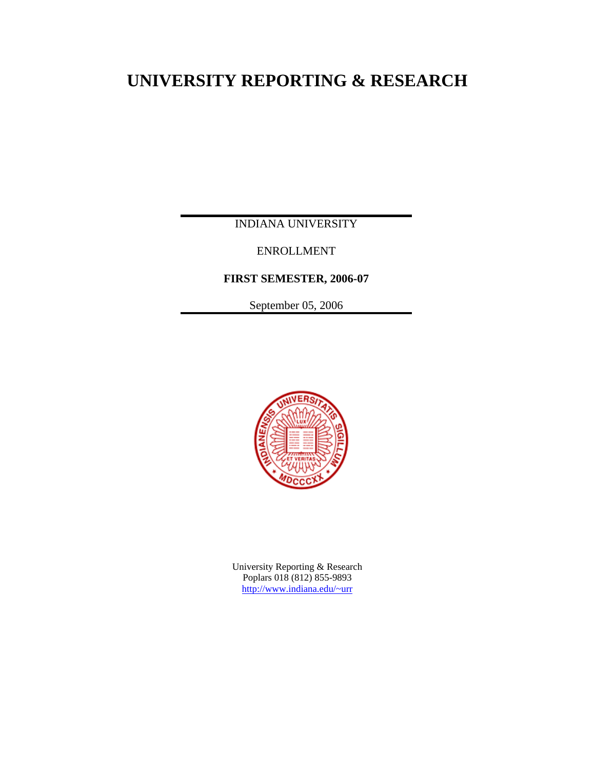# **UNIVERSITY REPORTING & RESEARCH**

INDIANA UNIVERSITY

ENROLLMENT

**FIRST SEMESTER, 2006-07** 

September 05, 2006



University Reporting & Research Poplars 018 (812) 855-9893 [http://www.indiana.edu/~urr](http://www.indiana.edu/%7Eurr)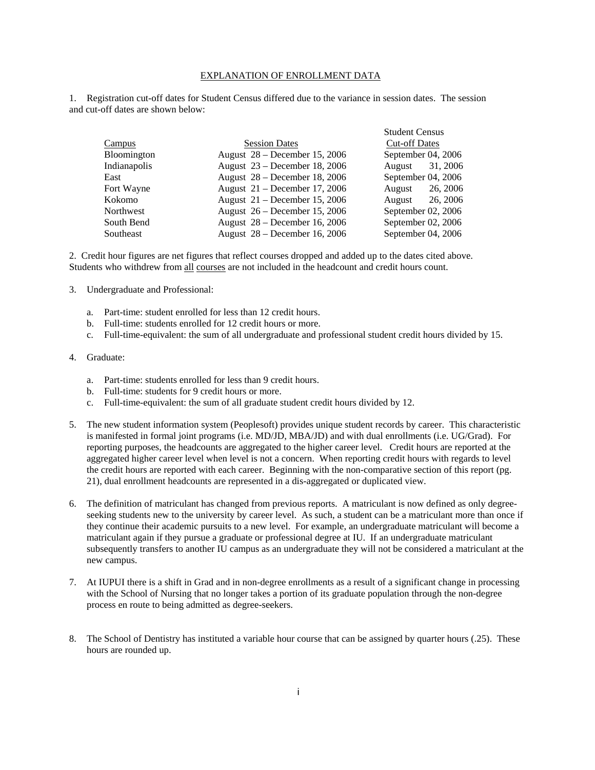#### EXPLANATION OF ENROLLMENT DATA

1. Registration cut-off dates for Student Census differed due to the variance in session dates. The session and cut-off dates are shown below:

|                    |                                 | <b>Student Census</b> |
|--------------------|---------------------------------|-----------------------|
| Campus             | <b>Session Dates</b>            | <b>Cut-off Dates</b>  |
| <b>Bloomington</b> | August 28 – December 15, 2006   | September 04, 2006    |
| Indianapolis       | August 23 – December 18, 2006   | 31, 2006<br>August    |
| East               | August $28$ – December 18, 2006 | September 04, 2006    |
| Fort Wayne         | August $21$ – December 17, 2006 | 26, 2006<br>August    |
| Kokomo             | August $21$ – December 15, 2006 | 26, 2006<br>August    |
| Northwest          | August 26 – December 15, 2006   | September 02, 2006    |
| South Bend         | August 28 – December 16, 2006   | September 02, 2006    |
| Southeast          | August $28$ – December 16, 2006 | September $04, 2006$  |

2. Credit hour figures are net figures that reflect courses dropped and added up to the dates cited above. Students who withdrew from all courses are not included in the headcount and credit hours count.

- 3. Undergraduate and Professional:
	- a. Part-time: student enrolled for less than 12 credit hours.
	- b. Full-time: students enrolled for 12 credit hours or more.
	- c. Full-time-equivalent: the sum of all undergraduate and professional student credit hours divided by 15.

#### 4. Graduate:

- a. Part-time: students enrolled for less than 9 credit hours.
- b. Full-time: students for 9 credit hours or more.
- c. Full-time-equivalent: the sum of all graduate student credit hours divided by 12.
- 5. The new student information system (Peoplesoft) provides unique student records by career. This characteristic is manifested in formal joint programs (i.e. MD/JD, MBA/JD) and with dual enrollments (i.e. UG/Grad). For reporting purposes, the headcounts are aggregated to the higher career level. Credit hours are reported at the aggregated higher career level when level is not a concern. When reporting credit hours with regards to level the credit hours are reported with each career. Beginning with the non-comparative section of this report (pg. 21), dual enrollment headcounts are represented in a dis-aggregated or duplicated view.
- 6. The definition of matriculant has changed from previous reports. A matriculant is now defined as only degreeseeking students new to the university by career level. As such, a student can be a matriculant more than once if they continue their academic pursuits to a new level. For example, an undergraduate matriculant will become a matriculant again if they pursue a graduate or professional degree at IU. If an undergraduate matriculant subsequently transfers to another IU campus as an undergraduate they will not be considered a matriculant at the new campus.
- 7. At IUPUI there is a shift in Grad and in non-degree enrollments as a result of a significant change in processing with the School of Nursing that no longer takes a portion of its graduate population through the non-degree process en route to being admitted as degree-seekers.
- 8. The School of Dentistry has instituted a variable hour course that can be assigned by quarter hours (.25). These hours are rounded up.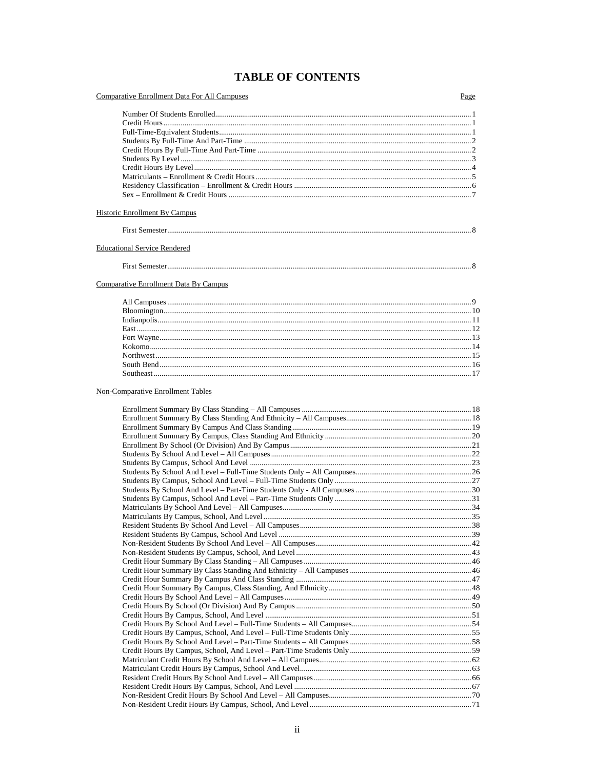# **TABLE OF CONTENTS**

| <b>Comparative Enrollment Data For All Campuses</b>                                                           | Page |
|---------------------------------------------------------------------------------------------------------------|------|
|                                                                                                               |      |
|                                                                                                               |      |
|                                                                                                               |      |
|                                                                                                               |      |
|                                                                                                               |      |
|                                                                                                               |      |
|                                                                                                               |      |
|                                                                                                               |      |
|                                                                                                               |      |
|                                                                                                               |      |
| Historic Enrollment By Campus<br><b>Educational Service Rendered</b><br>Comparative Enrollment Data By Campus |      |
|                                                                                                               |      |
|                                                                                                               |      |
|                                                                                                               |      |
|                                                                                                               |      |
|                                                                                                               |      |
|                                                                                                               |      |
|                                                                                                               |      |

#### **Non-Comparative Enrollment Tables**

 $\textbf{South Bend} \textcolor{red}{p} \textbf{Send} \textcolor{red}{p} \textbf{Command} \textbf{Send} \textbf{Send} \textbf{Red} \textbf{Red} \textbf{Red} \textbf{Red} \textbf{Red} \textbf{Red} \textbf{Red} \textbf{Red} \textbf{Red} \textbf{Red} \textbf{Red} \textbf{Red} \textbf{Red} \textbf{Red} \textbf{Red} \textbf{Red} \textbf{Red} \textbf{Red} \textbf{Red} \textbf{Red} \textbf{Red} \textbf{Red} \textbf{Red} \textbf{Red} \textbf{Red} \textbf{Red} \textbf{Red} \textbf{Red} \textbf{Red$  $\textbf{South east} \textcolor{red}{\overbrace{1}}17$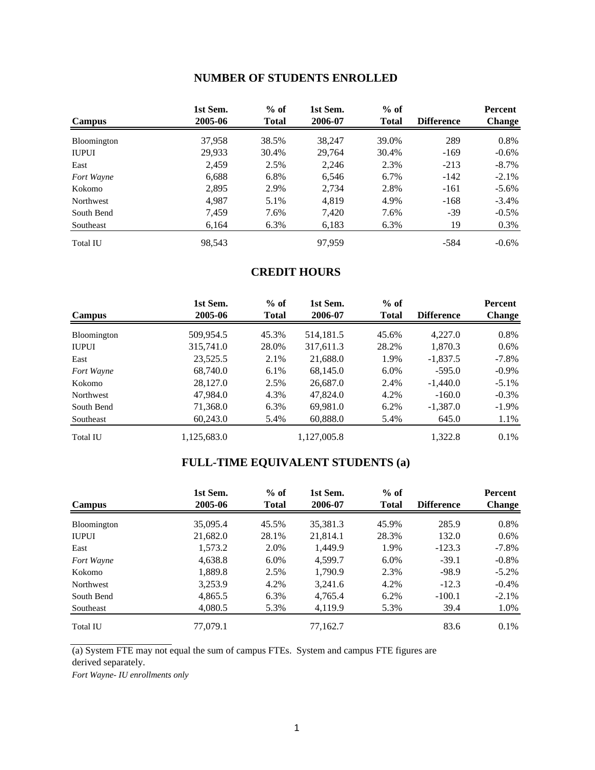# **NUMBER OF STUDENTS ENROLLED**

| Campus             | 1st Sem.<br>2005-06 | $%$ of<br><b>Total</b> | 1st Sem.<br>2006-07 | $%$ of<br><b>Total</b> | <b>Difference</b> | <b>Percent</b><br><b>Change</b> |
|--------------------|---------------------|------------------------|---------------------|------------------------|-------------------|---------------------------------|
|                    |                     |                        |                     |                        |                   |                                 |
| <b>Bloomington</b> | 37,958              | 38.5%                  | 38,247              | 39.0%                  | 289               | 0.8%                            |
| <b>IUPUI</b>       | 29.933              | 30.4%                  | 29.764              | 30.4%                  | $-169$            | $-0.6%$                         |
| East               | 2,459               | 2.5%                   | 2,246               | 2.3%                   | $-213$            | $-8.7\%$                        |
| Fort Wayne         | 6,688               | 6.8%                   | 6,546               | 6.7%                   | $-142$            | $-2.1\%$                        |
| Kokomo             | 2,895               | 2.9%                   | 2,734               | 2.8%                   | $-161$            | $-5.6\%$                        |
| Northwest          | 4,987               | 5.1%                   | 4,819               | 4.9%                   | $-168$            | $-3.4\%$                        |
| South Bend         | 7,459               | 7.6%                   | 7,420               | 7.6%                   | -39               | $-0.5\%$                        |
| Southeast          | 6,164               | 6.3%                   | 6,183               | 6.3%                   | 19                | 0.3%                            |
| <b>Total IU</b>    | 98,543              |                        | 97.959              |                        | $-584$            | $-0.6\%$                        |

# **CREDIT HOURS**

|                 | 1st Sem.    | $%$ of       | 1st Sem.    | $%$ of       |                   | Percent       |
|-----------------|-------------|--------------|-------------|--------------|-------------------|---------------|
| <b>Campus</b>   | 2005-06     | <b>Total</b> | 2006-07     | <b>Total</b> | <b>Difference</b> | <b>Change</b> |
| Bloomington     | 509,954.5   | 45.3%        | 514,181.5   | 45.6%        | 4,227.0           | 0.8%          |
| <b>IUPUI</b>    | 315,741.0   | 28.0%        | 317,611.3   | 28.2%        | 1,870.3           | $0.6\%$       |
| East            | 23,525.5    | 2.1%         | 21,688.0    | 1.9%         | $-1,837.5$        | $-7.8\%$      |
| Fort Wayne      | 68,740.0    | $6.1\%$      | 68,145.0    | 6.0%         | $-595.0$          | $-0.9\%$      |
| Kokomo          | 28,127.0    | 2.5%         | 26,687.0    | 2.4%         | $-1,440.0$        | $-5.1\%$      |
| Northwest       | 47,984.0    | 4.3%         | 47,824.0    | 4.2%         | $-160.0$          | $-0.3\%$      |
| South Bend      | 71,368.0    | 6.3%         | 69,981.0    | 6.2%         | $-1,387.0$        | $-1.9\%$      |
| Southeast       | 60,243.0    | 5.4%         | 60,888.0    | 5.4%         | 645.0             | 1.1%          |
| <b>Total IU</b> | 1.125.683.0 |              | 1.127.005.8 |              | 1.322.8           | $0.1\%$       |

# **FULL-TIME EQUIVALENT STUDENTS (a)**

| <b>Campus</b>    | 1st Sem.<br>2005-06 | $%$ of<br><b>Total</b> | 1st Sem.<br>2006-07 | $%$ of<br><b>Total</b> | <b>Difference</b> | Percent<br><b>Change</b> |
|------------------|---------------------|------------------------|---------------------|------------------------|-------------------|--------------------------|
| Bloomington      | 35,095.4            | 45.5%                  | 35,381.3            | 45.9%                  | 285.9             | 0.8%                     |
| <b>IUPUI</b>     | 21,682.0            | 28.1%                  | 21,814.1            | 28.3%                  | 132.0             | $0.6\%$                  |
| East             | 1,573.2             | 2.0%                   | 1.449.9             | 1.9%                   | $-123.3$          | $-7.8\%$                 |
| Fort Wayne       | 4,638.8             | $6.0\%$                | 4.599.7             | 6.0%                   | $-39.1$           | $-0.8\%$                 |
| Kokomo           | 1.889.8             | 2.5%                   | 1.790.9             | 2.3%                   | $-98.9$           | $-5.2\%$                 |
| <b>Northwest</b> | 3,253.9             | 4.2%                   | 3.241.6             | 4.2%                   | $-12.3$           | $-0.4\%$                 |
| South Bend       | 4,865.5             | 6.3%                   | 4,765.4             | 6.2%                   | $-100.1$          | $-2.1\%$                 |
| Southeast        | 4,080.5             | 5.3%                   | 4,119.9             | 5.3%                   | 39.4              | 1.0%                     |
| <b>Total IU</b>  | 77,079.1            |                        | 77,162.7            |                        | 83.6              | $0.1\%$                  |

(a) System FTE may not equal the sum of campus FTEs. System and campus FTE figures are derived separately.

*Fort Wayne- IU enrollments only*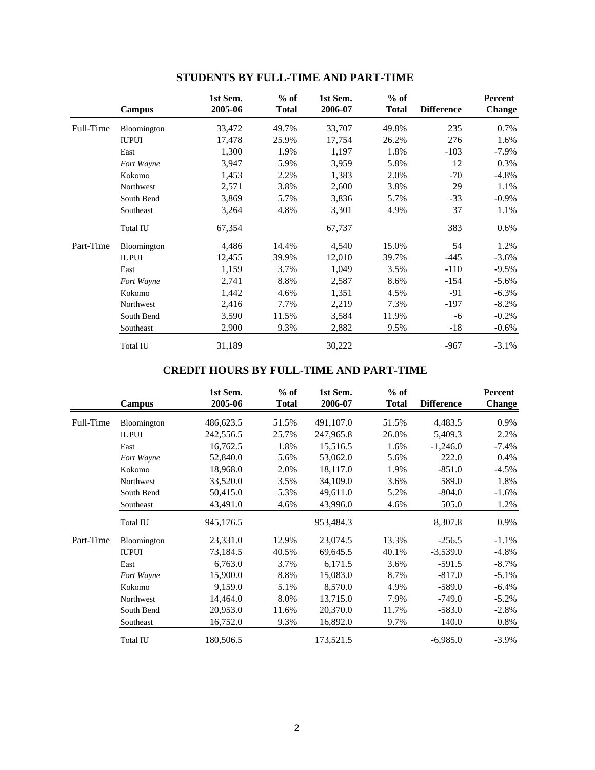|           | Campus          | 1st Sem.<br>2005-06 | $%$ of<br><b>Total</b> | 1st Sem.<br>2006-07 | $%$ of<br><b>Total</b> | <b>Difference</b> | Percent<br><b>Change</b> |
|-----------|-----------------|---------------------|------------------------|---------------------|------------------------|-------------------|--------------------------|
| Full-Time | Bloomington     | 33,472              | 49.7%                  | 33,707              | 49.8%                  | 235               | 0.7%                     |
|           | <b>IUPUI</b>    | 17,478              | 25.9%                  | 17,754              | 26.2%                  | 276               | 1.6%                     |
|           | East            | 1,300               | 1.9%                   | 1,197               | 1.8%                   | $-103$            | $-7.9\%$                 |
|           | Fort Wayne      | 3,947               | 5.9%                   | 3,959               | 5.8%                   | 12                | 0.3%                     |
|           | Kokomo          | 1,453               | 2.2%                   | 1,383               | 2.0%                   | $-70$             | $-4.8%$                  |
|           | Northwest       | 2,571               | 3.8%                   | 2,600               | 3.8%                   | 29                | 1.1%                     |
|           | South Bend      | 3,869               | 5.7%                   | 3,836               | 5.7%                   | $-33$             | $-0.9\%$                 |
|           | Southeast       | 3,264               | 4.8%                   | 3,301               | 4.9%                   | 37                | 1.1%                     |
|           | <b>Total IU</b> | 67,354              |                        | 67,737              |                        | 383               | $0.6\%$                  |
| Part-Time | Bloomington     | 4,486               | 14.4%                  | 4,540               | 15.0%                  | 54                | 1.2%                     |
|           | <b>IUPUI</b>    | 12,455              | 39.9%                  | 12,010              | 39.7%                  | $-445$            | $-3.6\%$                 |
|           | East            | 1,159               | 3.7%                   | 1,049               | 3.5%                   | $-110$            | $-9.5%$                  |
|           | Fort Wayne      | 2,741               | 8.8%                   | 2,587               | 8.6%                   | $-154$            | $-5.6\%$                 |
|           | Kokomo          | 1,442               | 4.6%                   | 1,351               | 4.5%                   | $-91$             | $-6.3%$                  |
|           | Northwest       | 2,416               | 7.7%                   | 2,219               | 7.3%                   | $-197$            | $-8.2%$                  |
|           | South Bend      | 3,590               | 11.5%                  | 3,584               | 11.9%                  | -6                | $-0.2%$                  |
|           | Southeast       | 2,900               | 9.3%                   | 2,882               | 9.5%                   | $-18$             | $-0.6\%$                 |
|           | <b>Total IU</b> | 31,189              |                        | 30,222              |                        | $-967$            | $-3.1\%$                 |

# **STUDENTS BY FULL-TIME AND PART-TIME**

# **CREDIT HOURS BY FULL-TIME AND PART-TIME**

|           | Campus          | 1st Sem.<br>2005-06 | $%$ of<br><b>Total</b> | 1st Sem.<br>2006-07 | $%$ of<br><b>Total</b> | <b>Difference</b> | Percent<br><b>Change</b> |
|-----------|-----------------|---------------------|------------------------|---------------------|------------------------|-------------------|--------------------------|
| Full-Time | Bloomington     | 486,623.5           | 51.5%                  | 491,107.0           | 51.5%                  | 4,483.5           | 0.9%                     |
|           | <b>IUPUI</b>    | 242,556.5           | 25.7%                  | 247,965.8           | 26.0%                  | 5,409.3           | 2.2%                     |
|           | East            | 16,762.5            | 1.8%                   | 15,516.5            | 1.6%                   | $-1,246.0$        | $-7.4%$                  |
|           | Fort Wayne      | 52,840.0            | 5.6%                   | 53,062.0            | 5.6%                   | 222.0             | 0.4%                     |
|           | Kokomo          | 18,968.0            | 2.0%                   | 18,117.0            | 1.9%                   | $-851.0$          | $-4.5%$                  |
|           | Northwest       | 33,520.0            | 3.5%                   | 34,109.0            | 3.6%                   | 589.0             | 1.8%                     |
|           | South Bend      | 50,415.0            | 5.3%                   | 49,611.0            | 5.2%                   | $-804.0$          | $-1.6%$                  |
|           | Southeast       | 43,491.0            | 4.6%                   | 43,996.0            | 4.6%                   | 505.0             | 1.2%                     |
|           | <b>Total IU</b> | 945,176.5           |                        | 953,484.3           |                        | 8,307.8           | 0.9%                     |
| Part-Time | Bloomington     | 23,331.0            | 12.9%                  | 23,074.5            | 13.3%                  | $-256.5$          | $-1.1%$                  |
|           | <b>IUPUI</b>    | 73,184.5            | 40.5%                  | 69,645.5            | 40.1%                  | $-3,539.0$        | $-4.8%$                  |
|           | East            | 6,763.0             | 3.7%                   | 6,171.5             | 3.6%                   | $-591.5$          | $-8.7\%$                 |
|           | Fort Wayne      | 15,900.0            | 8.8%                   | 15,083.0            | 8.7%                   | $-817.0$          | $-5.1\%$                 |
|           | Kokomo          | 9,159.0             | 5.1%                   | 8,570.0             | 4.9%                   | $-589.0$          | $-6.4%$                  |
|           | Northwest       | 14,464.0            | 8.0%                   | 13,715.0            | 7.9%                   | $-749.0$          | $-5.2%$                  |
|           | South Bend      | 20,953.0            | 11.6%                  | 20,370.0            | 11.7%                  | $-583.0$          | $-2.8%$                  |
|           | Southeast       | 16,752.0            | 9.3%                   | 16,892.0            | 9.7%                   | 140.0             | 0.8%                     |
|           | <b>Total IU</b> | 180,506.5           |                        | 173,521.5           |                        | $-6,985.0$        | $-3.9\%$                 |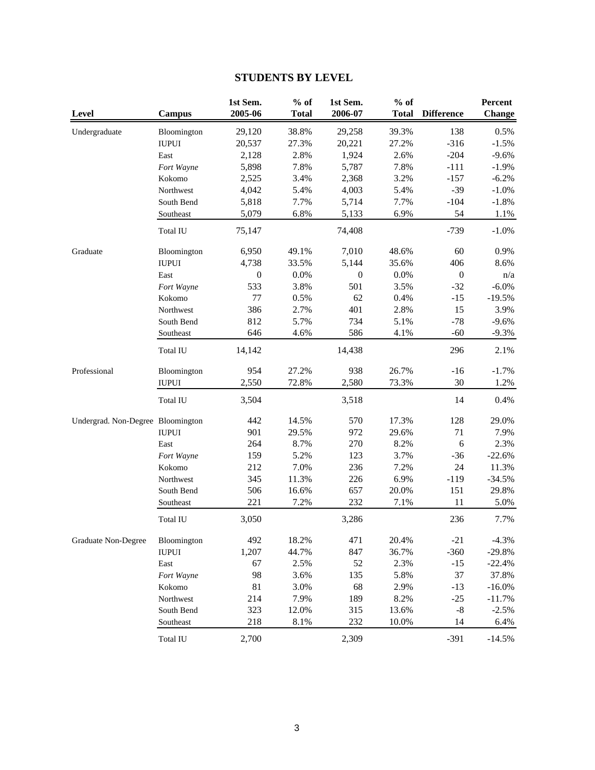# **STUDENTS BY LEVEL**

| Level                             | <b>Campus</b> | 1st Sem.<br>2005-06 | $%$ of<br><b>Total</b> | 1st Sem.<br>2006-07 | $%$ of<br><b>Total</b> | <b>Difference</b> | Percent<br><b>Change</b> |
|-----------------------------------|---------------|---------------------|------------------------|---------------------|------------------------|-------------------|--------------------------|
| Undergraduate                     | Bloomington   | 29,120              | 38.8%                  | 29,258              | 39.3%                  | 138               | 0.5%                     |
|                                   | <b>IUPUI</b>  | 20,537              | 27.3%                  | 20,221              | 27.2%                  | $-316$            | $-1.5%$                  |
|                                   | East          | 2,128               | 2.8%                   | 1,924               | 2.6%                   | $-204$            | $-9.6%$                  |
|                                   | Fort Wayne    | 5,898               | 7.8%                   | 5,787               | 7.8%                   | $-111$            | $-1.9%$                  |
|                                   | Kokomo        | 2,525               | 3.4%                   | 2,368               | 3.2%                   | $-157$            | $-6.2%$                  |
|                                   | Northwest     | 4,042               | 5.4%                   | 4,003               | 5.4%                   | $-39$             | $-1.0%$                  |
|                                   | South Bend    | 5,818               | 7.7%                   | 5,714               | 7.7%                   | $-104$            | $-1.8%$                  |
|                                   | Southeast     | 5,079               | 6.8%                   | 5,133               | 6.9%                   | 54                | 1.1%                     |
|                                   | Total IU      | 75,147              |                        | 74,408              |                        | $-739$            | $-1.0%$                  |
| Graduate                          | Bloomington   | 6,950               | 49.1%                  | 7,010               | 48.6%                  | 60                | 0.9%                     |
|                                   | <b>IUPUI</b>  | 4,738               | 33.5%                  | 5,144               | 35.6%                  | 406               | 8.6%                     |
|                                   | East          | $\boldsymbol{0}$    | 0.0%                   | $\boldsymbol{0}$    | $0.0\%$                | $\boldsymbol{0}$  | n/a                      |
|                                   | Fort Wayne    | 533                 | 3.8%                   | 501                 | 3.5%                   | $-32$             | $-6.0\%$                 |
|                                   | Kokomo        | 77                  | 0.5%                   | 62                  | 0.4%                   | $-15$             | $-19.5%$                 |
|                                   | Northwest     | 386                 | 2.7%                   | 401                 | 2.8%                   | 15                | 3.9%                     |
|                                   | South Bend    | 812                 | 5.7%                   | 734                 | 5.1%                   | $-78$             | $-9.6%$                  |
|                                   | Southeast     | 646                 | 4.6%                   | 586                 | 4.1%                   | $-60$             | $-9.3%$                  |
|                                   | Total IU      | 14,142              |                        | 14,438              |                        | 296               | 2.1%                     |
| Professional                      | Bloomington   | 954                 | 27.2%                  | 938                 | 26.7%                  | $-16$             | $-1.7%$                  |
|                                   | <b>IUPUI</b>  | 2,550               | 72.8%                  | 2,580               | 73.3%                  | 30                | 1.2%                     |
|                                   | Total IU      | 3,504               |                        | 3,518               |                        | 14                | 0.4%                     |
|                                   |               |                     |                        |                     |                        |                   |                          |
| Undergrad. Non-Degree Bloomington |               | 442                 | 14.5%                  | 570                 | 17.3%                  | 128               | 29.0%                    |
|                                   | <b>IUPUI</b>  | 901                 | 29.5%                  | 972                 | 29.6%                  | 71                | 7.9%                     |
|                                   | East          | 264                 | 8.7%                   | 270                 | 8.2%                   | 6                 | 2.3%                     |
|                                   | Fort Wayne    | 159                 | 5.2%                   | 123                 | 3.7%                   | $-36$             | $-22.6%$                 |
|                                   | Kokomo        | 212                 | 7.0%                   | 236                 | 7.2%                   | 24                | 11.3%                    |
|                                   | Northwest     | 345                 | 11.3%                  | 226                 | 6.9%                   | $-119$            | $-34.5%$                 |
|                                   | South Bend    | 506                 | 16.6%                  | 657                 | 20.0%                  | 151               | 29.8%                    |
|                                   | Southeast     | 221                 | 7.2%                   | 232                 | 7.1%                   | 11                | 5.0%                     |
|                                   | Total IU      | 3,050               |                        | 3,286               |                        | 236               | 7.7%                     |
| Graduate Non-Degree               | Bloomington   | 492                 | 18.2%                  | 471                 | 20.4%                  | $-21$             | $-4.3%$                  |
|                                   | <b>IUPUI</b>  | 1,207               | 44.7%                  | 847                 | 36.7%                  | $-360$            | $-29.8%$                 |
|                                   | East          | 67                  | 2.5%                   | 52                  | 2.3%                   | $-15$             | $-22.4%$                 |
|                                   | Fort Wayne    | 98                  | 3.6%                   | 135                 | 5.8%                   | 37                | 37.8%                    |
|                                   | Kokomo        | $81\,$              | 3.0%                   | 68                  | 2.9%                   | $-13$             | $-16.0\%$                |
|                                   | Northwest     | 214                 | 7.9%                   | 189                 | 8.2%                   | $-25$             | $-11.7%$                 |
|                                   | South Bend    | 323                 | 12.0%                  | 315                 | 13.6%                  | $-8$              | $-2.5%$                  |
|                                   | Southeast     | 218                 | 8.1%                   | 232                 | 10.0%                  | 14                | 6.4%                     |
|                                   | Total IU      | 2,700               |                        | 2,309               |                        | $-391$            | $-14.5%$                 |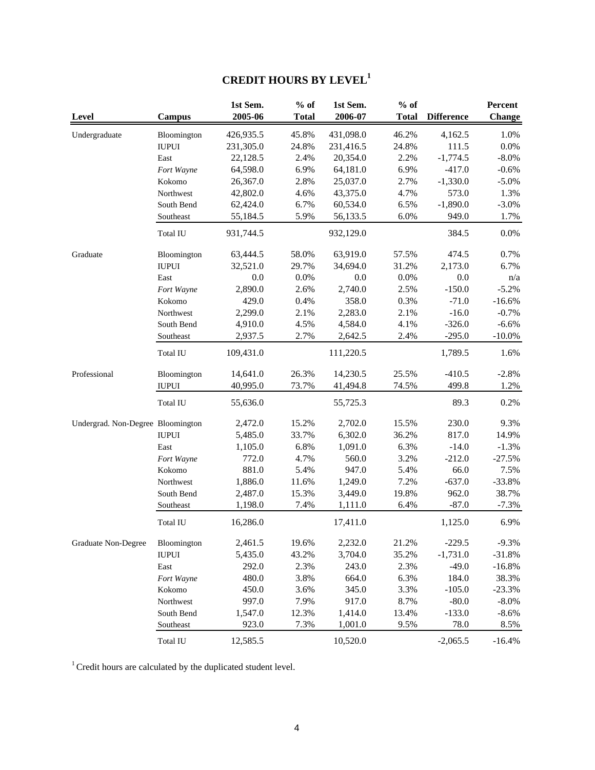# **CREDIT HOURS BY LEVEL1**

| Level                             | <b>Campus</b> | 1st Sem.<br>2005-06 | $%$ of<br><b>Total</b> | 1st Sem.<br>2006-07 | $%$ of<br><b>Total</b> | <b>Difference</b> | Percent<br><b>Change</b> |
|-----------------------------------|---------------|---------------------|------------------------|---------------------|------------------------|-------------------|--------------------------|
| Undergraduate                     | Bloomington   | 426,935.5           | 45.8%                  | 431,098.0           | 46.2%                  | 4,162.5           | 1.0%                     |
|                                   | <b>IUPUI</b>  | 231,305.0           | 24.8%                  | 231,416.5           | 24.8%                  | 111.5             | $0.0\%$                  |
|                                   | East          | 22,128.5            | 2.4%                   | 20,354.0            | 2.2%                   | $-1,774.5$        | $-8.0\%$                 |
|                                   | Fort Wayne    | 64,598.0            | 6.9%                   | 64,181.0            | 6.9%                   | $-417.0$          | $-0.6%$                  |
|                                   | Kokomo        | 26,367.0            | 2.8%                   | 25,037.0            | 2.7%                   | $-1,330.0$        | $-5.0%$                  |
|                                   | Northwest     | 42,802.0            | 4.6%                   | 43,375.0            | 4.7%                   | 573.0             | 1.3%                     |
|                                   | South Bend    | 62,424.0            | 6.7%                   | 60,534.0            | 6.5%                   | $-1,890.0$        | $-3.0%$                  |
|                                   | Southeast     | 55,184.5            | 5.9%                   | 56,133.5            | 6.0%                   | 949.0             | 1.7%                     |
|                                   | Total IU      | 931,744.5           |                        | 932,129.0           |                        | 384.5             | $0.0\%$                  |
| Graduate                          | Bloomington   | 63,444.5            | 58.0%                  | 63,919.0            | 57.5%                  | 474.5             | 0.7%                     |
|                                   | <b>IUPUI</b>  | 32,521.0            | 29.7%                  | 34,694.0            | 31.2%                  | 2,173.0           | 6.7%                     |
|                                   | East          | $0.0\,$             | 0.0%                   | 0.0                 | 0.0%                   | 0.0               | n/a                      |
|                                   | Fort Wayne    | 2,890.0             | 2.6%                   | 2,740.0             | 2.5%                   | $-150.0$          | $-5.2%$                  |
|                                   | Kokomo        | 429.0               | 0.4%                   | 358.0               | 0.3%                   | $-71.0$           | $-16.6%$                 |
|                                   | Northwest     | 2,299.0             | 2.1%                   | 2,283.0             | 2.1%                   | $-16.0$           | $-0.7%$                  |
|                                   | South Bend    | 4,910.0             | 4.5%                   | 4,584.0             | 4.1%                   | $-326.0$          | $-6.6%$                  |
|                                   | Southeast     | 2,937.5             | 2.7%                   | 2,642.5             | 2.4%                   | $-295.0$          | $-10.0\%$                |
|                                   | Total IU      | 109,431.0           |                        | 111,220.5           |                        | 1,789.5           | 1.6%                     |
| Professional                      | Bloomington   | 14,641.0            | 26.3%                  | 14,230.5            | 25.5%                  | $-410.5$          | $-2.8%$                  |
|                                   | <b>IUPUI</b>  | 40,995.0            | 73.7%                  | 41,494.8            | 74.5%                  | 499.8             | 1.2%                     |
|                                   | Total IU      | 55,636.0            |                        | 55,725.3            |                        | 89.3              | 0.2%                     |
| Undergrad. Non-Degree Bloomington |               | 2,472.0             | 15.2%                  | 2,702.0             | 15.5%                  | 230.0             | 9.3%                     |
|                                   | <b>IUPUI</b>  | 5,485.0             | 33.7%                  | 6,302.0             | 36.2%                  | 817.0             | 14.9%                    |
|                                   | East          | 1,105.0             | 6.8%                   | 1,091.0             | 6.3%                   | $-14.0$           | $-1.3%$                  |
|                                   | Fort Wayne    | 772.0               | 4.7%                   | 560.0               | 3.2%                   | $-212.0$          | $-27.5%$                 |
|                                   | Kokomo        | 881.0               | 5.4%                   | 947.0               | 5.4%                   | 66.0              | 7.5%                     |
|                                   | Northwest     | 1,886.0             | 11.6%                  | 1,249.0             | 7.2%                   | $-637.0$          | $-33.8%$                 |
|                                   | South Bend    | 2,487.0             | 15.3%                  | 3,449.0             | 19.8%                  | 962.0             | 38.7%                    |
|                                   | Southeast     | 1,198.0             | 7.4%                   | 1,111.0             | 6.4%                   | $-87.0$           | $-7.3%$                  |
|                                   | Total IU      | 16,286.0            |                        | 17,411.0            |                        | 1,125.0           | 6.9%                     |
| Graduate Non-Degree               | Bloomington   | 2,461.5             | 19.6%                  | 2,232.0             | 21.2%                  | $-229.5$          | $-9.3%$                  |
|                                   | <b>IUPUI</b>  | 5,435.0             | 43.2%                  | 3,704.0             | 35.2%                  | $-1,731.0$        | $-31.8%$                 |
|                                   | East          | 292.0               | 2.3%                   | 243.0               | 2.3%                   | $-49.0$           | $-16.8%$                 |
|                                   | Fort Wayne    | 480.0               | 3.8%                   | 664.0               | 6.3%                   | 184.0             | 38.3%                    |
|                                   | Kokomo        | 450.0               | 3.6%                   | 345.0               | 3.3%                   | $-105.0$          | $-23.3%$                 |
|                                   | Northwest     | 997.0               | 7.9%                   | 917.0               | 8.7%                   | $-80.0$           | $-8.0\%$                 |
|                                   | South Bend    | 1,547.0             | 12.3%                  | 1,414.0             | 13.4%                  | $-133.0$          | $-8.6%$                  |
|                                   | Southeast     | 923.0               | 7.3%                   | 1,001.0             | 9.5%                   | 78.0              | 8.5%                     |
|                                   | Total IU      | 12,585.5            |                        | 10,520.0            |                        | $-2,065.5$        | $-16.4%$                 |

 $^{\mathrm{1}}$  Credit hours are calculated by the duplicated student level.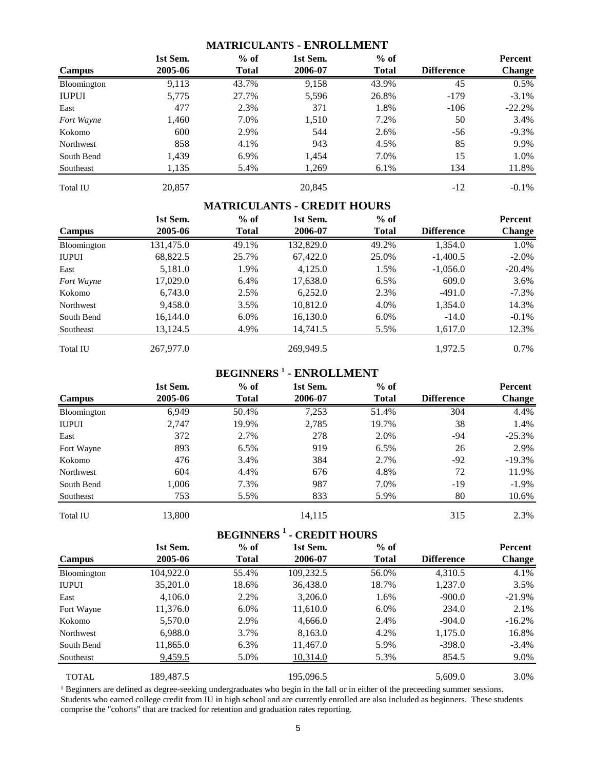### **MATRICULANTS - ENROLLMENT**

|                 | 1st Sem. | $%$ of       | 1st Sem. | $%$ of       |                   | Percent       |
|-----------------|----------|--------------|----------|--------------|-------------------|---------------|
| Campus          | 2005-06  | <b>Total</b> | 2006-07  | <b>Total</b> | <b>Difference</b> | <b>Change</b> |
| Bloomington     | 9,113    | 43.7%        | 9,158    | 43.9%        | 45                | 0.5%          |
| <b>IUPUI</b>    | 5,775    | 27.7%        | 5,596    | 26.8%        | $-179$            | $-3.1\%$      |
| East            | 477      | 2.3%         | 371      | 1.8%         | $-106$            | $-22.2%$      |
| Fort Wayne      | 1,460    | 7.0%         | 1,510    | 7.2%         | 50                | 3.4%          |
| Kokomo          | 600      | 2.9%         | 544      | 2.6%         | $-56$             | $-9.3\%$      |
| Northwest       | 858      | 4.1%         | 943      | 4.5%         | 85                | 9.9%          |
| South Bend      | 1,439    | 6.9%         | 1,454    | 7.0%         | 15                | 1.0%          |
| Southeast       | 1,135    | 5.4%         | 1,269    | 6.1%         | 134               | 11.8%         |
| <b>Total IU</b> | 20,857   |              | 20,845   |              | $-12$             | $-0.1\%$      |

# **MATRICULANTS - CREDIT HOURS**

|                 | 1st Sem.  | $%$ of       | 1st Sem.  | $%$ of       |                   | Percent   |
|-----------------|-----------|--------------|-----------|--------------|-------------------|-----------|
| Campus          | 2005-06   | <b>Total</b> | 2006-07   | <b>Total</b> | <b>Difference</b> | Change    |
| Bloomington     | 131,475.0 | 49.1%        | 132,829.0 | 49.2%        | 1,354.0           | 1.0%      |
| <b>IUPUI</b>    | 68,822.5  | 25.7%        | 67,422.0  | 25.0%        | $-1,400.5$        | $-2.0\%$  |
| East            | 5,181.0   | 1.9%         | 4.125.0   | 1.5%         | $-1,056.0$        | $-20.4\%$ |
| Fort Wayne      | 17,029.0  | 6.4%         | 17,638.0  | 6.5%         | 609.0             | 3.6%      |
| Kokomo          | 6,743.0   | 2.5%         | 6,252.0   | 2.3%         | -491.0            | $-7.3\%$  |
| Northwest       | 9,458.0   | 3.5%         | 10,812.0  | 4.0%         | 1,354.0           | 14.3%     |
| South Bend      | 16,144.0  | $6.0\%$      | 16,130.0  | $6.0\%$      | $-14.0$           | $-0.1\%$  |
| Southeast       | 13,124.5  | 4.9%         | 14,741.5  | 5.5%         | 1,617.0           | 12.3%     |
| <b>Total IU</b> | 267,977.0 |              | 269,949.5 |              | 1,972.5           | $0.7\%$   |

# **BEGINNERS <sup>1</sup> - ENROLLMENT**

|                 | 1st Sem. | $%$ of       | 1st Sem. | $%$ of       |                   | Percent       |
|-----------------|----------|--------------|----------|--------------|-------------------|---------------|
| <b>Campus</b>   | 2005-06  | <b>Total</b> | 2006-07  | <b>Total</b> | <b>Difference</b> | <b>Change</b> |
| Bloomington     | 6,949    | 50.4%        | 7,253    | 51.4%        | 304               | 4.4%          |
| <b>IUPUI</b>    | 2,747    | 19.9%        | 2,785    | 19.7%        | 38                | 1.4%          |
| East            | 372      | 2.7%         | 278      | 2.0%         | -94               | $-25.3%$      |
| Fort Wayne      | 893      | $6.5\%$      | 919      | 6.5%         | 26                | 2.9%          |
| Kokomo          | 476      | 3.4%         | 384      | 2.7%         | $-92$             | $-19.3%$      |
| Northwest       | 604      | 4.4%         | 676      | 4.8%         | 72                | 11.9%         |
| South Bend      | 1,006    | 7.3%         | 987      | 7.0%         | -19               | $-1.9\%$      |
| Southeast       | 753      | 5.5%         | 833      | 5.9%         | 80                | 10.6%         |
| <b>Total IU</b> | 13,800   |              | 14,115   |              | 315               | 2.3%          |

# **BEGINNERS <sup>1</sup> - CREDIT HOURS**

|                  | 1st Sem.       | $%$ of       | 1st Sem.  | $%$ of       |                   | Percent       |
|------------------|----------------|--------------|-----------|--------------|-------------------|---------------|
| Campus           | 2005-06        | <b>Total</b> | 2006-07   | <b>Total</b> | <b>Difference</b> | <b>Change</b> |
| Bloomington      | 104,922.0      | 55.4%        | 109,232.5 | 56.0%        | 4,310.5           | 4.1%          |
| <b>IUPUI</b>     | 35,201.0       | 18.6%        | 36,438.0  | 18.7%        | 1,237.0           | 3.5%          |
| East             | 4,106.0        | 2.2%         | 3,206.0   | 1.6%         | $-900.0$          | $-21.9\%$     |
| Fort Wayne       | 11,376.0       | $6.0\%$      | 11,610.0  | 6.0%         | 234.0             | 2.1%          |
| Kokomo           | 5,570.0        | 2.9%         | 4,666.0   | 2.4%         | $-904.0$          | $-16.2%$      |
| <b>Northwest</b> | 6,988.0        | 3.7%         | 8,163.0   | 4.2%         | 1,175.0           | 16.8%         |
| South Bend       | 11,865.0       | 6.3%         | 11,467.0  | 5.9%         | $-398.0$          | $-3.4\%$      |
| Southeast        | <u>9,459.5</u> | 5.0%         | 10,314.0  | 5.3%         | 854.5             | 9.0%          |
| <b>TOTAL</b>     | 189.487.5      |              | 195.096.5 |              | 5,609.0           | 3.0%          |

<sup>1</sup> Beginners are defined as degree-seeking undergraduates who begin in the fall or in either of the preceeding summer sessions. Students who earned college credit from IU in high school and are currently enrolled are also included as beginners. These students comprise the "cohorts" that are tracked for retention and graduation rates reporting.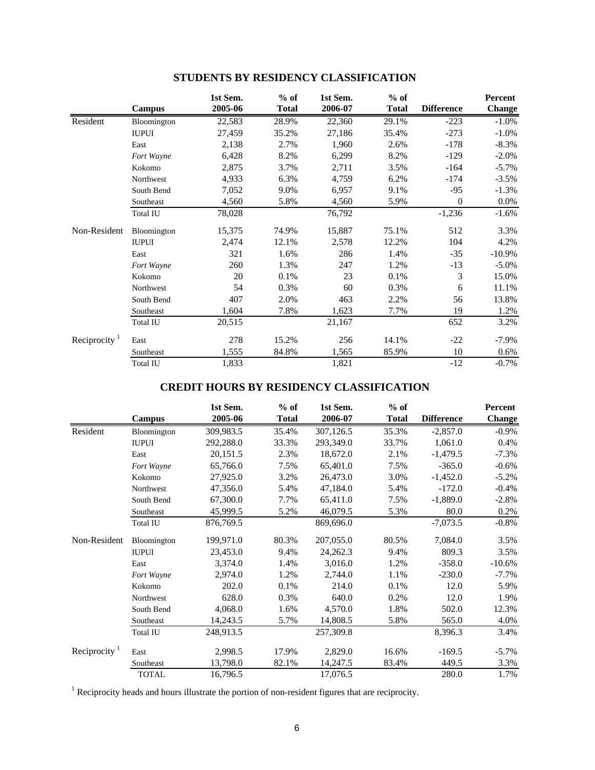|              |                 | 1st Sem. | $%$ of       | 1st Sem. | $%$ of       |                   | Percent       |
|--------------|-----------------|----------|--------------|----------|--------------|-------------------|---------------|
|              | Campus          | 2005-06  | <b>Total</b> | 2006-07  | <b>Total</b> | <b>Difference</b> | <b>Change</b> |
| Resident     | Bloomington     | 22,583   | 28.9%        | 22,360   | 29.1%        | $-223$            | $-1.0%$       |
|              | <b>IUPUI</b>    | 27,459   | 35.2%        | 27,186   | 35.4%        | $-273$            | $-1.0\%$      |
|              | East            | 2,138    | 2.7%         | 1,960    | 2.6%         | $-178$            | $-8.3%$       |
|              | Fort Wayne      | 6,428    | 8.2%         | 6,299    | 8.2%         | $-129$            | $-2.0%$       |
|              | Kokomo          | 2,875    | 3.7%         | 2,711    | 3.5%         | $-164$            | $-5.7%$       |
|              | Northwest       | 4,933    | 6.3%         | 4,759    | 6.2%         | $-174$            | $-3.5%$       |
|              | South Bend      | 7,052    | 9.0%         | 6,957    | 9.1%         | $-95$             | $-1.3%$       |
|              | Southeast       | 4,560    | 5.8%         | 4,560    | 5.9%         | $\overline{0}$    | 0.0%          |
|              | Total IU        | 78,028   |              | 76,792   |              | $-1,236$          | $-1.6%$       |
| Non-Resident | Bloomington     | 15,375   | 74.9%        | 15,887   | 75.1%        | 512               | 3.3%          |
|              | <b>IUPUI</b>    | 2,474    | 12.1%        | 2,578    | 12.2%        | 104               | 4.2%          |
|              | East            | 321      | 1.6%         | 286      | 1.4%         | $-35$             | $-10.9%$      |
|              | Fort Wayne      | 260      | 1.3%         | 247      | 1.2%         | $-13$             | $-5.0\%$      |
|              | Kokomo          | 20       | 0.1%         | 23       | 0.1%         | 3                 | 15.0%         |
|              | Northwest       | 54       | 0.3%         | 60       | 0.3%         | 6                 | 11.1%         |
|              | South Bend      | 407      | 2.0%         | 463      | 2.2%         | 56                | 13.8%         |
|              | Southeast       | 1,604    | 7.8%         | 1,623    | 7.7%         | 19                | 1.2%          |
|              | Total IU        | 20,515   |              | 21,167   |              | 652               | 3.2%          |
| Reciprocity  | East            | 278      | 15.2%        | 256      | 14.1%        | $-22$             | $-7.9\%$      |
|              | Southeast       | 1,555    | 84.8%        | 1,565    | 85.9%        | 10                | 0.6%          |
|              | <b>Total IU</b> | 1,833    |              | 1,821    |              | $-12$             | $-0.7%$       |

# **STUDENTS BY RESIDENCY CLASSIFICATION**

# **CREDIT HOURS BY RESIDENCY CLASSIFICATION**

|                           |              | 1st Sem.  | $%$ of       | 1st Sem.  | $%$ of       |                   | Percent       |
|---------------------------|--------------|-----------|--------------|-----------|--------------|-------------------|---------------|
|                           | Campus       | 2005-06   | <b>Total</b> | 2006-07   | <b>Total</b> | <b>Difference</b> | <b>Change</b> |
| Resident                  | Bloomington  | 309,983.5 | 35.4%        | 307,126.5 | 35.3%        | $-2,857.0$        | $-0.9\%$      |
|                           | <b>IUPUI</b> | 292,288.0 | 33.3%        | 293,349.0 | 33.7%        | 1,061.0           | 0.4%          |
|                           | East         | 20,151.5  | 2.3%         | 18,672.0  | 2.1%         | $-1,479.5$        | $-7.3%$       |
|                           | Fort Wayne   | 65,766.0  | 7.5%         | 65,401.0  | 7.5%         | $-365.0$          | $-0.6%$       |
|                           | Kokomo       | 27,925.0  | 3.2%         | 26,473.0  | 3.0%         | $-1,452.0$        | $-5.2\%$      |
|                           | Northwest    | 47,356.0  | 5.4%         | 47,184.0  | 5.4%         | $-172.0$          | $-0.4%$       |
|                           | South Bend   | 67,300.0  | 7.7%         | 65,411.0  | 7.5%         | $-1,889.0$        | $-2.8%$       |
|                           | Southeast    | 45,999.5  | 5.2%         | 46,079.5  | 5.3%         | 80.0              | 0.2%          |
|                           | Total IU     | 876,769.5 |              | 869,696.0 |              | $-7,073.5$        | $-0.8\%$      |
| Non-Resident              | Bloomington  | 199,971.0 | 80.3%        | 207,055.0 | 80.5%        | 7,084.0           | 3.5%          |
|                           | <b>IUPUI</b> | 23,453.0  | 9.4%         | 24,262.3  | 9.4%         | 809.3             | 3.5%          |
|                           | East         | 3,374.0   | 1.4%         | 3,016.0   | 1.2%         | $-358.0$          | $-10.6\%$     |
|                           | Fort Wayne   | 2,974.0   | 1.2%         | 2,744.0   | 1.1%         | $-230.0$          | $-7.7\%$      |
|                           | Kokomo       | 202.0     | 0.1%         | 214.0     | 0.1%         | 12.0              | 5.9%          |
|                           | Northwest    | 628.0     | 0.3%         | 640.0     | 0.2%         | 12.0              | 1.9%          |
|                           | South Bend   | 4,068.0   | 1.6%         | 4,570.0   | 1.8%         | 502.0             | 12.3%         |
|                           | Southeast    | 14,243.5  | 5.7%         | 14,808.5  | 5.8%         | 565.0             | 4.0%          |
|                           | Total IU     | 248,913.5 |              | 257,309.8 |              | 8,396.3           | 3.4%          |
| Reciprocity $\frac{1}{1}$ | East         | 2,998.5   | 17.9%        | 2,829.0   | 16.6%        | $-169.5$          | $-5.7\%$      |
|                           | Southeast    | 13,798.0  | 82.1%        | 14,247.5  | 83.4%        | 449.5             | 3.3%          |
|                           | TOTAL        | 16,796.5  |              | 17,076.5  |              | 280.0             | 1.7%          |

<sup>1</sup> Reciprocity heads and hours illustrate the portion of non-resident figures that are reciprocity.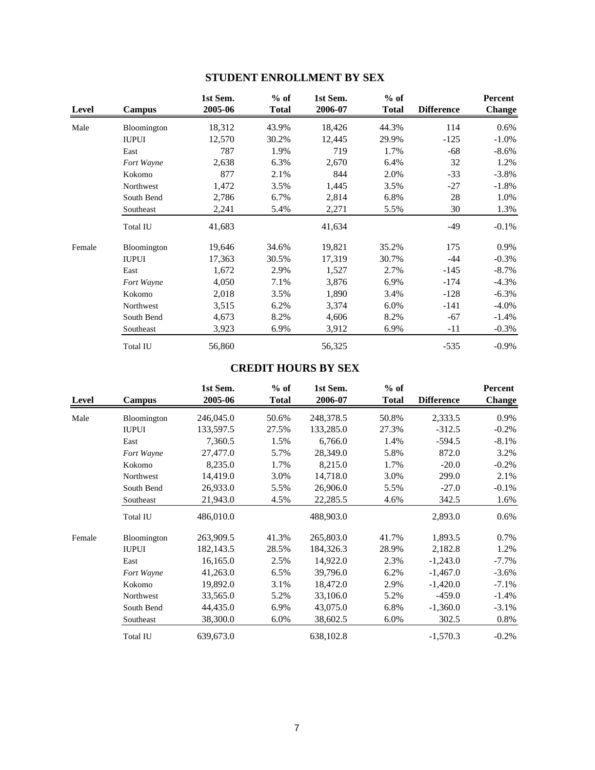| Level  | Campus          | 1st Sem.<br>2005-06 | $%$ of<br><b>Total</b> | 1st Sem.<br>2006-07 | $%$ of<br><b>Total</b> | <b>Difference</b> | Percent<br><b>Change</b> |
|--------|-----------------|---------------------|------------------------|---------------------|------------------------|-------------------|--------------------------|
| Male   | Bloomington     | 18,312              | 43.9%                  | 18,426              | 44.3%                  | 114               | 0.6%                     |
|        | <b>IUPUI</b>    | 12,570              | 30.2%                  | 12,445              | 29.9%                  | $-125$            | $-1.0\%$                 |
|        | East            | 787                 | 1.9%                   | 719                 | 1.7%                   | $-68$             | $-8.6\%$                 |
|        | Fort Wayne      | 2,638               | 6.3%                   | 2,670               | 6.4%                   | 32                | 1.2%                     |
|        | Kokomo          | 877                 | 2.1%                   | 844                 | 2.0%                   | $-33$             | $-3.8\%$                 |
|        | Northwest       | 1,472               | 3.5%                   | 1,445               | 3.5%                   | $-27$             | $-1.8\%$                 |
|        | South Bend      | 2,786               | 6.7%                   | 2,814               | 6.8%                   | 28                | 1.0%                     |
|        | Southeast       | 2,241               | 5.4%                   | 2,271               | 5.5%                   | 30                | 1.3%                     |
|        | <b>Total IU</b> | 41,683              |                        | 41,634              |                        | -49               | $-0.1\%$                 |
| Female | Bloomington     | 19,646              | 34.6%                  | 19,821              | 35.2%                  | 175               | 0.9%                     |
|        | <b>IUPUI</b>    | 17,363              | 30.5%                  | 17,319              | 30.7%                  | $-44$             | $-0.3%$                  |
|        | East            | 1,672               | 2.9%                   | 1,527               | 2.7%                   | $-145$            | $-8.7\%$                 |
|        | Fort Wayne      | 4,050               | 7.1%                   | 3,876               | 6.9%                   | $-174$            | $-4.3\%$                 |
|        | Kokomo          | 2,018               | 3.5%                   | 1,890               | 3.4%                   | $-128$            | $-6.3\%$                 |
|        | Northwest       | 3,515               | 6.2%                   | 3,374               | 6.0%                   | $-141$            | $-4.0\%$                 |
|        | South Bend      | 4,673               | 8.2%                   | 4,606               | 8.2%                   | $-67$             | $-1.4%$                  |
|        | Southeast       | 3,923               | 6.9%                   | 3,912               | 6.9%                   | $-11$             | $-0.3\%$                 |
|        | <b>Total IU</b> | 56,860              |                        | 56,325              |                        | $-535$            | $-0.9\%$                 |

# **STUDENT ENROLLMENT BY SEX**

# **CREDIT HOURS BY SEX**

| <b>Level</b> | Campus          | 1st Sem.<br>2005-06 | $%$ of<br>Total | 1st Sem.<br>2006-07 | $%$ of<br><b>Total</b> | <b>Difference</b> | Percent<br><b>Change</b> |
|--------------|-----------------|---------------------|-----------------|---------------------|------------------------|-------------------|--------------------------|
| Male         | Bloomington     | 246,045.0           | 50.6%           | 248,378.5           | 50.8%                  | 2,333.5           | 0.9%                     |
|              | <b>IUPUI</b>    | 133,597.5           | 27.5%           | 133,285.0           | 27.3%                  | $-312.5$          | $-0.2%$                  |
|              | East            | 7,360.5             | 1.5%            | 6,766.0             | 1.4%                   | $-594.5$          | $-8.1\%$                 |
|              | Fort Wayne      | 27,477.0            | 5.7%            | 28,349.0            | 5.8%                   | 872.0             | 3.2%                     |
|              | Kokomo          | 8,235.0             | 1.7%            | 8,215.0             | 1.7%                   | $-20.0$           | $-0.2%$                  |
|              | Northwest       | 14,419.0            | 3.0%            | 14,718.0            | 3.0%                   | 299.0             | 2.1%                     |
|              | South Bend      | 26,933.0            | 5.5%            | 26,906.0            | 5.5%                   | $-27.0$           | $-0.1\%$                 |
|              | Southeast       | 21,943.0            | 4.5%            | 22,285.5            | 4.6%                   | 342.5             | 1.6%                     |
|              | <b>Total IU</b> | 486,010.0           |                 | 488,903.0           |                        | 2,893.0           | $0.6\%$                  |
| Female       | Bloomington     | 263,909.5           | 41.3%           | 265,803.0           | 41.7%                  | 1,893.5           | 0.7%                     |
|              | <b>IUPUI</b>    | 182, 143.5          | 28.5%           | 184,326.3           | 28.9%                  | 2,182.8           | 1.2%                     |
|              | East            | 16,165.0            | 2.5%            | 14,922.0            | 2.3%                   | $-1,243.0$        | $-7.7\%$                 |
|              | Fort Wayne      | 41,263.0            | 6.5%            | 39,796.0            | 6.2%                   | $-1,467.0$        | $-3.6\%$                 |
|              | Kokomo          | 19,892.0            | 3.1%            | 18,472.0            | 2.9%                   | $-1,420.0$        | $-7.1%$                  |
|              | Northwest       | 33,565.0            | 5.2%            | 33,106.0            | 5.2%                   | $-459.0$          | $-1.4%$                  |
|              | South Bend      | 44,435.0            | 6.9%            | 43,075.0            | 6.8%                   | $-1,360.0$        | $-3.1%$                  |
|              | Southeast       | 38,300.0            | 6.0%            | 38,602.5            | 6.0%                   | 302.5             | $0.8\%$                  |
|              | <b>Total IU</b> | 639,673.0           |                 | 638,102.8           |                        | $-1,570.3$        | $-0.2%$                  |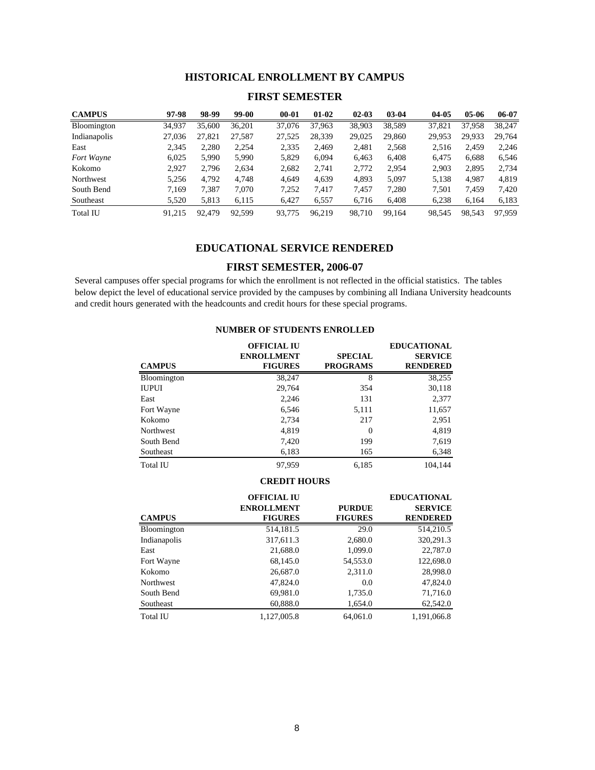## **HISTORICAL ENROLLMENT BY CAMPUS**

### **FIRST SEMESTER**

| <b>CAMPUS</b>      | 97-98  | 98-99  | 99-00  | $00 - 01$ | $01-02$ | $02 - 03$ | $03 - 04$ | 04-05  | $05-06$ | 06-07  |
|--------------------|--------|--------|--------|-----------|---------|-----------|-----------|--------|---------|--------|
| <b>Bloomington</b> | 34,937 | 35,600 | 36,201 | 37,076    | 37,963  | 38,903    | 38,589    | 37.821 | 37.958  | 38.247 |
| Indianapolis       | 27,036 | 27,821 | 27,587 | 27,525    | 28,339  | 29,025    | 29,860    | 29.953 | 29.933  | 29,764 |
| East               | 2.345  | 2,280  | 2,254  | 2,335     | 2,469   | 2,481     | 2,568     | 2,516  | 2.459   | 2,246  |
| Fort Wayne         | 6.025  | 5,990  | 5,990  | 5.829     | 6,094   | 6.463     | 6,408     | 6.475  | 6,688   | 6,546  |
| Kokomo             | 2.927  | 2,796  | 2,634  | 2,682     | 2,741   | 2,772     | 2,954     | 2,903  | 2,895   | 2,734  |
| Northwest          | 5.256  | 4.792  | 4.748  | 4.649     | 4.639   | 4.893     | 5.097     | 5,138  | 4.987   | 4,819  |
| South Bend         | 7.169  | 7,387  | 7,070  | 7.252     | 7,417   | 7,457     | 7,280     | 7,501  | 7,459   | 7,420  |
| Southeast          | 5,520  | 5,813  | 6,115  | 6.427     | 6,557   | 6,716     | 6,408     | 6,238  | 6,164   | 6,183  |
| <b>Total IU</b>    | 91.215 | 92,479 | 92.599 | 93,775    | 96.219  | 98.710    | 99.164    | 98.545 | 98.543  | 97.959 |

### **EDUCATIONAL SERVICE RENDERED**

## **FIRST SEMESTER, 2006-07**

Several campuses offer special programs for which the enrollment is not reflected in the official statistics. The tables below depict the level of educational service provided by the campuses by combining all Indiana University headcounts and credit hours generated with the headcounts and credit hours for these special programs.

| <b>CAMPUS</b> | <b>OFFICIAL IU</b><br><b>ENROLLMENT</b><br><b>FIGURES</b> | <b>SPECIAL</b><br><b>PROGRAMS</b> | <b>EDUCATIONAL</b><br><b>SERVICE</b><br><b>RENDERED</b> |
|---------------|-----------------------------------------------------------|-----------------------------------|---------------------------------------------------------|
| Bloomington   | 38,247                                                    | 8                                 | 38,255                                                  |
| IUPUI         | 29,764                                                    | 354                               | 30,118                                                  |
| East          | 2,246                                                     | 131                               | 2,377                                                   |
| Fort Wayne    | 6,546                                                     | 5,111                             | 11,657                                                  |
| Kokomo        | 2,734                                                     | 217                               | 2,951                                                   |
| Northwest     | 4,819                                                     | $\Omega$                          | 4,819                                                   |
| South Bend    | 7,420                                                     | 199                               | 7,619                                                   |
| Southeast     | 6,183                                                     | 165                               | 6,348                                                   |
| Total IU      | 97.959                                                    | 6.185                             | 104.144                                                 |

### **NUMBER OF STUDENTS ENROLLED**

#### **CREDIT HOURS**

|                    | <b>OFFICIAL IU</b> |                | <b>EDUCATIONAL</b> |
|--------------------|--------------------|----------------|--------------------|
|                    | <b>ENROLLMENT</b>  | <b>PURDUE</b>  | <b>SERVICE</b>     |
| <b>CAMPUS</b>      | <b>FIGURES</b>     | <b>FIGURES</b> | <b>RENDERED</b>    |
| <b>Bloomington</b> | 514,181.5          | 29.0           | 514,210.5          |
| Indianapolis       | 317,611.3          | 2,680.0        | 320,291.3          |
| East               | 21,688.0           | 1,099.0        | 22,787.0           |
| Fort Wayne         | 68,145.0           | 54,553.0       | 122,698.0          |
| Kokomo             | 26,687.0           | 2,311.0        | 28,998.0           |
| <b>Northwest</b>   | 47,824.0           | 0.0            | 47,824.0           |
| South Bend         | 69,981.0           | 1,735.0        | 71,716.0           |
| Southeast          | 60,888.0           | 1,654.0        | 62,542.0           |
| Total IU           | 1.127.005.8        | 64,061.0       | 1,191,066.8        |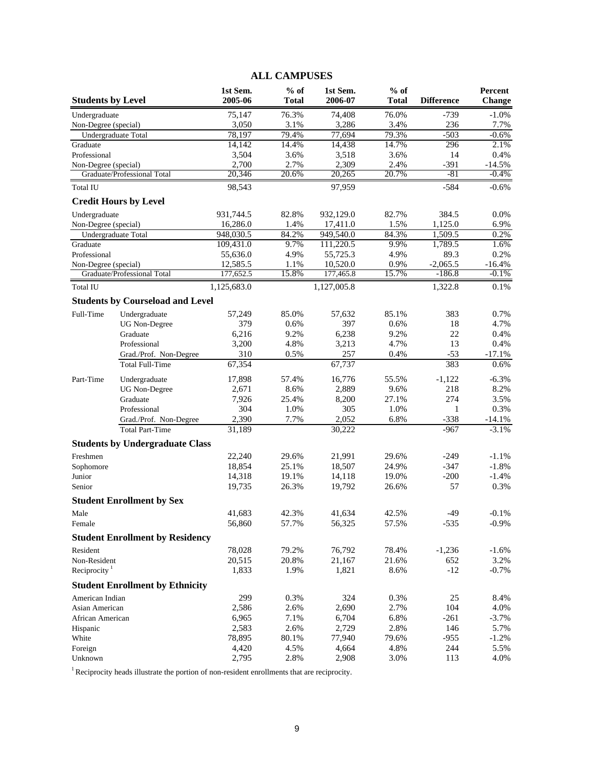|                          |                                         |                      | <b>ALL CAMPUSES</b>    |                       |                        |                   |                   |
|--------------------------|-----------------------------------------|----------------------|------------------------|-----------------------|------------------------|-------------------|-------------------|
| <b>Students by Level</b> |                                         | 1st Sem.<br>2005-06  | $%$ of<br><b>Total</b> | 1st Sem.<br>2006-07   | $%$ of<br><b>Total</b> | <b>Difference</b> | Percent<br>Change |
| Undergraduate            |                                         | 75,147               | 76.3%                  | 74,408                | 76.0%                  | $-739$            | $-1.0%$           |
| Non-Degree (special)     |                                         | 3,050                | 3.1%                   | 3,286                 | 3.4%                   | 236               | 7.7%              |
|                          | Undergraduate Total                     | 78,197               | 79.4%                  | 77,694                | 79.3%                  | $-503$            | $-0.6%$           |
| Graduate                 |                                         | 14,142               | 14.4%                  | 14,438                | 14.7%                  | 296               | 2.1%              |
| Professional             |                                         | 3,504                | 3.6%                   | 3,518                 | 3.6%                   | 14                | 0.4%              |
| Non-Degree (special)     |                                         | 2,700                | 2.7%                   | 2,309                 | 2.4%                   | $-391$            | $-14.5%$          |
|                          | Graduate/Professional Total             | 20,346               | 20.6%                  | 20,265                | 20.7%                  | $-81$             | $-0.4%$           |
| <b>Total IU</b>          |                                         | 98,543               |                        | 97,959                |                        | $-584$            | $-0.6%$           |
|                          | <b>Credit Hours by Level</b>            |                      |                        |                       |                        |                   |                   |
| Undergraduate            |                                         | 931,744.5            | 82.8%                  | 932,129.0             | 82.7%                  | 384.5             | 0.0%              |
| Non-Degree (special)     |                                         | 16,286.0             | 1.4%                   | 17,411.0              | 1.5%                   | 1,125.0           | 6.9%              |
|                          | Undergraduate Total                     | 948,030.5            | 84.2%                  | 949,540.0             | 84.3%                  | 1,509.5           | 0.2%              |
| Graduate<br>Professional |                                         | 109,431.0            | 9.7%<br>4.9%           | 111,220.5<br>55,725.3 | 9.9%<br>4.9%           | 1,789.5<br>89.3   | 1.6%<br>0.2%      |
| Non-Degree (special)     |                                         | 55,636.0<br>12,585.5 | 1.1%                   | 10,520.0              | 0.9%                   | $-2,065.5$        | $-16.4%$          |
|                          | Graduate/Professional Total             | 177,652.5            | 15.8%                  | 177,465.8             | 15.7%                  | $-186.8$          | $-0.1%$           |
| Total IU                 |                                         | 1,125,683.0          |                        | 1,127,005.8           |                        | 1,322.8           | 0.1%              |
|                          | <b>Students by Courseload and Level</b> |                      |                        |                       |                        |                   |                   |
| Full-Time                | Undergraduate                           | 57,249               | 85.0%                  | 57,632                | 85.1%                  | 383               | 0.7%              |
|                          | <b>UG</b> Non-Degree                    | 379                  | 0.6%                   | 397                   | 0.6%                   | 18                | 4.7%              |
|                          | Graduate                                | 6,216                | 9.2%                   | 6,238                 | 9.2%                   | 22                | 0.4%              |
|                          | Professional                            | 3,200                | 4.8%                   | 3,213                 | 4.7%                   | 13                | 0.4%              |
|                          | Grad./Prof. Non-Degree                  | 310                  | 0.5%                   | 257                   | 0.4%                   | $-53$             | $-17.1%$          |
|                          | <b>Total Full-Time</b>                  | 67,354               |                        | 67,737                |                        | 383               | 0.6%              |
| Part-Time                | Undergraduate                           | 17,898               | 57.4%                  | 16,776                | 55.5%                  | $-1,122$          | $-6.3%$           |
|                          | <b>UG</b> Non-Degree                    | 2,671                | 8.6%                   | 2,889                 | 9.6%                   | 218               | 8.2%              |
|                          | Graduate                                | 7,926                | 25.4%                  | 8,200                 | 27.1%                  | 274               | 3.5%              |
|                          | Professional                            | 304                  | 1.0%                   | 305                   | 1.0%                   | 1                 | 0.3%              |
|                          | Grad./Prof. Non-Degree                  | 2,390                | 7.7%                   | 2,052                 | 6.8%                   | $-338$            | $-14.1%$          |
|                          | <b>Total Part-Time</b>                  | 31,189               |                        | 30,222                |                        | $-967$            | $-3.1%$           |
|                          | <b>Students by Undergraduate Class</b>  |                      |                        |                       |                        |                   |                   |
| Freshmen                 |                                         | 22,240               | 29.6%                  | 21,991                | 29.6%                  | $-249$            | $-1.1%$           |
| Sophomore                |                                         | 18,854               | 25.1%                  | 18,507                | 24.9%                  | $-347$            | $-1.8%$           |
| Junior                   |                                         | 14,318               | 19.1%                  | 14,118                | 19.0%                  | $-200$            | $-1.4%$           |
| Senior                   |                                         | 19,735               | 26.3%                  | 19,792                | 26.6%                  | 57                | 0.3%              |
|                          | <b>Student Enrollment by Sex</b>        |                      |                        |                       |                        |                   |                   |
| Male                     |                                         | 41,683               | 42.3%                  | 41,634                | 42.5%                  | $-49$             | $-0.1%$           |
| Female                   |                                         | 56,860               | 57.7%                  | 56,325                | 57.5%                  | $-535$            | $-0.9%$           |
|                          | <b>Student Enrollment by Residency</b>  |                      |                        |                       |                        |                   |                   |
| Resident                 |                                         | 78,028               | 79.2%                  | 76,792                | 78.4%                  | $-1,236$          | $-1.6%$           |
| Non-Resident             |                                         | 20,515               | 20.8%                  | 21,167                | 21.6%                  | 652               | 3.2%              |
| Reciprocity $1$          |                                         | 1,833                | 1.9%                   | 1,821                 | 8.6%                   | $-12$             | $-0.7\%$          |
|                          | <b>Student Enrollment by Ethnicity</b>  |                      |                        |                       |                        |                   |                   |
| American Indian          |                                         | 299                  | 0.3%                   | 324                   | 0.3%                   | 25                | 8.4%              |
| Asian American           |                                         | 2,586                | 2.6%                   | 2,690                 | 2.7%                   | 104               | 4.0%              |
| African American         |                                         | 6,965                | 7.1%                   | 6,704                 | 6.8%                   | $-261$            | $-3.7%$           |
| Hispanic                 |                                         | 2,583                | 2.6%                   | 2,729                 | 2.8%                   | 146               | 5.7%              |
| White                    |                                         | 78,895               | 80.1%                  | 77,940                | 79.6%                  | $-955$            | $-1.2%$           |
| Foreign<br>Unknown       |                                         | 4,420<br>2,795       | 4.5%<br>2.8%           | 4,664<br>2,908        | 4.8%<br>3.0%           | 244<br>113        | 5.5%<br>4.0%      |
|                          |                                         |                      |                        |                       |                        |                   |                   |

<sup>1</sup> Reciprocity heads illustrate the portion of non-resident enrollments that are reciprocity.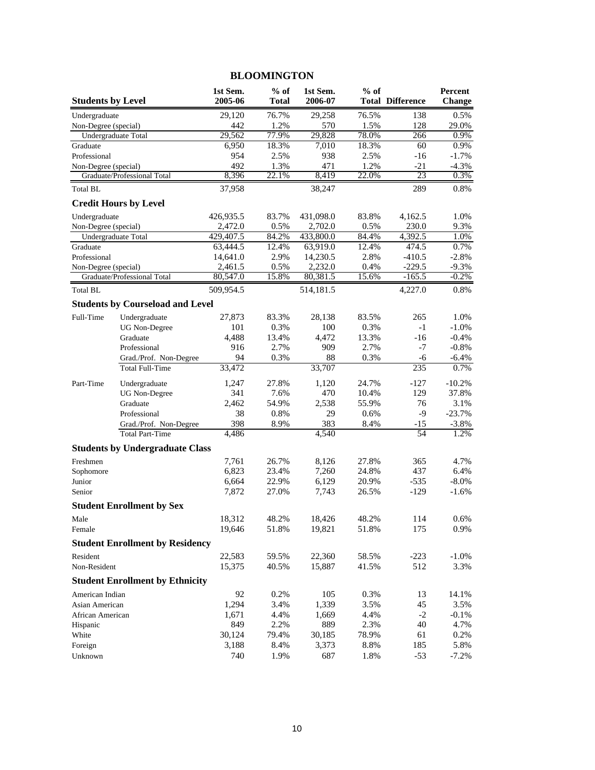|                          |                                         |                       | 2200 01.111 1 02 1 02 1 |                       |                |                         |                          |
|--------------------------|-----------------------------------------|-----------------------|-------------------------|-----------------------|----------------|-------------------------|--------------------------|
| <b>Students by Level</b> |                                         | 1st Sem.<br>2005-06   | $%$ of<br><b>Total</b>  | 1st Sem.<br>2006-07   | $%$ of         | <b>Total Difference</b> | Percent<br><b>Change</b> |
| Undergraduate            |                                         | 29,120                | 76.7%                   | 29,258                | 76.5%          | 138                     | 0.5%                     |
| Non-Degree (special)     |                                         | 442                   | 1.2%                    | 570                   | 1.5%           | 128                     | 29.0%                    |
|                          | Undergraduate Total                     | 29,562                | 77.9%                   | 29,828                | 78.0%          | 266                     | 0.9%                     |
| Graduate                 |                                         | 6,950                 | 18.3%                   | 7,010                 | 18.3%          | 60                      | 0.9%                     |
| Professional             |                                         | 954                   | 2.5%                    | 938                   | 2.5%           | -16                     | $-1.7%$                  |
| Non-Degree (special)     |                                         | 492                   | 1.3%                    | 471                   | 1.2%           | $-21$                   | $-4.3%$                  |
|                          | Graduate/Professional Total             | 8,396                 | 22.1%                   | 8,419                 | 22.0%          | 23                      | 0.3%                     |
| <b>Total BL</b>          |                                         | 37,958                |                         | 38,247                |                | 289                     | 0.8%                     |
|                          | <b>Credit Hours by Level</b>            |                       |                         |                       |                |                         |                          |
| Undergraduate            |                                         | 426,935.5             | 83.7%                   | 431,098.0             | 83.8%          | 4,162.5                 | 1.0%                     |
| Non-Degree (special)     |                                         | 2,472.0               | 0.5%                    | 2,702.0               | 0.5%           | 230.0                   | 9.3%                     |
| Graduate                 | Undergraduate Total                     | 429,407.5<br>63,444.5 | 84.2%<br>12.4%          | 433,800.0<br>63,919.0 | 84.4%<br>12.4% | 4,392.5<br>474.5        | 1.0%<br>0.7%             |
| Professional             |                                         | 14,641.0              | 2.9%                    | 14,230.5              | 2.8%           | $-410.5$                | $-2.8%$                  |
| Non-Degree (special)     |                                         | 2,461.5               | 0.5%                    | 2,232.0               | 0.4%           | $-229.5$                | $-9.3%$                  |
|                          | Graduate/Professional Total             | 80,547.0              | 15.8%                   | 80,381.5              | 15.6%          | $-165.5$                | $-0.2\%$                 |
| <b>Total BL</b>          |                                         | 509,954.5             |                         | 514,181.5             |                | 4,227.0                 | 0.8%                     |
|                          | <b>Students by Courseload and Level</b> |                       |                         |                       |                |                         |                          |
| Full-Time                | Undergraduate                           | 27,873                | 83.3%                   | 28,138                | 83.5%          | 265                     | 1.0%                     |
|                          | <b>UG</b> Non-Degree                    | 101                   | 0.3%                    | 100                   | 0.3%           | $-1$                    | $-1.0%$                  |
|                          | Graduate                                | 4,488                 | 13.4%                   | 4,472                 | 13.3%          | $-16$                   | $-0.4%$                  |
|                          | Professional                            | 916                   | 2.7%                    | 909                   | 2.7%           | $-7$                    | $-0.8%$                  |
|                          | Grad./Prof. Non-Degree                  | 94                    | 0.3%                    | 88                    | 0.3%           | -6                      | $-6.4%$                  |
|                          | <b>Total Full-Time</b>                  | 33,472                |                         | 33,707                |                | 235                     | 0.7%                     |
| Part-Time                | Undergraduate                           | 1,247                 | 27.8%                   | 1,120                 | 24.7%          | $-127$                  | $-10.2%$                 |
|                          | <b>UG</b> Non-Degree                    | 341                   | 7.6%                    | 470                   | 10.4%          | 129                     | 37.8%                    |
|                          | Graduate                                | 2,462                 | 54.9%                   | 2,538                 | 55.9%          | 76                      | 3.1%                     |
|                          | Professional                            | 38                    | 0.8%                    | 29                    | 0.6%           | $-9$                    | $-23.7%$                 |
|                          | Grad./Prof. Non-Degree                  | 398                   | 8.9%                    | 383                   | 8.4%           | $-15$                   | $-3.8%$                  |
|                          | <b>Total Part-Time</b>                  | 4,486                 |                         | 4,540                 |                | 54                      | 1.2%                     |
|                          | <b>Students by Undergraduate Class</b>  |                       |                         |                       |                |                         |                          |
| Freshmen                 |                                         | 7,761                 | 26.7%                   | 8,126                 | 27.8%          | 365                     | 4.7%                     |
| Sophomore                |                                         | 6,823                 | 23.4%                   | 7,260                 | 24.8%          | 437                     | 6.4%                     |
| Junior                   |                                         | 6,664                 | 22.9%                   | 6,129                 | 20.9%          | $-535$                  | $-8.0\%$                 |
| Senior                   |                                         | 7,872                 | 27.0%                   | 7,743                 | 26.5%          | $-129$                  | $-1.6%$                  |
|                          | <b>Student Enrollment by Sex</b>        |                       |                         |                       |                |                         |                          |
| Male                     |                                         | 18,312                | 48.2%                   | 18,426                | 48.2%          | 114                     | $0.6\%$                  |
| Female                   |                                         | 19,646                | 51.8%                   | 19,821                | 51.8%          | 175                     | 0.9%                     |
|                          | <b>Student Enrollment by Residency</b>  |                       |                         |                       |                |                         |                          |
| Resident                 |                                         | 22,583                | 59.5%                   | 22,360                | 58.5%          | $-223$                  | $-1.0%$                  |
| Non-Resident             |                                         | 15,375                | 40.5%                   | 15,887                | 41.5%          | 512                     | 3.3%                     |
|                          | <b>Student Enrollment by Ethnicity</b>  |                       |                         |                       |                |                         |                          |
| American Indian          |                                         | 92                    | 0.2%                    | 105                   | 0.3%           | 13                      | 14.1%                    |
| Asian American           |                                         | 1,294                 | 3.4%                    | 1,339                 | 3.5%           | 45                      | 3.5%                     |
| African American         |                                         | 1,671                 | 4.4%                    | 1,669                 | 4.4%           | $-2$                    | $-0.1%$                  |
| Hispanic                 |                                         | 849                   | 2.2%                    | 889                   | 2.3%           | 40                      | 4.7%                     |
| White                    |                                         | 30,124                | 79.4%                   | 30,185                | 78.9%          | 61                      | 0.2%                     |
| Foreign                  |                                         | 3,188                 | 8.4%                    | 3,373                 | 8.8%           | 185                     | 5.8%                     |
| Unknown                  |                                         | 740                   | 1.9%                    | 687                   | 1.8%           | $-53$                   | $-7.2%$                  |

# **BLOOMINGTON**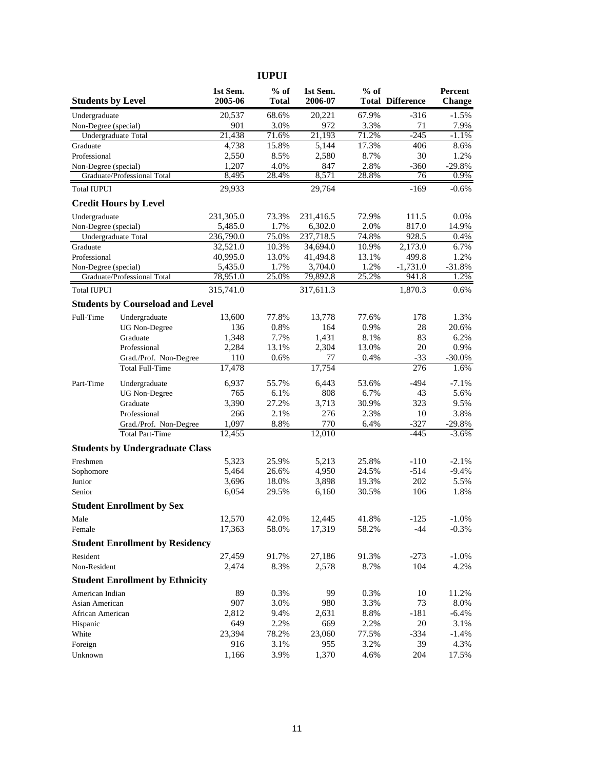| <b>Students by Level</b> |                                         | 1st Sem.<br>2005-06 | $%$ of<br><b>Total</b> | 1st Sem.<br>2006-07 | $%$ of        | <b>Total Difference</b> | Percent<br>Change |
|--------------------------|-----------------------------------------|---------------------|------------------------|---------------------|---------------|-------------------------|-------------------|
| Undergraduate            |                                         | 20,537              | 68.6%                  | 20,221              | 67.9%         | $-316$                  | $-1.5%$           |
| Non-Degree (special)     |                                         | 901                 | 3.0%                   | 972                 | 3.3%          | 71                      | 7.9%              |
| Undergraduate Total      |                                         | 21,438              | 71.6%                  | 21,193              | 71.2%         | $-245$                  | $-1.1%$           |
| Graduate                 |                                         | 4,738               | 15.8%                  | 5,144               | 17.3%         | 406                     | 8.6%              |
| Professional             |                                         | 2,550               | 8.5%                   | 2,580               | 8.7%          | 30                      | 1.2%              |
| Non-Degree (special)     | Graduate/Professional Total             | 1,207<br>8,495      | 4.0%<br>28.4%          | 847<br>8,571        | 2.8%<br>28.8% | $-360$<br>76            | $-29.8%$<br>0.9%  |
| <b>Total IUPUI</b>       |                                         | 29,933              |                        | 29,764              |               | $-169$                  | $-0.6%$           |
|                          | <b>Credit Hours by Level</b>            |                     |                        |                     |               |                         |                   |
| Undergraduate            |                                         | 231,305.0           | 73.3%                  | 231,416.5           | 72.9%         | 111.5                   | 0.0%              |
| Non-Degree (special)     |                                         | 5,485.0             | 1.7%                   | 6,302.0             | 2.0%          | 817.0                   | 14.9%             |
| Undergraduate Total      |                                         | 236,790.0           | 75.0%                  | 237,718.5           | 74.8%         | 928.5                   | 0.4%              |
| Graduate                 |                                         | 32,521.0            | 10.3%                  | 34,694.0            | 10.9%         | 2,173.0                 | 6.7%              |
| Professional             |                                         | 40,995.0            | 13.0%                  | 41,494.8            | 13.1%         | 499.8                   | 1.2%              |
| Non-Degree (special)     |                                         | 5,435.0             | 1.7%                   | 3,704.0             | 1.2%          | $-1,731.0$              | $-31.8%$          |
|                          | Graduate/Professional Total             | 78,951.0            | 25.0%                  | 79,892.8            | 25.2%         | 941.8                   | 1.2%              |
| <b>Total IUPUI</b>       |                                         | 315,741.0           |                        | 317,611.3           |               | 1,870.3                 | 0.6%              |
|                          | <b>Students by Courseload and Level</b> |                     |                        |                     |               |                         |                   |
| Full-Time                | Undergraduate                           | 13,600              | 77.8%                  | 13,778              | 77.6%         | 178                     | 1.3%              |
|                          | <b>UG</b> Non-Degree                    | 136                 | 0.8%                   | 164                 | 0.9%          | 28                      | 20.6%             |
|                          | Graduate                                | 1,348               | 7.7%                   | 1,431               | 8.1%          | 83                      | 6.2%              |
|                          | Professional                            | 2,284               | 13.1%                  | 2,304               | 13.0%         | 20                      | 0.9%              |
|                          | Grad./Prof. Non-Degree                  | 110                 | 0.6%                   | 77                  | 0.4%          | $-33$                   | $-30.0%$          |
|                          | <b>Total Full-Time</b>                  | 17,478              |                        | 17,754              |               | 276                     | 1.6%              |
| Part-Time                | Undergraduate                           | 6,937               | 55.7%                  | 6,443               | 53.6%         | $-494$                  | $-7.1%$           |
|                          | <b>UG</b> Non-Degree                    | 765                 | 6.1%                   | 808                 | 6.7%          | 43                      | 5.6%              |
|                          | Graduate                                | 3,390               | 27.2%                  | 3,713               | 30.9%         | 323                     | 9.5%              |
|                          | Professional                            | 266                 | 2.1%                   | 276                 | 2.3%          | 10                      | 3.8%              |
|                          | Grad./Prof. Non-Degree                  | 1,097               | 8.8%                   | 770                 | 6.4%          | $-327$                  | $-29.8%$          |
|                          | <b>Total Part-Time</b>                  | 12,455              |                        | 12,010              |               | $-445$                  | $-3.6%$           |
|                          | <b>Students by Undergraduate Class</b>  |                     |                        |                     |               |                         |                   |
| Freshmen                 |                                         | 5,323               | 25.9%                  | 5,213               | 25.8%         | $-110$                  | $-2.1%$           |
| Sophomore                |                                         | 5,464               | 26.6%                  | 4,950               | 24.5%         | $-514$                  | $-9.4%$           |
| Junior                   |                                         | 3,696               | 18.0%                  | 3,898               | 19.3%         | 202                     | 5.5%              |
| Senior                   |                                         | 6,054               | 29.5%                  | 6,160               | 30.5%         | 106                     | 1.8%              |
|                          | <b>Student Enrollment by Sex</b>        |                     |                        |                     |               |                         |                   |
| Male                     |                                         | 12,570              | 42.0%                  | 12,445              | 41.8%         | $-125$                  | $-1.0\%$          |
| Female                   |                                         | 17,363              | 58.0%                  | 17,319              | 58.2%         | -44                     | $-0.3%$           |
|                          | <b>Student Enrollment by Residency</b>  |                     |                        |                     |               |                         |                   |
| Resident                 |                                         | 27,459              | 91.7%                  | 27,186              | 91.3%         | $-273$                  | $-1.0\%$          |
| Non-Resident             |                                         | 2,474               | 8.3%                   | 2,578               | 8.7%          | 104                     | 4.2%              |
|                          | <b>Student Enrollment by Ethnicity</b>  |                     |                        |                     |               |                         |                   |
| American Indian          |                                         | 89                  | 0.3%                   | 99                  | 0.3%          | 10                      | 11.2%             |
| Asian American           |                                         | 907                 | 3.0%                   | 980                 | 3.3%          | 73                      | 8.0%              |
| African American         |                                         | 2,812               | 9.4%                   | 2,631               | 8.8%          | $-181$                  | $-6.4%$           |
| Hispanic                 |                                         | 649                 | 2.2%                   | 669                 | 2.2%          | 20                      | 3.1%              |
| White                    |                                         | 23,394              | 78.2%                  | 23,060              | 77.5%         | $-334$                  | $-1.4%$           |
| Foreign                  |                                         | 916                 | 3.1%                   | 955                 | 3.2%          | 39                      | 4.3%              |
| Unknown                  |                                         | 1,166               | 3.9%                   | 1,370               | 4.6%          | 204                     | 17.5%             |

# **IUPUI**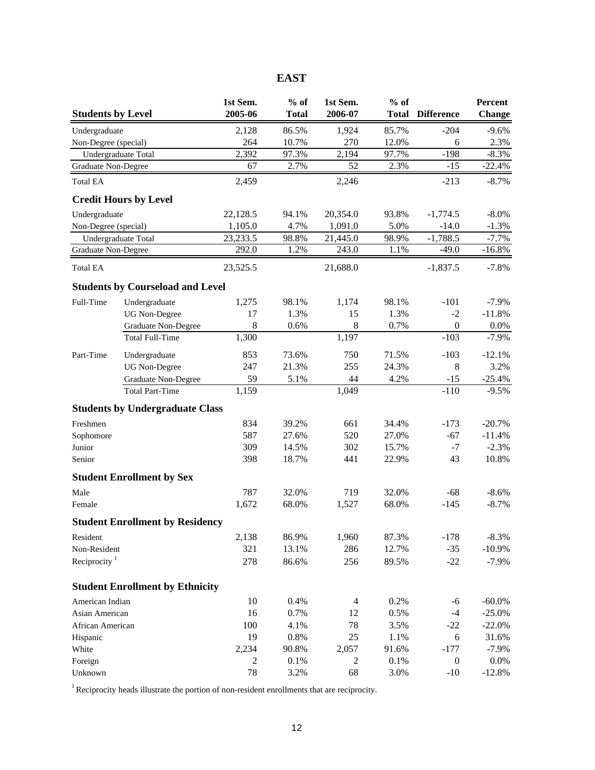| <b>Students by Level</b> |                                         | 1st Sem.<br>2005-06 | $%$ of<br><b>Total</b> | 1st Sem.<br>2006-07 | $%$ of<br><b>Total</b> | <b>Difference</b> | Percent<br><b>Change</b> |
|--------------------------|-----------------------------------------|---------------------|------------------------|---------------------|------------------------|-------------------|--------------------------|
| Undergraduate            |                                         | 2,128               | 86.5%                  | 1,924               | 85.7%                  | $-204$            | $-9.6%$                  |
| Non-Degree (special)     |                                         | 264                 | 10.7%                  | 270                 | 12.0%                  | 6                 | 2.3%                     |
|                          | Undergraduate Total                     | 2,392               | 97.3%                  | 2,194               | 97.7%                  | $-198$            | $-8.3%$                  |
| Graduate Non-Degree      |                                         | 67                  | 2.7%                   | 52                  | 2.3%                   | $-15$             | $-22.4%$                 |
| <b>Total EA</b>          |                                         | 2,459               |                        | 2,246               |                        | $-213$            | $-8.7\%$                 |
|                          |                                         |                     |                        |                     |                        |                   |                          |
|                          | <b>Credit Hours by Level</b>            |                     |                        |                     |                        |                   |                          |
| Undergraduate            |                                         | 22,128.5            | 94.1%                  | 20,354.0            | 93.8%                  | $-1,774.5$        | $-8.0\%$                 |
| Non-Degree (special)     |                                         | 1,105.0             | 4.7%                   | 1,091.0             | 5.0%                   | $-14.0$           | $-1.3%$                  |
|                          | Undergraduate Total                     | 23,233.5            | 98.8%                  | 21,445.0            | 98.9%                  | $-1,788.5$        | $-7.7%$                  |
| Graduate Non-Degree      |                                         | 292.0               | 1.2%                   | 243.0               | 1.1%                   | $-49.0$           | $-16.8%$                 |
| <b>Total EA</b>          |                                         | 23,525.5            |                        | 21,688.0            |                        | $-1,837.5$        | $-7.8%$                  |
|                          | <b>Students by Courseload and Level</b> |                     |                        |                     |                        |                   |                          |
| Full-Time                | Undergraduate                           | 1,275               | 98.1%                  | 1,174               | 98.1%                  | $-101$            | $-7.9%$                  |
|                          | <b>UG Non-Degree</b>                    | 17                  | 1.3%                   | 15                  | 1.3%                   | $-2$              | $-11.8%$                 |
|                          | Graduate Non-Degree                     | $\,8\,$             | 0.6%                   | 8                   | 0.7%                   | $\boldsymbol{0}$  | 0.0%                     |
|                          | <b>Total Full-Time</b>                  | 1,300               |                        | 1,197               |                        | $-103$            | $-7.9%$                  |
| Part-Time                | Undergraduate                           | 853                 | 73.6%                  | 750                 | 71.5%                  | $-103$            | $-12.1%$                 |
|                          | <b>UG</b> Non-Degree                    | 247                 | 21.3%                  | 255                 | 24.3%                  | $\,8\,$           | 3.2%                     |
|                          | Graduate Non-Degree                     | 59                  | 5.1%                   | 44                  | 4.2%                   | $-15$             | $-25.4%$                 |
|                          | <b>Total Part-Time</b>                  | 1,159               |                        | 1,049               |                        | $-110$            | $-9.5%$                  |
|                          | <b>Students by Undergraduate Class</b>  |                     |                        |                     |                        |                   |                          |
| Freshmen                 |                                         | 834                 | 39.2%                  | 661                 | 34.4%                  | $-173$            | $-20.7%$                 |
| Sophomore                |                                         | 587                 | 27.6%                  | 520                 | 27.0%                  | $-67$             | $-11.4%$                 |
| Junior                   |                                         | 309                 | 14.5%                  | 302                 | 15.7%                  | $-7$              | $-2.3%$                  |
| Senior                   |                                         | 398                 | 18.7%                  | 441                 | 22.9%                  | 43                | 10.8%                    |
|                          | <b>Student Enrollment by Sex</b>        |                     |                        |                     |                        |                   |                          |
| Male                     |                                         | 787                 | 32.0%                  | 719                 | 32.0%                  | $-68$             | $-8.6%$                  |
| Female                   |                                         | 1,672               | 68.0%                  | 1,527               | 68.0%                  | $-145$            | $-8.7%$                  |
|                          | <b>Student Enrollment by Residency</b>  |                     |                        |                     |                        |                   |                          |
| Resident                 |                                         | 2,138               | 86.9%                  | 1,960               | 87.3%                  | $-178$            | $-8.3%$                  |
| Non-Resident             |                                         | 321                 | 13.1%                  | 286                 | 12.7%                  | $-35$             | $-10.9\%$                |
| Reciprocity $1$          |                                         | 278                 | 86.6%                  | 256                 | 89.5%                  | $-22$             | $-7.9\%$                 |
|                          |                                         |                     |                        |                     |                        |                   |                          |
|                          | <b>Student Enrollment by Ethnicity</b>  |                     |                        |                     |                        |                   |                          |
| American Indian          |                                         | 10                  | 0.4%                   | $\overline{4}$      | 0.2%                   | -6                | $-60.0\%$                |
| Asian American           |                                         | 16                  | 0.7%                   | 12                  | 0.5%                   | $-4$              | $-25.0%$                 |
| African American         |                                         | 100                 | 4.1%<br>0.8%           | 78<br>25            | 3.5%                   | $-22$             | $-22.0%$                 |
| Hispanic<br>White        |                                         | 19<br>2,234         | 90.8%                  | 2,057               | 1.1%<br>91.6%          | 6<br>$-177$       | 31.6%<br>$-7.9\%$        |
| Foreign                  |                                         | 2                   | 0.1%                   | $\overline{c}$      | 0.1%                   | $\boldsymbol{0}$  | $0.0\%$                  |
| Unknown                  |                                         | 78                  | 3.2%                   | 68                  | 3.0%                   | $-10$             | $-12.8%$                 |

<sup>1</sup> Reciprocity heads illustrate the portion of non-resident enrollments that are reciprocity.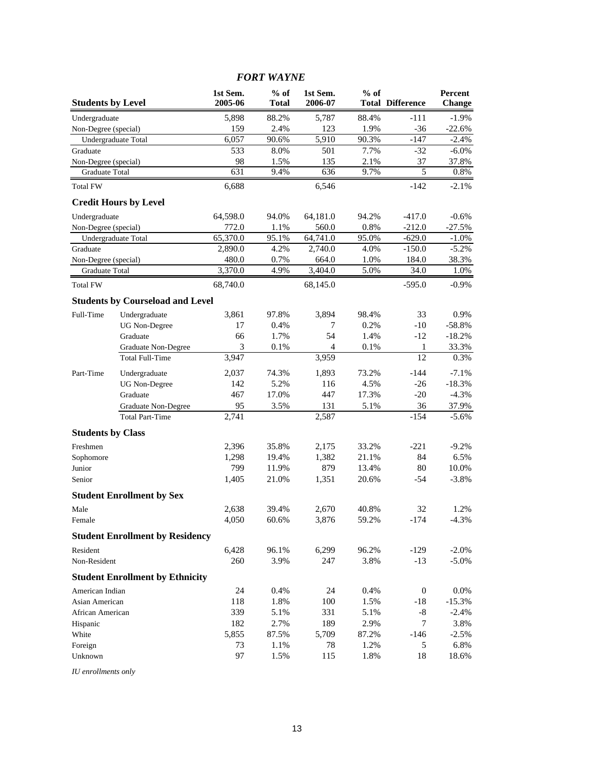|                          |                                         |                     | <b>FORT WAYNE</b> |                     |        |                         |                          |
|--------------------------|-----------------------------------------|---------------------|-------------------|---------------------|--------|-------------------------|--------------------------|
| <b>Students by Level</b> |                                         | 1st Sem.<br>2005-06 | $%$ of<br>Total   | 1st Sem.<br>2006-07 | $%$ of | <b>Total Difference</b> | Percent<br><b>Change</b> |
| Undergraduate            |                                         | 5,898               | 88.2%             | 5,787               | 88.4%  | -111                    | $-1.9\%$                 |
| Non-Degree (special)     |                                         | 159                 | 2.4%              | 123                 | 1.9%   | $-36$                   | $-22.6%$                 |
| Undergraduate Total      |                                         | 6,057               | 90.6%             | 5,910               | 90.3%  | $-147$                  | $-2.4%$                  |
| Graduate                 |                                         | 533                 | 8.0%              | 501                 | 7.7%   | $-32$                   | $-6.0\%$                 |
| Non-Degree (special)     |                                         | 98                  | 1.5%              | 135                 | 2.1%   | 37                      | 37.8%                    |
| Graduate Total           |                                         | 631                 | 9.4%              | 636                 | 9.7%   | 5                       | 0.8%                     |
| <b>Total FW</b>          |                                         | 6,688               |                   | 6.546               |        | $-142$                  | $-2.1%$                  |
|                          | <b>Credit Hours by Level</b>            |                     |                   |                     |        |                         |                          |
| Undergraduate            |                                         | 64,598.0            | 94.0%             | 64,181.0            | 94.2%  | $-417.0$                | $-0.6%$                  |
| Non-Degree (special)     |                                         | 772.0               | 1.1%              | 560.0               | 0.8%   | $-212.0$                | $-27.5%$                 |
| Undergraduate Total      |                                         | 65,370.0            | 95.1%             | 64,741.0            | 95.0%  | $-629.0$                | $-1.0\%$                 |
| Graduate                 |                                         | 2,890.0             | 4.2%              | 2,740.0             | 4.0%   | $-150.0$                | $-5.2%$                  |
| Non-Degree (special)     |                                         | 480.0               | 0.7%              | 664.0               | 1.0%   | 184.0                   | 38.3%                    |
| Graduate Total           |                                         | 3,370.0             | 4.9%              | 3,404.0             | 5.0%   | 34.0                    | 1.0%                     |
| <b>Total FW</b>          |                                         | 68,740.0            |                   | 68,145.0            |        | $-595.0$                | $-0.9\%$                 |
|                          | <b>Students by Courseload and Level</b> |                     |                   |                     |        |                         |                          |
| Full-Time                | Undergraduate                           | 3,861               | 97.8%             | 3,894               | 98.4%  | 33                      | 0.9%                     |
|                          | <b>UG</b> Non-Degree                    | 17                  | 0.4%              | 7                   | 0.2%   | $-10$                   | $-58.8%$                 |
|                          | Graduate                                | 66                  | 1.7%              | 54                  | 1.4%   | $-12$                   | $-18.2%$                 |
|                          | Graduate Non-Degree                     | 3                   | 0.1%              | $\overline{4}$      | 0.1%   | 1                       | 33.3%                    |
|                          | <b>Total Full-Time</b>                  | 3,947               |                   | 3,959               |        | 12                      | 0.3%                     |
| Part-Time                | Undergraduate                           | 2,037               | 74.3%             | 1,893               | 73.2%  | $-144$                  | $-7.1%$                  |
|                          | <b>UG</b> Non-Degree                    | 142                 | 5.2%              | 116                 | 4.5%   | $-26$                   | $-18.3%$                 |
|                          | Graduate                                | 467                 | 17.0%             | 447                 | 17.3%  | $-20$                   | $-4.3%$                  |
|                          | Graduate Non-Degree                     | 95                  | 3.5%              | 131                 | 5.1%   | 36                      | 37.9%                    |
|                          | <b>Total Part-Time</b>                  | 2,741               |                   | 2,587               |        | $-154$                  | $-5.6%$                  |
| <b>Students by Class</b> |                                         |                     |                   |                     |        |                         |                          |
| Freshmen                 |                                         | 2,396               | 35.8%             | 2,175               | 33.2%  | $-221$                  | $-9.2%$                  |
| Sophomore                |                                         | 1,298               | 19.4%             | 1,382               | 21.1%  | 84                      | 6.5%                     |
| Junior                   |                                         | 799                 | 11.9%             | 879                 | 13.4%  | 80                      | 10.0%                    |
| Senior                   |                                         | 1,405               | 21.0%             | 1,351               | 20.6%  | -54                     | $-3.8%$                  |
|                          | <b>Student Enrollment by Sex</b>        |                     |                   |                     |        |                         |                          |
| Male                     |                                         | 2,638               | 39.4%             | 2,670               | 40.8%  | 32                      | 1.2%                     |
| Female                   |                                         | 4,050               | 60.6%             | 3,876               | 59.2%  | $-174$                  | $-4.3%$                  |
|                          | <b>Student Enrollment by Residency</b>  |                     |                   |                     |        |                         |                          |
| Resident                 |                                         | 6,428               | 96.1%             | 6,299               | 96.2%  | $-129$                  | $-2.0\%$                 |
| Non-Resident             |                                         | 260                 | 3.9%              | 247                 | 3.8%   | $-13$                   | $-5.0\%$                 |
|                          | <b>Student Enrollment by Ethnicity</b>  |                     |                   |                     |        |                         |                          |
| American Indian          |                                         | 24                  | 0.4%              | 24                  | 0.4%   | $\boldsymbol{0}$        | $0.0\%$                  |
| Asian American           |                                         | 118                 | 1.8%              | 100                 | 1.5%   | -18                     | $-15.3%$                 |
| African American         |                                         | 339                 | 5.1%              | 331                 | 5.1%   | $-8$                    | $-2.4%$                  |
| Hispanic                 |                                         | 182                 | 2.7%              | 189                 | 2.9%   | 7                       | 3.8%                     |
| White                    |                                         | 5,855               | 87.5%             | 5,709               | 87.2%  | $-146$                  | $-2.5%$                  |
| Foreign                  |                                         | 73                  | 1.1%              | 78                  | 1.2%   | 5                       | 6.8%                     |
| Unknown                  |                                         | 97                  | 1.5%              | 115                 | 1.8%   | 18                      | 18.6%                    |

#### *IU enrollments only*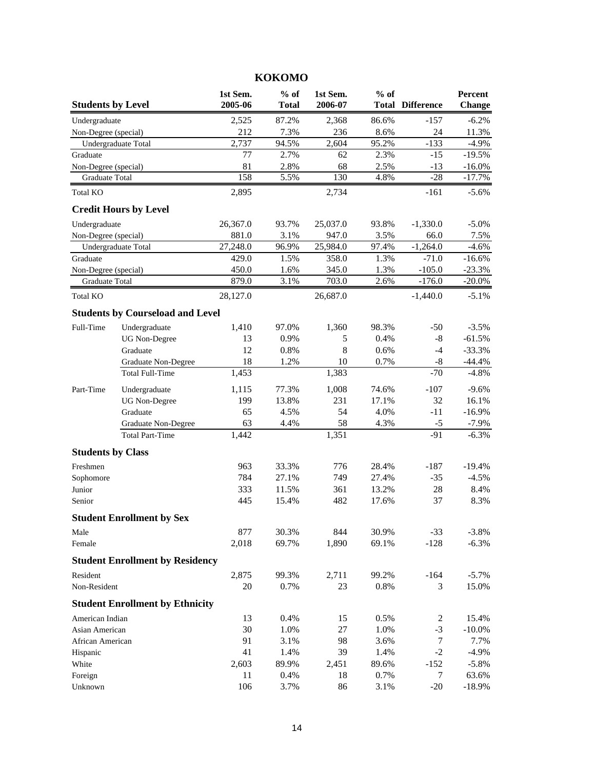| <b>Students by Level</b> |                                         | 1st Sem.<br>2005-06 | $%$ of<br><b>Total</b> | 1st Sem.<br>2006-07 | $%$ of | <b>Total Difference</b> | Percent<br><b>Change</b> |
|--------------------------|-----------------------------------------|---------------------|------------------------|---------------------|--------|-------------------------|--------------------------|
| Undergraduate            |                                         | 2,525               | 87.2%                  | 2,368               | 86.6%  | $-157$                  | $-6.2%$                  |
| Non-Degree (special)     |                                         | 212                 | 7.3%                   | 236                 | 8.6%   | 24                      | 11.3%                    |
|                          | Undergraduate Total                     | 2,737               | 94.5%                  | 2,604               | 95.2%  | $-133$                  | $-4.9%$                  |
| Graduate                 |                                         | 77                  | 2.7%                   | 62                  | 2.3%   | $-15$                   | $-19.5%$                 |
| Non-Degree (special)     |                                         | 81                  | 2.8%                   | 68                  | 2.5%   | $-13$                   | $-16.0\%$                |
| Graduate Total           |                                         | 158                 | 5.5%                   | 130                 | 4.8%   | $-28$                   | $-17.7%$                 |
| Total KO                 |                                         | 2,895               |                        | 2,734               |        | $-161$                  | $-5.6%$                  |
|                          | <b>Credit Hours by Level</b>            |                     |                        |                     |        |                         |                          |
| Undergraduate            |                                         | 26,367.0            | 93.7%                  | 25,037.0            | 93.8%  | $-1,330.0$              | $-5.0\%$                 |
| Non-Degree (special)     |                                         | 881.0               | 3.1%                   | 947.0               | 3.5%   | 66.0                    | 7.5%                     |
|                          | Undergraduate Total                     | 27,248.0            | 96.9%                  | 25,984.0            | 97.4%  | $-1,264.0$              | $-4.6%$                  |
| Graduate                 |                                         | 429.0               | 1.5%                   | 358.0               | 1.3%   | $-71.0$                 | $-16.6%$                 |
| Non-Degree (special)     |                                         | 450.0               | 1.6%                   | 345.0               | 1.3%   | $-105.0$                | $-23.3%$                 |
| Graduate Total           |                                         | 879.0               | 3.1%                   | 703.0               | 2.6%   | $-176.0$                | $-20.0\%$                |
| <b>Total KO</b>          |                                         | 28,127.0            |                        | 26,687.0            |        | $-1,440.0$              | $-5.1%$                  |
|                          | <b>Students by Courseload and Level</b> |                     |                        |                     |        |                         |                          |
| Full-Time                | Undergraduate                           | 1,410               | 97.0%                  | 1,360               | 98.3%  | $-50$                   | $-3.5%$                  |
|                          | <b>UG</b> Non-Degree                    | 13                  | 0.9%                   | 5                   | 0.4%   | $-8$                    | $-61.5%$                 |
|                          | Graduate                                | 12                  | 0.8%                   | 8                   | 0.6%   | $-4$                    | $-33.3%$                 |
|                          | Graduate Non-Degree                     | 18                  | 1.2%                   | 10                  | 0.7%   | -8                      | $-44.4%$                 |
|                          | <b>Total Full-Time</b>                  | 1,453               |                        | 1,383               |        | $-70$                   | $-4.8%$                  |
| Part-Time                | Undergraduate                           | 1,115               | 77.3%                  | 1,008               | 74.6%  | $-107$                  | $-9.6%$                  |
|                          | <b>UG</b> Non-Degree                    | 199                 | 13.8%                  | 231                 | 17.1%  | 32                      | 16.1%                    |
|                          | Graduate                                | 65                  | 4.5%                   | 54                  | 4.0%   | $-11$                   | $-16.9%$                 |
|                          | Graduate Non-Degree                     | 63                  | 4.4%                   | 58                  | 4.3%   | $-5$                    | $-7.9\%$                 |
|                          | <b>Total Part-Time</b>                  | 1,442               |                        | 1,351               |        | $-91$                   | $-6.3%$                  |
| <b>Students by Class</b> |                                         |                     |                        |                     |        |                         |                          |
| Freshmen                 |                                         | 963                 | 33.3%                  | 776                 | 28.4%  | $-187$                  | $-19.4%$                 |
| Sophomore                |                                         | 784                 | 27.1%                  | 749                 | 27.4%  | $-35$                   | $-4.5%$                  |
| Junior                   |                                         | 333                 | 11.5%                  | 361                 | 13.2%  | 28                      | 8.4%                     |
| Senior                   |                                         | 445                 | 15.4%                  | 482                 | 17.6%  | 37                      | 8.3%                     |
|                          | <b>Student Enrollment by Sex</b>        |                     |                        |                     |        |                         |                          |
| Male                     |                                         | 877                 | 30.3%                  | 844                 | 30.9%  | $-33$                   | $-3.8%$                  |
| Female                   |                                         | 2,018               | 69.7%                  | 1,890               | 69.1%  | $-128$                  | $-6.3%$                  |
|                          | <b>Student Enrollment by Residency</b>  |                     |                        |                     |        |                         |                          |
| Resident                 |                                         | 2,875               | 99.3%                  | 2,711               | 99.2%  | $-164$                  | $-5.7\%$                 |
| Non-Resident             |                                         | 20                  | 0.7%                   | 23                  | 0.8%   | 3                       | 15.0%                    |
|                          | <b>Student Enrollment by Ethnicity</b>  |                     |                        |                     |        |                         |                          |
| American Indian          |                                         | 13                  | 0.4%                   | 15                  | 0.5%   | 2                       | 15.4%                    |
| Asian American           |                                         | 30                  | 1.0%                   | $27\,$              | 1.0%   | $-3$                    | $-10.0\%$                |
| African American         |                                         | 91                  | 3.1%                   | 98                  | 3.6%   | $\tau$                  | 7.7%                     |
| Hispanic                 |                                         | 41                  | 1.4%                   | 39                  | 1.4%   | $-2$                    | $-4.9%$                  |
| White                    |                                         | 2,603               | 89.9%                  | 2,451               | 89.6%  | $-152$                  | $-5.8%$                  |
| Foreign                  |                                         | 11                  | 0.4%                   | 18                  | 0.7%   | 7                       | 63.6%                    |
| Unknown                  |                                         | 106                 | 3.7%                   | 86                  | 3.1%   | $-20$                   | $-18.9%$                 |

# **KOKOMO**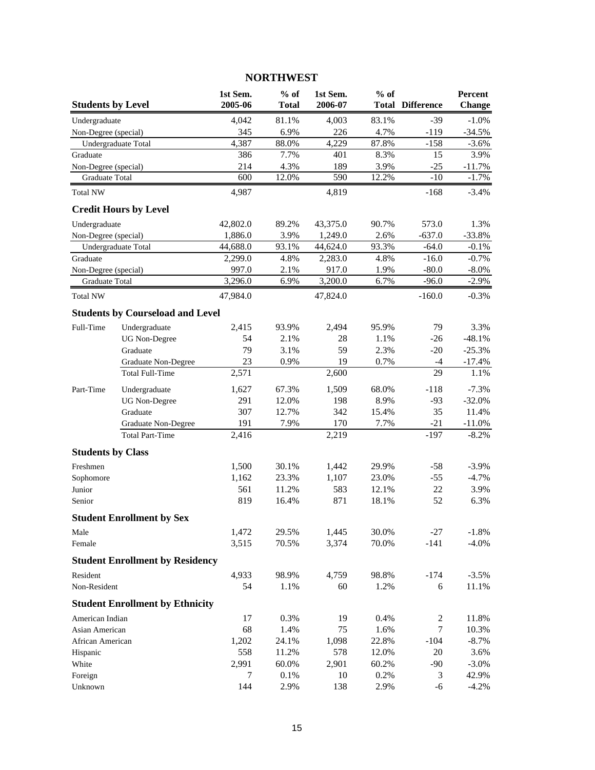## **1st Sem. % of 1st Sem. % of Percent Students by Level 2005-06 Total 2006-07 Total Difference Change** Undergraduate 4,042 81.1% 4,003 83.1% -39 -1.0% Non-Degree (special) 345 6.9% 226 4.7% -119 -34.5% Undergraduate Total 4,387 88.0% 4,229 87.8% -158 -3.6% Graduate 386 7.7% 401 8.3% 15 3.9% Non-Degree (special) 214 4.3% 189 3.9% -25 -11.7% Graduate Total 600 12.0% 590 12.2% -10 -1.7% Total NW 4,987 4,819 -168 -3.4% **Credit Hours by Level** Undergraduate **42,802.0** 89.2% 43,375.0 90.7% 573.0 1.3% Non-Degree (special) 1,886.0 3.9% 1,249.0 2.6% -637.0 -33.8% Undergraduate Total  $44,688.0$   $93.1\%$   $44,624.0$   $93.3\%$   $-64.0$   $-0.1\%$ Graduate 2,299.0 4.8% 2,283.0 4.8% -16.0 -0.7% Non-Degree (special) 997.0 2.1% 917.0 1.9% -80.0 -8.0%<br>
Graduate Total 3,296.0 6.9% 3,200.0 6.7% -96.0 -2.9% Graduate Total 3,296.0 6.9% 3,200.0 6.7% -96.0 Total NW  $47,984.0$   $47,824.0$   $47,824.0$   $-160.0$   $-0.3\%$ **Students by Courseload and Level** Full-Time Undergraduate 2,415 93.9% 2,494 95.9% 79 3.3% UG Non-Degree 54 2.1% 28 1.1% -26 -48.1% Graduate  $\begin{array}{cccc} 79 & 3.1\% & 59 & 2.3\% & -20 & -25.3\% \end{array}$ Graduate Non-Degree 23 0.9% 19 0.7% -4 -17.4% Total Full-Time 2,571 2,600 29 1.1% Part-Time Undergraduate 1,627 67.3% 1,509 68.0% -118 -7.3% UG Non-Degree 291 12.0% 198 8.9% -93 -32.0% Graduate 307 12.7% 342 15.4% 35 11.4% Graduate Non-Degree 191 7.9% 170 7.7% -21 -11.0% Total Part-Time 2,416 2,219 -197 -8.2% **Students by Class** Freshmen 1,500 30.1% 1,442 29.9% -58 -3.9% Sophomore 20.1,162 23.3% 1,107 23.0% -55 -4.7% Junior 561 11.2% 583 12.1% 22 3.9% Senior 819 16.4% 871 18.1% 52 6.3% **Student Enrollment by Sex** Male 1,472 29.5% 1,445 30.0% -27 -1.8% Female 3,515 70.5% 3,374 70.0% -141 -4.0% **Student Enrollment by Residency** Resident 4,933 98.9% 4,759 98.8% -174 -3.5% Non-Resident 54 1.1% 60 1.2% 6 11.1% **Student Enrollment by Ethnicity** American Indian 17 0.3% 19 0.4% 2 11.8% Asian American 68 1.4% 75 1.6% 7 10.3% African American 1,202 24.1% 1,098 22.8% -104 -8.7% Hispanic 558 11.2% 578 12.0% 20 3.6% White 2,991 60.0% 2,901 60.2% -90 -3.0% Foreign 7 0.1% 10 0.2% 3 42.9%

### **NORTHWEST**

Unknown 144 2.9% 138 2.9% -6 -4.2%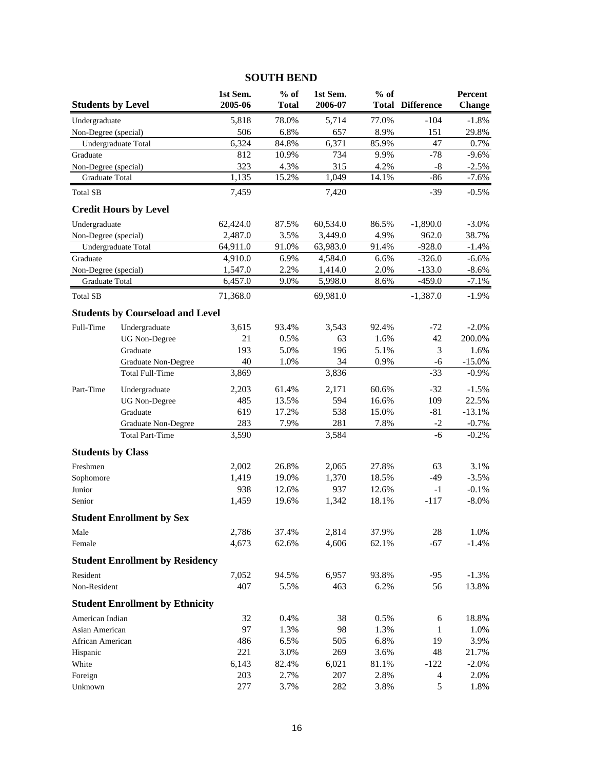| <b>Students by Level</b> |                                         | 1st Sem.<br>2005-06 | $%$ of<br><b>Total</b> | 1st Sem.<br>2006-07 | $%$ of | <b>Total Difference</b> | Percent<br><b>Change</b> |
|--------------------------|-----------------------------------------|---------------------|------------------------|---------------------|--------|-------------------------|--------------------------|
| Undergraduate            |                                         | 5,818               | 78.0%                  | 5,714               | 77.0%  | $-104$                  | $-1.8%$                  |
| Non-Degree (special)     |                                         | 506                 | 6.8%                   | 657                 | 8.9%   | 151                     | 29.8%                    |
|                          | Undergraduate Total                     | 6,324               | 84.8%                  | 6,371               | 85.9%  | 47                      | 0.7%                     |
| Graduate                 |                                         | 812                 | 10.9%                  | 734                 | 9.9%   | $-78$                   | $-9.6%$                  |
| Non-Degree (special)     |                                         | 323                 | 4.3%                   | 315                 | 4.2%   | $-8$                    | $-2.5%$                  |
| Graduate Total           |                                         | 1,135               | 15.2%                  | 1,049               | 14.1%  | $-86$                   | $-7.6%$                  |
| <b>Total SB</b>          |                                         | 7,459               |                        | 7,420               |        | $-39$                   | $-0.5%$                  |
|                          | <b>Credit Hours by Level</b>            |                     |                        |                     |        |                         |                          |
| Undergraduate            |                                         | 62,424.0            | 87.5%                  | 60,534.0            | 86.5%  | $-1,890.0$              | $-3.0\%$                 |
| Non-Degree (special)     |                                         | 2,487.0             | 3.5%                   | 3,449.0             | 4.9%   | 962.0                   | 38.7%                    |
|                          | Undergraduate Total                     | 64,911.0            | 91.0%                  | 63,983.0            | 91.4%  | $-928.0$                | $-1.4%$                  |
| Graduate                 |                                         | 4,910.0             | 6.9%                   | 4,584.0             | 6.6%   | $-326.0$                | $-6.6%$                  |
| Non-Degree (special)     |                                         | 1,547.0             | 2.2%                   | 1,414.0             | 2.0%   | $-133.0$                | $-8.6\%$                 |
| Graduate Total           |                                         | 6,457.0             | 9.0%                   | 5,998.0             | 8.6%   | $-459.0$                | $-7.1%$                  |
| <b>Total SB</b>          |                                         | 71,368.0            |                        | 69,981.0            |        | $-1,387.0$              | $-1.9%$                  |
|                          | <b>Students by Courseload and Level</b> |                     |                        |                     |        |                         |                          |
| Full-Time                | Undergraduate                           | 3,615               | 93.4%                  | 3,543               | 92.4%  | $-72$                   | $-2.0%$                  |
|                          | <b>UG</b> Non-Degree                    | 21                  | 0.5%                   | 63                  | 1.6%   | 42                      | 200.0%                   |
|                          | Graduate                                | 193                 | 5.0%                   | 196                 | 5.1%   | 3                       | 1.6%                     |
|                          | Graduate Non-Degree                     | 40                  | 1.0%                   | 34                  | 0.9%   | $-6$                    | $-15.0%$                 |
|                          | <b>Total Full-Time</b>                  | 3,869               |                        | 3,836               |        | $-33$                   | $-0.9\%$                 |
| Part-Time                | Undergraduate                           | 2,203               | 61.4%                  | 2,171               | 60.6%  | $-32$                   | $-1.5%$                  |
|                          | <b>UG</b> Non-Degree                    | 485                 | 13.5%                  | 594                 | 16.6%  | 109                     | 22.5%                    |
|                          | Graduate                                | 619                 | 17.2%                  | 538                 | 15.0%  | $-81$                   | $-13.1%$                 |
|                          | Graduate Non-Degree                     | 283                 | 7.9%                   | 281                 | 7.8%   | $-2$                    | $-0.7%$                  |
|                          | <b>Total Part-Time</b>                  | 3,590               |                        | 3,584               |        | $-6$                    | $-0.2%$                  |
| <b>Students by Class</b> |                                         |                     |                        |                     |        |                         |                          |
| Freshmen                 |                                         | 2,002               | 26.8%                  | 2,065               | 27.8%  | 63                      | 3.1%                     |
| Sophomore                |                                         | 1,419               | 19.0%                  | 1,370               | 18.5%  | $-49$                   | $-3.5%$                  |
| Junior                   |                                         | 938                 | 12.6%                  | 937                 | 12.6%  | $-1$                    | $-0.1%$                  |
| Senior                   |                                         | 1,459               | 19.6%                  | 1,342               | 18.1%  | $-117$                  | $-8.0\%$                 |
|                          | <b>Student Enrollment by Sex</b>        |                     |                        |                     |        |                         |                          |
| Male                     |                                         | 2,786               | 37.4%                  | 2,814               | 37.9%  | 28                      | 1.0%                     |
| Female                   |                                         | 4,673               | 62.6%                  | 4,606               | 62.1%  | $-67$                   | $-1.4%$                  |
|                          | <b>Student Enrollment by Residency</b>  |                     |                        |                     |        |                         |                          |
| Resident                 |                                         | 7,052               | 94.5%                  | 6,957               | 93.8%  | $-95$                   | $-1.3%$                  |
| Non-Resident             |                                         | 407                 | 5.5%                   | 463                 | 6.2%   | 56                      | 13.8%                    |
|                          | <b>Student Enrollment by Ethnicity</b>  |                     |                        |                     |        |                         |                          |
| American Indian          |                                         | 32                  | 0.4%                   | 38                  | 0.5%   | 6                       | 18.8%                    |
| Asian American           |                                         | 97                  | 1.3%                   | 98                  | 1.3%   | 1                       | 1.0%                     |
| African American         |                                         | 486                 | 6.5%                   | 505                 | 6.8%   | 19                      | 3.9%                     |
| Hispanic                 |                                         | 221                 | 3.0%                   | 269                 | 3.6%   | 48                      | 21.7%                    |
| White                    |                                         | 6,143               | 82.4%                  | 6,021               | 81.1%  | $-122$                  | $-2.0\%$                 |
| Foreign                  |                                         | 203                 | 2.7%                   | 207                 | 2.8%   | 4                       | 2.0%                     |
| Unknown                  |                                         | 277                 | 3.7%                   | 282                 | 3.8%   | $\mathfrak s$           | 1.8%                     |

# **SOUTH BEND**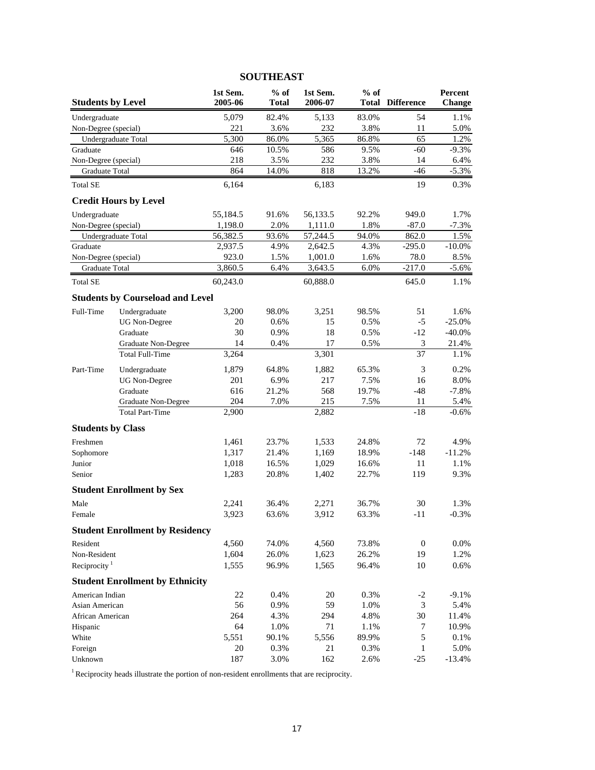| <b>Students by Level</b> |                                         | 1st Sem.<br>2005-06 | $%$ of<br><b>Total</b> | 1st Sem.<br>2006-07 | $%$ of | <b>Total Difference</b>     | Percent<br><b>Change</b> |
|--------------------------|-----------------------------------------|---------------------|------------------------|---------------------|--------|-----------------------------|--------------------------|
| Undergraduate            |                                         | 5,079               | 82.4%                  | 5,133               | 83.0%  | 54                          | 1.1%                     |
| Non-Degree (special)     |                                         | 221                 | 3.6%                   | 232                 | 3.8%   | 11                          | 5.0%                     |
|                          | Undergraduate Total                     | 5,300               | 86.0%                  | $\overline{5,365}$  | 86.8%  | 65                          | 1.2%                     |
| Graduate                 |                                         | 646                 | 10.5%                  | 586                 | 9.5%   | $-60$                       | $-9.3%$                  |
| Non-Degree (special)     |                                         | 218                 | 3.5%                   | 232                 | 3.8%   | 14                          | 6.4%                     |
| <b>Graduate Total</b>    |                                         | 864                 | 14.0%                  | 818                 | 13.2%  | -46                         | $-5.3%$                  |
| <b>Total SE</b>          |                                         | 6,164               |                        | 6,183               |        | 19                          | 0.3%                     |
|                          | <b>Credit Hours by Level</b>            |                     |                        |                     |        |                             |                          |
| Undergraduate            |                                         | 55,184.5            | 91.6%                  | 56,133.5            | 92.2%  | 949.0                       | 1.7%                     |
| Non-Degree (special)     |                                         | 1,198.0             | 2.0%                   | 1,111.0             | 1.8%   | $-87.0$                     | $-7.3%$                  |
|                          | Undergraduate Total                     | 56,382.5            | 93.6%                  | 57,244.5            | 94.0%  | 862.0                       | 1.5%                     |
| Graduate                 |                                         | 2,937.5             | 4.9%                   | 2,642.5             | 4.3%   | $-295.0$                    | $-10.0\%$                |
| Non-Degree (special)     |                                         | 923.0               | 1.5%                   | 1,001.0             | 1.6%   | 78.0                        | $8.5\%$                  |
| Graduate Total           |                                         | 3,860.5             | 6.4%                   | 3,643.5             | 6.0%   | $-217.0$                    | $-5.6\%$                 |
| <b>Total SE</b>          |                                         | 60,243.0            |                        | 60,888.0            |        | 645.0                       | 1.1%                     |
|                          | <b>Students by Courseload and Level</b> |                     |                        |                     |        |                             |                          |
| Full-Time                | Undergraduate                           | 3,200               | 98.0%                  | 3,251               | 98.5%  | 51                          | 1.6%                     |
|                          | <b>UG</b> Non-Degree                    | 20                  | 0.6%                   | 15                  | 0.5%   | $-5$                        | $-25.0%$                 |
|                          | Graduate                                | 30                  | 0.9%                   | 18                  | 0.5%   | $-12$                       | $-40.0\%$                |
|                          | Graduate Non-Degree                     | 14                  | 0.4%                   | 17                  | 0.5%   | $\ensuremath{\mathfrak{Z}}$ | 21.4%                    |
|                          | <b>Total Full-Time</b>                  | 3,264               |                        | 3,301               |        | 37                          | 1.1%                     |
| Part-Time                | Undergraduate                           | 1,879               | 64.8%                  | 1,882               | 65.3%  | 3                           | 0.2%                     |
|                          | <b>UG</b> Non-Degree                    | 201                 | 6.9%                   | 217                 | 7.5%   | 16                          | 8.0%                     |
|                          | Graduate                                | 616                 | 21.2%                  | 568                 | 19.7%  | $-48$                       | $-7.8%$                  |
|                          | Graduate Non-Degree                     | 204                 | 7.0%                   | 215                 | 7.5%   | 11                          | 5.4%                     |
|                          | <b>Total Part-Time</b>                  | 2,900               |                        | 2,882               |        | $-18$                       | $-0.6%$                  |
| <b>Students by Class</b> |                                         |                     |                        |                     |        |                             |                          |
| Freshmen                 |                                         | 1,461               | 23.7%                  | 1,533               | 24.8%  | 72                          | 4.9%                     |
| Sophomore                |                                         | 1,317               | 21.4%                  | 1,169               | 18.9%  | $-148$                      | $-11.2%$                 |
| Junior                   |                                         | 1,018               | 16.5%                  | 1,029               | 16.6%  | 11                          | 1.1%                     |
| Senior                   |                                         | 1,283               | 20.8%                  | 1,402               | 22.7%  | 119                         | 9.3%                     |
|                          | <b>Student Enrollment by Sex</b>        |                     |                        |                     |        |                             |                          |
| Male                     |                                         | 2,241               | 36.4%                  | 2,271               | 36.7%  | 30                          | 1.3%                     |
| Female                   |                                         | 3,923               | 63.6%                  | 3,912               | 63.3%  | -11                         | $-0.3%$                  |
|                          | <b>Student Enrollment by Residency</b>  |                     |                        |                     |        |                             |                          |
| Resident                 |                                         | 4,560               | 74.0%                  | 4,560               | 73.8%  | $\mathbf{0}$                | $0.0\%$                  |
| Non-Resident             |                                         | 1,604               | 26.0%                  | 1,623               | 26.2%  | 19                          | 1.2%                     |
| Reciprocity $1$          |                                         | 1,555               | 96.9%                  | 1,565               | 96.4%  | 10                          | $0.6\%$                  |
|                          | <b>Student Enrollment by Ethnicity</b>  |                     |                        |                     |        |                             |                          |
| American Indian          |                                         | 22                  | 0.4%                   | 20                  | 0.3%   | $-2$                        | $-9.1%$                  |
| Asian American           |                                         | 56                  | 0.9%                   | 59                  | 1.0%   | 3                           | 5.4%                     |
| African American         |                                         | 264                 | 4.3%                   | 294                 | 4.8%   | 30                          | 11.4%                    |
| Hispanic                 |                                         | 64                  | 1.0%                   | 71                  | 1.1%   | 7                           | 10.9%                    |
| White                    |                                         | 5,551               | 90.1%                  | 5,556               | 89.9%  | 5                           | 0.1%                     |
| Foreign                  |                                         | 20                  | 0.3%                   | 21                  | 0.3%   | 1                           | 5.0%                     |
| Unknown                  |                                         | 187                 | 3.0%                   | 162                 | 2.6%   | $-25$                       | $-13.4%$                 |

# **SOUTHEAST**

<sup>1</sup> Reciprocity heads illustrate the portion of non-resident enrollments that are reciprocity.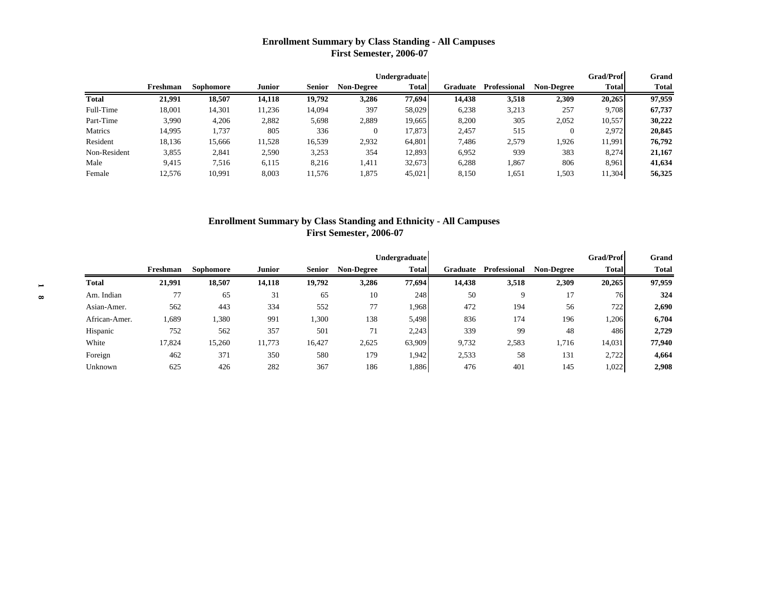### **Enrollment Summary by Class Standing - All Campuses First Semester, 2006-07**

|              |          |           |               |               |                   | <b>Undergraduate</b> |          |              |                   | <b>Grad/Prof</b> | Grand        |
|--------------|----------|-----------|---------------|---------------|-------------------|----------------------|----------|--------------|-------------------|------------------|--------------|
|              | Freshman | Sophomore | <b>Junior</b> | <b>Senior</b> | <b>Non-Degree</b> | <b>Total</b>         | Graduate | Professional | <b>Non-Degree</b> | <b>Total</b>     | <b>Total</b> |
| <b>Total</b> | 21,991   | 18,507    | 14,118        | 19.792        | 3,286             | 77.694               | 14,438   | 3,518        | 2,309             | 20,265           | 97,959       |
| Full-Time    | 18,001   | 14,301    | 11,236        | 14,094        | 397               | 58,029               | 6,238    | 3,213        | 257               | 9,708            | 67,737       |
| Part-Time    | 3,990    | 4,206     | 2,882         | 5,698         | 2,889             | 19.665               | 8,200    | 305          | 2,052             | 10,557           | 30,222       |
| Matrics      | 14,995   | 1,737     | 805           | 336           |                   | 17,873               | 2,457    | 515          | $\theta$          | 2,972            | 20,845       |
| Resident     | 18,136   | 15,666    | 11,528        | 16,539        | 2,932             | 64.801               | 7,486    | 2,579        | 1.926             | 11,991           | 76,792       |
| Non-Resident | 3,855    | 2,841     | 2,590         | 3,253         | 354               | 12,893               | 6,952    | 939          | 383               | 8,274            | 21,167       |
| Male         | 9,415    | 7,516     | 6,115         | 8,216         | 1,411             | 32,673               | 6,288    | 1,867        | 806               | 8.961            | 41,634       |
| Female       | 12,576   | 10,991    | 8,003         | 11,576        | 1,875             | 45,021               | 8,150    | 1,651        | 1,503             | 11,304           | 56,325       |

### **Enrollment Summary by Class Standing and Ethnicity - All Campuses First Semester, 2006-07**

|               |          |           |               |               |                   | Undergraduate |          |              |                   | <b>Grad/Prof</b> | Grand        |
|---------------|----------|-----------|---------------|---------------|-------------------|---------------|----------|--------------|-------------------|------------------|--------------|
|               | Freshman | Sophomore | <b>Junior</b> | <b>Senior</b> | <b>Non-Degree</b> | <b>Total</b>  | Graduate | Professional | <b>Non-Degree</b> | <b>Total</b>     | <b>Total</b> |
| Total         | 21,991   | 18,507    | 14,118        | 19,792        | 3,286             | 77,694        | 14,438   | 3,518        | 2,309             | 20,265           | 97,959       |
| Am. Indian    | 77       | 65        | 31            | 65            | 10                | 248           | 50       | 9            | 17                | 76               | 324          |
| Asian-Amer.   | 562      | 443       | 334           | 552           | 77                | 1,968         | 472      | 194          | 56                | 722              | 2,690        |
| African-Amer. | 1,689    | .380      | 991           | 1,300         | 138               | 5,498         | 836      | 174          | 196               | 1,206            | 6,704        |
| Hispanic      | 752      | 562       | 357           | 501           | 71                | 2,243         | 339      | 99           | 48                | 486              | 2,729        |
| White         | 17,824   | 15,260    | 11,773        | 16,427        | 2,625             | 63,909        | 9,732    | 2,583        | 1,716             | 14,031           | 77,940       |
| Foreign       | 462      | 371       | 350           | 580           | 179               | 1,942         | 2,533    | 58           | 131               | 2,722            | 4,664        |
| Unknown       | 625      | 426       | 282           | 367           | 186               | 1,886         | 476      | 401          | 145               | 1,022            | 2,908        |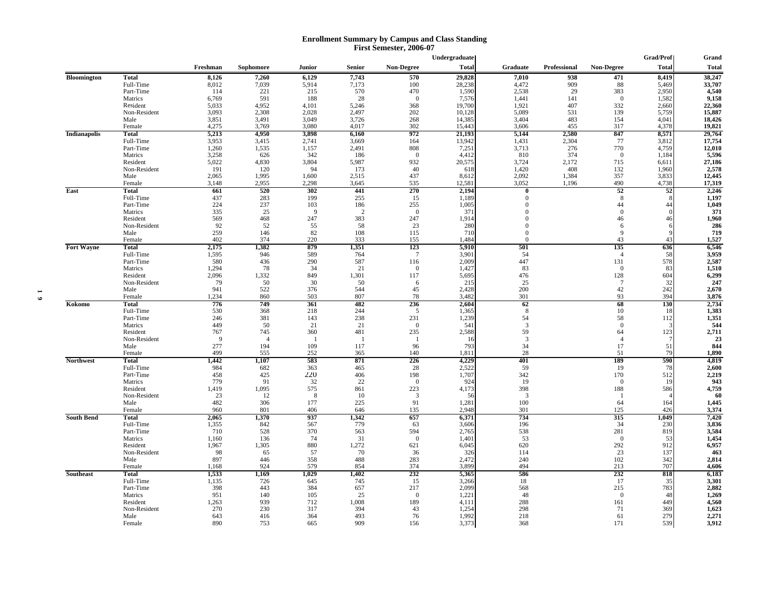#### **Enrollment Summary by Campus and Class Standing First Semester, 2006-07**

|                     |                           |                |                |                |                |                   | Undergraduate   |                         |              |                   | <b>Grad/Prof</b> | Grand            |
|---------------------|---------------------------|----------------|----------------|----------------|----------------|-------------------|-----------------|-------------------------|--------------|-------------------|------------------|------------------|
|                     |                           | Freshman       | Sophomore      | Junior         | Senior         | <b>Non-Degree</b> | <b>Total</b>    | Graduate                | Professional | <b>Non-Degree</b> | <b>Total</b>     | <b>Total</b>     |
| Bloomington         | <b>Total</b>              | 8,126          | 7,260          | 6,129          | 7,743          | 570               | 29,828          | 7,010                   | 938          | 471               | 8,419            | 38,247           |
|                     | Full-Time                 | 8,012          | 7,039          | 5,914          | 7,173          | 100               | 28,238          | 4,472                   | 909          | 88                | 5,469            | 33,707           |
|                     | Part-Time                 | 114            | 221            | 215            | 570            | 470               | 1,590           | 2,538                   | 29           | 383               | 2,950            | 4,540            |
|                     | Matrics                   | 6.769          | 591            | 188            | 28             | $\overline{0}$    | 7,576           | 1.441                   | 141          | $\overline{0}$    | 1,582            | 9,158            |
|                     | Resident                  | 5,033          | 4,952          | 4,101          | 5,246          | 368               | 19,700          | 1,921                   | 407          | 332               | 2,660            | 22,360           |
|                     | Non-Resident              | 3.093          | 2,308          | 2.028          | 2.497          | 202               | 10,128          | 5,089                   | 531          | 139               | 5,759            | 15,887           |
|                     | Male                      | 3,851          | 3,491          | 3,049          | 3,726<br>4.017 | 268<br>302        | 14,385          | 3,404                   | 483          | 154               | 4,041            | 18,426           |
|                     | Female                    | 4,275<br>5,213 | 3,769          | 3,080          |                | 972               | 15,443          | 3,606                   | 455<br>2,580 | 317<br>847        | 4,378<br>8,571   | 19,821<br>29,764 |
| <b>Indianapolis</b> | <b>Total</b><br>Full-Time |                | 4,950          | 3,898          | 6,160          | 164               | 21,193          | 5,144                   | 2,304        | 77                |                  |                  |
|                     | Part-Time                 | 3,953<br>1,260 | 3,415<br>1,535 | 2,741<br>1,157 | 3,669<br>2,491 | 808               | 13,942<br>7,251 | 1,431<br>3,713          | 276          | 770               | 3,812<br>4,759   | 17,754<br>12,010 |
|                     | Matrics                   | 3,258          | 626            | 342            | 186            | $\bf{0}$          | 4,412           | 810                     | 374          | $\mathbf{0}$      | 1,184            | 5,596            |
|                     | Resident                  | 5,022          | 4,830          | 3,804          | 5,987          | 932               | 20,575          | 3,724                   | 2,172        | 715               | 6,611            | 27,186           |
|                     | Non-Resident              | 191            | 120            | 94             | 173            | 40                | 618             | 1,420                   | 408          | 132               | 1,960            | 2,578            |
|                     | Male                      | 2,065          | 1,995          | 1,600          | 2,515          | 437               | 8,612           | 2,092                   | 1,384        | 357               | 3,833            | 12,445           |
|                     | Female                    | 3,148          | 2,955          | 2,298          | 3,645          | 535               | 12,581          | 3,052                   | 1,196        | 490               | 4,738            | 17,319           |
| East                | <b>Total</b>              | 661            | 520            | 302            | 441            | 270               | 2,194           | $\theta$                |              | 52                | 52               | 2,246            |
|                     | Full-Time                 | 437            | 283            | 199            | 255            | 15                | 1,189           | $\Omega$                |              | 8                 |                  | 1,197            |
|                     | Part-Time                 | 224            | 237            | 103            | 186            | 255               | 1,005           | $\Omega$                |              | 44                | 44               | 1,049            |
|                     | Matrics                   | 335            | 25             | 9              | $\overline{2}$ | $\mathbf{0}$      | 371             |                         |              | $\theta$          |                  | 371              |
|                     | Resident                  | 569            | 468            | 247            | 383            | 247               | 1,914           | $\Omega$                |              | 46                | 46               | 1,960            |
|                     | Non-Resident              | 92             | 52             | 55             | 58             | 23                | 280             | $\Omega$                |              | 6                 |                  | 286              |
|                     | Male<br>Female            | 259<br>402     | 146<br>374     | 82<br>220      | 108<br>333     | 115<br>155        | 710<br>1,484    | $\Omega$<br>$\Omega$    |              | 9<br>43           | 43               | 719<br>1,527     |
| <b>Fort Wayne</b>   | <b>Total</b>              | 2,175          | 1,382          | 879            | 1,351          | 123               | 5,910           | 501                     |              | 135               | 636              | 6,546            |
|                     | Full-Time                 | 1,595          | 946            | 589            | 764            | $\tau$            | 3,901           | 54                      |              | $\overline{4}$    | 58               | 3,959            |
|                     | Part-Time                 | 580            | 436            | 290            | 587            | 116               | 2,009           | 447                     |              | 131               | 578              | 2,587            |
|                     | Matrics                   | 1,294          | 78             | 34             | 21             | $\bf{0}$          | 1,427           | 83                      |              | $\boldsymbol{0}$  | 83               | 1,510            |
|                     | Resident                  | 2,096          | 1,332          | 849            | 1.301          | 117               | 5,695           | 476                     |              | 128               | 604              | 6,299            |
|                     | Non-Resident              | 79             | 50             | 30             | 50             | 6                 | 215             | 25                      |              | $7\phantom{.0}$   | 32               | 247              |
|                     | Male                      | 941            | 522            | 376            | 544            | 45                | 2,428           | 200                     |              | 42                | 242              | 2,670            |
|                     | Female                    | 1,234          | 860            | 503            | 807            | 78                | 3,482           | 301                     |              | 93                | 394              | 3,876            |
| Kokomo              | Total                     | 776            | 749            | 361            | 482            | 236               | 2,604           | 62                      |              | 68                | 130              | 2,734            |
|                     | Full-Time<br>Part-Time    | 530<br>246     | 368<br>381     | 218<br>143     | 244<br>238     | 5<br>231          | 1,365<br>1,239  | 8<br>54                 |              | 10<br>58          | -18<br>112       | 1,383<br>1,351   |
|                     | Matrics                   | 449            | 50             | 21             | 21             | $\mathbf{0}$      | 541             | 3                       |              | $\boldsymbol{0}$  |                  | 544              |
|                     | Resident                  | 767            | 745            | 360            | 481            | 235               | 2,588           | 59                      |              | 64                | 123              | 2,711            |
|                     | Non-Resident              | 9              | $\Delta$       |                | -1             | -1                | 16              | $\overline{\mathbf{3}}$ |              | $\overline{4}$    |                  | 23               |
|                     | Male                      | 277            | 194            | 109            | 117            | 96                | 793             | 34                      |              | 17                | 51               | 844              |
|                     | Female                    | 499            | 555            | 252            | 365            | 140               | 1,811           | 28                      |              | 51                | 79               | 1,890            |
| <b>Northwest</b>    | Total                     | 1.442          | 1,107          | 583            | 871            | 226               | 4,229           | 401                     |              | 189               | 590              | 4,819            |
|                     | Full-Time                 | 984            | 682            | 363            | 465            | 28                | 2,522           | 59                      |              | 19                | 78               | 2,600            |
|                     | Part-Time                 | 458            | 425            | 220            | 406            | 198               | 1,707           | 342                     |              | 170               | 512              | 2,219            |
|                     | Matrics                   | 779            | 91             | 32             | 22             | $\overline{0}$    | 924             | 19                      |              | $\Omega$          | 19               | 943              |
|                     | Resident                  | 1,419          | 1,095          | 575            | 861            | 223               | 4,173           | 398                     |              | 188               | 586              | 4,759            |
|                     | Non-Resident              | 23             | 12             | -8             | 10             | 3                 | 56              | 3                       |              | -1                |                  | 60               |
|                     | Male                      | 482            | 306            | 177            | 225            | 91                | 1,281           | 100                     |              | 64                | 164              | 1,445            |
|                     | Female                    | 960            | 801            | 406<br>937     | 646            | 135               | 2,948           | 301<br>734              |              | 125               | 426              | 3,374            |
| <b>South Bend</b>   | Total<br>Full-Time        | 2,065<br>1,355 | 1,370<br>842   | 567            | 1,342<br>779   | 657<br>63         | 6,371           | 196                     |              | 315<br>34         | 1,049<br>230     | 7,420            |
|                     | Part-Time                 | 710            | 528            | 370            | 563            | 594               | 3,606<br>2,765  | 538                     |              | 281               | 819              | 3,836<br>3,584   |
|                     | Matrics                   | 1,160          | 136            | 74             | 31             | $\mathbf{0}$      | 1,401           | 53                      |              | $\overline{0}$    | 53               | 1,454            |
|                     | Resident                  | 1,967          | 1,305          | 880            | 1,272          | 621               | 6,045           | 620                     |              | 292               | 912              | 6,957            |
|                     | Non-Resident              | 98             | 65             | 57             | 70             | 36                | 326             | 114                     |              | 23                | 137              | 463              |
|                     | Male                      | 897            | 446            | 358            | 488            | 283               | 2,472           | 240                     |              | 102               | 342              | 2,814            |
|                     | Female                    | 1,168          | 924            | 579            | 854            | 374               | 3,899           | 494                     |              | 213               | 707              | 4,606            |
| Southeast           | <b>Total</b>              | 1,533          | 1,169          | 1,029          | 1,402          | 232               | 5,365           | 586                     |              | 232               | 818              | 6,183            |
|                     | Full-Time                 | 1,135          | 726            | 645            | 745            | 15                | 3,266           | 18                      |              | 17                | 35               | 3,301            |
|                     | Part-Time                 | 398            | 443            | 384            | 657            | 217               | 2,099           | 568                     |              | 215               | 783              | 2,882            |
|                     | Matrics                   | 951            | 140            | 105            | 25             | $\overline{0}$    | 1,221           | 48                      |              | $\overline{0}$    | 48               | 1,269            |
|                     | Resident                  | 1,263          | 939            | 712            | 1,008          | 189               | 4,111           | 288                     |              | 161               | 449              | 4,560            |
|                     | Non-Resident              | 270            | 230            | 317            | 394            | 43                | 1,254           | 298                     |              | 71                | 369              | 1,623            |
|                     | Male                      | 643            | 416            | 364            | 493            | 76                | 1.992           | 218                     |              | 61                | 279              | 2,271            |
|                     | Female                    | 890            | 753            | 665            | 909            | 156               | 3,373           | 368                     |              | 171               | 539              | 3,912            |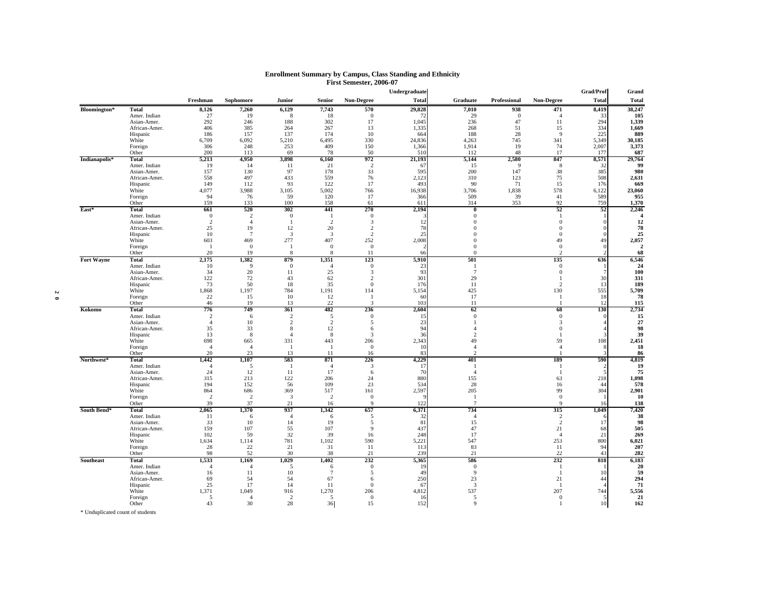|                   |                             |                |                         |                       |                       |                     | Undergraduate |                       |              |                        | Grad/Prof    | Grand          |
|-------------------|-----------------------------|----------------|-------------------------|-----------------------|-----------------------|---------------------|---------------|-----------------------|--------------|------------------------|--------------|----------------|
|                   |                             | Freshman       | Sophomore               | Junior                | Senior                | Non-Degree          | <b>Total</b>  | Graduate              | Professional | Non-Degree             | <b>Total</b> | <b>Total</b>   |
| Bloomington*      | <b>Total</b>                | 8,126          | 7,260                   | 6,129                 | 7,743                 | 570                 | 29,828        | 7,010                 | 938          | 471                    | 8,419        | 38,247         |
|                   | Amer. Indian                | 27             | 19                      | 8                     | 18                    | $\mathbf{0}$        | 72            | 29                    | $\mathbf{0}$ | $\overline{4}$         | 33           | 105            |
|                   | Asian-Amer.                 | 292            | 246                     | 188                   | 302                   | 17                  | 1,045         | 236                   | 47           | 11                     | 294          | 1.339          |
|                   | African-Amer.               | 406            | 385                     | 264                   | 267                   | 13                  | 1,335         | 268                   | 51           | 15                     | 334          | 1,669          |
|                   | Hispanic                    | 186            | 157                     | 137                   | 174                   | 10                  | 664           | 188                   | 28           | $\overline{9}$         | 225          | 889            |
|                   | White                       | 6,709          | 6,092                   | 5,210                 | 6,495                 | 330                 | 24,836        | 4,263                 | 745          | 341                    | 5,349        | 30,185         |
|                   | Foreign                     | 306            | 248                     | 253                   | 409                   | 150                 | 1,366         | 1,914                 | 19           | 74                     | 2,007        | 3,373          |
|                   | Other                       | 200            | 113                     | 69                    | 78                    | 50                  | 510           | 112                   | 48           | 17                     | 177          | 687            |
| Indianapolis*     | Total                       | 5,213<br>19    | 4.950                   | 3.898                 | 6,160                 | 972<br>2            | 21,193        | 5,144                 | 2,580<br>-9  | 847                    | 8,571        | 29,764<br>99   |
|                   | Amer. Indian<br>Asian-Amer. | 157            | 14<br>130               | 11<br>97              | 21<br>178             | 33                  | 67<br>595     | 15<br>200             | 147          | 8<br>38                | 32<br>385    | 980            |
|                   | African-Amer.               | 558            | 497                     | 433                   | 559                   | 76                  | 2,123         | 310                   | 123          | 75                     | 508          | 2,631          |
|                   | Hispanic                    | 149            | 112                     | 93                    | 122                   | 17                  | 493           | 90                    | 71           | 15                     | 176          | 669            |
|                   | White                       | 4.077          | 3,988                   | 3,105                 | 5,002                 | 766                 | 16,938        | 3,706                 | 1,838        | 578                    | 6,122        | 23,060         |
|                   | Foreign                     | 94             | 76                      | 59                    | 120                   | 17                  | 366           | 509                   | 39           | 41                     | 589          | 955            |
|                   | Other                       | 159            | 133                     | 100                   | 158                   | 61                  | 611           | 314                   | 353          | 92                     | 759          | 1,370          |
| East*             | <b>Total</b>                | 661            | 520                     | 302                   | 441                   | 270                 | 2,194         | $\bf{0}$              |              | 52                     | 52           | 2,246          |
|                   | Amer. Indian                | $\overline{0}$ | 2                       | $\bf{0}$              | -1                    | $\overline{0}$      |               | $\mathbf{0}$          |              | -1                     |              | Δ              |
|                   | Asian-Amer.                 | 2              | $\overline{4}$          | -1                    | $\overline{2}$        | 3                   | 12            | $\Omega$              |              | $\mathbf{0}$           |              | 12             |
|                   | African-Amer.               | 25             | 19                      | 12                    | 20                    | 2                   | 78            |                       |              | $\mathbf{0}$           |              | 78             |
|                   | Hispanic                    | 10             | $\overline{7}$          | 3                     | 3                     | $\overline{2}$      | 25            |                       |              | $\mathbf{0}$           |              | 25             |
|                   | White                       | 603            | 469                     | 277                   | 407                   | 252                 | 2,008         |                       |              | 49                     | 49           | 2,057          |
|                   | Foreign                     | - 1            | $\theta$                | -1                    | $\mathbf{0}$          | $\overline{0}$      |               | $\Omega$              |              | $\mathbf{0}$           |              | $\overline{2}$ |
|                   | Other                       | 20             | 19                      | 8                     | $\mathbf{\mathsf{R}}$ | 11                  | 66            | $\Omega$              |              | $\mathcal{D}$          |              | 68             |
| <b>Fort Wayne</b> | <b>Total</b>                | 2,175          | 1,382                   | 879                   | 1,351                 | 123                 | 5,910         | 501                   |              | 135                    | 636          | 6,546          |
|                   | Amer. Indian                | 10             | 9                       | $\mathbf{0}$          | $\overline{4}$        | $\overline{0}$      | 23            | $\mathbf{1}$          |              | $\mathbf{0}$           |              | 24             |
|                   | Asian-Amer.                 | 34             | 20                      | 11                    | 25                    | 3                   | 93            | 7                     |              | $\mathbf{0}$           |              | 100            |
|                   | African-Amer.               | 122            | 72                      | 43                    | 62                    | 2                   | 301           | 29                    |              | $\overline{1}$         | 30           | 331            |
|                   | Hispanic                    | 73             | 50                      | 18                    | 35                    | $\mathbf{0}$<br>114 | 176           | 11                    |              | $\overline{2}$         | 13           | 189            |
|                   | White<br>Foreign            | 1,868<br>22    | 1,197<br>15             | 784<br>10             | 1,191<br>12           | -1                  | 5,154<br>60   | 425<br>17             |              | 130<br>-1              | 555<br>18    | 5,709<br>78    |
|                   | Other                       | 46             | 19                      | 13                    | 22                    | 3                   | 103           | 11                    |              | -1                     | 12           | 115            |
| Kokomo            | Total                       | 776            | 749                     | 361                   | 482                   | 236                 | 2,604         | 62                    |              | 68                     | 130          | 2,734          |
|                   | Amer. Indian                | 2              | 6                       | 2                     | 5                     | $\overline{0}$      | -15           | $\Omega$              |              | $\overline{0}$         |              | 15             |
|                   | Asian-Amer.                 | $\overline{4}$ | 10                      | $\mathbf{2}$          | $\mathbf{2}$          | 5                   | 23            |                       |              | 3                      |              | 27             |
|                   | African-Amer.               | 35             | 33                      | $\,$ 8 $\,$           | 12                    | 6                   | 94            |                       |              | $\mathbf{0}$           |              | 98             |
|                   | Hispanic                    | 13             | 8                       | $\boldsymbol{\Delta}$ | 8                     | 3                   | 36            |                       |              | $\overline{1}$         |              | 39             |
|                   | White                       | 698            | 665                     | 331                   | 443                   | 206                 | 2,343         | 49                    |              | 59                     | 108          | 2,451          |
|                   | Foreign                     | $\overline{4}$ | $\overline{4}$          | -1                    |                       | $\overline{0}$      | 10            | $\overline{4}$        |              | $\overline{4}$         |              | 18             |
|                   | Other                       | 20             | 23                      | 13                    | 11                    | 16                  | 83            | $\mathcal{D}$         |              |                        |              | 86             |
| Northwest*        | Total                       | 1,442          | 1,107                   | 583                   | 871                   | 226                 | 4,229         | 401                   |              | 189                    | 590          | 4,819          |
|                   | Amer. Indian                | $\overline{4}$ | 5                       | - 1                   | $\overline{4}$        | 3                   | -17           | $\mathbf{1}$          |              | -1                     |              | 19             |
|                   | Asian-Amer.                 | 24<br>315      | 12<br>213               | 11<br>122             | 17<br>206             | 6<br>24             | 70<br>880     | $\boldsymbol{\Delta}$ |              | -1                     | 218          | 75             |
|                   | African-Amer.<br>Hispanic   | 194            | 152                     | 56                    | 109                   | 23                  | 534           | 155<br>28             |              | 63<br>16               | 44           | 1,098<br>578   |
|                   | White                       | 864            | 686                     | 369                   | 517                   | 161                 | 2,597         | 205                   |              | 99                     | 304          | 2,901          |
|                   | Foreign                     | $\overline{2}$ | $\overline{2}$          | 3                     | $\overline{2}$        | $\overline{0}$      |               | -1                    |              | $\overline{0}$         |              | 10             |
|                   | Other                       | 39             | 37                      | 21                    | 16                    | 9                   | 122           | $7\phantom{.0}$       |              | 9                      | 16           | 138            |
| South Bend*       | Total                       | 2.065          | 1,370                   | 937                   | 1,342                 | 657                 | 6,371         | 734                   |              | 315                    | 1.049        | 7,420          |
|                   | Amer. Indian                | 11             | 6                       | $\overline{4}$        | 6                     | 5                   | 32            | $\overline{4}$        |              | 2                      |              | 38             |
|                   | Asian-Amer.                 | 33             | 10                      | 14                    | 19                    | 5                   | 81            | 15                    |              | $\overline{c}$         | 17           | 98             |
|                   | African-Amer.               | 159            | 107                     | 55                    | 107                   | 9                   | 437           | 47                    |              | 21                     | 68           | 505            |
|                   | Hispanic                    | 102            | 59                      | 32                    | 39                    | 16                  | 248           | 17                    |              | $\boldsymbol{\Lambda}$ | 21           | 269            |
|                   | White                       | 1.634          | 1.114                   | 781                   | 1,102                 | 590                 | 5,221         | 547                   |              | 253                    | 800          | 6,021          |
|                   | Foreign                     | 28             | 22                      | 21                    | 31                    | 11                  | 113           | 83                    |              | 11                     | 94           | 207            |
|                   | Other                       | 98             | 52                      | 30                    | 38                    | 21                  | 239           | 21                    |              | 22                     | 43           | 282            |
| Southeast         | Total                       | 1,533          | 1,169                   | 1.029                 | 1,402                 | 232                 | 5,365         | 586                   |              | 232                    | 818          | 6,183          |
|                   | Amer. Indian                | $\overline{4}$ | $\overline{4}$          | 5                     | 6                     | $\overline{0}$      | 19            | $\Omega$              |              | -1                     |              | 20             |
|                   | Asian-Amer.                 | 16             | 11                      | 10                    | $\overline{7}$        | 5                   | 49            | 9                     |              | -1                     | 10           | 59             |
|                   | African-Amer.               | 69             | 54                      | 54                    | 67                    | 6                   | 250           | 23                    |              | 21                     | 44           | 294            |
|                   | Hispanic                    | 25             | 17                      | 14                    | 11                    | $\mathbf{0}$        | 67            | 3                     |              | -1<br>207              | 744          | 71<br>5,556    |
|                   | White<br>Foreign            | 1,371<br>5     | 1,049<br>$\overline{4}$ | 916<br>$\overline{2}$ | 1,270<br>5            | 206<br>$\mathbf{0}$ | 4,812<br>-16  | 537<br>5              |              | $\mathbf{0}$           |              | 21             |
|                   | Other                       | 43             | 30                      | 28                    | 36                    | 15                  | 152           |                       |              |                        | 10           | 162            |
|                   |                             |                |                         |                       |                       |                     |               |                       |              |                        |              |                |

#### **Enrollment Summary by Campus, Class Standing and Ethnicity First Semester, 2006-07**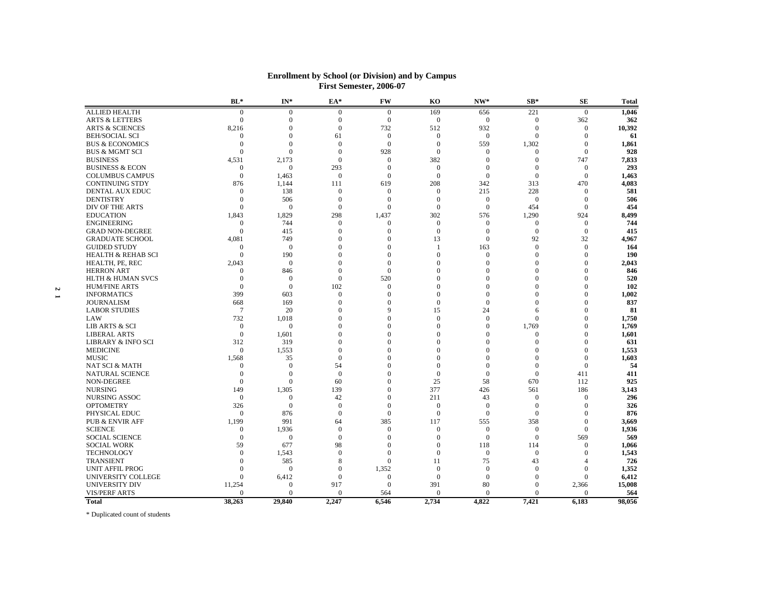|                               | $BL*$                 | $IN^*$          | EA*                  | FW              | K <sub>0</sub>   | NW*              | $SB*$                    | <b>SE</b>        | <b>Total</b> |
|-------------------------------|-----------------------|-----------------|----------------------|-----------------|------------------|------------------|--------------------------|------------------|--------------|
| <b>ALLIED HEALTH</b>          | $\mathbf{0}$          | $\mathbf{0}$    | $\mathbf{0}$         | $\mathbf{0}$    | 169              | 656              | 221                      | $\mathbf{0}$     | 1,046        |
| <b>ARTS &amp; LETTERS</b>     | $\Omega$              | $\theta$        | $\overline{0}$       | $\mathbf{0}$    | $\mathbf{0}$     | $\boldsymbol{0}$ | $\Omega$                 | 362              | 362          |
| <b>ARTS &amp; SCIENCES</b>    | 8,216                 | $\theta$        | $\mathbf{0}$         | 732             | 512              | 932              | $\theta$                 | $\theta$         | 10,392       |
| <b>BEH/SOCIAL SCI</b>         |                       | $\theta$        | 61                   | $\theta$        | $\Omega$         | $\mathbf{0}$     | $\Omega$                 | $\theta$         | 61           |
| <b>BUS &amp; ECONOMICS</b>    | $\theta$              | $\theta$        | $\mathbf{0}$         | $\mathbf{0}$    | $\Omega$         | 559              | 1,302                    | $\mathbf{0}$     | 1,861        |
| <b>BUS &amp; MGMT SCI</b>     | $\Omega$              | $\theta$        | $\mathbf{0}$         | 928             | $\mathbf{0}$     | $\mathbf{0}$     | $\Omega$                 | $\mathbf{0}$     | 928          |
| <b>BUSINESS</b>               | 4,531                 | 2,173           | $\boldsymbol{0}$     | $\mathbf{0}$    | 382              | $\mathbf{0}$     | $\mathbf{0}$             | 747              | 7,833        |
| <b>BUSINESS &amp; ECON</b>    | $\Omega$              | $\mathbf{0}$    | 293                  | $\mathbf{0}$    | $\overline{0}$   | $\mathbf{0}$     | $\mathbf{0}$             | $\mathbf{0}$     | 293          |
| <b>COLUMBUS CAMPUS</b>        | $\Omega$              | 1.463           | $\mathbf{0}$         | $\Omega$        | $\Omega$         | $\theta$         | $\Omega$                 | $\Omega$         | 1,463        |
| <b>CONTINUING STDY</b>        | 876                   | 1,144           | 111                  | 619             | 208              | 342              | 313                      | 470              | 4,083        |
| DENTAL AUX EDUC               | $\theta$              | 138             | $\theta$             | $\Omega$        | $\theta$         | 215              | 228                      | $\Omega$         | 581          |
| <b>DENTISTRY</b>              | $\Omega$              | 506             | $\mathbf{0}$         | $\mathbf{0}$    | $\Omega$         | $\mathbf{0}$     | $\overline{0}$           | $\mathbf{0}$     | 506          |
| DIV OF THE ARTS               | $\Omega$              | $\theta$        | $\mathbf{0}$         | $\Omega$        | $\Omega$         | $\mathbf{0}$     | 454                      | $\Omega$         | 454          |
| <b>EDUCATION</b>              | 1,843                 | 1,829           | 298                  | 1,437           | 302              | 576              | 1,290                    | 924              | 8,499        |
| <b>ENGINEERING</b>            | $\Omega$              | 744             | $\mathbf{0}$         | $\Omega$        | $\mathbf{0}$     | $\mathbf{0}$     | $\mathbf{0}$             | $\mathbf{0}$     | 744          |
| <b>GRAD NON-DEGREE</b>        | $\theta$              | 415             | $\overline{0}$       | $\mathbf{0}$    | $\boldsymbol{0}$ | $\mathbf{0}$     | $\mathbf{0}$             | $\boldsymbol{0}$ | 415          |
| <b>GRADUATE SCHOOL</b>        | 4,081                 | 749             | $\theta$             | $\Omega$        | 13               | $\mathbf{0}$     | 92                       | 32               | 4,967        |
| <b>GUIDED STUDY</b>           | $\theta$              | $\theta$        | $\Omega$             | $\Omega$        |                  | 163              | $\Omega$                 | $\mathbf{0}$     | 164          |
| <b>HEALTH &amp; REHAB SCI</b> | $\mathbf{0}$          | 190             | $\theta$             | $\mathbf{0}$    | $\Omega$         | $\mathbf{0}$     | $\mathbf{0}$             | $\mathbf{0}$     | 190          |
| HEALTH, PE, REC               | 2,043                 | $\theta$        | $\theta$             | $\Omega$        | $\Omega$         | $\Omega$         | $\Omega$                 | $\mathbf{0}$     | 2,043        |
|                               | $\Omega$              |                 | $\theta$             | $\Omega$        | $\Omega$         | $\Omega$         | $\mathbf{0}$             | $\mathbf{0}$     |              |
| <b>HERRON ART</b>             | $\Omega$              | 846<br>$\theta$ | $\Omega$             |                 | $\Omega$         | $\Omega$         | $\Omega$                 | $\theta$         | 846<br>520   |
| <b>HLTH &amp; HUMAN SVCS</b>  | $\Omega$              | $\theta$        |                      | 520<br>$\Omega$ | $\Omega$         | $\Omega$         | $\Omega$                 | $\mathbf{0}$     | 102          |
| <b>HUM/FINE ARTS</b>          |                       |                 | 102                  |                 |                  |                  |                          |                  |              |
| <b>INFORMATICS</b>            | 399                   | 603             | $\boldsymbol{0}$     | $\mathbf{0}$    | $\mathbf{0}$     | $\mathbf{0}$     | $\mathbf{0}$<br>$\Omega$ | $\mathbf{0}$     | 1,002        |
| <b>JOURNALISM</b>             | 668<br>$\overline{7}$ | 169             | $\theta$             | $\Omega$        | $\mathbf{0}$     | $\mathbf{0}$     |                          | $\mathbf{0}$     | 837          |
| <b>LABOR STUDIES</b>          |                       | 20              | $\theta$<br>$\theta$ | 9<br>$\Omega$   | 15               | 24               | 6<br>$\Omega$            | $\boldsymbol{0}$ | 81           |
| LAW                           | 732                   | 1,018           |                      |                 | $\mathbf{0}$     | $\mathbf{0}$     |                          | $\mathbf{0}$     | 1,750        |
| <b>LIB ARTS &amp; SCI</b>     | $\Omega$              | $\mathbf{0}$    | $\Omega$             | $\Omega$        | $\Omega$         | $\mathbf{0}$     | 1,769                    | $\theta$         | 1,769        |
| <b>LIBERAL ARTS</b>           | $\theta$              | 1,601           | $\theta$             | $\Omega$        | $\Omega$         | $\Omega$         | $\mathbf{0}$             | $\mathbf{0}$     | 1,601        |
| <b>LIBRARY &amp; INFO SCI</b> | 312                   | 319             | $\theta$             | $\Omega$        | $\Omega$         | $\Omega$         | $\Omega$                 | $\mathbf{0}$     | 631          |
| <b>MEDICINE</b>               | $\Omega$              | 1,553           | $\Omega$             | $\Omega$        | $\Omega$         | $\Omega$         | $\Omega$                 | $\theta$         | 1,553        |
| <b>MUSIC</b>                  | 1,568                 | 35              | $\mathbf{0}$         | $\Omega$        | $\Omega$         | 0                | $\Omega$                 | $\mathbf{0}$     | 1,603        |
| <b>NAT SCI &amp; MATH</b>     | $\Omega$              | $\theta$        | 54                   | $\Omega$        | $\Omega$         | $\Omega$         | $\Omega$                 | $\theta$         | 54           |
| <b>NATURAL SCIENCE</b>        | $\theta$              | $\theta$        | $\boldsymbol{0}$     | $\Omega$        | $\mathbf{0}$     | $\mathbf{0}$     | $\mathbf{0}$             | 411              | 411          |
| NON-DEGREE                    | $\Omega$              | $\overline{0}$  | 60                   | $\Omega$        | 25               | 58               | 670                      | 112              | 925          |
| <b>NURSING</b>                | 149                   | 1,305           | 139                  | $\theta$        | 377              | 426              | 561                      | 186              | 3,143        |
| <b>NURSING ASSOC</b>          | $\Omega$              | $\theta$        | 42                   | $\Omega$        | 211              | 43               | $\overline{0}$           | $\mathbf{0}$     | 296          |
| <b>OPTOMETRY</b>              | 326                   | $\theta$        | $\mathbf{0}$         | $\Omega$        | $\theta$         | $\mathbf{0}$     | $\theta$                 | $\Omega$         | 326          |
| PHYSICAL EDUC                 | $\Omega$              | 876             | $\mathbf{0}$         | $\theta$        | $\Omega$         | $\mathbf{0}$     | $\overline{0}$           | $\mathbf{0}$     | 876          |
| <b>PUB &amp; ENVIR AFF</b>    | 1,199                 | 991             | 64                   | 385             | 117              | 555              | 358                      | $\mathbf{0}$     | 3,669        |
| <b>SCIENCE</b>                | $\Omega$              | 1,936           | $\mathbf{0}$         | $\theta$        | $\theta$         | $\mathbf{0}$     | $\Omega$                 | $\theta$         | 1,936        |
| <b>SOCIAL SCIENCE</b>         | $\Omega$              | $\theta$        | $\mathbf{0}$         | $\Omega$        | $\Omega$         | $\mathbf{0}$     | $\theta$                 | 569              | 569          |
| <b>SOCIAL WORK</b>            | 59                    | 677             | 98                   | $\mathbf{0}$    | $\theta$         | 118              | 114                      | $\boldsymbol{0}$ | 1,066        |
| <b>TECHNOLOGY</b>             | $\Omega$              | 1,543           | $\mathbf{0}$         | $\Omega$        | $\Omega$         | $\mathbf{0}$     | $\overline{0}$           | $\theta$         | 1,543        |
| <b>TRANSIENT</b>              | $\Omega$              | 585             | 8                    | $\Omega$        | 11               | 75               | 43                       | 4                | 726          |
| <b>UNIT AFFIL PROG</b>        | $\Omega$              | $\overline{0}$  | $\mathbf{0}$         | 1,352           | $\mathbf{0}$     | $\mathbf{0}$     | $\mathbf{0}$             | $\mathbf{0}$     | 1,352        |
| UNIVERSITY COLLEGE            | $\Omega$              | 6,412           | $\overline{0}$       | $\Omega$        | $\theta$         | $\mathbf{0}$     | $\Omega$                 | $\Omega$         | 6,412        |
| UNIVERSITY DIV                | 11,254                | $\theta$        | 917                  | $\mathbf{0}$    | 391              | 80               | $\Omega$                 | 2,366            | 15,008       |
| <b>VIS/PERF ARTS</b>          |                       | $\theta$        | $\theta$             | 564             | $\Omega$         | $\Omega$         | $\Omega$                 | $\Omega$         | 564          |
| <b>Total</b>                  | 38,263                | 29,840          | 2,247                | 6,546           | 2,734            | 4,822            | 7,421                    | 6,183            | 98,056       |
|                               |                       |                 |                      |                 |                  |                  |                          |                  |              |

#### **Enrollment by School (or Division) and by Campus First Semester, 2006-07**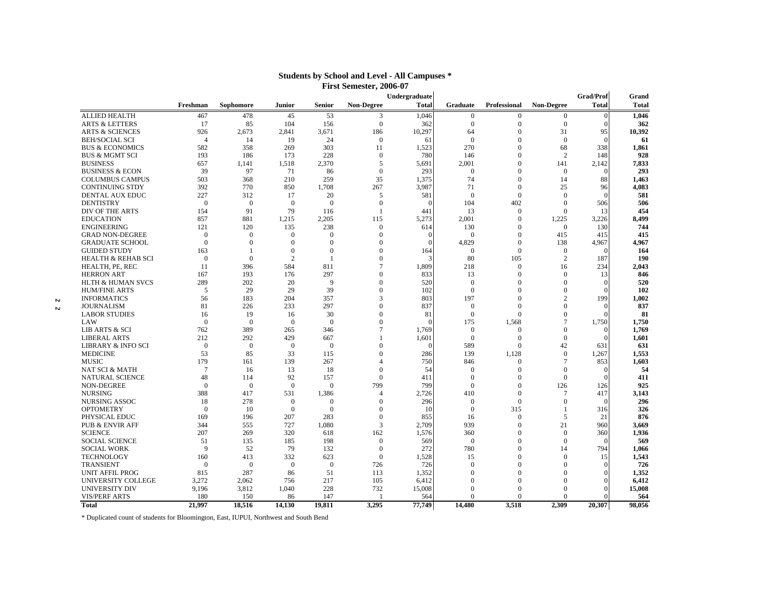|   |                               |                |                |                |                |                   | Undergraduate |                  |                     |                   | <b>Grad/Prof</b> | Grand        |
|---|-------------------------------|----------------|----------------|----------------|----------------|-------------------|---------------|------------------|---------------------|-------------------|------------------|--------------|
|   |                               | Freshman       | Sophomore      | Junior         | Senior         | <b>Non-Degree</b> | <b>Total</b>  | <b>Graduate</b>  | <b>Professional</b> | <b>Non-Degree</b> | <b>Total</b>     | <b>Total</b> |
|   | <b>ALLIED HEALTH</b>          | 467            | 478            | 45             | 53             | 3                 | 1,046         | $\mathbf{0}$     | $\mathbf{0}$        | $\Omega$          | $\Omega$         | 1,046        |
|   | <b>ARTS &amp; LETTERS</b>     | 17             | 85             | 104            | 156            | $\mathbf{0}$      | 362           | $\overline{0}$   | $\mathbf{0}$        | $\overline{0}$    | $\Omega$         | 362          |
|   | <b>ARTS &amp; SCIENCES</b>    | 926            | 2,673          | 2,841          | 3,671          | 186               | 10,297        | 64               | $\theta$            | 31                | 95               | 10,392       |
|   | <b>BEH/SOCIAL SCI</b>         | $\overline{4}$ | 14             | 19             | 24             | $\mathbf{0}$      | 61            | $\mathbf{0}$     | $\Omega$            | $\overline{0}$    | $\Omega$         | 61           |
|   | <b>BUS &amp; ECONOMICS</b>    | 582            | 358            | 269            | 303            | 11                | 1,523         | 270              | $\Omega$            | 68                | 338              | 1,861        |
|   | <b>BUS &amp; MGMT SCI</b>     | 193            | 186            | 173            | 228            | $\mathbf{0}$      | 780           | 146              | $\Omega$            | $\overline{2}$    | 148              | 928          |
|   | <b>BUSINESS</b>               | 657            | 1,141          | 1,518          | 2,370          | 5                 | 5,691         | 2,001            | $\Omega$            | 141               | 2,142            | 7,833        |
|   | <b>BUSINESS &amp; ECON</b>    | 39             | 97             | 71             | 86             | $\mathbf{0}$      | 293           | $\mathbf{0}$     | $\Omega$            | $\Omega$          | $\Omega$         | 293          |
|   | <b>COLUMBUS CAMPUS</b>        | 503            | 368            | 210            | 259            | 35                | 1,375         | 74               | $\theta$            | 14                | 88               | 1,463        |
|   | <b>CONTINUING STDY</b>        | 392            | 770            | 850            | 1,708          | 267               | 3,987         | 71               | $\mathbf{0}$        | 25                | 96               | 4,083        |
|   | <b>DENTAL AUX EDUC</b>        | 227            | 312            | 17             | 20             | 5                 | 581           | $\mathbf{0}$     | $\Omega$            | $\Omega$          | £                | 581          |
|   | <b>DENTISTRY</b>              | $\overline{0}$ | $\overline{0}$ | $\Omega$       | $\overline{0}$ | $\overline{0}$    |               | 104              | 402                 | $\Omega$          | 506              | 506          |
|   | DIV OF THE ARTS               | 154            | 91             | 79             | 116            |                   | 441           | 13               | $\mathbf{0}$        | $\Omega$          | 13               | 454          |
|   | <b>EDUCATION</b>              | 857            | 881            | 1,215          | 2,205          | 115               | 5,273         | 2,001            | $\Omega$            | 1,225             | 3,226            | 8,499        |
|   | <b>ENGINEERING</b>            | 121            | 120            | 135            | 238            | $\Omega$          | 614           | 130              | $\theta$            | $\Omega$          | 130              | 744          |
|   | <b>GRAD NON-DEGREE</b>        | $\mathbf{0}$   | $\mathbf{0}$   | $\Omega$       | $\mathbf{0}$   | $\theta$          | $\Omega$      | $\mathbf{0}$     | $\theta$            | 415               | 415              | 415          |
|   | <b>GRADUATE SCHOOL</b>        | $\mathbf{0}$   | $\mathbf{0}$   | $\Omega$       | $\Omega$       | $\Omega$          | ∩             | 4,829            | $\mathbf{0}$        | 138               | 4,967            | 4,967        |
|   | <b>GUIDED STUDY</b>           | 163            |                | $\Omega$       | $\Omega$       | $\Omega$          | 164           | $\mathbf{0}$     | $\Omega$            | $\overline{0}$    | £                | 164          |
|   | <b>HEALTH &amp; REHAB SCI</b> | $\mathbf{0}$   | $\Omega$       | $\overline{2}$ | -1             | $\Omega$          |               | 80               | 105                 | $\overline{2}$    | 187              | 190          |
|   | HEALTH, PE, REC               | 11             | 396            | 584            | 811            | 7                 | 1,809         | 218              | $\mathbf{0}$        | 16                | 234              | 2,043        |
|   | <b>HERRON ART</b>             | 167            | 193            | 176            | 297            | $\Omega$          | 833           | 13               | $\Omega$            | $\overline{0}$    | 13               | 846          |
|   | <b>HLTH &amp; HUMAN SVCS</b>  | 289            | 202            | 20             | 9              | $\Omega$          | 520           | $\overline{0}$   | $\Omega$            | $\overline{0}$    | $\Omega$         | 520          |
|   | <b>HUM/FINE ARTS</b>          | 5              | 29             | 29             | 39             | $\Omega$          | 102           | $\mathbf{0}$     | $\Omega$            | $\overline{0}$    |                  | 102          |
| 2 | <b>INFORMATICS</b>            | 56             | 183            | 204            | 357            | 3                 | 803           | 197              | $\Omega$            | $\overline{2}$    | 199              | 1,002        |
| 2 | <b>JOURNALISM</b>             | 81             | 226            | 233            | 297            | $\Omega$          | 837           | $\mathbf{0}$     | $\Omega$            | $\Omega$          |                  | 837          |
|   | <b>LABOR STUDIES</b>          | 16             | 19             | 16             | 30             | $\Omega$          | 81            | $\overline{0}$   | $\Omega$            | $\overline{0}$    |                  | 81           |
|   | LAW                           | $\Omega$       | $\theta$       | $\Omega$       | $\theta$       | $\Omega$          | $\Omega$      | 175              | 1,568               | $\overline{7}$    | 1,750            | 1,750        |
|   | LIB ARTS & SCI                | 762            | 389            | 265            | 346            | 7                 | 1,769         | $\mathbf{0}$     | $\mathbf{0}$        | $\overline{0}$    |                  | 1,769        |
|   | <b>LIBERAL ARTS</b>           | 212            | 292            | 429            | 667            |                   | 1,601         | $\boldsymbol{0}$ | $\mathbf{0}$        | $\overline{0}$    | $\sqrt{ }$       | 1,601        |
|   | <b>LIBRARY &amp; INFO SCI</b> | $\mathbf{0}$   | $\overline{0}$ | $\Omega$       | $\overline{0}$ | $\Omega$          | $\Omega$      | 589              | $\Omega$            | 42                | 631              | 631          |
|   | <b>MEDICINE</b>               | 53             | 85             | 33             | 115            | $\Omega$          | 286           | 139              | 1,128               | $\overline{0}$    | 1,267            | 1,553        |
|   | <b>MUSIC</b>                  | 179            | 161            | 139            | 267            | $\overline{4}$    | 750           | 846              | $\mathbf{0}$        | $7\phantom{.0}$   | 853              | 1,603        |
|   | NAT SCI & MATH                | $\overline{7}$ | 16             | 13             | 18             | $\Omega$          | 54            | $\mathbf{0}$     | $\Omega$            | $\Omega$          | $\Omega$         | 54           |
|   | <b>NATURAL SCIENCE</b>        | 48             | 114            | 92             | 157            | $\mathbf{0}$      | 411           | $\mathbf{0}$     | $\Omega$            | $\Omega$          | $\Omega$         | 411          |
|   | NON-DEGREE                    | $\mathbf{0}$   | $\theta$       | $\overline{0}$ | $\mathbf{0}$   | 799               | 799           | $\overline{0}$   | $\theta$            | 126               | 126              | 925          |
|   | <b>NURSING</b>                | 388            | 417            | 531            | 1,386          | $\overline{4}$    | 2,726         | 410              | $\mathbf{0}$        | $7\phantom{.0}$   | 417              | 3,143        |
|   | NURSING ASSOC                 | 18             | 278            | $\overline{0}$ | $\mathbf{0}$   | $\theta$          | 296           | $\overline{0}$   | $\Omega$            | $\overline{0}$    | $\Omega$         | 296          |
|   | <b>OPTOMETRY</b>              | $\overline{0}$ | 10             | $\mathbf{0}$   | $\overline{0}$ | $\theta$          | 10            | $\mathbf{0}$     | 315                 | $\overline{1}$    | 316              | 326          |
|   | PHYSICAL EDUC                 | 169            | 196            | 207            | 283            | $\theta$          | 855           | 16               | $\mathbf{0}$        | 5                 | 21               | 876          |
|   | <b>PUB &amp; ENVIR AFF</b>    | 344            | 555            | 727            | 1,080          | 3                 | 2,709         | 939              | $\Omega$            | 21                | 960              | 3,669        |
|   | <b>SCIENCE</b>                | 207            | 269            | 320            | 618            | 162               | 1,576         | 360              | $\theta$            | $\overline{0}$    | 360              | 1,936        |
|   | <b>SOCIAL SCIENCE</b>         | 51             | 135            | 185            | 198            | $\boldsymbol{0}$  | 569           | $\overline{0}$   | $\theta$            | $\overline{0}$    | $\sqrt{ }$       | 569          |
|   | <b>SOCIAL WORK</b>            | 9              | 52             | 79             | 132            | $\mathbf{0}$      | 272           | 780              | $\Omega$            | 14                | 794              | 1,066        |
|   | <b>TECHNOLOGY</b>             | 160            | 413            | 332            | 623            | $\overline{0}$    | 1,528         | 15               | $\Omega$            | $\Omega$          | 15               | 1,543        |
|   | <b>TRANSIENT</b>              | $\mathbf{0}$   | $\theta$       | $\theta$       | $\mathbf{0}$   | 726               | 726           | $\mathbf{0}$     | $\Omega$            | $\theta$          | $\Omega$         | 726          |
|   | <b>UNIT AFFIL PROG</b>        | 815            | 287            | 86             | 51             | 113               | 1,352         | $\Omega$         | $\Omega$            | $\theta$          |                  | 1,352        |
|   | UNIVERSITY COLLEGE            | 3,272          | 2,062          | 756            | 217            | 105               | 6,412         | $\Omega$         | $\Omega$            | $\theta$          |                  | 6,412        |
|   | UNIVERSITY DIV                | 9,196          | 3,812          | 1,040          | 228            | 732               | 15,008        | $\Omega$         | $\Omega$            | $\Omega$          |                  | 15,008       |
|   | <b>VIS/PERF ARTS</b>          | 180            | 150            | 86             | 147            |                   | 564           | $\Omega$         | $\Omega$            | $\Omega$          |                  | 564          |
|   | <b>Total</b>                  | 21,997         | 18,516         | 14,130         | 19,811         | 3,295             | 77,749        | 14,480           | 3.518               | 2.309             | 20.307           | 98,056       |

#### **Students by School and Level - All Campuses \* First Semester, 2006-07**

\* Duplicated count of students for Bloomington, East, IUPUI, Northwest and South Bend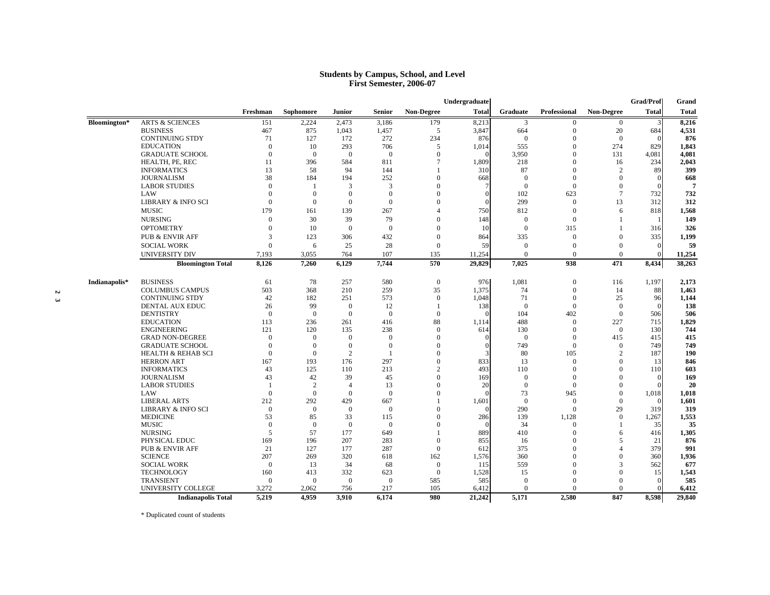#### **Students by Campus, School, and Level First Semester, 2006-07**

|               |                               |                |                |                |                |                   | Undergraduate |                |                     |                   | <b>Grad/Prof</b> | Grand        |
|---------------|-------------------------------|----------------|----------------|----------------|----------------|-------------------|---------------|----------------|---------------------|-------------------|------------------|--------------|
|               |                               | Freshman       | Sophomore      | <b>Junior</b>  | <b>Senior</b>  | <b>Non-Degree</b> | <b>Total</b>  | Graduate       | <b>Professional</b> | <b>Non-Degree</b> | <b>Total</b>     | <b>Total</b> |
| Bloomington*  | <b>ARTS &amp; SCIENCES</b>    | 151            | 2,224          | 2,473          | 3,186          | 179               | 8,213         | 3              | $\boldsymbol{0}$    | $\overline{0}$    | 3                | 8,216        |
|               | <b>BUSINESS</b>               | 467            | 875            | 1,043          | 1,457          | 5                 | 3,847         | 664            | $\mathbf{0}$        | 20                | 684              | 4,531        |
|               | <b>CONTINUING STDY</b>        | 71             | 127            | 172            | 272            | 234               | 876           | $\theta$       | $\mathbf{0}$        | $\overline{0}$    |                  | 876          |
|               | <b>EDUCATION</b>              | $\Omega$       | 10             | 293            | 706            | 5                 | 1,014         | 555            | $\mathbf{0}$        | 274               | 829              | 1,843        |
|               | <b>GRADUATE SCHOOL</b>        | $\Omega$       | $\mathbf{0}$   | $\overline{0}$ | $\overline{0}$ | $\Omega$          | $\Omega$      | 3,950          | $\Omega$            | 131               | 4,081            | 4,081        |
|               | HEALTH, PE, REC               | 11             | 396            | 584            | 811            | $\overline{7}$    | 1.809         | 218            | $\Omega$            | 16                | 234              | 2,043        |
|               | <b>INFORMATICS</b>            | 13             | 58             | 94             | 144            |                   | 310           | 87             | $\Omega$            | $\overline{2}$    | 89               | 399          |
|               | <b>JOURNALISM</b>             | 38             | 184            | 194            | 252            | $\theta$          | 668           | $\mathbf{0}$   | $\Omega$            | $\Omega$          |                  | 668          |
|               | <b>LABOR STUDIES</b>          | $\Omega$       | -1             | 3              | 3              | $\Omega$          |               | $\mathbf{0}$   | $\mathbf{0}$        | $\mathbf{0}$      | $\Omega$         |              |
|               | LAW                           | $\Omega$       | $\theta$       | $\theta$       | $\overline{0}$ | $\Omega$          | $\Omega$      | 102            | 623                 | $\overline{7}$    | 732              | 732          |
|               | <b>LIBRARY &amp; INFO SCI</b> | $\Omega$       | $\Omega$       | $\overline{0}$ | $\Omega$       | $\Omega$          | $\Omega$      | 299            | $\Omega$            | 13                | 312              | 312          |
|               | <b>MUSIC</b>                  | 179            | 161            | 139            | 267            | 4                 | 750           | 812            | $\mathbf{0}$        | 6                 | 818              | 1,568        |
|               | <b>NURSING</b>                | $\Omega$       | 30             | 39             | 79             | $\theta$          | 148           | $\mathbf{0}$   | $\mathbf{0}$        |                   |                  | 149          |
|               | <b>OPTOMETRY</b>              | $\theta$       | 10             | $\mathbf{0}$   | $\overline{0}$ | $\theta$          | 10            | $\overline{0}$ | 315                 |                   | 316              | 326          |
|               | <b>PUB &amp; ENVIR AFF</b>    | 3              | 123            | 306            | 432            | $\theta$          | 864           | 335            | $\mathbf{0}$        | $\Omega$          | 335              | 1,199        |
|               |                               | $\Omega$       | 6              | 25             | 28             | $\boldsymbol{0}$  | 59            | $\mathbf{0}$   | $\mathbf{0}$        | $\Omega$          | $\mathbf{0}$     |              |
|               | <b>SOCIAL WORK</b>            |                |                |                |                |                   |               |                |                     |                   |                  |              |
|               | UNIVERSITY DIV                | 7,193          | 3,055          | 764            | 107            | 135               | 11,254        | $\mathbf{0}$   | $\mathbf{0}$        | $\Omega$          | $\mathbf{0}$     | 11,254       |
|               | <b>Bloomington Total</b>      | 8,126          | 7,260          | 6,129          | 7,744          | 570               | 29,829        | 7,025          | 938                 | 471               | 8,434            | 38,263       |
| Indianapolis* | <b>BUSINESS</b>               | 61             | 78             | 257            | 580            | $\mathbf{0}$      | 976           | 1,081          | $\mathbf{0}$        | 116               | 1,197            | 2,173        |
|               | <b>COLUMBUS CAMPUS</b>        | 503            | 368            | 210            | 259            | 35                | 1,375         | 74             | $\mathbf{0}$        | 14                | 88               | 1,463        |
|               | <b>CONTINUING STDY</b>        | 42             | 182            | 251            | 573            | $\mathbf{0}$      | 1,048         | 71             | $\mathbf{0}$        | 25                | 96               | 1,144        |
|               | DENTAL AUX EDUC               | 26             | 99             | $\overline{0}$ | 12             | $\mathbf{1}$      | 138           | $\overline{0}$ | $\mathbf{0}$        | $\overline{0}$    | $\Omega$         | 138          |
|               | <b>DENTISTRY</b>              | $\overline{0}$ | $\overline{0}$ | $\Omega$       | $\overline{0}$ | $\boldsymbol{0}$  |               | 104            | 402                 | $\overline{0}$    | 506              |              |
|               | <b>EDUCATION</b>              | 113            | 236            | 261            | 416            | 88                | 1,114         | 488            | $\mathbf{0}$        | 227               | 715              | 1,829        |
|               | <b>ENGINEERING</b>            | 121            | 120            | 135            | 238            | $\mathbf{0}$      | 614           | 130            | $\Omega$            | $\Omega$          | 130              |              |
|               | <b>GRAD NON-DEGREE</b>        | $\overline{0}$ | $\Omega$       | $\overline{0}$ | $\overline{0}$ | $\Omega$          | $\Omega$      | $\overline{0}$ | $\mathbf{0}$        | 415               | 415              |              |
|               | <b>GRADUATE SCHOOL</b>        | $\Omega$       | $\theta$       | $\theta$       | $\overline{0}$ | $\Omega$          | $\Omega$      | 749            | $\Omega$            | $\Omega$          | 749              |              |
|               | <b>HEALTH &amp; REHAB SCI</b> | $\theta$       | $\mathbf{0}$   | 2              |                | $\Omega$          |               | 80             | 105                 | $\overline{2}$    | 187              |              |
|               | <b>HERRON ART</b>             | 167            | 193            | 176            | 297            | $\Omega$          | 833           | 13             | $\mathbf{0}$        | $\Omega$          | 13               |              |
|               | <b>INFORMATICS</b>            | 43             | 125            | 110            | 213            | $\overline{c}$    | 493           | 110            | $\Omega$            | $\Omega$          | 110              |              |
|               | <b>JOURNALISM</b>             | 43             | 42             | 39             | 45             | $\Omega$          | 169           | $\mathbf{0}$   | $\Omega$            | $\Omega$          | $\Omega$         | 169          |
|               | <b>LABOR STUDIES</b>          |                | $\overline{2}$ | $\overline{4}$ | 13             | $\Omega$          | 20            | $\mathbf{0}$   | $\mathbf{0}$        | $\mathbf{0}$      | $\Omega$         |              |
|               | LAW                           | $\Omega$       | $\theta$       | $\mathbf{0}$   | $\Omega$       | $\Omega$          |               | 73             | 945                 | $\Omega$          | 1,018            | 1,018        |
|               | <b>LIBERAL ARTS</b>           | 212            | 292            | 429            | 667            |                   | 1,601         | $\overline{0}$ | $\mathbf{0}$        | $\overline{0}$    | $\Omega$         | 1,601        |
|               | <b>LIBRARY &amp; INFO SCI</b> | $\overline{0}$ | $\overline{0}$ | $\overline{0}$ | $\overline{0}$ | $\Omega$          |               | 290            | $\mathbf{0}$        | 29                | 319              | 319          |
|               | <b>MEDICINE</b>               | 53             | 85             | 33             | 115            | $\Omega$          | 286           | 139            | 1,128               | $\mathbf{0}$      | 1,267            | 1,553        |
|               | <b>MUSIC</b>                  | $\Omega$       | $\overline{0}$ | $\mathbf{0}$   | $\mathbf{0}$   | $\Omega$          | $\Omega$      | 34             | $\mathbf{0}$        |                   | 35               |              |
|               | <b>NURSING</b>                | 5              | 57             | 177            | 649            |                   | 889           | 410            | $\Omega$            | 6                 | 416              | 1,305        |
|               | PHYSICAL EDUC                 | 169            | 196            | 207            | 283            | $\mathbf{0}$      | 855           | 16             | $\Omega$            | 5                 | 21               | 876          |
|               | <b>PUB &amp; ENVIR AFF</b>    | 21             | 127            | 177            | 287            | $\mathbf{0}$      | 612           | 375            | $\Omega$            | $\overline{A}$    | 379              |              |
|               | <b>SCIENCE</b>                | 207            | 269            | 320            | 618            | 162               | 1,576         | 360            | $\Omega$            | $\mathbf{0}$      | 360              | 1,936        |
|               | <b>SOCIAL WORK</b>            | $\Omega$       | 13             | 34             | 68             | $\mathbf{0}$      | 115           | 559            | $\Omega$            | $\mathbf{3}$      | 562              | 677          |
|               | <b>TECHNOLOGY</b>             | 160            | 413            | 332            | 623            | $\mathbf{0}$      | 1,528         | 15             | $\Omega$            | $\overline{0}$    | 15               | 1,543        |
|               |                               |                |                |                |                |                   |               |                |                     |                   |                  |              |
|               | <b>TRANSIENT</b>              | $\Omega$       | $\Omega$       | $\overline{0}$ | $\overline{0}$ | 585               | 585           | $\mathbf{0}$   | $\Omega$            | $\Omega$          | $\Omega$         |              |
|               | UNIVERSITY COLLEGE            | 3,272          | 2.062          | 756            | 217            | 105               | 6,412         | $\Omega$       | $\Omega$            | $\Omega$          | $\Omega$         | 585<br>6,412 |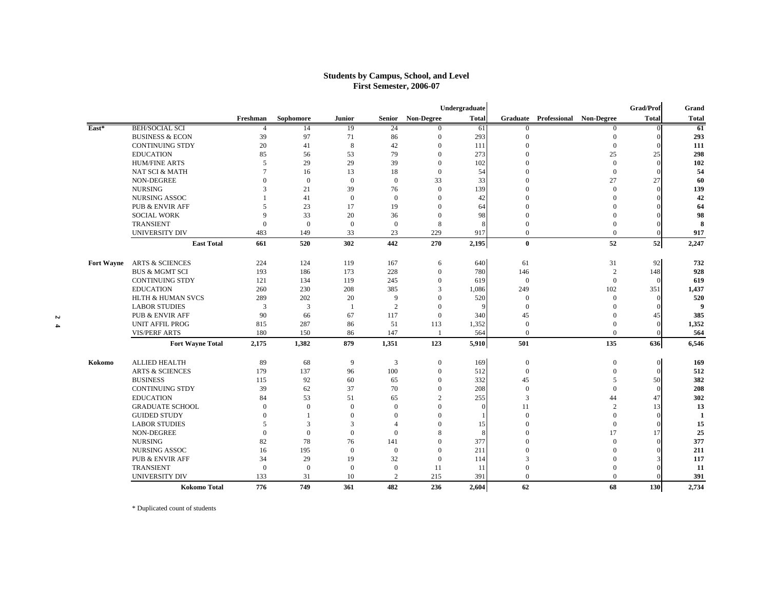#### **Students by Campus, School, and Level First Semester, 2006-07**

|                   |                              |              |                |                  |                |                  | Undergraduate |                  |                                  |                  | <b>Grad/Prof</b> | Grand        |
|-------------------|------------------------------|--------------|----------------|------------------|----------------|------------------|---------------|------------------|----------------------------------|------------------|------------------|--------------|
|                   |                              | Freshman     | Sophomore      | Junior           | Senior         | Non-Degree       | <b>Total</b>  |                  | Graduate Professional Non-Degree |                  | <b>Total</b>     | <b>Total</b> |
| East*             | <b>BEH/SOCIAL SCI</b>        |              | 14             | -19              | 24             | $\Omega$         | 61            | $\overline{0}$   |                                  | $\theta$         | $\overline{0}$   | 61           |
|                   | <b>BUSINESS &amp; ECON</b>   | 39           | 97             | 71               | 86             | $\Omega$         | 293           | $\theta$         |                                  | $\mathbf{0}$     |                  | 293          |
|                   | <b>CONTINUING STDY</b>       | 20           | 41             | 8                | 42             | $\mathbf{0}$     | 111           | $\Omega$         |                                  | $\overline{0}$   |                  | 111          |
|                   | <b>EDUCATION</b>             | 85           | 56             | 53               | 79             | $\mathbf{0}$     | 273           | $\sqrt{ }$       |                                  | 25               | 25               | 298          |
|                   | <b>HUM/FINE ARTS</b>         | 5            | 29             | 29               | 39             | $\mathbf{0}$     | 102           | $\Omega$         |                                  | $\mathbf{0}$     | $\Omega$         | 102          |
|                   | <b>NAT SCI &amp; MATH</b>    | $\tau$       | 16             | 13               | 18             | $\Omega$         | 54            | $\theta$         |                                  | $\theta$         | $\Omega$         | 54           |
|                   | <b>NON-DEGREE</b>            | $\mathbf{0}$ | $\overline{0}$ | $\mathbf{0}$     | $\overline{0}$ | 33               | 33            | $\Omega$         |                                  | 27               | 27               | 60           |
|                   | <b>NURSING</b>               | 3            | 21             | 39               | 76             | $\mathbf{0}$     | 139           | $\theta$         |                                  | $\mathbf{0}$     | $\Omega$         | 139          |
|                   | NURSING ASSOC                |              | 41             | $\mathbf{0}$     | $\overline{0}$ | $\mathbf{0}$     | 42            | $\Omega$         |                                  | $\Omega$         |                  | 42           |
|                   | <b>PUB &amp; ENVIR AFF</b>   | 5            | 23             | 17               | 19             | $\mathbf{0}$     | 64            | $\Omega$         |                                  | $\Omega$         |                  | 64           |
|                   | <b>SOCIAL WORK</b>           | 9            | 33             | 20               | 36             | $\theta$         | 98            | $\sqrt{ }$       |                                  | $\theta$         |                  | 98           |
|                   | <b>TRANSIENT</b>             | $\mathbf{0}$ | $\mathbf{0}$   | $\mathbf{0}$     | $\overline{0}$ | 8                | -8            | $\Omega$         |                                  | $\mathbf{0}$     |                  | 8            |
|                   | <b>UNIVERSITY DIV</b>        | 483          | 149            | 33               | 23             | 229              | 917           | $\mathbf{0}$     |                                  | $\Omega$         |                  | 917          |
|                   | <b>East Total</b>            | 661          | 520            | 302              | 442            | 270              | 2,195         | $\bf{0}$         |                                  | 52               | 52               | 2,247        |
| <b>Fort Wayne</b> | <b>ARTS &amp; SCIENCES</b>   | 224          | 124            | 119              | 167            | 6                | 640           | 61               |                                  | 31               | 92               | 732          |
|                   | <b>BUS &amp; MGMT SCI</b>    | 193          | 186            | 173              | 228            | $\mathbf{0}$     | 780           | 146              |                                  | $\overline{c}$   | 148              | 928          |
|                   | <b>CONTINUING STDY</b>       | 121          | 134            | 119              | 245            | $\mathbf{0}$     | 619           | $\mathbf{0}$     |                                  | $\mathbf{0}$     | $\Omega$         | 619          |
|                   | <b>EDUCATION</b>             | 260          | 230            | 208              | 385            | 3                | 1,086         | 249              |                                  | 102              | 351              | 1,437        |
|                   | <b>HLTH &amp; HUMAN SVCS</b> | 289          | 202            | 20               | 9              | $\Omega$         | 520           | $\overline{0}$   |                                  | $\Omega$         | $\Omega$         | 520          |
|                   | <b>LABOR STUDIES</b>         | 3            | 3              | $\mathbf{1}$     | $\overline{2}$ | $\Omega$         | $\mathbf{q}$  | $\Omega$         |                                  | $\Omega$         |                  | 9            |
|                   | <b>PUB &amp; ENVIR AFF</b>   | 90           | 66             | 67               | 117            | $\mathbf{0}$     | 340           | 45               |                                  | $\mathbf{0}$     | 45               | 385          |
|                   | <b>UNIT AFFIL PROG</b>       | 815          | 287            | 86               | 51             | 113              | 1,352         | $\boldsymbol{0}$ |                                  | $\mathbf{0}$     |                  | 1,352        |
|                   | <b>VIS/PERF ARTS</b>         | 180          | 150            | 86               | 147            |                  | 564           | $\overline{0}$   |                                  | $\mathbf{0}$     |                  | 564          |
|                   | <b>Fort Wayne Total</b>      | 2,175        | 1,382          | 879              | 1,351          | 123              | 5,910         | 501              |                                  | 135              | 636              | 6,546        |
| Kokomo            | <b>ALLIED HEALTH</b>         | 89           | 68             | 9                | 3              | $\boldsymbol{0}$ | 169           | $\boldsymbol{0}$ |                                  | $\boldsymbol{0}$ | $\overline{0}$   | 169          |
|                   | <b>ARTS &amp; SCIENCES</b>   | 179          | 137            | 96               | 100            | $\boldsymbol{0}$ | 512           | $\boldsymbol{0}$ |                                  | $\mathbf{0}$     | $\Omega$         | 512          |
|                   | <b>BUSINESS</b>              | 115          | 92             | 60               | 65             | $\mathbf{0}$     | 332           | 45               |                                  | 5                | 50               | 382          |
|                   | <b>CONTINUING STDY</b>       | 39           | 62             | 37               | 70             | $\mathbf{0}$     | 208           | $\overline{0}$   |                                  | $\Omega$         | $\Omega$         | 208          |
|                   | <b>EDUCATION</b>             | 84           | 53             | 51               | 65             | $\overline{2}$   | 255           | 3                |                                  | 44               | 47               | 302          |
|                   | <b>GRADUATE SCHOOL</b>       | $\mathbf{0}$ | $\Omega$       | $\mathbf{0}$     | $\Omega$       | $\Omega$         | $\Omega$      | 11               |                                  | $\overline{2}$   | 13               | 13           |
|                   | <b>GUIDED STUDY</b>          | $\mathbf{0}$ | $\mathbf{1}$   | $\theta$         | $\Omega$       | $\Omega$         |               | $\Omega$         |                                  | $\Omega$         | $\Omega$         | $\mathbf{1}$ |
|                   | <b>LABOR STUDIES</b>         | 5            | 3              | 3                | $\overline{4}$ | $\Omega$         | 15            | $\sqrt{ }$       |                                  | $\Omega$         |                  | 15           |
|                   | <b>NON-DEGREE</b>            | $\Omega$     | $\Omega$       | $\mathbf{0}$     | $\theta$       | 8                | -8            | $\Omega$         |                                  | 17               | 17               | 25           |
|                   | <b>NURSING</b>               | 82           | 78             | 76               | 141            | $\mathbf{0}$     | 377           | $\theta$         |                                  | $\mathbf{0}$     | $\Omega$         | 377          |
|                   | <b>NURSING ASSOC</b>         | 16           | 195            | $\boldsymbol{0}$ | $\overline{0}$ | $\mathbf{0}$     | 211           | $\Omega$         |                                  | $\mathbf{0}$     |                  | 211          |
|                   | <b>PUB &amp; ENVIR AFF</b>   | 34           | 29             | 19               | 32             | $\mathbf{0}$     | 114           | 3                |                                  | $\Omega$         |                  | 117          |
|                   | <b>TRANSIENT</b>             | $\mathbf{0}$ | $\overline{0}$ | $\boldsymbol{0}$ | $\overline{0}$ | 11               | 11            | $\overline{0}$   |                                  | $\mathbf{0}$     |                  | 11           |
|                   | <b>UNIVERSITY DIV</b>        | 133          | 31             | 10               | $\overline{c}$ | 215              | 391           | $\mathbf{0}$     |                                  | $\mathbf{0}$     |                  | 391          |
|                   | <b>Kokomo Total</b>          | 776          | 749            | 361              | 482            | 236              | 2,604         | 62               |                                  | 68               | 130              | 2,734        |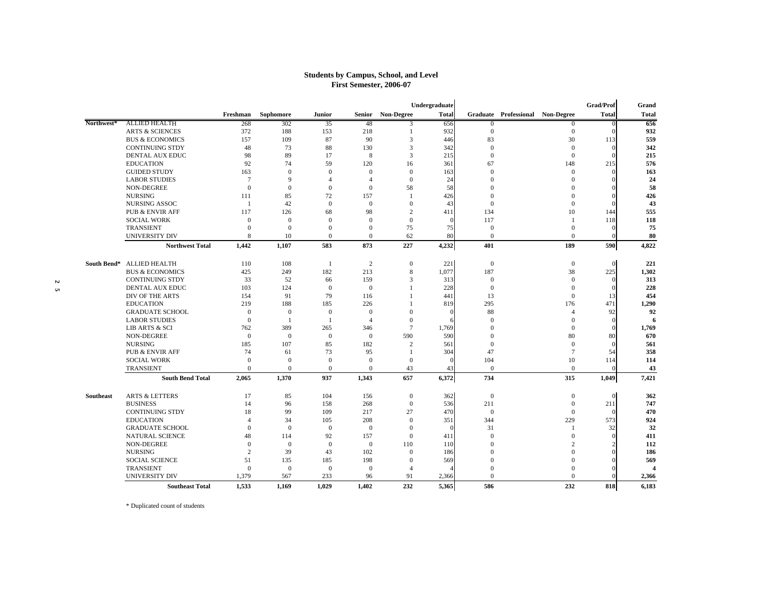#### **Students by Campus, School, and Level First Semester, 2006-07**

|            |                            |                 |                  |                  |                  |                  | Undergraduate |                  |                                  | Grad/Prof                       | Grand          |
|------------|----------------------------|-----------------|------------------|------------------|------------------|------------------|---------------|------------------|----------------------------------|---------------------------------|----------------|
|            |                            | Freshman        | Sophomore        | Junior           | Senior           | Non-Degree       | <b>Total</b>  |                  | Graduate Professional Non-Degree | <b>Total</b>                    | <b>Total</b>   |
| Northwest* | <b>ALLIED HEALTH</b>       | 268             | 302              | 35               | 48               | 3                | 656           | $\Omega$         |                                  | $\Omega$                        | 656            |
|            | <b>ARTS &amp; SCIENCES</b> | 372             | 188              | 153              | 218              | $\mathbf{1}$     | 932           | $\mathbf{0}$     |                                  | $\mathbf{0}$<br>$\Omega$        | 932            |
|            | <b>BUS &amp; ECONOMICS</b> | 157             | 109              | 87               | 90               | 3                | 446           | 83               |                                  | 30<br>113                       | 559            |
|            | <b>CONTINUING STDY</b>     | 48              | 73               | 88               | 130              | 3                | 342           | $\overline{0}$   |                                  | $\mathbf{0}$<br>$\Omega$        | 342            |
|            | <b>DENTAL AUX EDUC</b>     | 98              | 89               | 17               | 8                | 3                | 215           | $\theta$         |                                  | $\mathbf{0}$<br>$\Omega$        | 215            |
|            | <b>EDUCATION</b>           | 92              | 74               | 59               | 120              | 16               | 361           | 67               | 148                              | 215                             | 576            |
|            | <b>GUIDED STUDY</b>        | 163             | $\boldsymbol{0}$ | $\mathbf{0}$     | $\mathbf{0}$     | $\mathbf{0}$     | 163           | $\overline{0}$   |                                  | $\mathbf{0}$<br>$\Omega$        | 163            |
|            | <b>LABOR STUDIES</b>       | $7\phantom{.0}$ | 9                | $\overline{4}$   | $\overline{4}$   | $\mathbf{0}$     | 24            | $\overline{0}$   |                                  | $\mathbf{0}$<br>$\Omega$        | 24             |
|            | NON-DEGREE                 | $\mathbf{0}$    | $\boldsymbol{0}$ | $\mathbf{0}$     | $\mathbf{0}$     | 58               | 58            | $\Omega$         |                                  | $\mathbf{0}$                    | 58             |
|            | <b>NURSING</b>             | 111             | 85               | 72               | 157              | $\mathbf{1}$     | 426           | $\theta$         |                                  | $\mathbf{0}$<br>$\Omega$        | 426            |
|            | <b>NURSING ASSOC</b>       | $\overline{1}$  | 42               | $\boldsymbol{0}$ | $\boldsymbol{0}$ | $\boldsymbol{0}$ | 43            | $\overline{0}$   |                                  | $\mathbf{0}$                    | 43             |
|            | <b>PUB &amp; ENVIR AFF</b> | 117             | 126              | 68               | 98               | $\overline{c}$   | 411           | 134              |                                  | 10<br>144                       | 555            |
|            | <b>SOCIAL WORK</b>         | $\mathbf{0}$    | $\mathbf{0}$     | $\mathbf{0}$     | $\mathbf{0}$     | $\mathbf{0}$     | $\theta$      | 117              |                                  | 118<br>$\overline{1}$           | 118            |
|            | <b>TRANSIENT</b>           | $\Omega$        | $\mathbf{0}$     | $\mathbf{0}$     | $\mathbf{0}$     | 75               | 75            | $\theta$         |                                  | $\mathbf{0}$                    | 75             |
|            | <b>UNIVERSITY DIV</b>      | 8               | 10               | $\Omega$         | $\Omega$         | 62               | 80            | $\Omega$         |                                  | $\Omega$<br>$\Omega$            | 80             |
|            | <b>Northwest Total</b>     | 1.442           | 1,107            | 583              | 873              | 227              | 4,232         | 401              | 189                              | 590                             | 4,822          |
|            | South Bend* ALLIED HEALTH  | 110             | 108              | $\overline{1}$   | $\overline{2}$   | $\mathbf{0}$     | 221           | $\overline{0}$   |                                  | $\boldsymbol{0}$<br>$\Omega$    | 221            |
|            | <b>BUS &amp; ECONOMICS</b> | 425             | 249              | 182              | 213              | 8                | 1,077         | 187              |                                  | 38<br>225                       | 1,302          |
|            | <b>CONTINUING STDY</b>     | 33              | 52               | 66               | 159              | 3                | 313           | $\boldsymbol{0}$ |                                  | $\overline{0}$<br>$\Omega$      | 313            |
|            | DENTAL AUX EDUC            | 103             | 124              | $\mathbf{0}$     | $\mathbf{0}$     | 1                | 228           | $\overline{0}$   |                                  | $\Omega$<br>$\Omega$            | 228            |
|            | DIV OF THE ARTS            | 154             | 91               | 79               | 116              | $\mathbf{1}$     | 441           | 13               |                                  | $\mathbf{0}$<br>13              | 454            |
|            | <b>EDUCATION</b>           | 219             | 188              | 185              | 226              |                  | 819           | 295              | 176                              | 471                             | 1,290          |
|            | <b>GRADUATE SCHOOL</b>     | $\mathbf{0}$    | $\mathbf{0}$     | $\mathbf{0}$     | $\mathbf{0}$     | $\overline{0}$   | $\mathbf{0}$  | 88               |                                  | 92<br>$\overline{4}$            | 92             |
|            | <b>LABOR STUDIES</b>       | $\mathbf{0}$    | 1                | $\mathbf{1}$     | $\overline{4}$   | $\mathbf{0}$     | 6             | $\Omega$         |                                  | $\mathbf{0}$<br>$\Omega$        | 6              |
|            | <b>LIB ARTS &amp; SCI</b>  | 762             | 389              | 265              | 346              | $\overline{7}$   | 1,769         | $\theta$         |                                  | $\mathbf{0}$<br>$\Omega$        | 1,769          |
|            | <b>NON-DEGREE</b>          | $\mathbf{0}$    | $\mathbf{0}$     | $\mathbf{0}$     | $\mathbf{0}$     | 590              | 590           | $\theta$         |                                  | 80<br>80                        | 670            |
|            | <b>NURSING</b>             | 185             | 107              | 85               | 182              | $\overline{c}$   | 561           | $\Omega$         |                                  | $\Omega$<br>$\Omega$            | 561            |
|            | <b>PUB &amp; ENVIR AFF</b> | 74              | 61               | 73               | 95               | $\mathbf{1}$     | 304           | 47               |                                  | $\overline{7}$<br>54            | 358            |
|            | <b>SOCIAL WORK</b>         | $\mathbf{0}$    | $\boldsymbol{0}$ | $\boldsymbol{0}$ | $\boldsymbol{0}$ | $\mathbf{0}$     | $\theta$      | 104              |                                  | 10<br>114                       | 114            |
|            | TRANSIENT                  | $\Omega$        | $\mathbf{0}$     | $\mathbf{0}$     | $\Omega$         | 43               | 43            | $\Omega$         |                                  | $\mathbf{0}$<br>$\Omega$        | 43             |
|            | <b>South Bend Total</b>    | 2.065           | 1,370            | 937              | 1,343            | 657              | 6,372         | 734              | 315                              | 1,049                           | 7,421          |
| Southeast  | <b>ARTS &amp; LETTERS</b>  | 17              | 85               | 104              | 156              | $\boldsymbol{0}$ | 362           | $\theta$         |                                  | $\mathbf{0}$<br>$\Omega$        | 362            |
|            | <b>BUSINESS</b>            | 14              | 96               | 158              | 268              | $\boldsymbol{0}$ | 536           | 211              |                                  | $\mathbf{0}$<br>211             | 747            |
|            | <b>CONTINUING STDY</b>     | 18              | 99               | 109              | 217              | 27               | 470           | $\boldsymbol{0}$ |                                  | $\mathbf{0}$                    | 470            |
|            | <b>EDUCATION</b>           | $\overline{4}$  | 34               | 105              | 208              | $\mathbf{0}$     | 351           | 344              | 229                              | 573                             | 924            |
|            | <b>GRADUATE SCHOOL</b>     | $\mathbf{0}$    | $\mathbf{0}$     | $\mathbf{0}$     | $\mathbf{0}$     | $\mathbf{0}$     | $\theta$      | 31               |                                  | 32                              | 32             |
|            | <b>NATURAL SCIENCE</b>     | 48              | 114              | 92               | 157              | $\boldsymbol{0}$ | 411           | $\overline{0}$   |                                  | $\mathbf{0}$<br>$\Omega$        | 411            |
|            | <b>NON-DEGREE</b>          | $\Omega$        | $\mathbf{0}$     | $\mathbf{0}$     | $\mathbf{0}$     | 110              | 110           | $\Omega$         |                                  | $\overline{c}$<br>$\mathcal{D}$ | 112            |
|            | <b>NURSING</b>             | 2               | 39               | 43               | 102              | $\mathbf{0}$     | 186           | $\Omega$         |                                  | $\Omega$                        | 186            |
|            | <b>SOCIAL SCIENCE</b>      | 51              | 135              | 185              | 198              | $\mathbf{0}$     | 569           | $\Omega$         |                                  | $\mathbf{0}$                    | 569            |
|            | TRANSIENT                  | $\mathbf{0}$    | $\mathbf{0}$     | $\mathbf{0}$     | $\mathbf{0}$     | $\overline{4}$   |               | $\theta$         |                                  | $\theta$                        | $\overline{4}$ |
|            | <b>UNIVERSITY DIV</b>      | 1,379           | 567              | 233              | 96               | 91               | 2,366         | $\Omega$         |                                  | $\Omega$                        | 2,366          |
|            | <b>Southeast Total</b>     | 1,533           | 1,169            | 1,029            | 1,402            | 232              | 5,365         | 586              | 232                              | 818                             | 6,183          |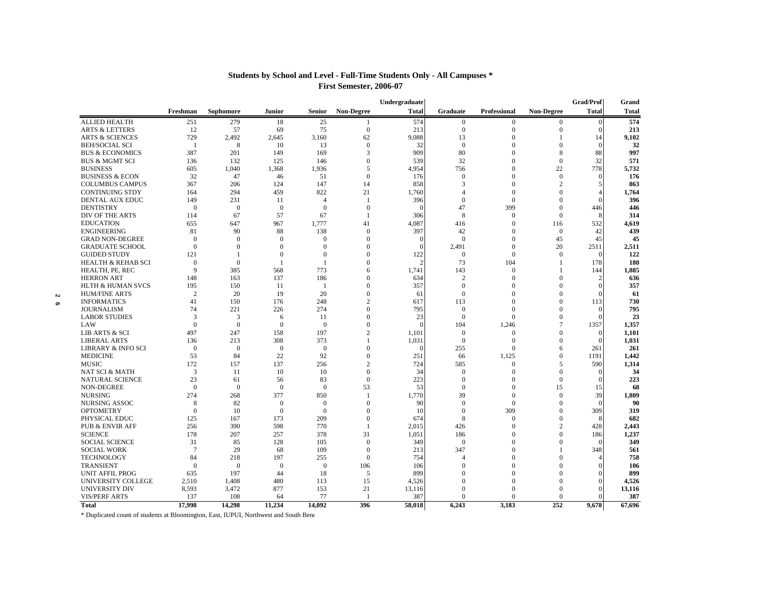|                               |                |                |                |                |                          | Undergraduate |                        |                      |                      | <b>Grad/Prof</b> | Grand        |
|-------------------------------|----------------|----------------|----------------|----------------|--------------------------|---------------|------------------------|----------------------|----------------------|------------------|--------------|
|                               | Freshman       | Sophomore      | <b>Junior</b>  | <b>Senior</b>  | <b>Non-Degree</b>        | <b>Total</b>  | Graduate               | Professional         | <b>Non-Degree</b>    | <b>Total</b>     | <b>Total</b> |
| <b>ALLIED HEALTH</b>          | 251            | 279            | 18             | 25             | 1                        | 574           | $\mathbf{0}$           | $\mathbf{0}$         | $\mathbf{0}$         | $\theta$         | 574          |
| <b>ARTS &amp; LETTERS</b>     | 12             | 57             | 69             | 75             | $\overline{0}$           | 213           | $\overline{0}$         | $\mathbf{0}$         | $\mathbf{0}$         | $\Omega$         | 213          |
| <b>ARTS &amp; SCIENCES</b>    | 729            | 2,492          | 2,645          | 3,160          | 62                       | 9,088         | 13                     | $\mathbf{0}$         | 1                    | 14               | 9,102        |
| <b>BEH/SOCIAL SCI</b>         | $\mathbf{1}$   | 8              | 10             | 13             | $\Omega$                 | 32            | $\Omega$               | $\Omega$             | $\Omega$             | $\Omega$         | 32           |
| <b>BUS &amp; ECONOMICS</b>    | 387            | 201            | 149            | 169            | 3                        | 909           | 80                     | $\Omega$             | 8                    | 88               | 997          |
| <b>BUS &amp; MGMT SCI</b>     | 136            | 132            | 125            | 146            | $\theta$                 | 539           | 32                     | $\theta$             | $\overline{0}$       | 32               | 571          |
| <b>BUSINESS</b>               | 605            | 1.040          | 1,368          | 1,936          | $\overline{\phantom{0}}$ | 4.954         | 756                    | $\Omega$             | 22                   | 778              | 5,732        |
| <b>BUSINESS &amp; ECON</b>    | 32             | 47             | 46             | 51             | $\Omega$                 | 176           | $\Omega$               | $\Omega$             | $\mathbf{0}$         | $\Omega$         | 176          |
| <b>COLUMBUS CAMPUS</b>        | 367            | 206            | 124            | 147            | 14                       | 858           | 3                      | $\Omega$             | $\overline{c}$       |                  | 863          |
| <b>CONTINUING STDY</b>        | 164            | 294            | 459            | 822            | 21                       | 1,760         | $\boldsymbol{\Lambda}$ | $\mathbf{0}$         | $\theta$             |                  | 1,764        |
| DENTAL AUX EDUC               | 149            | 231            | 11             | $\overline{4}$ |                          | 396           | $\Omega$               | $\Omega$             | $\theta$             | $\Omega$         | 396          |
| <b>DENTISTRY</b>              | $\overline{0}$ | $\mathbf{0}$   | $\theta$       | $\theta$       | $\mathbf{0}$             |               | 47                     | 399                  | $\theta$             | 446              | 446          |
| DIV OF THE ARTS               | 114            | 67             | 57             | 67             |                          | 306           | 8                      | $\mathbf{0}$         | $\Omega$             |                  | 314          |
| <b>EDUCATION</b>              | 655            | 647            | 967            | 1,777          | 41                       | 4,087         | 416                    | $\mathbf{0}$         | 116                  | 532              | 4,619        |
| <b>ENGINEERING</b>            | 81             | 90             | 88             | 138            | $\theta$                 | 397           | 42                     | $\mathbf{0}$         | $\mathbf{0}$         | 42               | 439          |
| <b>GRAD NON-DEGREE</b>        | $\Omega$       | $\Omega$       | $\Omega$       | $\Omega$       | $\Omega$                 |               | $\Omega$               | $\Omega$             | 45                   | 45               | 45           |
| <b>GRADUATE SCHOOL</b>        | $\Omega$       | $\Omega$       | $\Omega$       | $\mathbf{0}$   | $\Omega$                 |               | 2,491                  | $\Omega$             | 20                   | 2511             | 2,511        |
| <b>GUIDED STUDY</b>           | 121            |                | $\Omega$       | $\theta$       | $\theta$                 | 122           | $\Omega$               | $\mathbf{0}$         | $\theta$             | $\Omega$         | 122          |
| <b>HEALTH &amp; REHAB SCI</b> | $\mathbf{0}$   | $\theta$       |                |                | $\theta$                 |               | 73                     | 104                  | $\mathbf{1}$         | 178              | 180          |
| HEALTH, PE, REC               | 9              | 385            | 568            | 773            | 6                        | 1,741         | 143                    | $\mathbf{0}$         | 1                    | 144              | 1,885        |
| <b>HERRON ART</b>             | 148            | 163            | 137            | 186            | $\Omega$                 | 634           | $\mathcal{D}$          | $\Omega$             | $\Omega$             |                  | 636          |
| <b>HLTH &amp; HUMAN SVCS</b>  | 195            | 150            | 11             | - 1            | $\Omega$                 | 357           | $\Omega$               | $\Omega$             | $\Omega$             |                  | 357          |
| <b>HUM/FINE ARTS</b>          | 2              | 20             | 19             | 20             | $\theta$                 | 61            | $\Omega$               | $\Omega$             | $\theta$             |                  | 61           |
| <b>INFORMATICS</b>            | 41             | 150            | 176            | 248            | $\overline{c}$           | 617           | 113                    | $\theta$             | $\theta$             | 113              | 730          |
| <b>JOURNALISM</b>             | 74             | 221            | 226            | 274            | $\overline{0}$           | 795           | $\theta$               | $\mathbf{0}$         | $\theta$             | $\Omega$         | 795          |
| <b>LABOR STUDIES</b>          | 3              | 3              | 6              | 11             | $\Omega$                 | 23            | $\Omega$               | $\Omega$             | $\Omega$             |                  | 23           |
| LAW                           | $\Omega$       | $\mathbf{0}$   | $\Omega$       | $\theta$       | $\Omega$                 |               | 104                    | 1,246                | 7                    | 1357             | 1,357        |
| LIB ARTS & SCI                | 497            | 247            | 158            | 197            | $\overline{2}$           | 1,101         | $\Omega$               | $\mathbf{0}$         | $\Omega$             |                  | 1,101        |
| <b>LIBERAL ARTS</b>           | 136            | 213            | 308            | 373            | 1                        | 1,031         | $\theta$               | $\mathbf{0}$         | $\theta$             | $\Omega$         | 1,031        |
| <b>LIBRARY &amp; INFO SCI</b> | $\overline{0}$ | $\overline{0}$ | $\theta$       | $\overline{0}$ | $\theta$                 |               | 255                    | $\mathbf{0}$         | 6                    | 261              | 261          |
| <b>MEDICINE</b>               | 53             | 84             | 22             | 92             | $\Omega$                 | 251           | 66                     | 1,125                | $\Omega$             | 1191             | 1.442        |
| <b>MUSIC</b>                  | 172            | 157            | 137            | 256            | $\overline{2}$           | 724           | 585                    | $\mathbf{0}$         | 5                    | 590              | 1,314        |
| NAT SCI & MATH                | 3              | 11             | 10             | 10             | $\Omega$                 | 34            | $\Omega$               | $\Omega$             | $\Omega$             |                  | 34           |
| NATURAL SCIENCE               | 23             | 61             | 56             | 83             | $\mathbf{0}$             | 223           | $\Omega$               | $\Omega$             | $\overline{0}$       |                  | 223          |
| NON-DEGREE                    | $\Omega$       | $\Omega$       | $\Omega$       | $\theta$       | 53                       | 53            | $\Omega$               | $\Omega$             | 15                   | 15               | 68           |
| <b>NURSING</b>                | 274            | 268            | 377            | 850            | $\mathbf{1}$             | 1.770         | 39                     | $\mathbf{0}$         | $\overline{0}$       | 39               | 1,809        |
| NURSING ASSOC                 | 8              | 82             | $\overline{0}$ | $\mathbf{0}$   | $\theta$                 | 90            | $\Omega$               | $\mathbf{0}$         | $\theta$             | $\Omega$         | 90           |
| <b>OPTOMETRY</b>              | $\theta$       | 10             | $\theta$       | $\theta$       | $\Omega$                 | 10            | $\Omega$               | 309                  | $\theta$             | 309              | 319          |
| PHYSICAL EDUC                 | 125            | 167            | 173            | 209            | $\overline{0}$           | 674           | 8                      | $\mathbf{0}$         | $\theta$             | 8                | 682          |
| <b>PUB &amp; ENVIR AFF</b>    | 256            | 390            | 598            | 770            |                          | 2,015         | 426                    | $\Omega$             | $\overline{c}$       | 428              | 2,443        |
| <b>SCIENCE</b>                | 178            | 207            | 257            | 378            | 31                       | 1,051         | 186                    | $\theta$             | $\theta$             | 186              | 1,237        |
| <b>SOCIAL SCIENCE</b>         | 31             | 85             | 128            | 105            | $\mathbf{0}$             | 349           | $\Omega$               | $\Omega$             | $\theta$             | $\Omega$         | 349          |
| <b>SOCIAL WORK</b>            | $\tau$         | 29             | 68             | 109            | $\mathbf{0}$             | 213           | 347                    | $\Omega$             | $\mathbf{1}$         | 348              | 561          |
| <b>TECHNOLOGY</b>             | 84             | 218            | 197            | 255            | $\mathbf{0}$             | 754           | $\boldsymbol{\Lambda}$ | $\Omega$             | $\theta$             |                  | 758          |
| <b>TRANSIENT</b>              | $\Omega$       | $\Omega$       | $\Omega$       | $\theta$       | 106                      | 106           | $\Omega$               | $\Omega$             | $\Omega$             |                  | 106          |
|                               |                |                |                |                |                          |               | $\Omega$               | $\Omega$             | $\Omega$             |                  |              |
| <b>UNIT AFFIL PROG</b>        | 635            | 197            | 44             | 18             | 5                        | 899           | $\Omega$               |                      |                      |                  | 899          |
| UNIVERSITY COLLEGE            | 2,510          | 1,408          | 480            | 113            | 15                       | 4,526         | $\Omega$               | $\theta$<br>$\Omega$ | $\theta$<br>$\Omega$ |                  | 4,526        |
| UNIVERSITY DIV                | 8,593          | 3,472          | 877            | 153            | 21                       | 13,116        | $\Omega$               |                      | $\Omega$             |                  | 13,116       |
| <b>VIS/PERF ARTS</b>          | 137            | 108            | 64             | 77             |                          | 387           |                        | $\Omega$             |                      |                  | 387          |
| <b>Total</b>                  | 17.998         | 14,298         | 11.234         | 14.092         | 396                      | 58,018        | 6,243                  | 3.183                | 252                  | 9,678            | 67,696       |

#### **Students by School and Level - Full-Time Students Only - All Campuses \* First Semester, 2006-07**

\* Duplicated count of students at Bloomington, East, IUPUI, Northwest and South Bend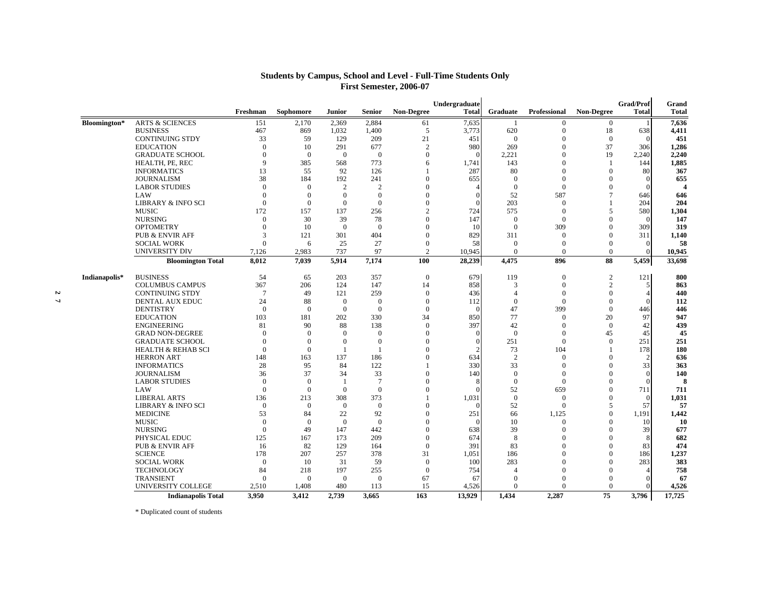| <b>Students by Campus, School and Level - Full-Time Students Only</b> |
|-----------------------------------------------------------------------|
| <b>First Semester, 2006-07</b>                                        |

|               |                               |                |                |                |                |                   | Undergraduate |                |              |                          | Grad/Prof      | Grand            |
|---------------|-------------------------------|----------------|----------------|----------------|----------------|-------------------|---------------|----------------|--------------|--------------------------|----------------|------------------|
|               |                               | Freshman       | Sophomore      | <b>Junior</b>  | <b>Senior</b>  | <b>Non-Degree</b> | <b>Total</b>  | Graduate       | Professional | <b>Non-Degree</b>        | <b>Total</b>   | <b>Total</b>     |
| Bloomington*  | <b>ARTS &amp; SCIENCES</b>    | 151            | 2,170          | 2,369          | 2,884          | 61                | 7,635         | -1             | $\Omega$     | $\overline{0}$           |                | 7,636            |
|               | <b>BUSINESS</b>               | 467            | 869            | 1,032          | 1,400          | 5                 | 3,773         | 620            | $\mathbf{0}$ | 18                       | 638            | 4,411            |
|               | <b>CONTINUING STDY</b>        | 33             | 59             | 129            | 209            | 21                | 451           | $\Omega$       | $\Omega$     | $\mathbf{0}$             | $\Omega$       |                  |
|               | <b>EDUCATION</b>              | $\mathbf{0}$   | 10             | 291            | 677            | $\overline{2}$    | 980           | 269            | $\Omega$     | 37                       | 306            | 1,286            |
|               | <b>GRADUATE SCHOOL</b>        | $\Omega$       | $\Omega$       | $\theta$       | $\overline{0}$ | $\Omega$          | $\Omega$      | 2,221          | $\Omega$     | 19                       | 2,240          | 2,240            |
|               | HEALTH, PE, REC               | 9              | 385            | 568            | 773            | 6                 | 1,741         | 143            | $\theta$     |                          | 144            | 1,885            |
|               | <b>INFORMATICS</b>            | 13             | 55             | 92             | 126            |                   | 287           | 80             | $\Omega$     | $\Omega$                 | 80             |                  |
|               | <b>JOURNALISM</b>             | 38             | 184            | 192            | 241            | $\Omega$          | 655           | $\Omega$       | $\Omega$     | $\Omega$                 |                |                  |
|               | <b>LABOR STUDIES</b>          | $\Omega$       | $\Omega$       | $\overline{c}$ | $\overline{2}$ | $\Omega$          |               | $\overline{0}$ | $\Omega$     | $\Omega$                 |                |                  |
|               | LAW                           | $\Omega$       | $\Omega$       | $\Omega$       | $\Omega$       | $\Omega$          |               | 52             | 587          |                          | 646            |                  |
|               | LIBRARY & INFO SCI            | $\Omega$       | $\Omega$       | $\mathbf{0}$   | $\overline{0}$ | $\Omega$          |               | 203            | $\Omega$     |                          | 204            |                  |
|               | <b>MUSIC</b>                  | 172            | 157            | 137            | 256            | $\mathfrak{D}$    | 724           | 575            | $\Omega$     | 5                        | 580            |                  |
|               | <b>NURSING</b>                | $\theta$       | 30             | 39             | 78             | $\Omega$          | 147           | $\overline{0}$ | $\Omega$     | $\Omega$                 | $\Omega$       |                  |
|               | <b>OPTOMETRY</b>              | $\Omega$       | 10             | $\theta$       | $\Omega$       | $\Omega$          | 10            | $\overline{0}$ | 309          | $\Omega$                 | 309            |                  |
|               | <b>PUB &amp; ENVIR AFF</b>    | 3              | 121            | 301            | 404            | $\mathbf{0}$      | 829           | 311            | $\Omega$     | $\Omega$                 | 311            |                  |
|               | <b>SOCIAL WORK</b>            | $\theta$       | 6              | 25             | 27             | $\mathbf{0}$      | 58            | $\overline{0}$ | $\theta$     | $\theta$                 | $\Omega$       |                  |
|               | UNIVERSITY DIV                | 7.126          | 2.983          | 737            | 97             | $\mathcal{D}$     | 10,945        | $\theta$       | $\Omega$     | $\theta$                 |                |                  |
|               | <b>Bloomington Total</b>      | 8,012          | 7,039          | 5,914          | 7,174          | 100               | 28,239        | 4,475          | 896          | 88                       | 5,459          | 10,945<br>33,698 |
|               |                               |                |                |                |                |                   |               |                |              |                          |                |                  |
| Indianapolis* | <b>BUSINESS</b>               | 54             | 65             | 203            | 357            | $\overline{0}$    | 679           | 119            | $\mathbf{0}$ | $\overline{c}$           | 121            |                  |
|               | <b>COLUMBUS CAMPUS</b>        | 367            | 206            | 124            | 147            | 14                | 858           | 3              | $\mathbf{0}$ | 2                        | $\overline{5}$ |                  |
|               | <b>CONTINUING STDY</b>        | $\tau$         | 49             | 121            | 259            | $\mathbf{0}$      | 436           | $\overline{4}$ | $\theta$     | $\mathbf{0}$             |                |                  |
|               | <b>DENTAL AUX EDUC</b>        | 24             | 88             | $\mathbf{0}$   | $\overline{0}$ | $\Omega$          | 112           | $\theta$       | $\Omega$     | $\Omega$                 |                |                  |
|               | <b>DENTISTRY</b>              | $\mathbf{0}$   | $\overline{0}$ | $\mathbf{0}$   | $\overline{0}$ | $\mathbf{0}$      | $\epsilon$    | 47             | 399          | $\mathbf{0}$             | 446            |                  |
|               | <b>EDUCATION</b>              | 103            | 181            | 202            | 330            | 34                | 850           | 77             | $\Omega$     | 20                       | 97             |                  |
|               | <b>ENGINEERING</b>            | 81             | 90             | 88             | 138            | $\Omega$          | 397           | 42             | $\Omega$     | $\overline{0}$           | 42             |                  |
|               | <b>GRAD NON-DEGREE</b>        | $\theta$       | $\Omega$       | $\theta$       | $\overline{0}$ | $\theta$          |               | $\overline{0}$ | $\theta$     | 45                       | 45             |                  |
|               | <b>GRADUATE SCHOOL</b>        | $\Omega$       | $\Omega$       | $\mathbf{0}$   | $\overline{0}$ | $\Omega$          |               | 251            | $\Omega$     | $\Omega$                 | 251            |                  |
|               | <b>HEALTH &amp; REHAB SCI</b> | $\theta$       | $\Omega$       | $\mathbf{1}$   | $\overline{1}$ | $\Omega$          |               | 73             | 104          |                          | 178            |                  |
|               | <b>HERRON ART</b>             | 148            | 163            | 137            | 186            | $\Omega$          | 634           | $\overline{2}$ | $\Omega$     | $\Omega$                 | 2              |                  |
|               | <b>INFORMATICS</b>            | 28             | 95             | 84             | 122            | $\overline{1}$    | 330           | 33             | $\Omega$     | $\Omega$                 | 33             |                  |
|               | <b>JOURNALISM</b>             | 36             | 37             | 34             | 33             | $\Omega$          | 140           | $\overline{0}$ | $\Omega$     | $\Omega$                 | $\Omega$       |                  |
|               | <b>LABOR STUDIES</b>          | $\theta$       | $\Omega$       | $\overline{1}$ | $\overline{7}$ | $\Omega$          |               | $\theta$       | $\Omega$     | $\Omega$                 | $\Omega$       |                  |
|               | LAW                           | $\Omega$       | $\Omega$       | $\Omega$       | $\theta$       | $\Omega$          |               | 52             | 659          | $\Omega$                 | 711            |                  |
|               | <b>LIBERAL ARTS</b>           | 136            | 213            | 308            | 373            | $\overline{1}$    | 1,031         | $\mathbf{0}$   | $\Omega$     | $\mathbf{0}$             | $\overline{0}$ |                  |
|               | LIBRARY & INFO SCI            | $\theta$       | $\Omega$       | $\theta$       | $\overline{0}$ | $\Omega$          | $\Omega$      | 52             | $\Omega$     | $\overline{\phantom{1}}$ | 57             |                  |
|               |                               |                |                |                |                |                   |               |                |              |                          |                |                  |
|               | <b>MEDICINE</b>               | 53<br>$\Omega$ | 84             | 22             | 92             | $\mathbf{0}$      | 251<br>ſ      | 66             | 1,125        | $\mathbf{0}$             | 1.191          |                  |
|               | <b>MUSIC</b>                  |                | $\Omega$       | $\mathbf{0}$   | $\overline{0}$ | $\Omega$          |               | 10             | $\Omega$     |                          | 10             |                  |
|               | <b>NURSING</b>                | $\mathbf{0}$   | 49             | 147            | 442            | $\mathbf{0}$      | 638           | 39             | $\Omega$     | $\Omega$                 | 39             |                  |
|               | PHYSICAL EDUC                 | 125            | 167            | 173            | 209            | $\Omega$          | 674           | 8              | $\Omega$     | $\Omega$                 | 8              |                  |
|               | PUB & ENVIR AFF               | 16             | 82             | 129            | 164            | $\Omega$          | 391           | 83             | $\Omega$     | $\Omega$                 | 83             |                  |
|               | <b>SCIENCE</b>                | 178            | 207            | 257            | 378            | 31                | 1,051         | 186            | $\Omega$     | $\Omega$                 | 186            |                  |
|               | <b>SOCIAL WORK</b>            | $\mathbf{0}$   | 10             | 31             | 59             | $\Omega$          | 100           | 283            | $\Omega$     | $\Omega$                 | 283            |                  |
|               | <b>TECHNOLOGY</b>             | 84             | 218            | 197            | 255            | $\mathbf{0}$      | 754           | $\overline{A}$ | $\Omega$     | $\Omega$                 |                |                  |
|               | <b>TRANSIENT</b>              | $\Omega$       | $\Omega$       | $\mathbf{0}$   | $\overline{0}$ | 67                | 67            | $\Omega$       | $\Omega$     | $\Omega$                 |                |                  |
|               | UNIVERSITY COLLEGE            | 2,510          | 1,408          | 480            | 113            | 15                | 4,526         | $\theta$       | $\Omega$     | $\Omega$                 |                | 4,526            |
|               | <b>Indianapolis Total</b>     | 3.950          | 3.412          | 2.739          | 3.665          | 163               | 13.929        | 1.434          | 2.287        | 75                       | 3.796          | 17.725           |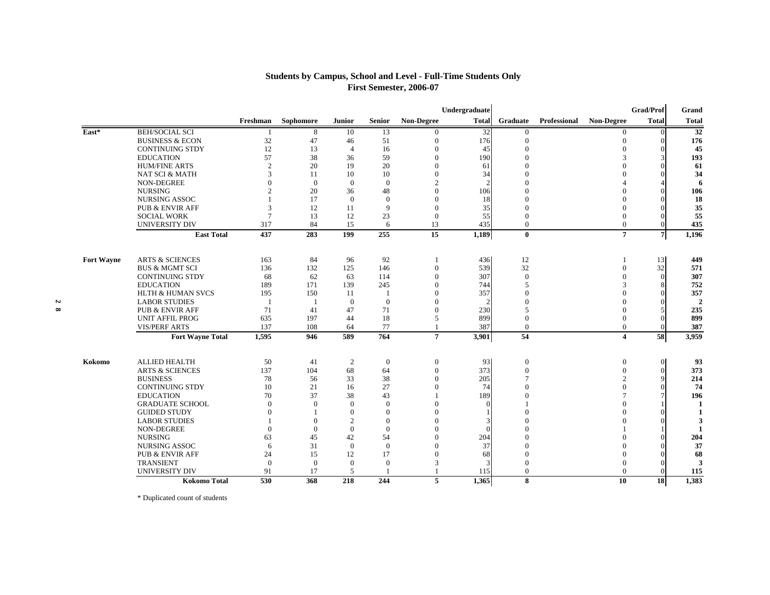### **Students by Campus, School and Level - Full-Time Students Only First Semester, 2006-07**

|                   |                              |                |           |                |                |                   | Undergraduate |                          |              |                   | Grad/Prof      | Grand          |
|-------------------|------------------------------|----------------|-----------|----------------|----------------|-------------------|---------------|--------------------------|--------------|-------------------|----------------|----------------|
|                   |                              | Freshman       | Sophomore | Junior         | <b>Senior</b>  | <b>Non-Degree</b> | <b>Total</b>  | Graduate                 | Professional | <b>Non-Degree</b> | <b>Total</b>   | <b>Total</b>   |
| East*             | <b>BEH/SOCIAL SCI</b>        |                | 8         | 10             | 13             |                   | 32            | $\Omega$                 |              | $\Omega$          |                | 32             |
|                   | <b>BUSINESS &amp; ECON</b>   | 32             | 47        | 46             | 51             |                   | 176           | $\boldsymbol{0}$         |              | $\mathbf{0}$      |                | 176            |
|                   | <b>CONTINUING STDY</b>       | 12             | 13        | $\overline{4}$ | 16             |                   | 45            | $\Omega$                 |              |                   |                | 45             |
|                   | <b>EDUCATION</b>             | 57             | 38        | 36             | 59             | $\Omega$          | 190           | $\Omega$                 |              | 3                 |                | 193            |
|                   | <b>HUM/FINE ARTS</b>         | $\overline{2}$ | 20        | 19             | 20             | $\theta$          | 61            |                          |              |                   |                | 61             |
|                   | NAT SCI & MATH               | 3              | 11        | 10             | 10             | $\Omega$          | 34            |                          |              |                   |                | 34             |
|                   | NON-DEGREE                   | $\Omega$       | $\Omega$  | $\mathbf{0}$   | $\overline{0}$ |                   |               | $\Omega$                 |              |                   |                | 6              |
|                   | <b>NURSING</b>               | $\overline{2}$ | 20        | 36             | 48             | $\theta$          | 106           |                          |              |                   |                | 106            |
|                   | <b>NURSING ASSOC</b>         |                | 17        | $\theta$       | $\mathbf{0}$   | $\Omega$          | 18            | $\Omega$                 |              |                   |                | 18             |
|                   | <b>PUB &amp; ENVIR AFF</b>   | 3              | 12        | 11             | 9              | $\Omega$          | 35            | $\mathbf{0}$             |              |                   |                | 35             |
|                   | <b>SOCIAL WORK</b>           | $\overline{7}$ | 13        | 12             | 23             | $\Omega$          | 55            | $\Omega$                 |              |                   |                | 55             |
|                   | <b>UNIVERSITY DIV</b>        | 317            | 84        | 15             | 6              | 13                | 435           | $\overline{0}$           |              | $\mathbf{0}$      |                | 435            |
|                   | <b>East Total</b>            | 437            | 283       | 199            | 255            | 15                | 1,189         | $\bf{0}$                 |              | $\overline{7}$    | $\overline{7}$ | 1,196          |
| <b>Fort Wayne</b> | <b>ARTS &amp; SCIENCES</b>   | 163            | 84        | 96             | 92             |                   | 436           | 12                       |              |                   | 13             | 449            |
|                   | <b>BUS &amp; MGMT SCI</b>    | 136            | 132       | 125            | 146            | $\theta$          | 539           | 32                       |              | $\Omega$          | 32             | 571            |
|                   | <b>CONTINUING STDY</b>       | 68             | 62        | 63             | 114            | $\Omega$          | 307           | $\Omega$                 |              | 0                 |                | 307            |
|                   | <b>EDUCATION</b>             | 189            | 171       | 139            | 245            | $\Omega$          | 744           | $\overline{\phantom{1}}$ |              |                   |                | 752            |
|                   | <b>HLTH &amp; HUMAN SVCS</b> | 195            | 150       | -11            | -1             | $\Omega$          | 357           | $\Omega$                 |              |                   |                | 357            |
|                   | <b>LABOR STUDIES</b>         | $\overline{1}$ |           | $\overline{0}$ | $\overline{0}$ | $\Omega$          |               | $\Omega$                 |              |                   |                | $\overline{2}$ |
|                   | <b>PUB &amp; ENVIR AFF</b>   | 71             | 41        | 47             | 71             | $\Omega$          | 230           | $\overline{5}$           |              |                   |                | 235            |
|                   | <b>UNIT AFFIL PROG</b>       | 635            | 197       | 44             | 18             | 5                 | 899           | $\mathbf{0}$             |              | 0                 |                | 899            |
|                   | <b>VIS/PERF ARTS</b>         | 137            | 108       | 64             | 77             |                   | 387           | $\mathbf{0}$             |              | $\mathbf{0}$      |                | 387            |
|                   | <b>Fort Wayne Total</b>      | 1,595          | 946       | 589            | 764            | $\overline{7}$    | 3,901         | 54                       |              | 4                 | 58             | 3,959          |
|                   |                              |                |           |                |                |                   |               |                          |              |                   |                |                |
| Kokomo            | <b>ALLIED HEALTH</b>         | 50             | 41        | $\overline{c}$ | $\mathbf{0}$   | $\mathbf{0}$      | 93            | $\mathbf{0}$             |              | $\mathbf{0}$      | $\Omega$       | 93             |
|                   | <b>ARTS &amp; SCIENCES</b>   | 137            | 104       | 68             | 64             | $\Omega$          | 373           | $\mathbf{0}$             |              | 0                 | $\Omega$       | 373            |
|                   | <b>BUSINESS</b>              | 78             | 56        | 33             | 38             | $\Omega$          | 205           |                          |              |                   |                | 214            |
|                   | <b>CONTINUING STDY</b>       | 10             | 21        | 16             | 27             | $\Omega$          | 74            |                          |              |                   |                | 74             |
|                   | <b>EDUCATION</b>             | 70             | 37        | 38             | 43             |                   | 189           |                          |              |                   |                | 196            |
|                   | <b>GRADUATE SCHOOL</b>       | $\Omega$       | $\Omega$  | $\Omega$       | $\mathbf{0}$   | $\Omega$          |               |                          |              |                   |                | $\mathbf{1}$   |
|                   | <b>GUIDED STUDY</b>          | $\Omega$       |           | $\theta$       | $\mathbf{0}$   | $\Omega$          |               |                          |              |                   |                |                |
|                   | <b>LABOR STUDIES</b>         |                | $\Omega$  | $\overline{c}$ | $\theta$       |                   |               | $\Omega$                 |              |                   |                | 3              |
|                   | NON-DEGREE                   | $\Omega$       | $\Omega$  | $\overline{0}$ | $\mathbf{0}$   |                   |               |                          |              |                   |                | $\blacksquare$ |
|                   | <b>NURSING</b>               | 63             | 45        | 42             | 54             |                   | 204           | $\Omega$                 |              |                   |                | 204            |
|                   | <b>NURSING ASSOC</b>         | 6              | 31        | $\Omega$       | $\overline{0}$ | $\Omega$          | 37            | $\Omega$                 |              |                   |                | 37             |
|                   | <b>PUB &amp; ENVIR AFF</b>   | 24             | 15        | 12             | 17             | $\Omega$          | 68            | $\Omega$                 |              |                   |                | 68             |
|                   | <b>TRANSIENT</b>             | $\theta$       | $\theta$  | $\overline{0}$ | $\overline{0}$ |                   |               | $\mathbf{0}$             |              |                   |                | 3              |
|                   | <b>UNIVERSITY DIV</b>        | 91             | 17        | 5              |                |                   | 115           | $\mathbf{0}$             |              | $\Omega$          |                | 115            |
|                   | <b>Kokomo Total</b>          | 530            | 368       | 218            | 244            | 5                 | 1.365         | 8                        |              | 10                | <b>18</b>      | 1.383          |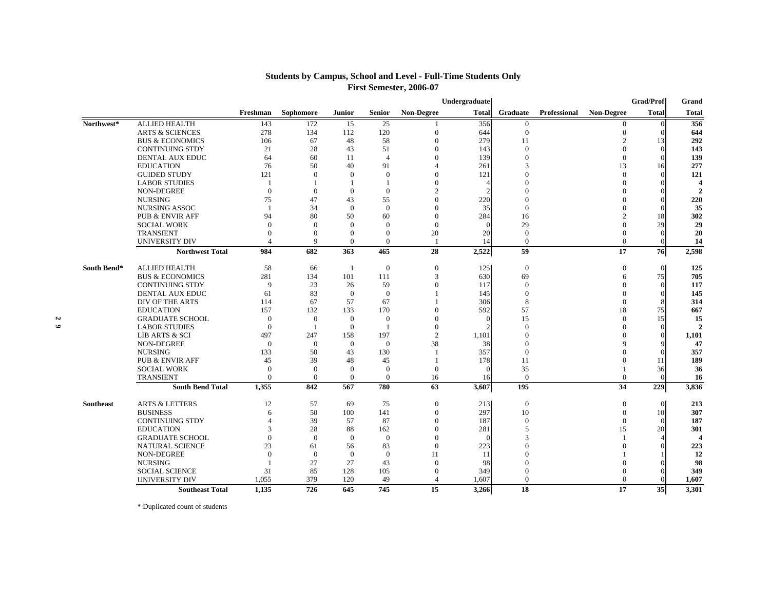### **Students by Campus, School and Level - Full-Time Students Only First Semester, 2006-07**

|           |             |                            |                |                      |                |                |                | Undergraduate |                |                     |                   | Grad/Prof    | Grand                  |
|-----------|-------------|----------------------------|----------------|----------------------|----------------|----------------|----------------|---------------|----------------|---------------------|-------------------|--------------|------------------------|
|           |             |                            | Freshman       | Sophomore            | <b>Junior</b>  | <b>Senior</b>  | Non-Degree     | <b>Total</b>  | Graduate       | <b>Professional</b> | <b>Non-Degree</b> | <b>Total</b> | <b>Total</b>           |
|           | Northwest*  | <b>ALLIED HEALTH</b>       | 143            | 172                  | 15             | 25             |                | 356           | $\mathbf{0}$   |                     | $\overline{0}$    | $\Omega$     | 356                    |
|           |             | <b>ARTS &amp; SCIENCES</b> | 278            | 134                  | 112            | 120            | $\Omega$       | 644           | $\mathbf{0}$   |                     | $\mathbf{0}$      |              | 644                    |
|           |             | <b>BUS &amp; ECONOMICS</b> | 106            | 67                   | 48             | 58             | $\Omega$       | 279           | 11             |                     | 2                 | 13           | 292                    |
|           |             | <b>CONTINUING STDY</b>     | 21             | 28                   | 43             | 51             | $\Omega$       | 143           | $\theta$       |                     | $\Omega$          |              | 143                    |
|           |             | <b>DENTAL AUX EDUC</b>     | 64             | 60                   | 11             | $\overline{4}$ | $\Omega$       | 139           | $\Omega$       |                     | $\Omega$          |              | 139                    |
|           |             | <b>EDUCATION</b>           | 76             | 50                   | 40             | 91             | $\Delta$       | 261           | 3              |                     | 13                | 16           | 277                    |
|           |             | <b>GUIDED STUDY</b>        | 121            | $\Omega$             | $\Omega$       | $\mathbf{0}$   | $\Omega$       | 121           | $\Omega$       |                     | $\Omega$          |              | 121                    |
|           |             | <b>LABOR STUDIES</b>       | $\overline{1}$ |                      |                | $\mathbf{1}$   | $\Omega$       |               |                |                     | $\Omega$          |              | $\boldsymbol{\Lambda}$ |
|           |             | NON-DEGREE                 | $\mathbf{0}$   | $\theta$             | $\theta$       | $\overline{0}$ | $\mathfrak{D}$ |               |                |                     |                   |              | $\mathbf{2}$           |
|           |             | <b>NURSING</b>             | 75             | 47                   | 43             | 55             | $\Omega$       | 220           | $\Omega$       |                     |                   |              | 220                    |
|           |             | <b>NURSING ASSOC</b>       | $\overline{1}$ | 34                   | $\theta$       | $\overline{0}$ | $\Omega$       | 35            | $\Omega$       |                     |                   |              | 35                     |
|           |             | <b>PUB &amp; ENVIR AFF</b> | 94             | 80                   | 50             | 60             | $\Omega$       | 284           | 16             |                     | 2                 | 18           | 302                    |
|           |             | <b>SOCIAL WORK</b>         | $\theta$       | $\Omega$             | $\Omega$       | $\mathbf{0}$   | $\Omega$       |               | 29             |                     | 0                 | 29           | 29                     |
|           |             | <b>TRANSIENT</b>           | $\Omega$       | $\Omega$<br>$\Omega$ | $\theta$       | $\Omega$       | 20             | 20            | $\Omega$       |                     | 0                 |              | 20                     |
|           |             | <b>UNIVERSITY DIV</b>      |                |                      | $\Omega$       | $\overline{0}$ |                | 14            | $\overline{0}$ |                     | $\Omega$          |              | 14                     |
|           |             | <b>Northwest Total</b>     | 984            | 682                  | 363            | 465            | 28             | 2,522         | 59             |                     | 17                | 76           | 2,598                  |
|           | South Bend* | <b>ALLIED HEALTH</b>       | 58             | 66                   | -1             | $\overline{0}$ | $\overline{0}$ | 125           | $\overline{0}$ |                     | $\mathbf{0}$      | $\Omega$     | 125                    |
|           |             | <b>BUS &amp; ECONOMICS</b> | 281            | 134                  | 101            | 111            | 3              | 630           | 69             |                     | 6                 | 75           | 705                    |
|           |             | <b>CONTINUING STDY</b>     | 9              | 23                   | 26             | 59             |                | 117           | $\Omega$       |                     | $\Omega$          |              | 117                    |
|           |             | DENTAL AUX EDUC            | 61             | 83                   | $\overline{0}$ | $\overline{0}$ |                | 145           | $\Omega$       |                     | 0                 |              | 145                    |
|           |             | DIV OF THE ARTS            | 114            | 67                   | 57             | 67             |                | 306           | 8              |                     | $\theta$          |              | 314                    |
|           |             | <b>EDUCATION</b>           | 157            | 132                  | 133            | 170            | $\Omega$       | 592           | 57             |                     | 18                | 75           | 667                    |
| N         |             | <b>GRADUATE SCHOOL</b>     | $\theta$       | $\overline{0}$       | $\overline{0}$ | $\overline{0}$ | $\Omega$       |               | 15             |                     | $\Omega$          | 15           | 15                     |
| $\bullet$ |             | <b>LABOR STUDIES</b>       | $\theta$       |                      | $\Omega$       |                | $\Omega$       |               | $\Omega$       |                     | $\Omega$          |              | $\mathcal{D}$          |
|           |             | <b>LIB ARTS &amp; SCI</b>  | 497            | 247                  | 158            | 197            | $\mathbf{2}$   | 1,101         | $\Omega$       |                     |                   |              | 1,101                  |
|           |             | <b>NON-DEGREE</b>          | $\Omega$       | $\Omega$             | $\Omega$       | $\overline{0}$ | 38             | 38            | $\Omega$       |                     |                   |              | 47                     |
|           |             | <b>NURSING</b>             | 133            | 50                   | 43             | 130            |                | 357           | $\mathbf{0}$   |                     |                   |              | 357                    |
|           |             | <b>PUB &amp; ENVIR AFF</b> | 45             | 39                   | 48             | 45             |                | 178           | 11             |                     |                   | 11           | 189                    |
|           |             | <b>SOCIAL WORK</b>         | $\Omega$       | $\Omega$             | $\theta$       | $\overline{0}$ | $\Omega$       |               | 35             |                     |                   | 36           | 36                     |
|           |             | <b>TRANSIENT</b>           | $\Omega$       | $\Omega$             | $\theta$       | $\overline{0}$ | 16             | 16            | $\overline{0}$ |                     | $\theta$          |              | 16                     |
|           |             | <b>South Bend Total</b>    | 1.355          | 842                  | 567            | 780            | 63             | 3,607         | 195            |                     | 34                | 229          | 3,836                  |
|           | Southeast   | <b>ARTS &amp; LETTERS</b>  | 12             | 57                   | 69             | 75             | $\theta$       | 213           | $\mathbf{0}$   |                     | $\mathbf{0}$      | $\Omega$     | 213                    |
|           |             | <b>BUSINESS</b>            | 6              | 50                   | 100            | 141            | $\Omega$       | 297           | 10             |                     | $\Omega$          | 10           | 307                    |
|           |             | <b>CONTINUING STDY</b>     | $\Delta$       | 39                   | 57             | 87             | $\Omega$       | 187           | $\Omega$       |                     | $\Omega$          |              | 187                    |
|           |             | <b>EDUCATION</b>           | 3              | 28                   | 88             | 162            | $\Omega$       | 281           |                |                     | 15                | 20           | 301                    |
|           |             | <b>GRADUATE SCHOOL</b>     | $\Omega$       | $\Omega$             | $\Omega$       | $\overline{0}$ | $\Omega$       | $\Omega$      | 3              |                     |                   |              | $\overline{\Delta}$    |
|           |             | <b>NATURAL SCIENCE</b>     | 23             | 61                   | 56             | 83             | $\Omega$       | 223           |                |                     |                   |              | 223                    |
|           |             | <b>NON-DEGREE</b>          | $\Omega$       | $\Omega$             | $\overline{0}$ | $\overline{0}$ | 11             | 11            | $\Omega$       |                     |                   |              | 12                     |
|           |             | <b>NURSING</b>             |                | 27                   | 27             | 43             | $\Omega$       | 98            |                |                     |                   |              | 98                     |
|           |             | <b>SOCIAL SCIENCE</b>      | 31             | 85                   | 128            | 105            | $\Omega$       | 349           | $\Omega$       |                     |                   |              | 349                    |
|           |             | <b>UNIVERSITY DIV</b>      | 1,055          | 379                  | 120            | 49             |                | 1,607         | $\Omega$       |                     | $\Omega$          |              | 1,607                  |
|           |             | <b>Southeast Total</b>     | 1.135          | 726                  | 645            | 745            | 15             | 3.266         | 18             |                     | 17                | 35           | 3.301                  |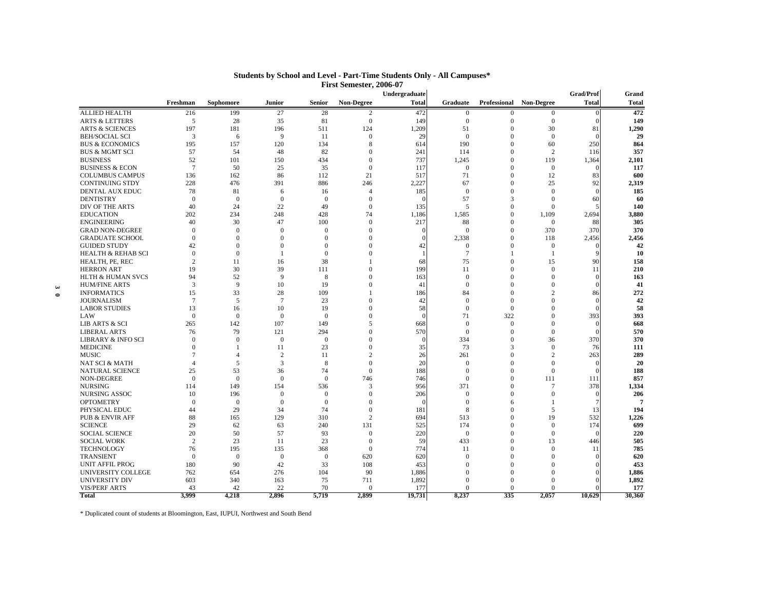|                      |                               |                |                |                |                |                | Undergraduate |                 |              |                         | Grad/Prof    | Grand        |
|----------------------|-------------------------------|----------------|----------------|----------------|----------------|----------------|---------------|-----------------|--------------|-------------------------|--------------|--------------|
|                      |                               | Freshman       | Sophomore      | Junior         | <b>Senior</b>  | Non-Degree     | <b>Total</b>  | Graduate        |              | Professional Non-Degree | <b>Total</b> | <b>Total</b> |
|                      | <b>ALLIED HEALTH</b>          | 216            | 199            | 27             | 28             | 2              | 472           | $\bf{0}$        | $\mathbf{0}$ | $\bf{0}$                |              | 472          |
|                      | <b>ARTS &amp; LETTERS</b>     | 5              | 28             | 35             | 81             | $\mathbf{0}$   | 149           | $\mathbf{0}$    | $\mathbf{0}$ | $\mathbf{0}$            | $\sqrt{ }$   | 149          |
|                      | <b>ARTS &amp; SCIENCES</b>    | 197            | 181            | 196            | 511            | 124            | 1,209         | 51              | $\Omega$     | 30                      | 81           | 1,290        |
|                      | <b>BEH/SOCIAL SCI</b>         | 3              | 6              | 9              | 11             | $\mathbf{0}$   | 29            | $\mathbf{0}$    | $\mathbf{0}$ | $\mathbf{0}$            | $\sqrt{ }$   | 29           |
|                      | <b>BUS &amp; ECONOMICS</b>    | 195            | 157            | 120            | 134            | 8              | 614           | 190             | $\Omega$     | 60                      | 250          | 864          |
|                      | <b>BUS &amp; MGMT SCI</b>     | 57             | 54             | 48             | 82             | $\Omega$       | 241           | 114             | $\Omega$     | $\overline{2}$          | 116          | 357          |
|                      | <b>BUSINESS</b>               | 52             | 101            | 150            | 434            | $\Omega$       | 737           | 1,245           | $\mathbf{0}$ | 119                     | 1,364        | 2,101        |
|                      | <b>BUSINESS &amp; ECON</b>    | $\overline{7}$ | 50             | 25             | 35             | $\mathbf{0}$   | 117           | $\overline{0}$  | $\mathbf{0}$ | $\mathbf{0}$            |              | 117          |
|                      | <b>COLUMBUS CAMPUS</b>        | 136            | 162            | 86             | 112            | 21             | 517           | 71              | $\mathbf{0}$ | 12                      | 83           | 600          |
|                      | <b>CONTINUING STDY</b>        | 228            | 476            | 391            | 886            | 246            | 2,227         | 67              | $\Omega$     | 25                      | 92           | 2,319        |
|                      | DENTAL AUX EDUC               | 78             | 81             | 6              | 16             | $\overline{A}$ | 185           | $\overline{0}$  | $\mathbf{0}$ | $\mathbf{0}$            | $\sqrt{ }$   | 185          |
|                      | <b>DENTISTRY</b>              | $\mathbf{0}$   | $\Omega$       | $\overline{0}$ | $\Omega$       | $\Omega$       | ſ             | 57              | 3            | $\Omega$                | 60           | 60           |
|                      | DIV OF THE ARTS               | 40             | 24             | 22             | 49             | $\Omega$       | 135           | 5               | $\Omega$     | $\theta$                |              | 140          |
|                      | <b>EDUCATION</b>              | 202            | 234            | 248            | 428            | 74             | 1,186         | 1,585           | $\Omega$     | 1.109                   | 2,694        | 3,880        |
|                      | <b>ENGINEERING</b>            | 40             | 30             | 47             | 100            | $\theta$       | 217           | 88              | $\theta$     | $\mathbf{0}$            | 88           | 305          |
|                      | <b>GRAD NON-DEGREE</b>        | $\mathbf{0}$   | $\Omega$       | $\overline{0}$ | $\theta$       | $\Omega$       | $\Omega$      | $\Omega$        | $\mathbf{0}$ | 370                     | 370          | 370          |
|                      | <b>GRADUATE SCHOOL</b>        | $\Omega$       | $\Omega$       | $\Omega$       | $\Omega$       | $\Omega$       |               | 2,338           | $\Omega$     | 118                     | 2,456        | 2,456        |
|                      | <b>GUIDED STUDY</b>           | 42             | $\Omega$       | $\mathbf{0}$   | $\Omega$       | $\Omega$       | 42            | $\mathbf{0}$    | $\Omega$     | $\boldsymbol{0}$        |              | 42           |
|                      | <b>HEALTH &amp; REHAB SCI</b> | $\Omega$       | $\Omega$       | $\overline{1}$ | $\Omega$       | $\Omega$       |               | $7\overline{ }$ |              | $\overline{1}$          |              | 10           |
|                      | HEALTH, PE, REC               | $\overline{c}$ | 11             | 16             | 38             | $\mathbf{1}$   | 68            | 75              | $\Omega$     | 15                      | 90           | 158          |
|                      | <b>HERRON ART</b>             | 19             | 30             | 39             | 111            | $\theta$       | 199           | 11              | $\mathbf{0}$ | $\mathbf{0}$            | 11           | 210          |
|                      | <b>HLTH &amp; HUMAN SVCS</b>  | 94             | 52             | 9              | 8              | $\theta$       | 163           | $\mathbf{0}$    | $\mathbf{0}$ | $\mathbf{0}$            | $\sqrt{ }$   | 163          |
| $\ddot{\phantom{0}}$ | <b>HUM/FINE ARTS</b>          | 3              | 9              | 10             | 19             | $\Omega$       | 41            | $\mathbf{0}$    | $\mathbf{0}$ | $\mathbf{0}$            |              | 41           |
| $\bullet$            | <b>INFORMATICS</b>            | 15             | 33             | 28             | 109            |                | 186           | 84              | $\Omega$     | $\overline{2}$          | 86           | 272          |
|                      | <b>JOURNALISM</b>             | 7              | 5              | $\overline{7}$ | 23             | $\Omega$       | 42            | $\mathbf{0}$    | $\Omega$     | $\Omega$                |              | 42           |
|                      | <b>LABOR STUDIES</b>          | 13             | 16             | 10             | 19             | $\Omega$       | 58            | $\mathbf{0}$    | $\Omega$     | $\theta$                |              | 58           |
|                      | LAW                           | $\Omega$       | $\Omega$       | $\mathbf{0}$   | $\Omega$       | $\Omega$       | $\sqrt{ }$    | 71              | 322          | $\Omega$                | 393          | 393          |
|                      | LIB ARTS & SCI                | 265            | 142            | 107            | 149            | 5              | 668           | $\overline{0}$  | $\mathbf{0}$ | $\mathbf{0}$            | $\sqrt{ }$   | 668          |
|                      | <b>LIBERAL ARTS</b>           | 76             | 79             | 121            | 294            | $\theta$       | 570           | $\mathbf{0}$    | $\Omega$     | $\mathbf{0}$            |              | 570          |
|                      | <b>LIBRARY &amp; INFO SCI</b> | $\mathbf{0}$   | $\Omega$       | $\mathbf{0}$   | $\overline{0}$ | $\theta$       | $\Omega$      | 334             | $\mathbf{0}$ | 36                      | 370          | 370          |
|                      | <b>MEDICINE</b>               | $\mathbf{0}$   |                | 11             | 23             | $\theta$       | 35            | 73              | 3            | $\mathbf{0}$            | 76           | 111          |
|                      | <b>MUSIC</b>                  | 7              | $\overline{A}$ | 2              | 11             | $\overline{c}$ | 26            | 261             | $\Omega$     | $\overline{c}$          | 263          | 289          |
|                      | <b>NAT SCI &amp; MATH</b>     | $\overline{4}$ | 5              | 3              | 8              | $\Omega$       | 20            | $\mathbf{0}$    | $\mathbf{0}$ | $\theta$                | $\sqrt{ }$   | 20           |
|                      | <b>NATURAL SCIENCE</b>        | 25             | 53             | 36             | 74             | $\Omega$       | 188           | $\Omega$        | $\Omega$     | $\Omega$                |              | 188          |
|                      | NON-DEGREE                    | $\theta$       | $\theta$       | $\overline{0}$ | $\mathbf{0}$   | 746            | 746           | $\mathbf{0}$    | $\mathbf{0}$ | 111                     | 111          | 857          |
|                      | <b>NURSING</b>                | 114            | 149            | 154            | 536            | 3              | 956           | 371             | $\Omega$     | $\overline{7}$          | 378          | 1,334        |
|                      | NURSING ASSOC                 | 10             | 196            | $\mathbf{0}$   | $\overline{0}$ | $\Omega$       | 206           | $\mathbf{0}$    | $\theta$     | $\theta$                | $\sqrt{ }$   | 206          |
|                      | <b>OPTOMETRY</b>              | $\mathbf{0}$   | $\Omega$       | $\mathbf{0}$   | $\overline{0}$ | $\mathbf{0}$   | $\Omega$      | $\mathbf{0}$    | 6            | $\mathbf{1}$            | 7            |              |
|                      | PHYSICAL EDUC                 | 44             | 29             | 34             | 74             | $\Omega$       | 181           | 8               | $\Omega$     | 5                       | 13           | 194          |
|                      | <b>PUB &amp; ENVIR AFF</b>    | 88             | 165            | 129            | 310            | $\overline{c}$ | 694           | 513             | $\Omega$     | 19                      | 532          | 1,226        |
|                      | <b>SCIENCE</b>                | 29             | 62             | 63             | 240            | 131            | 525           | 174             | $\Omega$     | $\Omega$                | 174          | 699          |
|                      | <b>SOCIAL SCIENCE</b>         | 20             | 50             | 57             | 93             | $\mathbf{0}$   | 220           | $\mathbf{0}$    | $\Omega$     | $\mathbf{0}$            |              | 220          |
|                      | <b>SOCIAL WORK</b>            | 2              | 23             | 11             | 23             | $\mathbf{0}$   | 59            | 433             | $\mathbf{0}$ | 13                      | 446          | 505          |
|                      | <b>TECHNOLOGY</b>             | 76             | 195            | 135            | 368            | $\Omega$       | 774           | 11              | $\Omega$     | $\mathbf{0}$            | 11           | 785          |
|                      | <b>TRANSIENT</b>              | $\mathbf{0}$   | $\mathbf{0}$   | $\overline{0}$ | $\mathbf{0}$   | 620            | 620           | $\mathbf{0}$    | $\mathbf{0}$ | $\theta$                |              | 620          |
|                      | <b>UNIT AFFIL PROG</b>        | 180            | 90             | 42             | 33             | 108            | 453           | $\Omega$        | $\Omega$     | $\Omega$                |              | 453          |
|                      | UNIVERSITY COLLEGE            | 762            | 654            | 276            | 104            | 90             | 1,886         | $\Omega$        | $\Omega$     | $\Omega$                |              | 1,886        |
|                      | <b>UNIVERSITY DIV</b>         | 603            | 340            | 163            | 75             | 711            | 1,892         | $\Omega$        | $\Omega$     | $\Omega$                |              | 1,892        |
|                      | <b>VIS/PERF ARTS</b>          | 43             | 42             | 22             | 70             | $\Omega$       | 177           | $\Omega$        | $\Omega$     | $\Omega$                |              | 177          |
|                      | <b>Total</b>                  | 3.999          | 4,218          | 2,896          | 5,719          | 2.899          | 19,731        | 8.237           | 335          | 2.057                   | 10,629       | 30,360       |

#### **Students by School and Level - Part-Time Students Only - All Campuses\* First Semester, 2006-07**

\* Duplicated count of students at Bloomington, East, IUPUI, Northwest and South Bend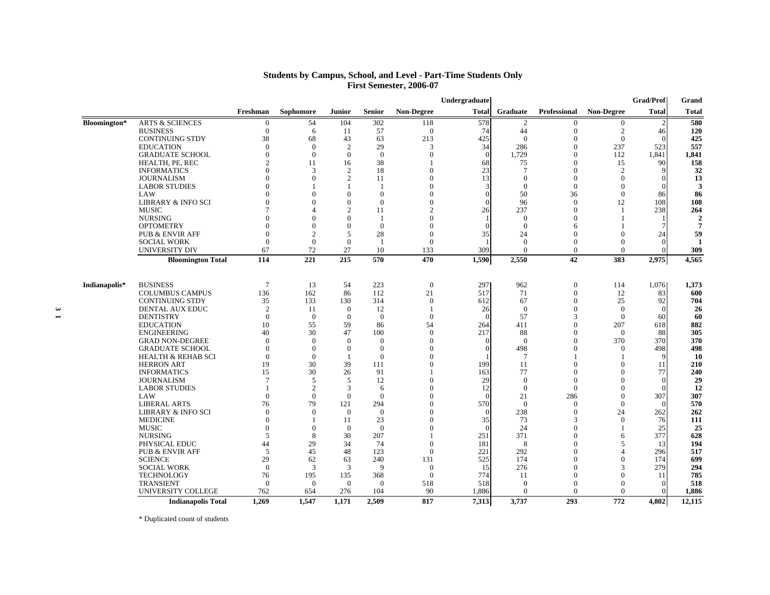|               |                               |                  |                |                |                |                   | Undergraduate |                |                  |                   | <b>Grad/Prof</b> | Grand         |
|---------------|-------------------------------|------------------|----------------|----------------|----------------|-------------------|---------------|----------------|------------------|-------------------|------------------|---------------|
|               |                               | Freshman         | Sophomore      | <b>Junior</b>  | <b>Senior</b>  | <b>Non-Degree</b> | <b>Total</b>  | Graduate       | Professional     | <b>Non-Degree</b> | <b>Total</b>     | <b>Total</b>  |
| Bloomington*  | <b>ARTS &amp; SCIENCES</b>    | $\boldsymbol{0}$ | 54             | 104            | 302            | 118               | 578           | $\overline{2}$ | $\Omega$         | $\overline{0}$    | $\overline{c}$   | 580           |
|               | <b>BUSINESS</b>               | $\overline{0}$   | 6              | 11             | 57             | $\mathbf{0}$      | 74            | 44             | $\mathbf{0}$     | 2                 | 46               | 120           |
|               | <b>CONTINUING STDY</b>        | 38               | 68             | 43             | 63             | 213               | 425           | $\overline{0}$ | $\mathbf{0}$     | $\boldsymbol{0}$  |                  | 425           |
|               | <b>EDUCATION</b>              | $\theta$         | $\Omega$       | $\overline{c}$ | 29             | 3                 | 34            | 286            | $\Omega$         | 237               | 523              | 557           |
|               | <b>GRADUATE SCHOOL</b>        | $\Omega$         | $\Omega$       | $\Omega$       | $\overline{0}$ | $\Omega$          | $\Omega$      | 1,729          | $\Omega$         | 112               | 1,841            | 1,841         |
|               | HEALTH, PE, REC               | $\mathcal{D}$    | 11             | 16             | 38             |                   | 68            | 75             | $\Omega$         | 15                | 90               | 158           |
|               | <b>INFORMATICS</b>            | $\Omega$         | 3              | 2              | 18             | 0                 | 23            | 7              | $\mathbf{0}$     | 2                 |                  | 32            |
|               | <b>JOURNALISM</b>             |                  | $\theta$       | $\overline{2}$ | 11             |                   | 13            | $\Omega$       | $\mathbf{0}$     | $\overline{0}$    |                  | 13            |
|               | <b>LABOR STUDIES</b>          | $\Omega$         |                |                | -1             |                   |               | $\overline{0}$ | $\mathbf{0}$     | $\overline{0}$    |                  | 3             |
|               | LAW                           |                  | $\Omega$       | $\Omega$       | $\theta$       |                   |               | 50             | 36               | $\mathbf{0}$      | 86               | 86            |
|               | <b>LIBRARY &amp; INFO SCI</b> |                  | $\Omega$       | $\Omega$       | $\theta$       |                   |               | 96             | $\Omega$         | 12                | 108              | 108           |
|               | <b>MUSIC</b>                  |                  |                | $\overline{2}$ | 11             |                   | 26            | 237            | $\mathbf{0}$     | -1                | 238              | 264           |
|               | <b>NURSING</b>                |                  | $\Omega$       | $\Omega$       | $\overline{1}$ |                   |               | $\overline{0}$ | $\Omega$         | $\mathbf{1}$      |                  | $\mathcal{D}$ |
|               | <b>OPTOMETRY</b>              |                  | $\Omega$       | $\Omega$       | $\mathbf{0}$   |                   |               | $\overline{0}$ | 6                |                   |                  |               |
|               | <b>PUB &amp; ENVIR AFF</b>    | $\Omega$         | $\overline{2}$ | 5              | 28             | $\Omega$          | 35            | 24             | $\Omega$         | $\Omega$          | 24               | 59            |
|               | <b>SOCIAL WORK</b>            | $\Omega$         | $\Omega$       | $\Omega$       | $\overline{1}$ | $\Omega$          |               | $\Omega$       | $\Omega$         | $\Omega$          | $\Omega$         |               |
|               | <b>UNIVERSITY DIV</b>         | 67               | 72             | 27             | 10             | 133               | 309           | $\overline{0}$ | $\mathbf{0}$     | $\mathbf{0}$      | $\Omega$         | 309           |
|               | <b>Bloomington Total</b>      | 114              | 221            | 215            | 570            | 470               | 1,590         | 2,550          | 42               | 383               | 2,975            | 4,565         |
| Indianapolis* | <b>BUSINESS</b>               | $7\phantom{.0}$  | 13             | 54             | 223            | $\boldsymbol{0}$  | 297           | 962            | $\boldsymbol{0}$ | 114               | 1,076            | 1,373         |
|               | <b>COLUMBUS CAMPUS</b>        | 136              | 162            | 86             | 112            | 21                | 517           | 71             | $\boldsymbol{0}$ | 12                | 83               | 600           |
|               | <b>CONTINUING STDY</b>        | 35               | 133            | 130            | 314            | $\Omega$          | 612           | 67             | $\Omega$         | 25                | 92               | 704           |
|               | DENTAL AUX EDUC               | 2                | 11             | $\overline{0}$ | 12             |                   | 26            | $\Omega$       | $\Omega$         | $\overline{0}$    | $\Omega$         | 26            |
|               | <b>DENTISTRY</b>              | $\Omega$         | $\theta$       | $\Omega$       | $\mathbf{0}$   | $\Omega$          |               | 57             | 3                | $\Omega$          | 60               | 60            |
|               | <b>EDUCATION</b>              | 10               | 55             | 59             | 86             | 54                | 264           | 411            | $\Omega$         | 207               | 618              | 882           |
|               | <b>ENGINEERING</b>            | 40               | 30             | 47             | 100            | $\overline{0}$    | 217           | 88             | $\Omega$         | $\overline{0}$    | 88               | 305           |
|               | <b>GRAD NON-DEGREE</b>        | $\Omega$         | $\Omega$       | $\Omega$       | $\Omega$       | $\Omega$          |               | $\Omega$       | $\Omega$         | 370               | 370              | 370           |
|               | <b>GRADUATE SCHOOL</b>        | $\Omega$         | $\Omega$       | $\Omega$       | $\theta$       |                   |               | 498            | $\mathbf{0}$     | $\mathbf{0}$      | 498              | 498           |
|               | <b>HEALTH &amp; REHAB SCI</b> | $\Omega$         | $\Omega$       |                | $\Omega$       |                   |               | $\overline{7}$ |                  |                   | q                | 10            |
|               | <b>HERRON ART</b>             | 19               | 30             | 39             | 111            |                   | 199           | 11             | $\mathbf{0}$     | $\mathbf{0}$      | 11               | 210           |
|               | <b>INFORMATICS</b>            | 15               | 30             | 26             | 91             |                   | 163           | 77             | $\Omega$         | $\Omega$          | 77               | 240           |
|               | <b>JOURNALISM</b>             |                  | 5              | 5              | 12             | $\Omega$          | 29            | $\overline{0}$ | $\Omega$         | $\Omega$          | $\Omega$         | 29            |
|               | <b>LABOR STUDIES</b>          |                  | $\overline{2}$ | 3              | 6              | $\Omega$          | 12            | $\overline{0}$ | $\mathbf{0}$     | $\mathbf{0}$      | $\Omega$         | 12            |
|               | LAW                           | $\Omega$         | $\Omega$       | $\Omega$       | $\theta$       | $\Omega$          |               | 21             | 286              | $\Omega$          | 307              | 307           |
|               | <b>LIBERAL ARTS</b>           | 76               | 79             | 121            | 294            | $\Omega$          | 570           | $\overline{0}$ | $\mathbf{0}$     | $\mathbf{0}$      | $\Omega$         | 570           |
|               | <b>LIBRARY &amp; INFO SCI</b> | $\Omega$         | $\Omega$       | $\Omega$       | $\Omega$       | $\Omega$          |               | 238            | $\Omega$         | 24                | 262              | 262           |
|               | <b>MEDICINE</b>               | $\Omega$         |                | 11             | 23             |                   | 35            | 73             | 3                | $\overline{0}$    | 76               | 111           |
|               | <b>MUSIC</b>                  | $\Omega$         | $\Omega$       | $\Omega$       | $\theta$       |                   |               | 24             | $\Omega$         |                   | 25               | 25            |
|               | <b>NURSING</b>                | 5                | 8              | 30             | 207            |                   | 251           | 371            | $\mathbf{0}$     | 6                 | 377              | 628           |
|               | PHYSICAL EDUC                 | 44               | 29             | 34             | 74             | $\Omega$          | 181           | 8              | $\theta$         | 5                 | 13               | 194           |
|               | <b>PUB &amp; ENVIR AFF</b>    | 5                | 45             | 48             | 123            | $\Omega$          | 221           | 292            | $\Omega$         | 4                 | 296              | 517           |
|               | <b>SCIENCE</b>                | 29               | 62             | 63             | 240            | 131               | 525           | 174            | $\Omega$         | $\Omega$          | 174              | 699           |
|               | <b>SOCIAL WORK</b>            | $\Omega$         | 3              | 3              | 9              | $\Omega$          | 15            | 276            | $\Omega$         | $\mathbf{3}$      | 279              | 294           |
|               | <b>TECHNOLOGY</b>             | 76               | 195            | 135            | 368            | $\overline{0}$    | 774           | 11             | $\Omega$         | $\mathbf{0}$      | 11               | 785           |
|               | <b>TRANSIENT</b>              | $\overline{0}$   | $\Omega$       | $\Omega$       | $\theta$       | 518               | 518           | $\overline{0}$ | $\theta$         | $\Omega$          | $\Omega$         | 518           |
|               | UNIVERSITY COLLEGE            | 762              | 654            | 276            | 104            | 90                | 1,886         | $\overline{0}$ | $\Omega$         | $\Omega$          |                  | 1,886         |
|               | <b>Indianapolis Total</b>     | 1,269            | 1,547          | 1,171          | 2,509          | 817               | 7,313         | 3,737          | 293              | 772               | 4,802            | 12,115        |

#### **Students by Campus, School, and Level - Part-Time Students Only First Semester, 2006-07**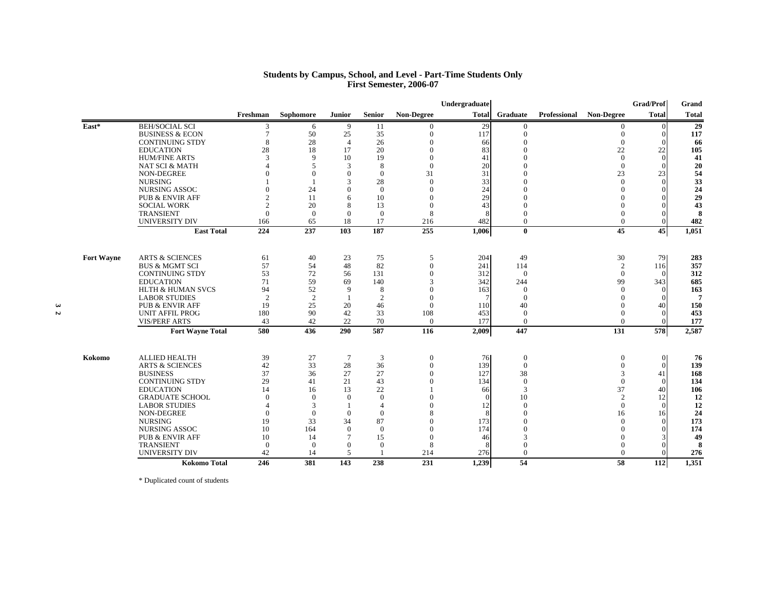#### **Students by Campus, School, and Level - Part-Time Students Only First Semester, 2006-07**

|                   |                                                    |                |                |                          |                |                   | Undergraduate |                  |              |                   | <b>Grad/Prof</b> | Grand        |
|-------------------|----------------------------------------------------|----------------|----------------|--------------------------|----------------|-------------------|---------------|------------------|--------------|-------------------|------------------|--------------|
|                   |                                                    | Freshman       | Sophomore      | Junior                   | <b>Senior</b>  | <b>Non-Degree</b> | <b>Total</b>  | Graduate         | Professional | <b>Non-Degree</b> | <b>Total</b>     | <b>Total</b> |
| East*             | <b>BEH/SOCIAL SCI</b>                              | 3              | 6              | 9                        | 11             | $\Omega$          | 29            | $\theta$         |              | $\Omega$          | $\Omega$         | 29           |
|                   | <b>BUSINESS &amp; ECON</b>                         | $\overline{7}$ | 50             | 25                       | 35             | $\Omega$          | 117           | $\overline{0}$   |              | $\Omega$          | $\Omega$         | 117          |
|                   | <b>CONTINUING STDY</b>                             | 8              | 28             | $\overline{4}$           | 26             |                   | 66            | $\Omega$         |              | $\Omega$          |                  | 66           |
|                   | <b>EDUCATION</b>                                   | 28             | 18             | 17                       | 20             |                   | 83            | $\Omega$         |              | 22                | 22               | 105          |
|                   | <b>HUM/FINE ARTS</b>                               | $\mathcal{R}$  | $\mathbf Q$    | 10                       | 19             | $\Omega$          | 41            |                  |              | $\overline{0}$    | $\Omega$         | 41           |
|                   | <b>NAT SCI &amp; MATH</b>                          |                | $\overline{5}$ | 3                        | 8              | $\Omega$          | 20            | $\Omega$         |              | $\overline{0}$    |                  | 20           |
|                   | NON-DEGREE<br><b>NURSING</b>                       |                | $\Omega$       | $\Omega$<br>$\mathbf{3}$ | $\Omega$       | 31                | 31            |                  |              | 23<br>$\Omega$    | 23<br>$\Omega$   | 54           |
|                   |                                                    |                |                | $\Omega$                 | 28<br>$\Omega$ | $\Omega$          | 33            | $\Omega$         |              |                   |                  | 33           |
|                   | <b>NURSING ASSOC</b><br><b>PUB &amp; ENVIR AFF</b> | $\overline{2}$ | 24<br>11       | 6                        | 10             |                   | 24<br>29      |                  |              |                   |                  | 24<br>29     |
|                   | <b>SOCIAL WORK</b>                                 |                | 20             | 8                        |                | $\Omega$          | 43            | $\Omega$         |              |                   |                  | 43           |
|                   | <b>TRANSIENT</b>                                   | $\Omega$       | $\Omega$       | $\Omega$                 | 13<br>$\theta$ | 8                 |               | $\theta$         |              |                   |                  | 8            |
|                   | <b>UNIVERSITY DIV</b>                              | 166            | 65             | 18                       | 17             | 216               | 482           | $\overline{0}$   |              | $\Omega$          |                  | 482          |
|                   | <b>East Total</b>                                  | 224            | 237            | 103                      | 187            | 255               | 1,006         | $\bf{0}$         |              | 45                | 45               | 1,051        |
|                   |                                                    |                |                |                          |                |                   |               |                  |              |                   |                  |              |
| <b>Fort Wayne</b> | <b>ARTS &amp; SCIENCES</b>                         | 61             | 40             | 23                       | 75             | 5                 | 204           | 49               |              | 30                | 79               | 283          |
|                   | <b>BUS &amp; MGMT SCI</b>                          | 57             | 54             | 48                       | 82             | $\Omega$          | 241           | 114              |              | 2                 | 116              | 357          |
|                   | <b>CONTINUING STDY</b>                             | 53             | 72             | 56                       | 131            |                   | 312           | $\Omega$         |              | $\Omega$          |                  | 312          |
|                   | <b>EDUCATION</b>                                   | 71             | 59             | 69                       | 140            |                   | 342           | 244              |              | 99                | 343              | 685          |
|                   | <b>HLTH &amp; HUMAN SVCS</b>                       | 94             | 52             | 9                        | 8              |                   | 163           | $\Omega$         |              | $\Omega$          | $\Omega$         | 163          |
|                   | <b>LABOR STUDIES</b>                               | $\overline{2}$ | 2              |                          | $\overline{2}$ |                   |               | $\Omega$         |              |                   |                  | 7            |
|                   | <b>PUB &amp; ENVIR AFF</b>                         | 19             | 25             | 20                       | 46             | $\theta$          | 110           | 40               |              |                   | 40               | 150          |
|                   | <b>UNIT AFFIL PROG</b>                             | 180            | 90             | 42                       | 33             | 108               | 453           | $\theta$         |              |                   |                  | 453          |
|                   | <b>VIS/PERF ARTS</b>                               | 43             | 42             | 22                       | 70             | $\overline{0}$    | 177           | $\overline{0}$   |              | $\Omega$          |                  | 177          |
|                   | <b>Fort Wayne Total</b>                            | 580            | 436            | 290                      | 587            | 116               | 2,009         | 447              |              | 131               | 578              | 2,587        |
| Kokomo            | <b>ALLIED HEALTH</b>                               | 39             | 27             | $\overline{7}$           | 3              | $\overline{0}$    | 76            | $\mathbf{0}$     |              | $\overline{0}$    | $\overline{0}$   | 76           |
|                   | <b>ARTS &amp; SCIENCES</b>                         | 42             | 33             | 28                       | 36             | $\theta$          | 139           | $\boldsymbol{0}$ |              |                   | $\theta$         | 139          |
|                   | <b>BUSINESS</b>                                    | 37             | 36             | 27                       | 27             |                   | 127           | 38               |              |                   | 41               | 168          |
|                   | <b>CONTINUING STDY</b>                             | 29             | 41             | 21                       | 43             |                   | 134           | $\overline{0}$   |              | $\Omega$          | $\Omega$         | 134          |
|                   | <b>EDUCATION</b>                                   | 14             | 16             | 13                       | 22             |                   | 66            | 3                |              | 37                | 40               | 106          |
|                   | <b>GRADUATE SCHOOL</b>                             | $\Omega$       | $\theta$       | $\Omega$                 | $\theta$       |                   |               | 10               |              | $\overline{2}$    |                  | 12           |
|                   | <b>LABOR STUDIES</b>                               |                | 3              |                          | $\overline{4}$ |                   | 12            | $\Omega$         |              | $\Omega$          | $\Omega$         | 12           |
|                   | NON-DEGREE                                         | $\Omega$       | $\theta$       | $\Omega$                 | $\Omega$       |                   |               | $\Omega$         |              | 16                | 16               | 24           |
|                   | <b>NURSING</b>                                     | 19             | 33             | 34                       | 87             |                   | 173           | $\Omega$         |              | $\Omega$          | $\Omega$         | 173          |
|                   | <b>NURSING ASSOC</b>                               | 10             | 164            | $\Omega$                 | $\Omega$       |                   | 174           | $\Omega$         |              |                   |                  | 174          |
|                   | <b>PUB &amp; ENVIR AFF</b>                         | 10             | 14             |                          | 15             | $\Omega$          | 46            | $\mathcal{R}$    |              |                   |                  | 49           |
|                   | <b>TRANSIENT</b>                                   | $\mathbf{0}$   | $\Omega$       | $\Omega$                 | $\mathbf{0}$   | 8                 |               | $\Omega$         |              |                   |                  | 8            |
|                   | <b>UNIVERSITY DIV</b>                              | 42             | 14             | 5                        |                | 214               | 276           | $\overline{0}$   |              | $\Omega$          |                  | 276          |
|                   | <b>Kokomo Total</b>                                | 246            | 381            | 143                      | 238            | $\overline{231}$  | 1,239         | 54               |              | 58                | 112              | 1,351        |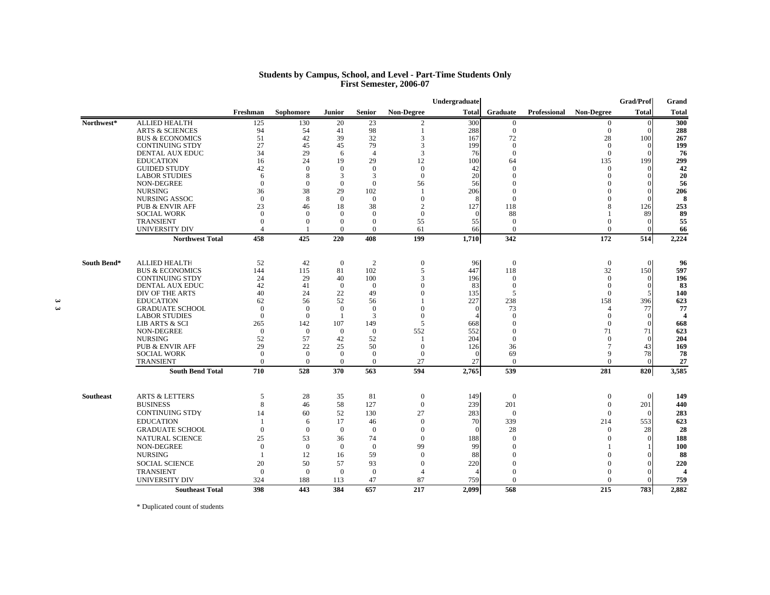#### **Students by Campus, School, and Level - Part-Time Students Only First Semester, 2006-07**

|             |                            |                |                |                |                |                   | Undergraduate |                  |              |                   | Grad/Prof      | Grand                 |
|-------------|----------------------------|----------------|----------------|----------------|----------------|-------------------|---------------|------------------|--------------|-------------------|----------------|-----------------------|
|             |                            | Freshman       | Sophomore      | Junior         | <b>Senior</b>  | <b>Non-Degree</b> | <b>Total</b>  | Graduate         | Professional | <b>Non-Degree</b> | <b>Total</b>   | <b>Total</b>          |
| Northwest*  | <b>ALLIED HEALTH</b>       | 125            | 130            | 20             | 23             | 2                 | 300           | $\overline{0}$   |              | $\overline{0}$    | $\overline{0}$ | 300                   |
|             | <b>ARTS &amp; SCIENCES</b> | 94             | 54             | 41             | 98             |                   | 288           | $\mathbf{0}$     |              | $\overline{0}$    | $\Omega$       | 288                   |
|             | <b>BUS &amp; ECONOMICS</b> | 51             | 42             | 39             | 32             | 3                 | 167           | 72               |              | 28                | 100            | 267                   |
|             | <b>CONTINUING STDY</b>     | 27             | 45             | 45             | 79             | 3                 | 199           | $\Omega$         |              | $\Omega$          | $\Omega$       | 199                   |
|             | DENTAL AUX EDUC            | 34             | 29             | 6              | $\overline{4}$ | 3                 | 76            | $\Omega$         |              | $\overline{0}$    | $\Omega$       | 76                    |
|             | <b>EDUCATION</b>           | 16             | 24             | 19             | 29             | 12                | 100           | 64               |              | 135               | 199            | 299                   |
|             | <b>GUIDED STUDY</b>        | 42             | $\Omega$       | $\Omega$       | $\theta$       | $\overline{0}$    | 42            | $\Omega$         |              | $\Omega$          |                | 42                    |
|             | <b>LABOR STUDIES</b>       | 6              | 8              | 3              | 3              | $\theta$          | 20            | $\Omega$         |              | $\Omega$          | 0              | 20                    |
|             | <b>NON-DEGREE</b>          | $\Omega$       | $\Omega$       | $\Omega$       | $\theta$       | 56                | 56            | $\Omega$         |              | 0                 | 0              | 56                    |
|             | <b>NURSING</b>             | 36             | 38             | 29             | 102            | $\overline{1}$    | 206           | $\mathbf{0}$     |              |                   | $\Omega$       | 206                   |
|             | <b>NURSING ASSOC</b>       | $\Omega$       | 8              | $\Omega$       | $\theta$       | $\Omega$          | -8            | $\Omega$         |              | $\Omega$          | $\Omega$       | -8                    |
|             | <b>PUB &amp; ENVIR AFF</b> | 23             | 46             | 18             | 38             | $\overline{2}$    | 127           | 118              |              |                   | 126            | 253                   |
|             | <b>SOCIAL WORK</b>         | $\Omega$       | $\Omega$       | $\overline{0}$ | $\mathbf{0}$   | $\mathbf{0}$      |               | 88               |              |                   | 89             | 89                    |
|             | <b>TRANSIENT</b>           | $\Omega$       | $\Omega$       | $\Omega$       | $\mathbf{0}$   | 55                | 55            | $\mathbf{0}$     |              | $\Omega$          | 0              | 55                    |
|             | <b>UNIVERSITY DIV</b>      |                |                | $\overline{0}$ | $\mathbf{0}$   | 61                | 66            | $\mathbf{0}$     |              | $\overline{0}$    | $\Omega$       | 66                    |
|             | <b>Northwest Total</b>     | 458            | 425            | 220            | 408            | 199               | 1,710         | 342              |              | 172               | 514            | 2,224                 |
| South Bend* | <b>ALLIED HEALTH</b>       | 52             | 42             | $\overline{0}$ | 2              | $\mathbf{0}$      | 96            | $\mathbf{0}$     |              | $\overline{0}$    | $\overline{0}$ | 96                    |
|             | <b>BUS &amp; ECONOMICS</b> | 144            | 115            | 81             | 102            | 5                 | 447           | 118              |              | 32                | 150            | 597                   |
|             | <b>CONTINUING STDY</b>     | 24             | 29             | 40             | 100            | 3                 | 196           | $\mathbf{0}$     |              | $\Omega$          | $\Omega$       | 196                   |
|             | <b>DENTAL AUX EDUC</b>     | 42             | 41             | $\overline{0}$ | $\mathbf{0}$   | $\Omega$          | 83            | $\mathbf{0}$     |              | $\Omega$          | $\Omega$       | 83                    |
|             | DIV OF THE ARTS            | 40             | 24             | 22             | 49             | $\Omega$          | 135           | 5                |              | $\theta$          | 5              | 140                   |
|             | <b>EDUCATION</b>           | 62             | 56             | 52             | 56             |                   | 227           | 238              |              | 158               | 396            | 623                   |
|             | <b>GRADUATE SCHOOL</b>     | $\Omega$       | $\Omega$       | $\theta$       | $\theta$       | $\Omega$          | $\Omega$      | 73               |              | $\overline{A}$    | 77             | 77                    |
|             | <b>LABOR STUDIES</b>       | $\Omega$       | $\Omega$       | $\overline{1}$ | 3              | $\Omega$          |               | $\Omega$         |              | $\Omega$          | $\Omega$       | $\overline{a}$        |
|             | LIB ARTS & SCI             | 265            | 142            | 107            | 149            | 5                 | 668           | $\mathbf{0}$     |              | $\theta$          | $\Omega$       | 668                   |
|             | NON-DEGREE                 | $\theta$       | $\overline{0}$ | $\overline{0}$ | $\mathbf{0}$   | 552               | 552           | $\boldsymbol{0}$ |              | 71                | 71             | 623                   |
|             | <b>NURSING</b>             | 52             | 57             | 42             | 52             | -1                | 204           | $\mathbf{0}$     |              | $\Omega$          | $\Omega$       | 204                   |
|             | <b>PUB &amp; ENVIR AFF</b> | 29             | 22             | 25             | 50             | $\Omega$          | 126           | 36               |              | 7                 | 43             | 169                   |
|             | <b>SOCIAL WORK</b>         | $\Omega$       | $\Omega$       | $\Omega$       | $\theta$       | $\theta$          |               | 69               |              | 9                 | 78             | 78                    |
|             | <b>TRANSIENT</b>           | $\Omega$       | $\overline{0}$ | $\overline{0}$ | $\mathbf{0}$   | 27                | 27            | $\Omega$         |              | $\Omega$          | $\Omega$       | 27                    |
|             | <b>South Bend Total</b>    | 710            | 528            | 370            | 563            | 594               | 2,765         | 539              |              | 281               | 820            | 3,585                 |
| Southeast   | <b>ARTS &amp; LETTERS</b>  | 5              | 28             | 35             | 81             | $\overline{0}$    | 149           | $\theta$         |              | $\overline{0}$    | $\Omega$       | 149                   |
|             | <b>BUSINESS</b>            | 8              | 46             | 58             | 127            | $\mathbf{0}$      | 239           | 201              |              | $\overline{0}$    | 201            | 440                   |
|             | <b>CONTINUING STDY</b>     | 14             | 60             | 52             | 130            | 27                | 283           | $\mathbf{0}$     |              | $\overline{0}$    | $\Omega$       | 283                   |
|             |                            | $\overline{1}$ |                |                |                |                   |               |                  |              |                   |                |                       |
|             | <b>EDUCATION</b>           |                | 6              | 17             | 46             | $\Omega$          | 70            | 339              |              | 214               | 553            | 623                   |
|             | <b>GRADUATE SCHOOL</b>     | $\Omega$       | $\overline{0}$ | $\overline{0}$ | $\mathbf{0}$   | $\theta$          |               | 28               |              | $\theta$          | 28             | 28                    |
|             | <b>NATURAL SCIENCE</b>     | 25             | 53             | 36             | 74             | $\Omega$          | 188           | $\theta$         |              | $\Omega$          |                | 188                   |
|             | NON-DEGREE                 | $\theta$       | $\overline{0}$ | $\overline{0}$ | $\theta$       | 99                | 99            | $\mathbf{0}$     |              |                   |                | <b>100</b>            |
|             | <b>NURSING</b>             | $\overline{1}$ | 12             | 16             | 59             | $\mathbf{0}$      | 88            | $\mathbf{0}$     |              | $\Omega$          | $\Omega$       | 88                    |
|             | <b>SOCIAL SCIENCE</b>      | 20             | 50             | 57             | 93             | $\Omega$          | 220           | $\mathbf{0}$     |              | $\Omega$          |                | 220                   |
|             | <b>TRANSIENT</b>           | $\overline{0}$ | $\overline{0}$ | $\overline{0}$ | $\mathbf{0}$   | $\overline{4}$    |               | $\theta$         |              | $\Omega$          |                | $\boldsymbol{\Delta}$ |
|             | <b>UNIVERSITY DIV</b>      | 324            | 188            | 113            | 47             | 87                | 759           | $\Omega$         |              | $\Omega$          |                | 759                   |
|             | <b>Southeast Total</b>     | 398            | 443            | 384            | 657            | 217               | 2.099         | 568              |              | 215               | 783            | 2.882                 |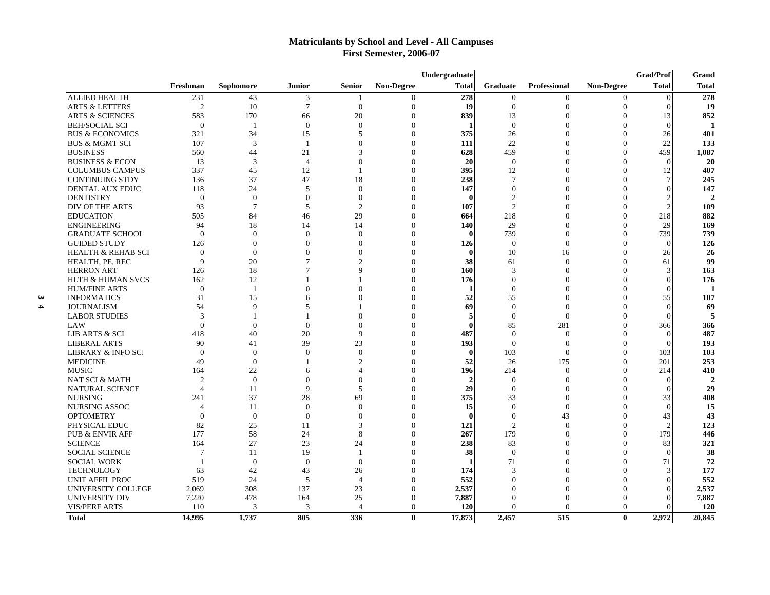# **Matriculants by School and Level - All Campuses First Semester, 2006-07**

|                               |                  |                 |                |                |                | Undergraduate  |                  |                |                   | Grad/Prof     | Grand          |
|-------------------------------|------------------|-----------------|----------------|----------------|----------------|----------------|------------------|----------------|-------------------|---------------|----------------|
|                               | Freshman         | Sophomore       | <b>Junior</b>  | <b>Senior</b>  | Non-Degree     | <b>Total</b>   | Graduate         | Professional   | <b>Non-Degree</b> | <b>Total</b>  | <b>Total</b>   |
| <b>ALLIED HEALTH</b>          | 231              | 43              | 3              | -1             | $\overline{0}$ | 278            | $\overline{0}$   | $\theta$       | $\overline{0}$    | $\Omega$      | 278            |
| <b>ARTS &amp; LETTERS</b>     | $\overline{2}$   | 10              | $\tau$         | $\overline{0}$ | $\mathbf{0}$   | 19             | $\overline{0}$   | $\overline{0}$ | $\overline{0}$    | $\Omega$      | 19             |
| <b>ARTS &amp; SCIENCES</b>    | 583              | 170             | 66             | 20             | $\mathbf{0}$   | 839            | 13               | $\Omega$       | $\Omega$          | 13            | 852            |
| <b>BEH/SOCIAL SCI</b>         | $\theta$         | -1              | $\overline{0}$ | $\Omega$       | $\mathbf{0}$   | 1              | $\overline{0}$   | $\Omega$       | $\Omega$          | $\Omega$      | $\blacksquare$ |
| <b>BUS &amp; ECONOMICS</b>    | 321              | 34              | 15             | 5              | $\mathbf{0}$   | 375            | 26               | $\Omega$       | $\Omega$          | 26            | 401            |
| <b>BUS &amp; MGMT SCI</b>     | 107              | 3               | -1             | $\Omega$       | $\mathbf{0}$   | 111            | 22               | $\Omega$       | $\Omega$          | 22            | 133            |
| <b>BUSINESS</b>               | 560              | 44              | 21             | 3              | $\mathbf{0}$   | 628            | 459              | $\Omega$       | $\Omega$          | 459           | 1,087          |
| <b>BUSINESS &amp; ECON</b>    | 13               | 3               | $\overline{4}$ | $\Omega$       | $\mathbf{0}$   | 20             | $\overline{0}$   | $\Omega$       | $\Omega$          | $\Omega$      | 20             |
| <b>COLUMBUS CAMPUS</b>        | 337              | 45              | 12             |                | $\Omega$       | 395            | 12               | $\Omega$       | $\Omega$          | 12            | 407            |
| <b>CONTINUING STDY</b>        | 136              | 37              | 47             | 18             | $\theta$       | 238            | $\overline{7}$   | $\Omega$       | $\Omega$          |               | 245            |
| DENTAL AUX EDUC               | 118              | 24              | 5              | $\Omega$       | $\Omega$       | 147            | $\boldsymbol{0}$ | $\Omega$       | $\Omega$          |               | 147            |
| <b>DENTISTRY</b>              | $\boldsymbol{0}$ | $\overline{0}$  | $\overline{0}$ | $\theta$       | $\Omega$       | 0              | $\mathfrak{2}$   | $\overline{0}$ | $\Omega$          |               | $\mathcal{P}$  |
| DIV OF THE ARTS               | 93               | $7\phantom{.0}$ | 5              | $\overline{2}$ | $\theta$       | 107            | $\mathfrak{2}$   | $\Omega$       | $\Omega$          |               | 109            |
| <b>EDUCATION</b>              | 505              | 84              | 46             | 29             | $\theta$       | 664            | 218              | $\overline{0}$ | $\Omega$          | 218           | 882            |
| <b>ENGINEERING</b>            | 94               | 18              | 14             | 14             | $\theta$       | 140            | 29               | $\Omega$       | $\Omega$          | 29            | 169            |
| <b>GRADUATE SCHOOL</b>        | $\overline{0}$   | $\overline{0}$  | $\mathbf{0}$   | $\Omega$       | $\theta$       | $\mathbf{0}$   | 739              | $\overline{0}$ | $\Omega$          | 739           | 739            |
| <b>GUIDED STUDY</b>           | 126              | $\theta$        | $\Omega$       | $\Omega$       | $\theta$       | 126            | $\mathbf{0}$     | $\overline{0}$ | $\Omega$          | $\Omega$      | 126            |
| <b>HEALTH &amp; REHAB SCI</b> | $\theta$         | $\overline{0}$  | $\Omega$       | $\theta$       | $\theta$       | $\mathbf{0}$   | 10               | 16             | $\Omega$          | 26            | 26             |
| HEALTH, PE, REC               | 9                | 20              | $\overline{7}$ | $\overline{c}$ | $\theta$       | 38             | 61               | $\overline{0}$ | $\Omega$          | 61            | 99             |
| <b>HERRON ART</b>             | 126              | 18              |                | $\mathbf Q$    | $\theta$       | 160            | 3                | $\Omega$       | $\Omega$          | $\mathcal{R}$ | 163            |
| <b>HLTH &amp; HUMAN SVCS</b>  | 162              | 12              |                |                | $\theta$       | 176            | $\mathbf{0}$     | $\Omega$       | $\Omega$          | $\Omega$      | 176            |
| <b>HUM/FINE ARTS</b>          | $\overline{0}$   | $\mathbf{1}$    | $\Omega$       | $\Omega$       | $\theta$       | 1              | $\mathbf{0}$     | $\Omega$       | $\Omega$          | $\Omega$      | $\blacksquare$ |
| <b>INFORMATICS</b>            | 31               | 15              | 6              | $\Omega$       | $\theta$       | 52             | 55               | $\Omega$       | $\Omega$          | 55            | 107            |
| <b>JOURNALISM</b>             | 54               | 9               | 5              |                | $\theta$       | 69             | $\mathbf{0}$     | $\theta$       | $\theta$          | $\Omega$      | 69             |
| <b>LABOR STUDIES</b>          | 3                | $\overline{1}$  |                | $\Omega$       | $\theta$       | 5              | $\theta$         | $\theta$       | $\Omega$          |               | 5              |
| LAW                           | $\theta$         | $\Omega$        | $\theta$       | $\theta$       | $\theta$       | $\bf{0}$       | 85               | 281            | $\theta$          | 366           | 366            |
| LIB ARTS & SCI                | 418              | 40              | 20             | $\mathbf Q$    | $\theta$       | 487            | $\theta$         | $\theta$       | $\Omega$          | $\Omega$      | 487            |
| <b>LIBERAL ARTS</b>           | 90               | 41              | 39             | 23             | $\theta$       | 193            | $\theta$         | $\theta$       | $\theta$          | $\Omega$      | 193            |
| LIBRARY & INFO SCI            | $\Omega$         | $\Omega$        | $\Omega$       | $\Omega$       | $\theta$       | $\mathbf{0}$   | 103              | $\Omega$       | $\Omega$          | 103           | 103            |
| <b>MEDICINE</b>               | 49               | $\theta$        |                | $\overline{2}$ | $\Omega$       | 52             | 26               | 175            | $\Omega$          | 201           | 253            |
| <b>MUSIC</b>                  | 164              | 22              | 6              | $\overline{4}$ | $\Omega$       | 196            | 214              | $\Omega$       | $\Omega$          | 214           | 410            |
| <b>NAT SCI &amp; MATH</b>     | $\overline{c}$   | $\theta$        | $\Omega$       | $\theta$       | $\Omega$       | $\overline{2}$ | $\theta$         | $\Omega$       | $\Omega$          | $\Omega$      | $\overline{2}$ |
| <b>NATURAL SCIENCE</b>        | $\overline{4}$   | 11              | 9              | 5              | $\Omega$       | 29             | $\theta$         | $\Omega$       | $\Omega$          | $\Omega$      | 29             |
| <b>NURSING</b>                | 241              | 37              | 28             | 69             | $\Omega$       | 375            | 33               | $\Omega$       | $\Omega$          | 33            | 408            |
| <b>NURSING ASSOC</b>          | $\overline{4}$   | 11              | $\Omega$       | $\Omega$       | $\Omega$       | 15             | $\Omega$         | $\Omega$       | $\Omega$          | $\Omega$      | 15             |
| <b>OPTOMETRY</b>              | $\Omega$         | $\overline{0}$  | $\Omega$       | $\Omega$       | $\Omega$       | $\mathbf{0}$   | $\mathbf{0}$     | 43             | $\Omega$          | 43            | 43             |
| PHYSICAL EDUC                 | 82               | 25              | 11             | 3              | $\Omega$       | 121            | $\overline{c}$   | $\Omega$       | $\Omega$          |               | 123            |
| <b>PUB &amp; ENVIR AFF</b>    | 177              | 58              | 24             | 8              | $\Omega$       | 267            | 179              | $\Omega$       | $\Omega$          | 179           | 446            |
| <b>SCIENCE</b>                | 164              | 27              | 23             | 24             | $\Omega$       | 238            | 83               | $\Omega$       | $\Omega$          | 83            | 321            |
| <b>SOCIAL SCIENCE</b>         | $7\phantom{.0}$  | 11              | 19             |                | $\theta$       | 38             | $\theta$         | $\Omega$       | $\Omega$          | $\Omega$      | 38             |
| <b>SOCIAL WORK</b>            | $\overline{1}$   | $\overline{0}$  | $\overline{0}$ | $\theta$       | $\Omega$       | 1              | 71               | $\Omega$       | $\Omega$          | 71            | 72             |
| <b>TECHNOLOGY</b>             | 63               | 42              | 43             | 26             | $\Omega$       | 174            | 3                | $\Omega$       | $\Omega$          |               | 177            |
| <b>UNIT AFFIL PROC</b>        | 519              | 24              | 5              | $\overline{4}$ | $\Omega$       | 552            | $\overline{0}$   | $\Omega$       | $\Omega$          |               | 552            |
| UNIVERSITY COLLEGE            | 2,069            | 308             | 137            | 23             | $\theta$       | 2,537          | $\overline{0}$   | $\Omega$       | $\Omega$          |               | 2,537          |
| <b>UNIVERSITY DIV</b>         | 7,220            | 478             | 164            | 25             | $\mathbf{0}$   | 7,887          | $\overline{0}$   | $\Omega$       | $\overline{0}$    |               | 7,887          |
| <b>VIS/PERF ARTS</b>          | 110              | 3               | 3              | $\overline{4}$ | $\mathbf{0}$   | 120            | $\overline{0}$   | $\Omega$       | $\overline{0}$    | $\Omega$      | 120            |
| <b>Total</b>                  | 14,995           | 1,737           | 805            | 336            | $\bf{0}$       | 17,873         | 2,457            | 515            | $\bf{0}$          | 2,972         | 20,845         |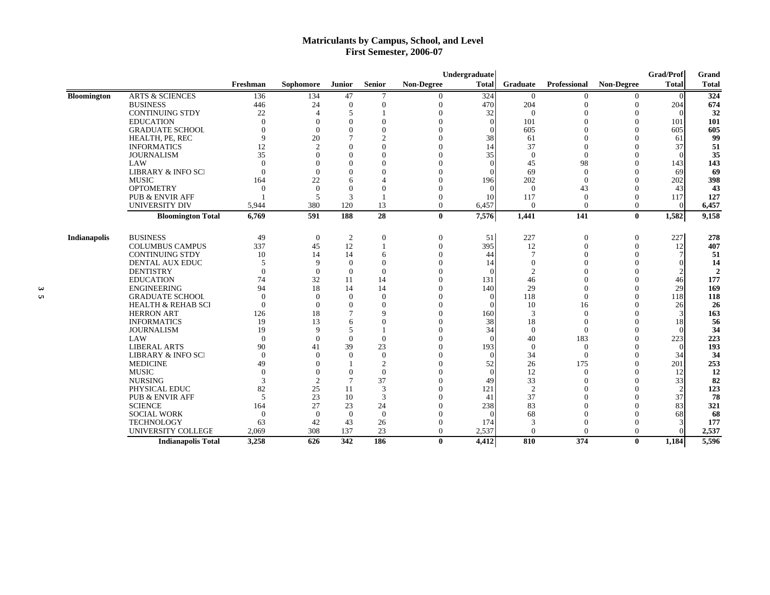# **Matriculants by Campus, School, and Level First Semester, 2006-07**

|                    |                               |                 |                       |                 |                |                   | Undergraduate |                |              |                   | Grad/Prof    | Grand          |
|--------------------|-------------------------------|-----------------|-----------------------|-----------------|----------------|-------------------|---------------|----------------|--------------|-------------------|--------------|----------------|
|                    |                               | Freshman        | Sophomore             | <b>Junior</b>   | <b>Senior</b>  | <b>Non-Degree</b> | <b>Total</b>  | Graduate       | Professional | <b>Non-Degree</b> | <b>Total</b> | <b>Total</b>   |
| <b>Bloomington</b> | <b>ARTS &amp; SCIENCES</b>    | 136             | 134                   | 47              | 7              | 0                 | 324           | $\overline{0}$ |              |                   |              | 324            |
|                    | <b>BUSINESS</b>               | 446             | 24                    | $\theta$        | $\Omega$       | $\theta$          | 470           | 204            | $\mathbf{0}$ | $\Omega$          | 204          | 674            |
|                    | <b>CONTINUING STDY</b>        | 22              | $\boldsymbol{\Delta}$ | $\overline{5}$  |                | $\Omega$          | 32            | $\theta$       | $\Omega$     |                   | $\Omega$     | 32             |
|                    | <b>EDUCATION</b>              | $\Omega$        | $\Omega$              | $\Omega$        | $\Omega$       | $\Omega$          |               | 101            | $\Omega$     | $\Omega$          | 101          | 101            |
|                    | <b>GRADUATE SCHOOL</b>        | $\Omega$        | $\Omega$              | $\Omega$        | $\theta$       | $\Omega$          |               | 605            | $\Omega$     | $\Omega$          | 605          | 605            |
|                    | HEALTH, PE, REC               | $\mathbf{Q}$    | 20                    |                 | $\overline{c}$ | $\Omega$          | 38            | 61             | $\Omega$     |                   | 61           | 99             |
|                    | <b>INFORMATICS</b>            | 12 <sub>1</sub> | $\mathcal{D}$         |                 | $\Omega$       | $\Omega$          | 14            | 37             | $\Omega$     |                   | 37           | 51             |
|                    | <b>JOURNALISM</b>             | 35              |                       | $\Omega$        | $\Omega$       | $\theta$          | 35            | $\mathbf{0}$   | $\Omega$     |                   |              | 35             |
|                    | LAW                           | $\Omega$        | $\Omega$              | $\Omega$        | $\Omega$       | $\Omega$          |               | 45             | 98           | $\Omega$          | 143          | 143            |
|                    | <b>LIBRARY &amp; INFO SCI</b> | $\Omega$        | $\Omega$              | $\Omega$        | $\Omega$       | $\Omega$          |               | 69             | $\Omega$     | $\Omega$          | 69           | 69             |
|                    | <b>MUSIC</b>                  | 164             | 22                    | 6               | $\overline{4}$ | $\theta$          | 196           | 202            | $\theta$     | $\Omega$          | 202          | 398            |
|                    | <b>OPTOMETRY</b>              | $\theta$        | $\theta$              | $\Omega$        | $\Omega$       | $\theta$          | $\sqrt{ }$    | $\theta$       | 43           | $\Omega$          | 43           | 43             |
|                    | <b>PUB &amp; ENVIR AFF</b>    |                 | .5                    | 3               |                | $\theta$          | 10            | 117            | $\theta$     | $\Omega$          | 117          | 127            |
|                    | UNIVERSITY DIV                | 5,944           | 380                   | 120             | 13             | $\theta$          | 6,457         | $\theta$       | $\theta$     | $\Omega$          | $\Omega$     | 6,457          |
|                    | <b>Bloomington Total</b>      | 6,769           | 591                   | 188             | 28             | $\bf{0}$          | 7,576         | 1,441          | 141          | $\bf{0}$          | 1,582        | 9,158          |
| Indianapolis       | <b>BUSINESS</b>               | 49              | $\mathbf{0}$          | 2               | $\mathbf{0}$   | $\mathbf{0}$      | 51            | 227            | $\mathbf{0}$ | $\theta$          | 227          | 278            |
|                    | <b>COLUMBUS CAMPUS</b>        | 337             | 45                    | 12              |                | $\theta$          | 395           | 12             | $\theta$     | $\theta$          | 12           | 407            |
|                    | <b>CONTINUING STDY</b>        | 10              | 14                    | 14              | 6              | $\theta$          | 44            |                | $\Omega$     |                   |              | 51             |
|                    | <b>DENTAL AUX EDUC</b>        | .5              | 9                     | $\theta$        | $\Omega$       | $\theta$          | 14            | $\Omega$       | $\theta$     |                   |              | 14             |
|                    | <b>DENTISTRY</b>              | $\Omega$        | $\theta$              | $\theta$        | $\theta$       | $\theta$          | $\sqrt{ }$    | $\overline{2}$ | $\theta$     | $\Omega$          |              | $\overline{2}$ |
|                    | <b>EDUCATION</b>              | 74              | 32                    | 11              | 14             | $\Omega$          | 131           | 46             | $\Omega$     | $\Omega$          | 46           | 177            |
|                    | <b>ENGINEERING</b>            | 94              | 18                    | 14              | 14             | $\theta$          | 140           | 29             | $\theta$     | $\Omega$          | 29           | 169            |
|                    | <b>GRADUATE SCHOOL</b>        | $\theta$        | $\theta$              | $\theta$        | $\theta$       | $\theta$          | $\Omega$      | 118            | $\theta$     | $\Omega$          | 118          | 118            |
|                    | <b>HEALTH &amp; REHAB SCI</b> | $\Omega$        | $\Omega$              | $\Omega$        | $\theta$       | $\Omega$          |               | 10             | 16           |                   | 26           | 26             |
|                    | <b>HERRON ART</b>             | 126             | 18                    | 7               | $\mathbf Q$    | $\Omega$          | 160           | 3              | $\Omega$     |                   | 3            | 163            |
|                    | <b>INFORMATICS</b>            | 19              | 13                    | 6               | $\Omega$       | $\Omega$          | 38            | 18             | $\Omega$     | $\Omega$          | 18           | 56             |
|                    | <b>JOURNALISM</b>             | 19              | 9                     | 5               |                | $\Omega$          | 34            | $\mathbf{0}$   | $\theta$     |                   |              | 34             |
|                    | LAW                           | $\Omega$        | $\Omega$              | $\Omega$        | $\Omega$       | $\Omega$          |               | 40             | 183          | $\Omega$          | 223          | 223            |
|                    | <b>LIBERAL ARTS</b>           | 90              | 41                    | 39              | 23             | $\Omega$          | 193           | $\mathbf{0}$   | $\Omega$     |                   | $\Omega$     | 193            |
|                    | <b>LIBRARY &amp; INFO SCI</b> | $\Omega$        | $\Omega$              | $\Omega$        | $\mathbf{0}$   | $\Omega$          | $\Omega$      | 34             | $\Omega$     |                   | 34           | 34             |
|                    | <b>MEDICINE</b>               | 49              | $\Omega$              |                 | 2              | $\Omega$          | 52            | 26             | 175          | $\Omega$          | 201          | 253            |
|                    | <b>MUSIC</b>                  | $\Omega$        | $\Omega$              | $\Omega$        | $\Omega$       | $\Omega$          |               | 12             | $\Omega$     | $\Omega$          | 12           | 12             |
|                    | <b>NURSING</b>                |                 | 2                     | $7\phantom{.0}$ | 37             | $\Omega$          | 49            | 33             | $\Omega$     |                   | 33           | 82             |
|                    | PHYSICAL EDUC                 | 82              | 25                    | 11              | $\mathcal{R}$  | $\Omega$          | 121           | $\overline{2}$ | $\Omega$     |                   |              | 123            |
|                    | <b>PUB &amp; ENVIR AFF</b>    | 5               | 23                    | 10              | 3              | $\Omega$          | 41            | 37             | $\Omega$     | $\Omega$          | 37           | 78             |
|                    | <b>SCIENCE</b>                | 164             | 27                    | 23              | 24             | $\Omega$          | 238           | 83             | $\Omega$     |                   | 83           | 321            |
|                    | <b>SOCIAL WORK</b>            | $\Omega$        | $\Omega$              | $\Omega$        | $\Omega$       | $\Omega$          | -0            | 68             | $\Omega$     | $\Omega$          | 68           | 68             |
|                    | <b>TECHNOLOGY</b>             | 63              | 42                    | 43              | 26             | $\mathbf{0}$      | 174           | 3              | $\Omega$     |                   |              | 177            |
|                    | UNIVERSITY COLLEGE            | 2,069           | 308                   | 137             | 23             | $\theta$          | 2,537         | $\theta$       | $\Omega$     | $\Omega$          |              | 2,537          |
|                    | <b>Indianapolis Total</b>     | 3,258           | 626                   | 342             | 186            | $\mathbf{0}$      | 4.412         | 810            | 374          | $\theta$          | 1.184        | 5.596          |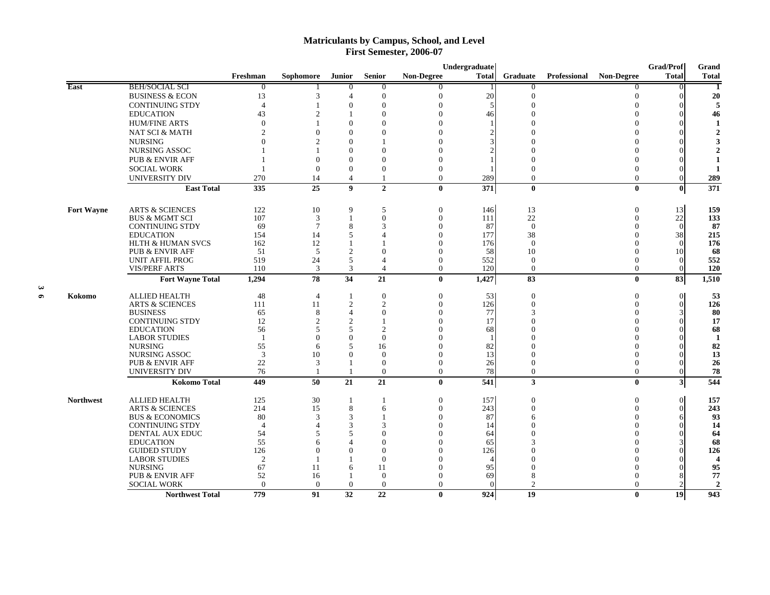# **Matriculants by Campus, School, and Level First Semester, 2006-07**

|                   |                              |                          |                  |                  |                  |                   | Undergraduate |                |              |                   | <b>Grad/Prof</b> | Grand                 |
|-------------------|------------------------------|--------------------------|------------------|------------------|------------------|-------------------|---------------|----------------|--------------|-------------------|------------------|-----------------------|
|                   |                              | Freshman                 | <b>Sophomore</b> | <b>Junior</b>    | <b>Senior</b>    | <b>Non-Degree</b> | <b>Total</b>  | Graduate       | Professional | <b>Non-Degree</b> | <b>Total</b>     | <b>Total</b>          |
| East              | <b>BEH/SOCIAL SCI</b>        | $\theta$                 |                  | $\overline{0}$   | $\overline{0}$   | 0                 |               | $\theta$       |              | 0                 | $\Omega$         |                       |
|                   | <b>BUSINESS &amp; ECON</b>   | 13                       | 3                | $\overline{4}$   | $\mathbf{0}$     | $\Omega$          | 20            | $\Omega$       |              | $\Omega$          |                  | 20                    |
|                   | <b>CONTINUING STDY</b>       | $\overline{4}$           |                  | $\boldsymbol{0}$ | $\theta$         | $\Omega$          | 5             | $\Omega$       |              | $\Omega$          |                  | 5                     |
|                   | <b>EDUCATION</b>             | 43                       | $\overline{c}$   |                  | $\theta$         |                   | 46            |                |              | $\Omega$          |                  | 46                    |
|                   | <b>HUM/FINE ARTS</b>         |                          |                  | $\theta$         | 0                |                   |               |                |              |                   |                  |                       |
|                   | NAT SCI & MATH               |                          | $\Omega$         | $\Omega$         | 0                |                   |               |                |              | ∩                 |                  |                       |
|                   | <b>NURSING</b>               |                          | $\mathfrak{D}$   | $\Omega$         |                  |                   |               |                |              |                   |                  |                       |
|                   | NURSING ASSOC                |                          |                  | $\Omega$         | 0                |                   |               |                |              |                   |                  |                       |
|                   | <b>PUB &amp; ENVIR AFF</b>   |                          | $\Omega$         | $\overline{0}$   | $\Omega$         |                   |               |                |              | 0                 |                  |                       |
|                   |                              |                          | $\Omega$         | $\theta$         | $\Omega$         | $\Omega$          |               |                |              | $\Omega$          |                  |                       |
|                   | <b>SOCIAL WORK</b>           |                          |                  |                  |                  |                   |               |                |              |                   |                  |                       |
|                   | UNIVERSITY DIV               | 270                      | 14               | $\overline{4}$   | 1                | $\Omega$          | 289           | $\mathbf{0}$   |              | $\overline{0}$    | $\Omega$         | 289                   |
|                   | <b>East Total</b>            | 335                      | 25               | $\boldsymbol{9}$ | $\overline{2}$   | $\mathbf{0}$      | 371           | $\bf{0}$       |              | $\mathbf{0}$      | 0                | 371                   |
| <b>Fort Wayne</b> | <b>ARTS &amp; SCIENCES</b>   | 122                      | 10               | 9                | 5                | $\Omega$          | 146           | 13             |              | $\theta$          | 13               | 159                   |
|                   | <b>BUS &amp; MGMT SCI</b>    | 107                      | 3                | $\overline{1}$   | $\theta$         | $\theta$          | 111           | 22             |              | $\Omega$          | $22\,$           | 133                   |
|                   | <b>CONTINUING STDY</b>       | 69                       | $\overline{7}$   | 8                | 3                | $\Omega$          | 87            | $\theta$       |              | $\Omega$          | $\Omega$         | 87                    |
|                   | <b>EDUCATION</b>             | 154                      | 14               | 5                | Δ                | $\Omega$          | 177           | 38             |              | $\Omega$          | 38               | 215                   |
|                   | <b>HLTH &amp; HUMAN SVCS</b> | 162                      | 12               | $\overline{1}$   |                  | $\Omega$          | 176           | $\theta$       |              | $\Omega$          | $\Omega$         | 176                   |
|                   | <b>PUB &amp; ENVIR AFF</b>   | 51                       | 5                | $\overline{2}$   | $\mathbf{0}$     | $\Omega$          | 58            | 10             |              |                   | 10               | 68                    |
|                   | <b>UNIT AFFIL PROG</b>       | 519                      | 24               | 5                | $\overline{4}$   | $\Omega$          | 552           | $\theta$       |              | $\Omega$          | $\Omega$         | 552                   |
|                   | <b>VIS/PERF ARTS</b>         | 110                      | 3                | 3                | $\overline{4}$   | $\Omega$          | 120           | $\theta$       |              | $\theta$          | $\theta$         | 120                   |
|                   | <b>Fort Wayne Total</b>      | 1,294                    | 78               | 34               | 21               | $\mathbf{0}$      | 1,427         | 83             |              | $\mathbf{0}$      | 83               | 1,510                 |
| Kokomo            | <b>ALLIED HEALTH</b>         | 48                       | $\overline{4}$   | -1               | $\mathbf{0}$     | $\boldsymbol{0}$  | 53            | $\mathbf{0}$   |              | $\theta$          | $\overline{0}$   | 53                    |
|                   | <b>ARTS &amp; SCIENCES</b>   | 111                      | 11               | $\overline{2}$   | 2                | $\Omega$          | 126           | $\mathbf{0}$   |              | $\Omega$          | $\Omega$         | 126                   |
|                   | <b>BUSINESS</b>              | 65                       | 8                | $\overline{4}$   | $\boldsymbol{0}$ | $\Omega$          | 77            |                |              | $\Omega$          |                  | 80                    |
|                   | <b>CONTINUING STDY</b>       | 12                       | $\overline{c}$   | $\overline{2}$   |                  |                   | 17            |                |              | 0                 |                  | 17                    |
|                   | <b>EDUCATION</b>             | 56                       | 5                | 5                | $\overline{c}$   |                   | 68            |                |              |                   |                  | 68                    |
|                   | <b>LABOR STUDIES</b>         | $\overline{\phantom{0}}$ | $\Omega$         | $\theta$         | $\Omega$         |                   |               |                |              |                   |                  | -1                    |
|                   | <b>NURSING</b>               | 55                       | 6                | 5                | 16               |                   | 82            |                |              |                   |                  | 82                    |
|                   | <b>NURSING ASSOC</b>         | 3                        | 10               | $\Omega$         | $\Omega$         | $\Omega$          | 13            |                |              | ∩                 |                  | 13                    |
|                   | <b>PUB &amp; ENVIR AFF</b>   | 22                       | 3                |                  | $\mathbf{0}$     | $\Omega$          | 26            |                |              | $\Omega$          |                  | 26                    |
|                   | UNIVERSITY DIV               | 76                       |                  |                  | $\overline{0}$   | $\Omega$          | 78            | $\mathbf{0}$   |              | $\overline{0}$    | $\Omega$         | 78                    |
|                   | <b>Kokomo Total</b>          | 449                      | 50               | 21               | 21               | $\mathbf{0}$      | 541           | $\mathbf{3}$   |              | $\bf{0}$          | $3\vert$         | 544                   |
| <b>Northwest</b>  | <b>ALLIED HEALTH</b>         | 125                      | 30               | -1               | 1                | $\theta$          | 157           | $\mathbf{0}$   |              | $\theta$          | $\Omega$         | 157                   |
|                   | <b>ARTS &amp; SCIENCES</b>   | 214                      | 15               | 8                | 6                | $\Omega$          | 243           | $\Omega$       |              | $\Omega$          | $\Omega$         | 243                   |
|                   | <b>BUS &amp; ECONOMICS</b>   | 80                       | 3                | 3                |                  | $\Omega$          | 87            | 6              |              | $\Omega$          |                  | 93                    |
|                   | <b>CONTINUING STDY</b>       | $\Delta$                 | ⊿                | 3                | 3                | ∩                 | 14            |                |              | ∩                 |                  | 14                    |
|                   | DENTAL AUX EDUC              | 54                       | 5                | 5                | $\Omega$         | $\Omega$          | 64            |                |              |                   |                  | 64                    |
|                   | <b>EDUCATION</b>             | 55                       | 6                | $\overline{4}$   | $\Omega$         | $\Omega$          | 65            |                |              | $\Omega$          |                  | 68                    |
|                   | <b>GUIDED STUDY</b>          | 126                      | $\Omega$         | $\Omega$         | $\Omega$         |                   | 126           |                |              |                   |                  | 126                   |
|                   | <b>LABOR STUDIES</b>         | $\overline{2}$           |                  |                  | $\theta$         |                   |               |                |              |                   |                  | $\boldsymbol{\Delta}$ |
|                   | <b>NURSING</b>               | 67                       | 11               | 6                | 11               |                   | 95            |                |              |                   |                  | 95                    |
|                   | <b>PUB &amp; ENVIR AFF</b>   | 52                       | 16               | $\overline{1}$   | $\theta$         | $\Omega$          | 69            | 8              |              | $\Omega$          |                  | 77                    |
|                   | <b>SOCIAL WORK</b>           | $\theta$                 | $\theta$         | $\theta$         | $\theta$         | $\Omega$          |               | $\mathfrak{D}$ |              | $\Omega$          |                  | $\overline{2}$        |
|                   | <b>Northwest Total</b>       | 779                      | 91               | 32               | 22               | $\mathbf{0}$      | 924           | 19             |              | $\mathbf{0}$      | 19               | 943                   |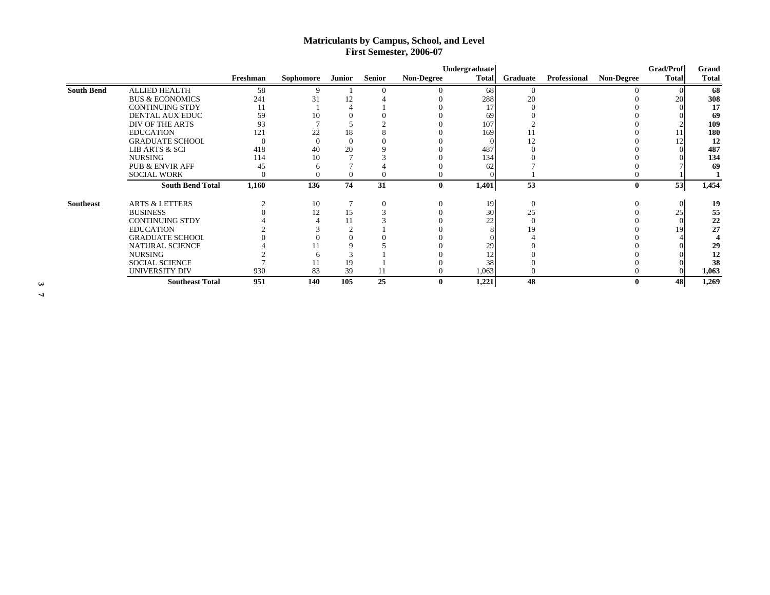# **Matriculants by Campus, School, and Level First Semester, 2006-07**

|                   |                            |          |           |          |               |                   | Undergraduate |          |              |                   | <b>Grad/Prof</b> | Grand        |
|-------------------|----------------------------|----------|-----------|----------|---------------|-------------------|---------------|----------|--------------|-------------------|------------------|--------------|
|                   |                            | Freshman | Sophomore | Junior   | <b>Senior</b> | <b>Non-Degree</b> | <b>Total</b>  | Graduate | Professional | <b>Non-Degree</b> | <b>Total</b>     | <b>Total</b> |
| <b>South Bend</b> | <b>ALLIED HEALTH</b>       | 58       |           |          |               |                   | 68            |          |              |                   |                  | 68           |
|                   | <b>BUS &amp; ECONOMICS</b> | 241      | 31        |          |               |                   | 288           | 20       |              |                   | 20               | 308          |
|                   | <b>CONTINUING STDY</b>     | 11       |           |          |               |                   |               |          |              |                   |                  | 17           |
|                   | DENTAL AUX EDUC            | 59       | 10        |          |               |                   | 69            |          |              |                   |                  | 69           |
|                   | DIV OF THE ARTS            | 93       |           |          |               |                   | 107           |          |              |                   |                  | 109          |
|                   | <b>EDUCATION</b>           | 121      | 22        | 18       |               |                   | 169           |          |              |                   |                  | 180          |
|                   | <b>GRADUATE SCHOOL</b>     |          |           | $\Omega$ |               |                   |               |          |              |                   |                  | 12           |
|                   | <b>LIB ARTS &amp; SCI</b>  | 418      | 40        | 20       |               |                   | 487           |          |              |                   |                  | 487          |
|                   | <b>NURSING</b>             | 114      | 10        |          |               |                   | 134           |          |              |                   |                  | 134          |
|                   | <b>PUB &amp; ENVIR AFF</b> | 45       |           |          |               |                   | 62            |          |              |                   |                  | 69           |
|                   | <b>SOCIAL WORK</b>         |          |           | $\theta$ |               | $\Omega$          |               |          |              |                   |                  |              |
|                   | <b>South Bend Total</b>    | 1,160    | 136       | 74       | 31            | $\bf{0}$          | 1,401         | 53       |              | $\mathbf{0}$      | 53               | 1,454        |
| <b>Southeast</b>  | <b>ARTS &amp; LETTERS</b>  |          | 10        |          |               | $\Omega$          | 19            | $\Omega$ |              |                   |                  | 19           |
|                   | <b>BUSINESS</b>            |          | 12        | 15       |               |                   | 30            | 25       |              |                   | 25               | 55           |
|                   | <b>CONTINUING STDY</b>     |          |           | 11       |               |                   | າາ            |          |              |                   |                  | 22           |
|                   | <b>EDUCATION</b>           |          |           |          |               |                   |               |          |              |                   | 19               | 27           |
|                   | <b>GRADUATE SCHOOL</b>     |          |           |          |               |                   |               |          |              |                   |                  |              |
|                   | NATURAL SCIENCE            |          |           |          |               |                   | 29            |          |              |                   |                  | 29           |
|                   | <b>NURSING</b>             |          |           |          |               |                   |               |          |              |                   |                  | 12           |
|                   | <b>SOCIAL SCIENCE</b>      |          |           | 19       |               |                   | 38            |          |              |                   |                  | 38           |
|                   | UNIVERSITY DIV             | 930      | 83        | 39       |               | $\Omega$          | 1,063         |          |              |                   |                  | 1,063        |
|                   | <b>Southeast Total</b>     | 951      | 140       | 105      | 25            | 0                 | 1,221         | 48       |              |                   | 48               | 1,269        |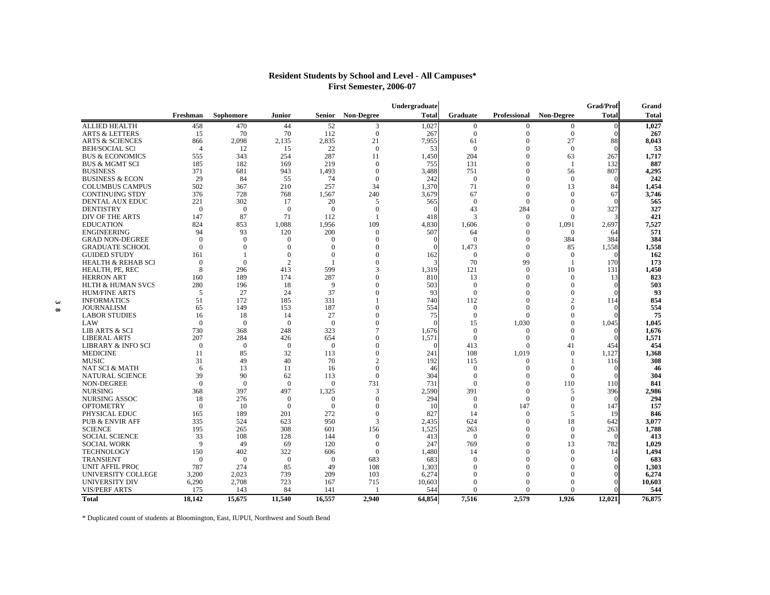| <b>Total</b><br>Sophomore<br><b>Non-Degree</b><br><b>Total</b><br><b>Non-Degree</b><br>Freshman<br>Junior<br>Senior<br><b>Graduate</b><br>Professional<br><b>ALLIED HEALTH</b><br>52<br>1,027<br>458<br>470<br>44<br>3<br>$\mathbf{0}$<br>$\Omega$<br>$\Omega$<br>0<br>70<br>112<br>$\mathbf{0}$<br>$\mathbf{0}$<br><b>ARTS &amp; LETTERS</b><br>15<br>70<br>267<br>$\mathbf{0}$<br>$\mathbf{0}$<br>2,098<br>2,135<br>2,835<br>21<br>7,955<br>61<br>$\boldsymbol{0}$<br>27<br>88<br><b>ARTS &amp; SCIENCES</b><br>866<br>15<br>22<br>$\Omega$<br>$\Omega$<br>$\Omega$<br><b>BEH/SOCIAL SCI</b><br>$\overline{4}$<br>12<br>53<br>$\Omega$<br>287<br><b>BUS &amp; ECONOMICS</b><br>343<br>254<br>11<br>1.450<br>204<br>$\mathbf{0}$<br>63<br>267<br>555<br>182<br>169<br>219<br>$\Omega$<br>131<br>$\Omega$<br>132<br><b>BUS &amp; MGMT SCI</b><br>185<br>755<br>- 1<br><b>BUSINESS</b><br>371<br>681<br>943<br>1.493<br>$\Omega$<br>3.488<br>751<br>$\Omega$<br>807<br>56<br>29<br>74<br><b>BUSINESS &amp; ECON</b><br>84<br>55<br>$\mathbf{0}$<br>242<br>$\overline{0}$<br>$\mathbf{0}$<br>$\mathbf{0}$<br>502<br>367<br>210<br>257<br>34<br>1.370<br>71<br>$\Omega$<br>13<br>84<br><b>COLUMBUS CAMPUS</b><br><b>CONTINUING STDY</b><br>376<br>728<br>768<br>1,567<br>240<br>3,679<br>67<br>$\mathbf{0}$<br>$\mathbf{0}$<br>67<br>221<br>302<br>20<br>$\Omega$<br>$\Omega$<br>$\Omega$<br><b>DENTAL AUX EDUC</b><br>17<br>5<br>565<br><b>DENTISTRY</b><br>$\overline{0}$<br>$\boldsymbol{0}$<br>$\mathbf{0}$<br>43<br>284<br>327<br>$\mathbf{0}$<br>$\mathbf{0}$<br>$\Omega$<br>$\mathbf{0}$<br>147<br>87<br>71<br>3<br>DIV OF THE ARTS<br>112<br>418<br>$\mathbf{0}$<br>$\mathbf{0}$<br><b>EDUCATION</b><br>824<br>853<br>1.088<br>1.956<br>109<br>4.830<br>1.606<br>$\Omega$<br>1,091<br>2,697<br><b>ENGINEERING</b><br>94<br>93<br>120<br>200<br>$\mathbf{0}$<br>507<br>$\mathbf{0}$<br>$\mathbf{0}$<br>64<br>64<br>$\Omega$<br>$\Omega$<br>$\Omega$<br>384<br>384<br><b>GRAD NON-DEGREE</b><br>$\Omega$<br>$\Omega$<br>$\Omega$<br>$\Omega$<br><b>GRADUATE SCHOOL</b><br>$\overline{0}$<br>$\theta$<br>$\theta$<br>1,473<br>$\mathbf{0}$<br>85<br>1,558<br>$\Omega$<br>$\Omega$<br>$\Omega$<br>$\theta$<br>$\Omega$<br>$\overline{0}$<br>162<br>$\mathbf{0}$<br><b>GUIDED STUDY</b><br>161<br>$\Omega$<br>$\mathbf{0}$<br>-1<br>99<br><b>HEALTH &amp; REHAB SCI</b><br>$\Omega$<br>$\overline{2}$<br>$\theta$<br>70<br>170<br>$\Omega$<br>-1<br>599<br>HEALTH, PE, REC<br>8<br>296<br>413<br>3<br>1,319<br>121<br>$\Omega$<br>10<br>131<br><b>HERRON ART</b><br>189<br>174<br>287<br>$\mathbf{0}$<br>810<br>13<br>$\mathbf{0}$<br>$\mathbf{0}$<br>160<br>13<br><b>HLTH &amp; HUMAN SVCS</b><br>280<br>196<br>18<br>9<br>$\theta$<br>503<br>$\mathbf{0}$<br>$\mathbf{0}$<br>$\mathbf{0}$<br>37<br>5<br>27<br>24<br>$\mathbf{0}$<br>93<br>$\Omega$<br>$\Omega$<br>$\mathbf{0}$<br><b>HUM/FINE ARTS</b> | Grand        |
|----------------------------------------------------------------------------------------------------------------------------------------------------------------------------------------------------------------------------------------------------------------------------------------------------------------------------------------------------------------------------------------------------------------------------------------------------------------------------------------------------------------------------------------------------------------------------------------------------------------------------------------------------------------------------------------------------------------------------------------------------------------------------------------------------------------------------------------------------------------------------------------------------------------------------------------------------------------------------------------------------------------------------------------------------------------------------------------------------------------------------------------------------------------------------------------------------------------------------------------------------------------------------------------------------------------------------------------------------------------------------------------------------------------------------------------------------------------------------------------------------------------------------------------------------------------------------------------------------------------------------------------------------------------------------------------------------------------------------------------------------------------------------------------------------------------------------------------------------------------------------------------------------------------------------------------------------------------------------------------------------------------------------------------------------------------------------------------------------------------------------------------------------------------------------------------------------------------------------------------------------------------------------------------------------------------------------------------------------------------------------------------------------------------------------------------------------------------------------------------------------------------------------------------------------------------------------------------------------------------------------------------------------------------------------------------------------------------------------------------------------------------------------------------------------------------------------------------------------------------------------------------------------------|--------------|
|                                                                                                                                                                                                                                                                                                                                                                                                                                                                                                                                                                                                                                                                                                                                                                                                                                                                                                                                                                                                                                                                                                                                                                                                                                                                                                                                                                                                                                                                                                                                                                                                                                                                                                                                                                                                                                                                                                                                                                                                                                                                                                                                                                                                                                                                                                                                                                                                                                                                                                                                                                                                                                                                                                                                                                                                                                                                                                          | <b>Total</b> |
|                                                                                                                                                                                                                                                                                                                                                                                                                                                                                                                                                                                                                                                                                                                                                                                                                                                                                                                                                                                                                                                                                                                                                                                                                                                                                                                                                                                                                                                                                                                                                                                                                                                                                                                                                                                                                                                                                                                                                                                                                                                                                                                                                                                                                                                                                                                                                                                                                                                                                                                                                                                                                                                                                                                                                                                                                                                                                                          | 1,027        |
|                                                                                                                                                                                                                                                                                                                                                                                                                                                                                                                                                                                                                                                                                                                                                                                                                                                                                                                                                                                                                                                                                                                                                                                                                                                                                                                                                                                                                                                                                                                                                                                                                                                                                                                                                                                                                                                                                                                                                                                                                                                                                                                                                                                                                                                                                                                                                                                                                                                                                                                                                                                                                                                                                                                                                                                                                                                                                                          | 267          |
|                                                                                                                                                                                                                                                                                                                                                                                                                                                                                                                                                                                                                                                                                                                                                                                                                                                                                                                                                                                                                                                                                                                                                                                                                                                                                                                                                                                                                                                                                                                                                                                                                                                                                                                                                                                                                                                                                                                                                                                                                                                                                                                                                                                                                                                                                                                                                                                                                                                                                                                                                                                                                                                                                                                                                                                                                                                                                                          | 8,043        |
|                                                                                                                                                                                                                                                                                                                                                                                                                                                                                                                                                                                                                                                                                                                                                                                                                                                                                                                                                                                                                                                                                                                                                                                                                                                                                                                                                                                                                                                                                                                                                                                                                                                                                                                                                                                                                                                                                                                                                                                                                                                                                                                                                                                                                                                                                                                                                                                                                                                                                                                                                                                                                                                                                                                                                                                                                                                                                                          | 53           |
|                                                                                                                                                                                                                                                                                                                                                                                                                                                                                                                                                                                                                                                                                                                                                                                                                                                                                                                                                                                                                                                                                                                                                                                                                                                                                                                                                                                                                                                                                                                                                                                                                                                                                                                                                                                                                                                                                                                                                                                                                                                                                                                                                                                                                                                                                                                                                                                                                                                                                                                                                                                                                                                                                                                                                                                                                                                                                                          | 1.717        |
|                                                                                                                                                                                                                                                                                                                                                                                                                                                                                                                                                                                                                                                                                                                                                                                                                                                                                                                                                                                                                                                                                                                                                                                                                                                                                                                                                                                                                                                                                                                                                                                                                                                                                                                                                                                                                                                                                                                                                                                                                                                                                                                                                                                                                                                                                                                                                                                                                                                                                                                                                                                                                                                                                                                                                                                                                                                                                                          | 887          |
|                                                                                                                                                                                                                                                                                                                                                                                                                                                                                                                                                                                                                                                                                                                                                                                                                                                                                                                                                                                                                                                                                                                                                                                                                                                                                                                                                                                                                                                                                                                                                                                                                                                                                                                                                                                                                                                                                                                                                                                                                                                                                                                                                                                                                                                                                                                                                                                                                                                                                                                                                                                                                                                                                                                                                                                                                                                                                                          | 4,295        |
|                                                                                                                                                                                                                                                                                                                                                                                                                                                                                                                                                                                                                                                                                                                                                                                                                                                                                                                                                                                                                                                                                                                                                                                                                                                                                                                                                                                                                                                                                                                                                                                                                                                                                                                                                                                                                                                                                                                                                                                                                                                                                                                                                                                                                                                                                                                                                                                                                                                                                                                                                                                                                                                                                                                                                                                                                                                                                                          | 242          |
|                                                                                                                                                                                                                                                                                                                                                                                                                                                                                                                                                                                                                                                                                                                                                                                                                                                                                                                                                                                                                                                                                                                                                                                                                                                                                                                                                                                                                                                                                                                                                                                                                                                                                                                                                                                                                                                                                                                                                                                                                                                                                                                                                                                                                                                                                                                                                                                                                                                                                                                                                                                                                                                                                                                                                                                                                                                                                                          | 1.454        |
|                                                                                                                                                                                                                                                                                                                                                                                                                                                                                                                                                                                                                                                                                                                                                                                                                                                                                                                                                                                                                                                                                                                                                                                                                                                                                                                                                                                                                                                                                                                                                                                                                                                                                                                                                                                                                                                                                                                                                                                                                                                                                                                                                                                                                                                                                                                                                                                                                                                                                                                                                                                                                                                                                                                                                                                                                                                                                                          | 3,746        |
|                                                                                                                                                                                                                                                                                                                                                                                                                                                                                                                                                                                                                                                                                                                                                                                                                                                                                                                                                                                                                                                                                                                                                                                                                                                                                                                                                                                                                                                                                                                                                                                                                                                                                                                                                                                                                                                                                                                                                                                                                                                                                                                                                                                                                                                                                                                                                                                                                                                                                                                                                                                                                                                                                                                                                                                                                                                                                                          | 565          |
|                                                                                                                                                                                                                                                                                                                                                                                                                                                                                                                                                                                                                                                                                                                                                                                                                                                                                                                                                                                                                                                                                                                                                                                                                                                                                                                                                                                                                                                                                                                                                                                                                                                                                                                                                                                                                                                                                                                                                                                                                                                                                                                                                                                                                                                                                                                                                                                                                                                                                                                                                                                                                                                                                                                                                                                                                                                                                                          | 327          |
|                                                                                                                                                                                                                                                                                                                                                                                                                                                                                                                                                                                                                                                                                                                                                                                                                                                                                                                                                                                                                                                                                                                                                                                                                                                                                                                                                                                                                                                                                                                                                                                                                                                                                                                                                                                                                                                                                                                                                                                                                                                                                                                                                                                                                                                                                                                                                                                                                                                                                                                                                                                                                                                                                                                                                                                                                                                                                                          | 421          |
|                                                                                                                                                                                                                                                                                                                                                                                                                                                                                                                                                                                                                                                                                                                                                                                                                                                                                                                                                                                                                                                                                                                                                                                                                                                                                                                                                                                                                                                                                                                                                                                                                                                                                                                                                                                                                                                                                                                                                                                                                                                                                                                                                                                                                                                                                                                                                                                                                                                                                                                                                                                                                                                                                                                                                                                                                                                                                                          | 7,527        |
|                                                                                                                                                                                                                                                                                                                                                                                                                                                                                                                                                                                                                                                                                                                                                                                                                                                                                                                                                                                                                                                                                                                                                                                                                                                                                                                                                                                                                                                                                                                                                                                                                                                                                                                                                                                                                                                                                                                                                                                                                                                                                                                                                                                                                                                                                                                                                                                                                                                                                                                                                                                                                                                                                                                                                                                                                                                                                                          | 571          |
|                                                                                                                                                                                                                                                                                                                                                                                                                                                                                                                                                                                                                                                                                                                                                                                                                                                                                                                                                                                                                                                                                                                                                                                                                                                                                                                                                                                                                                                                                                                                                                                                                                                                                                                                                                                                                                                                                                                                                                                                                                                                                                                                                                                                                                                                                                                                                                                                                                                                                                                                                                                                                                                                                                                                                                                                                                                                                                          | 384          |
|                                                                                                                                                                                                                                                                                                                                                                                                                                                                                                                                                                                                                                                                                                                                                                                                                                                                                                                                                                                                                                                                                                                                                                                                                                                                                                                                                                                                                                                                                                                                                                                                                                                                                                                                                                                                                                                                                                                                                                                                                                                                                                                                                                                                                                                                                                                                                                                                                                                                                                                                                                                                                                                                                                                                                                                                                                                                                                          | 1,558        |
|                                                                                                                                                                                                                                                                                                                                                                                                                                                                                                                                                                                                                                                                                                                                                                                                                                                                                                                                                                                                                                                                                                                                                                                                                                                                                                                                                                                                                                                                                                                                                                                                                                                                                                                                                                                                                                                                                                                                                                                                                                                                                                                                                                                                                                                                                                                                                                                                                                                                                                                                                                                                                                                                                                                                                                                                                                                                                                          | 162          |
|                                                                                                                                                                                                                                                                                                                                                                                                                                                                                                                                                                                                                                                                                                                                                                                                                                                                                                                                                                                                                                                                                                                                                                                                                                                                                                                                                                                                                                                                                                                                                                                                                                                                                                                                                                                                                                                                                                                                                                                                                                                                                                                                                                                                                                                                                                                                                                                                                                                                                                                                                                                                                                                                                                                                                                                                                                                                                                          | 173          |
|                                                                                                                                                                                                                                                                                                                                                                                                                                                                                                                                                                                                                                                                                                                                                                                                                                                                                                                                                                                                                                                                                                                                                                                                                                                                                                                                                                                                                                                                                                                                                                                                                                                                                                                                                                                                                                                                                                                                                                                                                                                                                                                                                                                                                                                                                                                                                                                                                                                                                                                                                                                                                                                                                                                                                                                                                                                                                                          | 1,450        |
|                                                                                                                                                                                                                                                                                                                                                                                                                                                                                                                                                                                                                                                                                                                                                                                                                                                                                                                                                                                                                                                                                                                                                                                                                                                                                                                                                                                                                                                                                                                                                                                                                                                                                                                                                                                                                                                                                                                                                                                                                                                                                                                                                                                                                                                                                                                                                                                                                                                                                                                                                                                                                                                                                                                                                                                                                                                                                                          | 823          |
|                                                                                                                                                                                                                                                                                                                                                                                                                                                                                                                                                                                                                                                                                                                                                                                                                                                                                                                                                                                                                                                                                                                                                                                                                                                                                                                                                                                                                                                                                                                                                                                                                                                                                                                                                                                                                                                                                                                                                                                                                                                                                                                                                                                                                                                                                                                                                                                                                                                                                                                                                                                                                                                                                                                                                                                                                                                                                                          | 503          |
|                                                                                                                                                                                                                                                                                                                                                                                                                                                                                                                                                                                                                                                                                                                                                                                                                                                                                                                                                                                                                                                                                                                                                                                                                                                                                                                                                                                                                                                                                                                                                                                                                                                                                                                                                                                                                                                                                                                                                                                                                                                                                                                                                                                                                                                                                                                                                                                                                                                                                                                                                                                                                                                                                                                                                                                                                                                                                                          | 93           |
| 172<br>185<br><b>INFORMATICS</b><br>51<br>331<br>740<br>112<br>$\Omega$<br>$\overline{c}$<br>114                                                                                                                                                                                                                                                                                                                                                                                                                                                                                                                                                                                                                                                                                                                                                                                                                                                                                                                                                                                                                                                                                                                                                                                                                                                                                                                                                                                                                                                                                                                                                                                                                                                                                                                                                                                                                                                                                                                                                                                                                                                                                                                                                                                                                                                                                                                                                                                                                                                                                                                                                                                                                                                                                                                                                                                                         | 854          |
| 65<br>149<br>187<br>$\Omega$<br>$\mathbf{0}$<br>$\Omega$<br>$\theta$<br><b>JOURNALISM</b><br>153<br>554                                                                                                                                                                                                                                                                                                                                                                                                                                                                                                                                                                                                                                                                                                                                                                                                                                                                                                                                                                                                                                                                                                                                                                                                                                                                                                                                                                                                                                                                                                                                                                                                                                                                                                                                                                                                                                                                                                                                                                                                                                                                                                                                                                                                                                                                                                                                                                                                                                                                                                                                                                                                                                                                                                                                                                                                  | 554          |
| <b>LABOR STUDIES</b><br>18<br>14<br>27<br>$\theta$<br>75<br>$\mathbf{0}$<br>$\Omega$<br>$\mathbf{0}$<br>16                                                                                                                                                                                                                                                                                                                                                                                                                                                                                                                                                                                                                                                                                                                                                                                                                                                                                                                                                                                                                                                                                                                                                                                                                                                                                                                                                                                                                                                                                                                                                                                                                                                                                                                                                                                                                                                                                                                                                                                                                                                                                                                                                                                                                                                                                                                                                                                                                                                                                                                                                                                                                                                                                                                                                                                               | 75           |
| $\overline{0}$<br>$\overline{0}$<br>LAW<br>$\Omega$<br>$\overline{0}$<br>$\overline{0}$<br>15<br>1,030<br>$\theta$<br>1,045<br>$\Omega$                                                                                                                                                                                                                                                                                                                                                                                                                                                                                                                                                                                                                                                                                                                                                                                                                                                                                                                                                                                                                                                                                                                                                                                                                                                                                                                                                                                                                                                                                                                                                                                                                                                                                                                                                                                                                                                                                                                                                                                                                                                                                                                                                                                                                                                                                                                                                                                                                                                                                                                                                                                                                                                                                                                                                                  | 1,045        |
| 368<br>323<br>LIB ARTS & SCI<br>730<br>248<br>7<br>1,676<br>$\mathbf{0}$<br>$\mathbf{0}$<br>$\mathbf{0}$                                                                                                                                                                                                                                                                                                                                                                                                                                                                                                                                                                                                                                                                                                                                                                                                                                                                                                                                                                                                                                                                                                                                                                                                                                                                                                                                                                                                                                                                                                                                                                                                                                                                                                                                                                                                                                                                                                                                                                                                                                                                                                                                                                                                                                                                                                                                                                                                                                                                                                                                                                                                                                                                                                                                                                                                 | 1,676        |
| 207<br>284<br>1.571<br><b>LIBERAL ARTS</b><br>426<br>654<br>$\Omega$<br>$\Omega$<br>$\Omega$<br>$\Omega$                                                                                                                                                                                                                                                                                                                                                                                                                                                                                                                                                                                                                                                                                                                                                                                                                                                                                                                                                                                                                                                                                                                                                                                                                                                                                                                                                                                                                                                                                                                                                                                                                                                                                                                                                                                                                                                                                                                                                                                                                                                                                                                                                                                                                                                                                                                                                                                                                                                                                                                                                                                                                                                                                                                                                                                                 | 1,571        |
| <b>LIBRARY &amp; INFO SCI</b><br>$\overline{0}$<br>$\theta$<br>$\Omega$<br>41<br>$\Omega$<br>$\overline{0}$<br>413<br>$\Omega$<br>454<br>$\Omega$                                                                                                                                                                                                                                                                                                                                                                                                                                                                                                                                                                                                                                                                                                                                                                                                                                                                                                                                                                                                                                                                                                                                                                                                                                                                                                                                                                                                                                                                                                                                                                                                                                                                                                                                                                                                                                                                                                                                                                                                                                                                                                                                                                                                                                                                                                                                                                                                                                                                                                                                                                                                                                                                                                                                                        | 454          |
| 85<br>32<br><b>MEDICINE</b><br>113<br>$\mathbf{0}$<br>241<br>108<br>1,019<br>$\mathbf{0}$<br>1,127<br>11                                                                                                                                                                                                                                                                                                                                                                                                                                                                                                                                                                                                                                                                                                                                                                                                                                                                                                                                                                                                                                                                                                                                                                                                                                                                                                                                                                                                                                                                                                                                                                                                                                                                                                                                                                                                                                                                                                                                                                                                                                                                                                                                                                                                                                                                                                                                                                                                                                                                                                                                                                                                                                                                                                                                                                                                 | 1,368        |
| <b>MUSIC</b><br>49<br>$\mathfrak{D}$<br>31<br>40<br>70<br>192<br>115<br>$\mathbf{0}$<br>116                                                                                                                                                                                                                                                                                                                                                                                                                                                                                                                                                                                                                                                                                                                                                                                                                                                                                                                                                                                                                                                                                                                                                                                                                                                                                                                                                                                                                                                                                                                                                                                                                                                                                                                                                                                                                                                                                                                                                                                                                                                                                                                                                                                                                                                                                                                                                                                                                                                                                                                                                                                                                                                                                                                                                                                                              | 308          |
| 13<br>$\mathbf{0}$<br><b>NAT SCI &amp; MATH</b><br>11<br>16<br>$\mathbf{0}$<br>$\mathbf{0}$<br>$\mathbf{0}$<br>6<br>46                                                                                                                                                                                                                                                                                                                                                                                                                                                                                                                                                                                                                                                                                                                                                                                                                                                                                                                                                                                                                                                                                                                                                                                                                                                                                                                                                                                                                                                                                                                                                                                                                                                                                                                                                                                                                                                                                                                                                                                                                                                                                                                                                                                                                                                                                                                                                                                                                                                                                                                                                                                                                                                                                                                                                                                   | 46           |
| 39<br>90<br>62<br>$\Omega$<br>304<br><b>NATURAL SCIENCE</b><br>113<br>$\Omega$<br>$\Omega$<br>$\Omega$                                                                                                                                                                                                                                                                                                                                                                                                                                                                                                                                                                                                                                                                                                                                                                                                                                                                                                                                                                                                                                                                                                                                                                                                                                                                                                                                                                                                                                                                                                                                                                                                                                                                                                                                                                                                                                                                                                                                                                                                                                                                                                                                                                                                                                                                                                                                                                                                                                                                                                                                                                                                                                                                                                                                                                                                   | 304          |
| $\Omega$<br>$\mathbf{0}$<br>$\boldsymbol{0}$<br>$\theta$<br>731<br>731<br>$\mathbf{0}$<br>$\mathbf{0}$<br>110<br>NON-DEGREE<br>110                                                                                                                                                                                                                                                                                                                                                                                                                                                                                                                                                                                                                                                                                                                                                                                                                                                                                                                                                                                                                                                                                                                                                                                                                                                                                                                                                                                                                                                                                                                                                                                                                                                                                                                                                                                                                                                                                                                                                                                                                                                                                                                                                                                                                                                                                                                                                                                                                                                                                                                                                                                                                                                                                                                                                                       | 841          |
| <b>NURSING</b><br>397<br>497<br>1.325<br>391<br>368<br>3<br>2.590<br>$\Omega$<br>5<br>396                                                                                                                                                                                                                                                                                                                                                                                                                                                                                                                                                                                                                                                                                                                                                                                                                                                                                                                                                                                                                                                                                                                                                                                                                                                                                                                                                                                                                                                                                                                                                                                                                                                                                                                                                                                                                                                                                                                                                                                                                                                                                                                                                                                                                                                                                                                                                                                                                                                                                                                                                                                                                                                                                                                                                                                                                | 2,986        |
| $\overline{0}$<br>$\mathbf{0}$<br>$\mathbf{0}$<br>NURSING ASSOC<br>18<br>276<br>$\overline{0}$<br>294<br>$\mathbf{0}$<br>$\mathbf{0}$                                                                                                                                                                                                                                                                                                                                                                                                                                                                                                                                                                                                                                                                                                                                                                                                                                                                                                                                                                                                                                                                                                                                                                                                                                                                                                                                                                                                                                                                                                                                                                                                                                                                                                                                                                                                                                                                                                                                                                                                                                                                                                                                                                                                                                                                                                                                                                                                                                                                                                                                                                                                                                                                                                                                                                    | 294          |
| $\overline{0}$<br>$\theta$<br>$\Omega$<br>147<br>$\mathbf{0}$<br>147<br><b>OPTOMETRY</b><br>$\Omega$<br>10<br>$\mathbf{0}$<br>10                                                                                                                                                                                                                                                                                                                                                                                                                                                                                                                                                                                                                                                                                                                                                                                                                                                                                                                                                                                                                                                                                                                                                                                                                                                                                                                                                                                                                                                                                                                                                                                                                                                                                                                                                                                                                                                                                                                                                                                                                                                                                                                                                                                                                                                                                                                                                                                                                                                                                                                                                                                                                                                                                                                                                                         | 157          |
| 189<br>201<br>272<br>$\Omega$<br>827<br>PHYSICAL EDUC<br>165<br>14<br>$\Omega$<br>5<br>19                                                                                                                                                                                                                                                                                                                                                                                                                                                                                                                                                                                                                                                                                                                                                                                                                                                                                                                                                                                                                                                                                                                                                                                                                                                                                                                                                                                                                                                                                                                                                                                                                                                                                                                                                                                                                                                                                                                                                                                                                                                                                                                                                                                                                                                                                                                                                                                                                                                                                                                                                                                                                                                                                                                                                                                                                | 846          |
| 623<br>950<br>2,435<br><b>PUB &amp; ENVIR AFF</b><br>335<br>524<br>3<br>$\Omega$<br>18<br>642<br>624                                                                                                                                                                                                                                                                                                                                                                                                                                                                                                                                                                                                                                                                                                                                                                                                                                                                                                                                                                                                                                                                                                                                                                                                                                                                                                                                                                                                                                                                                                                                                                                                                                                                                                                                                                                                                                                                                                                                                                                                                                                                                                                                                                                                                                                                                                                                                                                                                                                                                                                                                                                                                                                                                                                                                                                                     | 3,077        |
| 195<br>1.525<br><b>SCIENCE</b><br>265<br>308<br>601<br>156<br>263<br>$\Omega$<br>$\mathbf{0}$<br>263                                                                                                                                                                                                                                                                                                                                                                                                                                                                                                                                                                                                                                                                                                                                                                                                                                                                                                                                                                                                                                                                                                                                                                                                                                                                                                                                                                                                                                                                                                                                                                                                                                                                                                                                                                                                                                                                                                                                                                                                                                                                                                                                                                                                                                                                                                                                                                                                                                                                                                                                                                                                                                                                                                                                                                                                     | 1,788        |
| <b>SOCIAL SCIENCE</b><br>33<br>108<br>$\mathbf{0}$<br>$\boldsymbol{0}$<br>$\boldsymbol{0}$<br>128<br>144<br>0<br>413                                                                                                                                                                                                                                                                                                                                                                                                                                                                                                                                                                                                                                                                                                                                                                                                                                                                                                                                                                                                                                                                                                                                                                                                                                                                                                                                                                                                                                                                                                                                                                                                                                                                                                                                                                                                                                                                                                                                                                                                                                                                                                                                                                                                                                                                                                                                                                                                                                                                                                                                                                                                                                                                                                                                                                                     | 413          |
| $\mathbf{Q}$<br>49<br>69<br>120<br>$\mathbf{0}$<br>247<br>769<br>$\Omega$<br>13<br>782<br><b>SOCIAL WORK</b>                                                                                                                                                                                                                                                                                                                                                                                                                                                                                                                                                                                                                                                                                                                                                                                                                                                                                                                                                                                                                                                                                                                                                                                                                                                                                                                                                                                                                                                                                                                                                                                                                                                                                                                                                                                                                                                                                                                                                                                                                                                                                                                                                                                                                                                                                                                                                                                                                                                                                                                                                                                                                                                                                                                                                                                             | 1,029        |
| <b>TECHNOLOGY</b><br>150<br>402<br>322<br>606<br>1.480<br>$\mathbf{0}$<br>$\mathbf{0}$<br>14<br>$\theta$<br>14                                                                                                                                                                                                                                                                                                                                                                                                                                                                                                                                                                                                                                                                                                                                                                                                                                                                                                                                                                                                                                                                                                                                                                                                                                                                                                                                                                                                                                                                                                                                                                                                                                                                                                                                                                                                                                                                                                                                                                                                                                                                                                                                                                                                                                                                                                                                                                                                                                                                                                                                                                                                                                                                                                                                                                                           | 1,494        |
| $\theta$<br>$\Omega$<br>$\mathbf{0}$<br>TRANSIENT<br>$\Omega$<br>$\overline{0}$<br>$\overline{0}$<br>683<br>683<br>$\Omega$                                                                                                                                                                                                                                                                                                                                                                                                                                                                                                                                                                                                                                                                                                                                                                                                                                                                                                                                                                                                                                                                                                                                                                                                                                                                                                                                                                                                                                                                                                                                                                                                                                                                                                                                                                                                                                                                                                                                                                                                                                                                                                                                                                                                                                                                                                                                                                                                                                                                                                                                                                                                                                                                                                                                                                              | 683          |
| 787<br>274<br>85<br>49<br><b>UNIT AFFIL PROG</b><br>108<br>1.303<br>$\Omega$<br>$\Omega$<br>$\theta$                                                                                                                                                                                                                                                                                                                                                                                                                                                                                                                                                                                                                                                                                                                                                                                                                                                                                                                                                                                                                                                                                                                                                                                                                                                                                                                                                                                                                                                                                                                                                                                                                                                                                                                                                                                                                                                                                                                                                                                                                                                                                                                                                                                                                                                                                                                                                                                                                                                                                                                                                                                                                                                                                                                                                                                                     | 1,303        |
| 3,200<br>2,023<br>739<br>209<br>103<br>6,274<br>$\theta$<br>$\mathbf{0}$<br>$\Omega$<br>UNIVERSITY COLLEGE                                                                                                                                                                                                                                                                                                                                                                                                                                                                                                                                                                                                                                                                                                                                                                                                                                                                                                                                                                                                                                                                                                                                                                                                                                                                                                                                                                                                                                                                                                                                                                                                                                                                                                                                                                                                                                                                                                                                                                                                                                                                                                                                                                                                                                                                                                                                                                                                                                                                                                                                                                                                                                                                                                                                                                                               | 6,274        |
| 6,290<br>2,708<br>723<br>167<br>715<br>10.603<br>$\Omega$<br>$\Omega$<br>UNIVERSITY DIV<br>$\Omega$                                                                                                                                                                                                                                                                                                                                                                                                                                                                                                                                                                                                                                                                                                                                                                                                                                                                                                                                                                                                                                                                                                                                                                                                                                                                                                                                                                                                                                                                                                                                                                                                                                                                                                                                                                                                                                                                                                                                                                                                                                                                                                                                                                                                                                                                                                                                                                                                                                                                                                                                                                                                                                                                                                                                                                                                      | 10,603       |
| <b>VIS/PERF ARTS</b><br>175<br>143<br>84<br>544<br>$\Omega$<br>141<br>0<br>$\Omega$                                                                                                                                                                                                                                                                                                                                                                                                                                                                                                                                                                                                                                                                                                                                                                                                                                                                                                                                                                                                                                                                                                                                                                                                                                                                                                                                                                                                                                                                                                                                                                                                                                                                                                                                                                                                                                                                                                                                                                                                                                                                                                                                                                                                                                                                                                                                                                                                                                                                                                                                                                                                                                                                                                                                                                                                                      | 544          |
| 16.557<br>64.854<br>2.579<br>18.142<br>15,675<br>11.540<br>2.940<br>12.021<br>7.516<br>1.926<br>Total                                                                                                                                                                                                                                                                                                                                                                                                                                                                                                                                                                                                                                                                                                                                                                                                                                                                                                                                                                                                                                                                                                                                                                                                                                                                                                                                                                                                                                                                                                                                                                                                                                                                                                                                                                                                                                                                                                                                                                                                                                                                                                                                                                                                                                                                                                                                                                                                                                                                                                                                                                                                                                                                                                                                                                                                    |              |

# **Resident Students by School and Level - All Campuses\* First Semester, 2006-07**

\* Duplicated count of students at Bloomington, East, IUPUI, Northwest and South Bend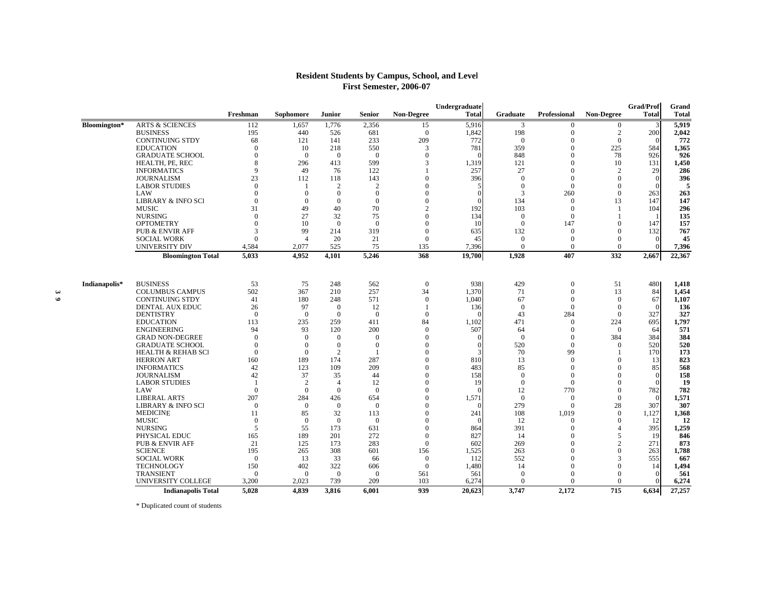## **Resident Students by Campus, School, and Level First Semester, 2006-07**

|                       |               |                                     |                      |                      |                                  |                      |                | Undergraduate |                      |                      |                   | <b>Grad/Prof</b> | Grand        |
|-----------------------|---------------|-------------------------------------|----------------------|----------------------|----------------------------------|----------------------|----------------|---------------|----------------------|----------------------|-------------------|------------------|--------------|
|                       |               |                                     | Freshman             | Sophomore            | Junior                           | Senior               | Non-Degree     | <b>Total</b>  | Graduate             | Professional         | <b>Non-Degree</b> | <b>Total</b>     | <b>Total</b> |
|                       | Bloomington*  | <b>ARTS &amp; SCIENCES</b>          | 112                  | 1,657                | 1,776                            | 2,356                | 15             | 5,916         | 3                    | $\mathbf{0}$         | $\mathbf{0}$      | 3                | 5,919        |
|                       |               | <b>BUSINESS</b>                     | 195                  | 440                  | 526                              | 681                  | $\mathbf{0}$   | 1,842         | 198                  | $\theta$             | $\overline{c}$    | 200              | 2,042        |
|                       |               | <b>CONTINUING STDY</b>              | 68                   | 121                  | 141                              | 233                  | 209            | 772           | $\overline{0}$       | $\theta$             | $\Omega$          |                  | 772          |
|                       |               | <b>EDUCATION</b>                    | $\overline{0}$       | 10                   | 218                              | 550                  | 3              | 781           | 359                  | $\theta$             | 225               | 584              | 1,365        |
|                       |               | <b>GRADUATE SCHOOL</b>              | $\mathbf{0}$         | $\overline{0}$       | $\overline{0}$                   | $\overline{0}$       | $\mathbf{0}$   | $\Omega$      | 848                  | $\theta$             | 78                | 926              | 926          |
|                       |               | HEALTH, PE, REC                     | 8                    | 296                  | 413                              | 599                  | 3              | 1,319         | 121                  | $\Omega$             | 10                | 131              | 1,450        |
|                       |               | <b>INFORMATICS</b>                  | $\mathbf Q$          | 49                   | 76                               | 122                  |                | 257           | 27                   | $\theta$             | $\overline{c}$    | 29               | 286          |
|                       |               | <b>JOURNALISM</b>                   | 23                   | 112                  | 118                              | 143                  | $\theta$       | 396           | $\overline{0}$       | $\theta$             | $\Omega$          | $\Omega$         | 396          |
|                       |               | <b>LABOR STUDIES</b>                | $\Omega$             |                      | $\overline{2}$                   | $\overline{2}$       | $\Omega$       | 5             | $\overline{0}$       | $\Omega$             | $\Omega$          |                  | 5            |
|                       |               | LAW                                 | $\Omega$             | $\Omega$             | $\Omega$                         | $\Omega$             | $\Omega$       | $\Omega$      | 3                    | 260                  | $\Omega$          | 263              | 263          |
|                       |               | <b>LIBRARY &amp; INFO SCI</b>       | $\mathbf{0}$         | $\Omega$             | $\overline{0}$                   | $\overline{0}$       | $\theta$       |               | 134                  | $\overline{0}$       | 13                | 147              | 147          |
|                       |               | <b>MUSIC</b>                        | 31                   | 49                   | 40                               | 70                   | $\overline{c}$ | 192           | 103                  | $\theta$             | -1                | 104              | 296          |
|                       |               | <b>NURSING</b>                      | $\Omega$             | 27                   | 32                               | 75                   | $\theta$       | 134           | $\Omega$             | $\theta$             |                   |                  | 135          |
|                       |               | <b>OPTOMETRY</b>                    | $\Omega$             | 10                   | $\Omega$                         | $\Omega$             | $\Omega$       | 10            | $\Omega$             | 147                  | $\Omega$          | 147              | 157          |
|                       |               | <b>PUB &amp; ENVIR AFF</b>          | 3                    | 99                   | 214                              | 319                  | $\Omega$       | 635           | 132                  | $\theta$             | $\Omega$          | 132              | 767          |
|                       |               | <b>SOCIAL WORK</b>                  | $\Omega$             | $\overline{4}$       | 20                               | 21                   | $\mathbf{0}$   | 45            | $\overline{0}$       | $\theta$             | $\Omega$          | $\Omega$         | 45           |
|                       |               | UNIVERSITY DIV                      | 4,584                | 2,077                | 525                              | 75                   | 135            | 7,396         | $\Omega$             | $\Omega$             | $\Omega$          |                  | 7,396        |
|                       |               | <b>Bloomington Total</b>            | 5,033                | 4,952                | 4,101                            | 5,246                | 368            | 19,700        | 1,928                | 407                  | 332               | 2,667            | 22,367       |
|                       |               |                                     |                      |                      |                                  |                      |                |               |                      |                      |                   |                  |              |
|                       | Indianapolis* | <b>BUSINESS</b>                     | 53                   | 75                   | 248                              | 562                  | $\mathbf{0}$   | 938           | 429                  | $\overline{0}$       | 51                | 480              | 1,418        |
| $\boldsymbol{\omega}$ |               | <b>COLUMBUS CAMPUS</b>              | 502                  | 367                  | 210                              | 257                  | 34             | 1,370         | 71                   | $\theta$<br>$\Omega$ | 13<br>$\Omega$    | 84               | 1.454        |
| $\bullet$             |               | <b>CONTINUING STDY</b>              | 41                   | 180                  | 248                              | 571                  | $\mathbf{0}$   | 1.040         | 67                   | $\Omega$             | $\Omega$          | 67<br>$\Omega$   | 1,107        |
|                       |               | DENTAL AUX EDUC<br><b>DENTISTRY</b> | 26<br>$\overline{0}$ | 97<br>$\overline{0}$ | $\overline{0}$<br>$\overline{0}$ | 12<br>$\overline{0}$ | $\mathbf{0}$   | 136           | $\overline{0}$<br>43 | 284                  | $\Omega$          | 327              | 136<br>327   |
|                       |               | <b>EDUCATION</b>                    | 113                  | 235                  | 259                              | 411                  | 84             | 1,102         | 471                  | $\theta$             | 224               | 695              | 1,797        |
|                       |               | <b>ENGINEERING</b>                  | 94                   | 93                   | 120                              | 200                  | $\mathbf{0}$   | 507           | 64                   | $\Omega$             | $\Omega$          | 64               | 571          |
|                       |               | <b>GRAD NON-DEGREE</b>              | $\Omega$             | $\Omega$             | $\Omega$                         | $\Omega$             | $\Omega$       | $\Omega$      | $\Omega$             | $\Omega$             | 384               | 384              | 384          |
|                       |               | <b>GRADUATE SCHOOL</b>              | $\mathbf{0}$         | $\overline{0}$       | $\overline{0}$                   | $\overline{0}$       | $\Omega$       |               | 520                  | $\theta$             | $\Omega$          | 520              | 520          |
|                       |               | <b>HEALTH &amp; REHAB SCI</b>       | $\overline{0}$       | $\overline{0}$       | $\overline{2}$                   |                      | $\Omega$       |               | 70                   | 99                   |                   | 170              | 173          |
|                       |               | <b>HERRON ART</b>                   | 160                  | 189                  | 174                              | 287                  | $\theta$       | 810           | 13                   | $\theta$             | $\Omega$          | 13               | 823          |
|                       |               | <b>INFORMATICS</b>                  | 42                   | 123                  | 109                              | 209                  | $\Omega$       | 483           | 85                   | $\Omega$             | $\Omega$          | 85               | 568          |
|                       |               | <b>JOURNALISM</b>                   | 42                   | 37                   | 35                               | 44                   | $\Omega$       | 158           | $\Omega$             | $\Omega$             | $\Omega$          | $\Omega$         | 158          |
|                       |               | <b>LABOR STUDIES</b>                | $\overline{1}$       | 2                    | $\overline{4}$                   | 12                   | $\theta$       | 19            | $\overline{0}$       | $\theta$             | $\Omega$          |                  | 19           |
|                       |               | LAW                                 | $\mathbf{0}$         | $\mathbf{0}$         | $\overline{0}$                   | $\overline{0}$       | $\theta$       | $\Omega$      | 12                   | 770                  | $\theta$          | 782              | 782          |
|                       |               | <b>LIBERAL ARTS</b>                 | 207                  | 284                  | 426                              | 654                  | $\theta$       | 1,571         | $\mathbf{0}$         | $\overline{0}$       | $\theta$          | $\Omega$         | 1,571        |
|                       |               | LIBRARY & INFO SCI                  | $\Omega$             | $\Omega$             | $\Omega$                         | $\Omega$             | $\Omega$       | $\Omega$      | 279                  | $\Omega$             | 28                | 307              | 307          |
|                       |               | <b>MEDICINE</b>                     | 11                   | 85                   | 32                               | 113                  | $\Omega$       | 241           | 108                  | 1,019                | $\Omega$          | 1,127            | 1,368        |
|                       |               | <b>MUSIC</b>                        | $\Omega$             | $\overline{0}$       | $\overline{0}$                   | $\overline{0}$       | $\Omega$       |               | 12                   | $\Omega$             | $\Omega$          | 12               | 12           |
|                       |               | <b>NURSING</b>                      | 5                    | 55                   | 173                              | 631                  | $\Omega$       | 864           | 391                  | $\Omega$             | $\Delta$          | 395              | 1,259        |
|                       |               | PHYSICAL EDUC                       | 165                  | 189                  | 201                              | 272                  | $\mathbf{0}$   | 827           | 14                   | $\theta$             | 5                 | 19               | 846          |
|                       |               | <b>PUB &amp; ENVIR AFF</b>          | 21                   | 125                  | 173                              | 283                  | $\Omega$       | 602           | 269                  | $\Omega$             | $\mathcal{D}$     | 271              | 873          |
|                       |               | <b>SCIENCE</b>                      | 195                  | 265                  | 308                              | 601                  | 156            | 1,525         | 263                  | $\Omega$             | $\Omega$          | 263              | 1,788        |
|                       |               | <b>SOCIAL WORK</b>                  | $\Omega$             | 13                   | 33                               | 66                   | $\mathbf{0}$   | 112           | 552                  | $\Omega$             | 3                 | 555              | 667          |
|                       |               | <b>TECHNOLOGY</b>                   | 150                  | 402                  | 322                              | 606                  | $\mathbf{0}$   | 1,480         | 14                   | $\theta$             | $\Omega$          | 14               | 1,494        |
|                       |               | <b>TRANSIENT</b>                    | $\Omega$             | $\overline{0}$       | $\overline{0}$                   | $\overline{0}$       | 561            | 561           | $\overline{0}$       | $\Omega$             | $\Omega$          |                  | 561          |
|                       |               | UNIVERSITY COLLEGE                  | 3,200                | 2,023                | 739                              | 209                  | 103            | 6,274         | $\Omega$             | $\Omega$             | $\Omega$          |                  | 6,274        |
|                       |               | <b>Indianapolis Total</b>           | 5,028                | 4.839                | 3.816                            | 6.001                | 939            | 20,623        | 3.747                | 2.172                | 715               | 6,634            | 27,257       |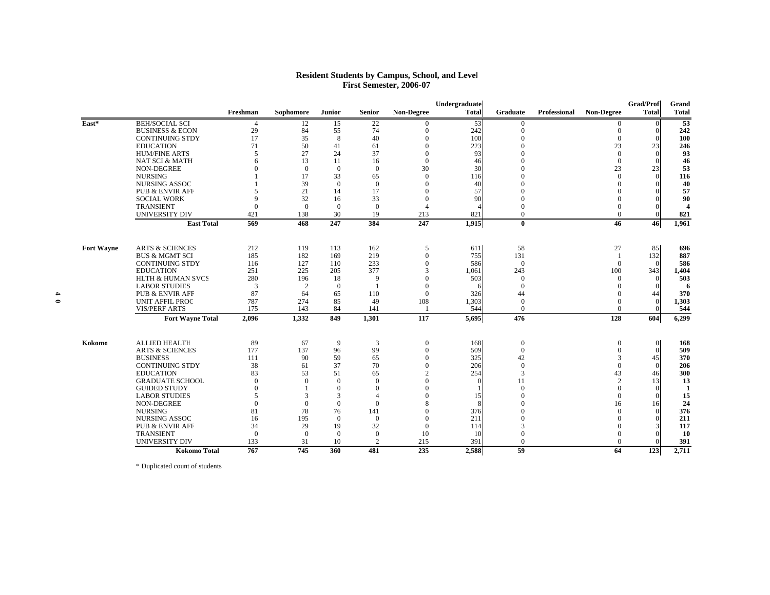#### **Resident Students by Campus, School, and Level First Semester, 2006-07**

|           |                           |                                                 |              |                |                |                |                      | Undergraduate |                      |              |                            | Grad/Prof          | Grand               |
|-----------|---------------------------|-------------------------------------------------|--------------|----------------|----------------|----------------|----------------------|---------------|----------------------|--------------|----------------------------|--------------------|---------------------|
|           |                           |                                                 | Freshman     | Sophomore      | <b>Junior</b>  | <b>Senior</b>  | <b>Non-Degree</b>    | <b>Total</b>  | <b>Graduate</b>      | Professional | <b>Non-Degree</b>          | <b>Total</b>       | <b>Total</b>        |
|           | $\overline{\text{East*}}$ | <b>BEH/SOCIAL SCI</b>                           | 4            | 12             | 15             | 22             | $\Omega$             | 53            | $\mathbf{0}$         |              | $\mathbf{0}$               | $\Omega$           | $\overline{53}$     |
|           |                           | <b>BUSINESS &amp; ECON</b>                      | 29           | 84             | 55             | 74             | $\Omega$             | 242           | $\Omega$             |              | $\Omega$                   | $\Omega$           | 242                 |
|           |                           | <b>CONTINUING STDY</b>                          | 17           | 35             | 8              | 40             | $\Omega$             | 100           | $\Omega$             |              | $\Omega$                   | $\Omega$           | 100                 |
|           |                           | <b>EDUCATION</b>                                | 71           | 50             | 41             | 61             | $\Omega$             | 223           |                      |              | 23                         | 23                 | 246                 |
|           |                           | <b>HUM/FINE ARTS</b>                            | 5            | 27             | 24             | 37             | $\Omega$             | 93            |                      |              | $\Omega$                   | $\mathbf{0}$       | 93                  |
|           |                           | <b>NAT SCI &amp; MATH</b>                       | 6            | 13             | 11             | 16             | $\Omega$             | 46            |                      |              | $\Omega$                   | $\Omega$           | 46                  |
|           |                           | NON-DEGREE                                      |              | $\Omega$       | $\Omega$       | $\theta$       | 30                   | 30            |                      |              | 23                         | 23                 | 53                  |
|           |                           | <b>NURSING</b>                                  |              | 17             | 33             | 65             | $\overline{0}$       | 116           |                      |              | $\Omega$                   | $\mathbf{0}$       | 116                 |
|           |                           | <b>NURSING ASSOC</b>                            |              | 39             | $\Omega$       | $\Omega$       | $\Omega$             | 40            |                      |              | $\Omega$                   | $\Omega$           | 40                  |
|           |                           | <b>PUB &amp; ENVIR AFF</b>                      | 5            | 21             | 14             | 17             | $\theta$             | 57            |                      |              | $\Omega$                   | $\theta$           | 57                  |
|           |                           | <b>SOCIAL WORK</b>                              | Q            | 32             | 16             | 33             | $\theta$             | 90            |                      |              | $\Omega$                   | $\Omega$           | 90                  |
|           |                           | <b>TRANSIENT</b>                                | $\Omega$     | $\Omega$       | $\Omega$       | $\theta$       | Δ                    |               |                      |              | $\Omega$                   | $\Omega$           | $\overline{\Delta}$ |
|           |                           | UNIVERSITY DIV                                  | 421          | 138            | 30             | 19             | 213                  | 821           | $\Omega$             |              | $\overline{0}$             | $\mathbf{0}$       | 821                 |
|           |                           | <b>East Total</b>                               | 569          | 468            | 247            | 384            | 247                  | 1,915         | $\bf{0}$             |              | 46                         | 46                 | 1,961               |
|           | <b>Fort Wayne</b>         | <b>ARTS &amp; SCIENCES</b>                      | 212          | 119            | 113            | 162            | 5                    | 611           | 58                   |              | 27                         | 85                 | 696                 |
|           |                           | <b>BUS &amp; MGMT SCI</b>                       | 185          | 182            | 169            | 219            | $\theta$             | 755           | 131                  |              |                            | 132                | 887                 |
|           |                           | <b>CONTINUING STDY</b>                          | 116          | 127            | 110            | 233            | $\theta$             | 586           | $\Omega$             |              | $\Omega$                   | $\Omega$           | 586                 |
|           |                           | <b>EDUCATION</b>                                | 251          | 225            | 205            | 377            |                      | 1,061         | 243                  |              | 100                        | 343                | 1,404               |
|           |                           | <b>HLTH &amp; HUMAN SVCS</b>                    | 280          | 196            | 18             | 9              |                      | 503           | $\Omega$             |              | $\Omega$                   | $\theta$           | 503                 |
|           |                           | <b>LABOR STUDIES</b>                            | 3            | 2              | $\overline{0}$ | - 1            | $\Omega$             |               | $\overline{0}$       |              | $\Omega$                   | $\mathbf{0}$       | -6                  |
|           |                           | <b>PUB &amp; ENVIR AFF</b>                      | 87           | 64             | 65             | 110            | $\theta$             | 326           | 44                   |              | $\Omega$                   | 44                 | 370                 |
| $\bullet$ |                           | <b>UNIT AFFIL PROG</b>                          | 787          | 274            | 85             | 49             | 108                  | 1,303         | $\theta$             |              | $\Omega$                   | $\mathbf{0}$       | 1,303               |
|           |                           | <b>VIS/PERF ARTS</b><br><b>Fort Wayne Total</b> | 175<br>2,096 | 143<br>1,332   | 84<br>849      | 141<br>1,301   | 117                  | 544<br>5,695  | $\Omega$<br>476      |              | $\Omega$<br>128            | $\Omega$<br>604    | 544<br>6,299        |
|           |                           |                                                 |              |                |                |                |                      |               |                      |              |                            |                    |                     |
|           | Kokomo                    | <b>ALLIED HEALTE</b>                            | 89           | 67             | 9              | 3              | $\mathbf{0}$         | 168           | $\overline{0}$       |              | $\overline{0}$<br>$\Omega$ | $\mathbf{0}$       | 168                 |
|           |                           | <b>ARTS &amp; SCIENCES</b><br><b>BUSINESS</b>   | 177<br>111   | 137<br>90      | 96<br>59       | 99<br>65       | $\theta$<br>$\theta$ | 509<br>325    | $\overline{0}$<br>42 |              | 3                          | $\mathbf{0}$<br>45 | 509<br>370          |
|           |                           | <b>CONTINUING STDY</b>                          | 38           | 61             | 37             | 70             | $\theta$             | 206           | $\overline{0}$       |              | $\Omega$                   | $\overline{0}$     | 206                 |
|           |                           | <b>EDUCATION</b>                                | 83           | 53             | 51             | 65             |                      | 254           | 3                    |              | 43                         | 46                 | 300                 |
|           |                           | <b>GRADUATE SCHOOL</b>                          | $\Omega$     | $\Omega$       | $\Omega$       | $\overline{0}$ | $\Omega$             |               | 11                   |              | $\overline{2}$             | 13                 | 13                  |
|           |                           | <b>GUIDED STUDY</b>                             | $\Omega$     |                | $\Omega$       | $\Omega$       | $\Omega$             |               | $\Omega$             |              | $\Omega$                   | $\Omega$           | -1                  |
|           |                           | <b>LABOR STUDIES</b>                            | 5            | 3              | 3              | $\Delta$       | $\Omega$             | 15            | $\Omega$             |              | $\Omega$                   | $\mathbf{0}$       | 15                  |
|           |                           | NON-DEGREE                                      | $\Omega$     | $\mathbf{0}$   | $\overline{0}$ | $\overline{0}$ |                      |               |                      |              | 16                         | 16                 | 24                  |
|           |                           | <b>NURSING</b>                                  | 81           | 78             | 76             | 141            | $\Omega$             | 376           |                      |              | $\Omega$                   | $\theta$           | 376                 |
|           |                           | <b>NURSING ASSOC</b>                            | 16           | 195            | $\overline{0}$ | $\overline{0}$ | $\Omega$             | 211           |                      |              | $\Omega$                   | $\overline{0}$     | 211                 |
|           |                           | <b>PUB &amp; ENVIR AFF</b>                      | 34           | 29             | 19             | 32             | $\theta$             | 114           |                      |              | $\Omega$                   | 3                  | 117                 |
|           |                           | <b>TRANSIENT</b>                                | $\theta$     | $\overline{0}$ | $\Omega$       | $\Omega$       | 10                   | 10            |                      |              | $\Omega$                   | $\theta$           | 10                  |
|           |                           | UNIVERSITY DIV                                  | 133          | 31             | 10             | $\overline{2}$ | 215                  | 391           | $\Omega$             |              | $\Omega$                   | $\Omega$           | 391                 |
|           |                           | <b>Kokomo Total</b>                             | 767          | 745            | 360            | 481            | 235                  | 2,588         | 59                   |              | 64                         | 123                | 2,711               |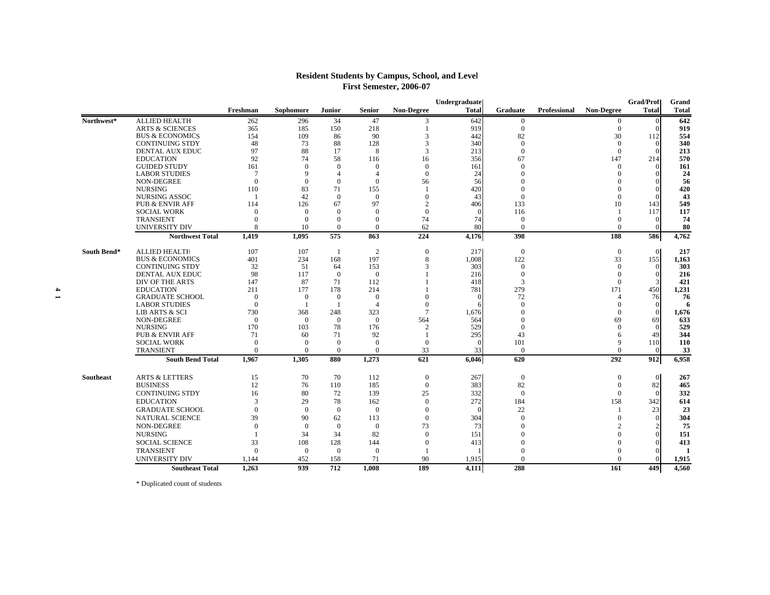## **Resident Students by Campus, School, and Level First Semester, 2006-07**

|                  |                            |                |                  |                |                |                  | Undergraduate |                 |              |                   | <b>Grad/Prof</b> | Grand        |
|------------------|----------------------------|----------------|------------------|----------------|----------------|------------------|---------------|-----------------|--------------|-------------------|------------------|--------------|
|                  |                            | Freshman       | <b>Sophomore</b> | <b>Junior</b>  | Senior         | Non-Degree       | <b>Total</b>  | <b>Graduate</b> | Professional | <b>Non-Degree</b> | <b>Total</b>     | <b>Total</b> |
| Northwest*       | ALLIED HEALTH              | 262            | 296              | 34             | 47             | 3                | 642           | $\overline{0}$  |              | $\mathbf{0}$      | $\mathbf{0}$     | 642          |
|                  | <b>ARTS &amp; SCIENCES</b> | 365            | 185              | 150            | 218            |                  | 919           | $\mathbf{0}$    |              | $\mathbf{0}$      | $\Omega$         | 919          |
|                  | <b>BUS &amp; ECONOMICS</b> | 154            | 109              | 86             | 90             | 3                | 442           | 82              |              | 30                | 112              | 554          |
|                  | <b>CONTINUING STDY</b>     | 48             | 73               | 88             | 128            | 3                | 340           | $\Omega$        |              | $\Omega$          | $\mathbf{0}$     | 340          |
|                  | DENTAL AUX EDUC            | 97             | 88               | 17             | 8              | 3                | 213           | $\Omega$        |              | $\Omega$          | $\Omega$         | 213          |
|                  | <b>EDUCATION</b>           | 92             | 74               | 58             | 116            | 16               | 356           | 67              |              | 147               | 214              | 570          |
|                  | <b>GUIDED STUDY</b>        | 161            | $\Omega$         | $\Omega$       | $\Omega$       | $\Omega$         | 161           | $\Omega$        |              | $\Omega$          | $\Omega$         | 161          |
|                  | <b>LABOR STUDIES</b>       | $\tau$         | $\mathbf Q$      | $\overline{A}$ | $\Delta$       | $\mathbf{0}$     | 24            |                 |              |                   |                  | 24           |
|                  | <b>NON-DEGREE</b>          | $\mathbf{0}$   | $\Omega$         | $\Omega$       | $\overline{0}$ | 56               | 56            |                 |              |                   | $\Omega$         | -56          |
|                  | <b>NURSING</b>             | 110            | 83               | 71             | 155            | $\mathbf{1}$     | 420           |                 |              |                   |                  | 420          |
|                  | <b>NURSING ASSOC</b>       |                | 42               | $\overline{0}$ | $\overline{0}$ | $\Omega$         | 43            | $\Omega$        |              | $\Omega$          | $\Omega$         | 43           |
|                  | <b>PUB &amp; ENVIR AFF</b> | 114            | 126              | 67             | 97             | $\mathcal{L}$    | 406           | 133             |              | 10                | 143              | 549          |
|                  | <b>SOCIAL WORK</b>         | $\Omega$       | $\Omega$         | $\Omega$       | $\Omega$       | $\Omega$         |               | 116             |              |                   | 117              | 117          |
|                  | <b>TRANSIENT</b>           | $\Omega$       | $\theta$         | $\Omega$       | $\Omega$       | 74               | 74            | $\Omega$        |              | $\Omega$          | $\mathbf{0}$     | 74           |
|                  | UNIVERSITY DIV             | 8              | 10               | $\overline{0}$ | $\Omega$       | 62               | 80            | $\Omega$        |              | $\Omega$          | $\Omega$         | 80           |
|                  | <b>Northwest Total</b>     | 1,419          | 1.095            | 575            | 863            | 224              | 4,176         | 398             |              | 188               | 586              | 4,762        |
| South Bend*      | <b>ALLIED HEALTH</b>       | 107            | 107              | $\overline{1}$ | 2              | $\boldsymbol{0}$ | 217           | $\overline{0}$  |              | $\mathbf{0}$      | $\overline{0}$   | 217          |
|                  | <b>BUS &amp; ECONOMICS</b> | 401            | 234              | 168            | 197            | 8                | 1,008         | 122             |              | 33                | 155              | 1,163        |
|                  | <b>CONTINUING STDY</b>     | 32             | 51               | 64             | 153            | 3                | 303           | $\Omega$        |              | $\Omega$          | $\Omega$         | 303          |
|                  | DENTAL AUX EDUC            | 98             | 117              | $\overline{0}$ | $\overline{0}$ |                  | 216           | $\Omega$        |              | $\Omega$          | $\Omega$         | 216          |
|                  | DIV OF THE ARTS            | 147            | 87               | 71             | 112            |                  | 418           | 3               |              | $\Omega$          |                  | 421          |
|                  | <b>EDUCATION</b>           | 211            | 177              | 178            | 214            |                  | 781           | 279             |              | 171               | 450              | 1,231        |
|                  | <b>GRADUATE SCHOOL</b>     | $\overline{0}$ | $\mathbf{0}$     | $\overline{0}$ | $\Omega$       | $\Omega$         |               | 72              |              | Δ                 | 76               | 76           |
|                  | <b>LABOR STUDIES</b>       | $\mathbf{0}$   |                  | -1             | $\overline{4}$ | $\Omega$         |               | $\Omega$        |              | $\Omega$          | $\mathbf{0}$     | 6            |
|                  | <b>LIB ARTS &amp; SCI</b>  | 730            | 368              | 248            | 323            | $\tau$           | 1,676         | $\Omega$        |              | $\Omega$          | $\Omega$         | 1,676        |
|                  | NON-DEGREE                 | $\overline{0}$ | $\overline{0}$   | $\overline{0}$ | $\overline{0}$ | 564              | 564           | $\Omega$        |              | 69                | 69               | 633          |
|                  | <b>NURSING</b>             | 170            | 103              | 78             | 176            | $\mathcal{D}$    | 529           | $\Omega$        |              | $\Omega$          | $\Omega$         | 529          |
|                  | <b>PUB &amp; ENVIR AFF</b> | 71             | 60               | 71             | 92             |                  | 295           | 43              |              | 6                 | 49               | 344          |
|                  | <b>SOCIAL WORK</b>         | $\Omega$       | $\Omega$         | $\Omega$       | $\Omega$       | $\Omega$         |               | 101             |              | $\mathbf Q$       | 110              | 110          |
|                  | <b>TRANSIENT</b>           | $\Omega$       | $\Omega$         | $\overline{0}$ | $\mathbf{0}$   | 33               | 33            | $\Omega$        |              | $\Omega$          | $\Omega$         | 33           |
|                  | <b>South Bend Total</b>    | 1.967          | 1.305            | 880            | 1,273          | 621              | 6,046         | 620             |              | 292               | 912              | 6,958        |
| <b>Southeast</b> | <b>ARTS &amp; LETTERS</b>  | 15             | 70               | 70             | 112            | $\boldsymbol{0}$ | 267           | $\overline{0}$  |              | $\Omega$          | $\overline{0}$   | 267          |
|                  | <b>BUSINESS</b>            | 12             | 76               | 110            | 185            | $\mathbf{0}$     | 383           | 82              |              | $\theta$          | 82               | 465          |
|                  | <b>CONTINUING STDY</b>     | 16             | 80               | 72             | 139            | 25               | 332           | $\Omega$        |              | $\Omega$          | $\Omega$         | 332          |
|                  | <b>EDUCATION</b>           | 3              | 29               | 78             | 162            | $\Omega$         | 272           | 184             |              | 158               | 342              | 614          |
|                  | <b>GRADUATE SCHOOL</b>     | $\mathbf{0}$   | $\overline{0}$   | $\overline{0}$ | $\overline{0}$ | $\mathbf{0}$     | $\sqrt{ }$    | 22              |              |                   | 23               | 23           |
|                  | <b>NATURAL SCIENCE</b>     | 39             | 90               | 62             | 113            | $\Omega$         | 304           | $\Omega$        |              | $\Omega$          | $\Omega$         | 304          |
|                  | NON-DEGREE                 | $\Omega$       | $\overline{0}$   | $\overline{0}$ | $\overline{0}$ | 73               | 73            | $\Omega$        |              |                   |                  | 75           |
|                  | <b>NURSING</b>             |                | 34               | 34             | 82             | $\Omega$         | 151           | $\Omega$        |              |                   | $\Omega$         | 151          |
|                  | <b>SOCIAL SCIENCE</b>      | 33             | 108              | 128            | 144            | $\Omega$         | 413           |                 |              |                   | $\Omega$         | 413          |
|                  | <b>TRANSIENT</b>           | $\Omega$       | $\overline{0}$   | $\overline{0}$ | $\overline{0}$ |                  |               |                 |              |                   | $\Omega$         | -1           |
|                  | <b>UNIVERSITY DIV</b>      | 1.144          | 452              | 158            | 71             | 90               | 1,915         | $\Omega$        |              | $\Omega$          |                  | 1,915        |
|                  |                            |                |                  |                |                |                  |               |                 |              |                   |                  |              |
|                  | <b>Southeast Total</b>     | 1,263          | 939              | 712            | 1,008          | 189              | 4,111         | 288             |              | 161               | 449              | 4,560        |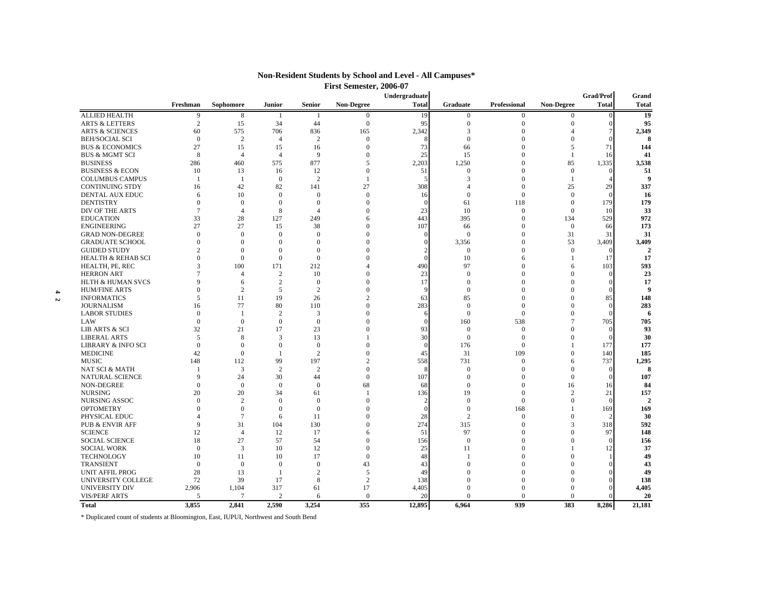|   |                               |                          |                  |                      |                              |                   | Undergraduate |                          |              |                   | Grad/Prof    | Grand          |
|---|-------------------------------|--------------------------|------------------|----------------------|------------------------------|-------------------|---------------|--------------------------|--------------|-------------------|--------------|----------------|
|   |                               | Freshman                 | <b>Sophomore</b> | Junior               | <b>Senior</b>                | <b>Non-Degree</b> | <b>Total</b>  | Graduate                 | Professional | <b>Non-Degree</b> | <b>Total</b> | Total          |
|   | <b>ALLIED HEALTH</b>          | 9                        | 8                | -1                   | -1                           | $\mathbf{0}$      | 19            | $\overline{0}$           | $\mathbf{0}$ | $\overline{0}$    |              | 19             |
|   | <b>ARTS &amp; LETTERS</b>     | $\overline{2}$           | 15               | 34                   | 44                           | $\mathbf{0}$      | 95            | $\Omega$                 | $\Omega$     | 0                 |              | 95             |
|   | <b>ARTS &amp; SCIENCES</b>    | 60                       | 575              | 706                  | 836                          | 165               | 2,342         | 3                        | $\Omega$     |                   |              | 2,349          |
|   | <b>BEH/SOCIAL SCI</b>         | $\theta$                 | 2                | $\overline{4}$       | $\overline{c}$               | $\mathbf{0}$      | Я             | $\Omega$                 | $\Omega$     | $\mathbf{0}$      |              | 8              |
|   | <b>BUS &amp; ECONOMICS</b>    | 27                       | 15               | 15                   | 16                           | $\mathbf{0}$      | 73            | 66                       | $\Omega$     | 5                 | 71           | 144            |
|   | <b>BUS &amp; MGMT SCI</b>     | 8                        | $\overline{4}$   | $\overline{4}$       | 9                            | $\mathbf{0}$      | 25            | 15                       | $\Omega$     | 1                 | 16           | 41             |
|   | <b>BUSINESS</b>               | 286                      | 460              | 575                  | 877                          | 5                 | 2,203         | 1,250                    | $\Omega$     | 85                | 1,335        | 3,538          |
|   | <b>BUSINESS &amp; ECON</b>    | 10                       | 13               | 16                   | 12                           | $\theta$          | 51            | $\Omega$                 | $\Omega$     | $\overline{0}$    |              | 51             |
|   | <b>COLUMBUS CAMPUS</b>        | $\overline{1}$           | -1               | $\theta$             | $\overline{2}$               | $\overline{1}$    | 5             | 3                        | $\Omega$     | $\overline{1}$    |              |                |
|   | <b>CONTINUING STDY</b>        | 16                       | 42               | 82                   | 141                          | 27                | 308           |                          | $\Omega$     | 25                | 29           | 337            |
|   | DENTAL AUX EDUC               | 6                        | 10               | $\theta$             | $\mathbf{0}$                 | $\theta$          | 16            | $\mathbf{0}$             | $\theta$     | $\mathbf{0}$      |              | 16             |
|   | <b>DENTISTRY</b>              | $\mathbf{0}$             | $\overline{0}$   | $\mathbf{0}$         | $\mathbf{0}$                 | $\Omega$          | $\Omega$      | 61                       | 118          | $\mathbf{0}$      | 179          | 179            |
|   | DIV OF THE ARTS               | 7                        | $\overline{4}$   | 8                    | $\overline{A}$               | $\Omega$          | 23            | 10                       | $\Omega$     | $\Omega$          | 10           | 33             |
|   | <b>EDUCATION</b>              | 33                       | 28               | 127                  | 249                          | 6                 | 443           | 395                      | $\Omega$     | 134               | 529          | 972            |
|   | <b>ENGINEERING</b>            | 27                       | 27               | 15                   | 38                           | $\Omega$          | 107           | 66                       | $\Omega$     | $\mathbf{0}$      | 66           | 173            |
|   | <b>GRAD NON-DEGREE</b>        | $\Omega$                 | $\Omega$         | $\Omega$             | $\Omega$                     | $\Omega$          | 0             | $\Omega$                 | $\Omega$     | 31                | 31           | 31             |
|   | <b>GRADUATE SCHOOL</b>        | $\Omega$                 | $\mathbf{0}$     | $\Omega$             | $\mathbf{0}$                 | $\Omega$          |               | 3,356                    | $\Omega$     | 53                | 3,409        | 3,409          |
|   | <b>GUIDED STUDY</b>           | $\mathfrak{D}$           | $\Omega$         | $\mathbf{0}$         | $\mathbf{0}$                 | $\Omega$          |               | $\Omega$                 | $\Omega$     | $\mathbf{0}$      |              |                |
|   | <b>HEALTH &amp; REHAB SCI</b> | $\theta$                 | $\theta$         | $\Omega$             | $\Omega$                     | $\Omega$          | $\Omega$      | 10                       | 6            | -1                | 17           | 17             |
|   | HEALTH, PE, REC               | 3                        | 100              | 171                  | 212                          | $\Lambda$         | 490           | 97                       | $\Omega$     | 6                 | 103          | 593            |
|   | <b>HERRON ART</b>             | 7                        | $\overline{A}$   | $\overline{c}$       | 10                           | $\Omega$          | 23            | $\Omega$                 | $\Omega$     | $\Omega$          |              | 23             |
|   | <b>HLTH &amp; HUMAN SVCS</b>  | 9                        | 6                | $\overline{c}$       | $\mathbf{0}$                 | $\Omega$          | 17            | $\theta$                 | $\Omega$     | $\Omega$          |              | 17             |
|   | <b>HUM/FINE ARTS</b>          | $\mathbf{0}$             | $\overline{2}$   | 5                    | $\overline{c}$               | $\Omega$          |               | $\mathbf{0}$             | $\Omega$     | $\Omega$          |              | q              |
| 4 | <b>INFORMATICS</b>            | 5                        | 11               | 19                   | 26                           | $\overline{c}$    | 63            | 85                       | $\Omega$     | $\theta$          | 85           | 148            |
| 2 | <b>JOURNALISM</b>             | 16                       | 77               | 80                   | 110                          | $\Omega$          | 283           | $\Omega$                 | $\Omega$     | $\Omega$          |              | 283            |
|   | <b>LABOR STUDIES</b>          | $\Omega$                 | -1               | 2                    | 3                            | $\Omega$          | 6             | $\Omega$                 | $\Omega$     | $\theta$          |              | 6              |
|   | LAW                           | $\Omega$                 | $\mathbf{0}$     | $\mathbf{0}$         | $\mathbf{0}$                 | $\Omega$          | $\Omega$      | 160                      | 538          | 7                 | 705          | 705            |
|   | LIB ARTS & SCI                | 32                       | 21               | 17                   | 23                           | $\Omega$          | 93            | $\Omega$                 | $\Omega$     | $\Omega$          |              | 93             |
|   | LIBERAL ARTS                  | 5                        | 8                | 3                    | 13                           |                   | 30            | $\overline{0}$           | $\Omega$     | $\Omega$          |              | 30             |
|   | <b>LIBRARY &amp; INFO SCI</b> | $\mathbf{0}$             | $\overline{0}$   | $\mathbf{0}$         | $\mathbf{0}$                 | $\Omega$          | $\Omega$      | 176                      | $\Omega$     | 1                 | 177          | 177            |
|   | <b>MEDICINE</b>               | 42                       | $\theta$         | $\overline{1}$       | $\overline{2}$               | $\Omega$          | 45            | 31                       | 109          | $\Omega$          | 140          | 185            |
|   | <b>MUSIC</b>                  | 148                      | 112              | 99                   | 197                          | $\mathfrak{D}$    | 558           | 731                      | $\Omega$     | 6                 | 737          | 1,295          |
|   | <b>NAT SCI &amp; MATH</b>     |                          | 3                | 2                    | $\overline{c}$               | $\Omega$          | 8             | $\Omega$                 | $\Omega$     | $\theta$          |              |                |
|   | <b>NATURAL SCIENCE</b>        | 9                        | 24               | 30                   | 44                           | $\mathbf{0}$      | 107           | $\mathbf{0}$             | $\Omega$     | $\mathbf{0}$      |              | 107            |
|   | NON-DEGREE                    | $\mathbf{0}$             | $\boldsymbol{0}$ | $\theta$             | $\mathbf{0}$                 | 68                | 68            | $\mathbf{0}$             | $\Omega$     | 16                |              | 84             |
|   |                               |                          | 20               |                      |                              | $\mathbf{1}$      |               |                          | $\Omega$     | $\overline{c}$    | 16           |                |
|   | <b>NURSING</b>                | 20<br>$\theta$           | $\overline{2}$   | 34                   | 61                           | $\Omega$          | 136           | 19                       | $\Omega$     |                   | 21           | 157            |
|   | NURSING ASSOC                 | $\Omega$                 | $\mathbf{0}$     | $\theta$<br>$\theta$ | $\mathbf{0}$<br>$\mathbf{0}$ | $\Omega$          | 2<br>$\Omega$ | $\mathbf{0}$<br>$\Omega$ |              | $\mathbf{0}$      |              | $\overline{2}$ |
|   | <b>OPTOMETRY</b>              |                          |                  |                      |                              |                   |               |                          | 168          |                   | 169          | 169            |
|   | PHYSICAL EDUC                 | $\overline{\mathcal{A}}$ | 7                | 6                    | 11                           | $\Omega$          | 28            | 2                        | $\Omega$     | $\Omega$          |              | 30             |
|   | PUB & ENVIR AFF               | 9                        | 31               | 104                  | 130                          | $\Omega$          | 274           | 315                      | $\Omega$     | 3                 | 318          | 592            |
|   | <b>SCIENCE</b>                | 12                       | $\overline{4}$   | 12                   | 17                           | 6                 | 51            | 97                       | $\Omega$     | $\Omega$          | 97           | 148            |
|   | <b>SOCIAL SCIENCE</b>         | 18                       | 27               | 57                   | 54                           | $\Omega$          | 156           | $\theta$                 | $\Omega$     | 0                 |              | 156            |
|   | <b>SOCIAL WORK</b>            | $\Omega$                 | 3                | 10                   | 12                           | $\Omega$          | 25            | 11                       | $\Omega$     |                   | 12           | 37             |
|   | TECHNOLOGY                    | 10                       | 11               | 10                   | 17                           | $\Omega$          | 48            |                          | $\Omega$     | $\Omega$          |              | 49             |
|   | TRANSIENT                     | $\Omega$                 | $\overline{0}$   | $\theta$             | $\mathbf{0}$                 | 43                | 43            | $\Omega$                 | $\Omega$     | $\Omega$          |              | 43             |
|   | <b>UNIT AFFIL PROG</b>        | 28                       | 13               | $\mathbf{1}$         | $\overline{2}$               | 5                 | 49            | $\Omega$                 | $\Omega$     | $\theta$          |              | 49             |
|   | UNIVERSITY COLLEGE            | 72                       | 39               | 17                   | 8                            | $\overline{2}$    | 138           | $\Omega$                 | $\Omega$     | $\Omega$          |              | 138            |
|   | UNIVERSITY DIV                | 2,906                    | 1,104            | 317                  | 61                           | 17                | 4,405         | $\Omega$                 | $\Omega$     | $\theta$          |              | 4,405          |
|   | <b>VIS/PERF ARTS</b>          | 5                        | $\overline{7}$   | $\overline{2}$       | 6                            | $\theta$          | 20            |                          | $\Omega$     | $\Omega$          |              | 20             |
|   | <b>Total</b>                  | 3.855                    | 2.841            | 2.590                | 3.254                        | 355               | 12,895        | 6,964                    | 939          | 383               | 8.286        | 21,181         |

## **Non-Resident Students by School and Level - All Campuses\* First Semester, 2006-07**

\* Duplicated count of students at Bloomington, East, IUPUI, Northwest and South Bend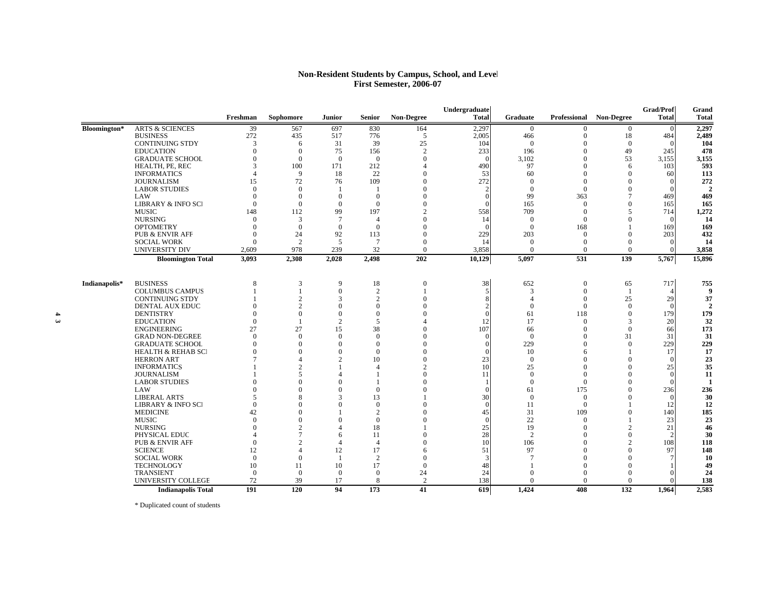#### **Non-Resident Students by Campus, School, and Level First Semester, 2006-07**

|               |                               |                |                          |                |                 |                   | Undergraduate |                |          |                                | Grad/Prof    | Grand  |
|---------------|-------------------------------|----------------|--------------------------|----------------|-----------------|-------------------|---------------|----------------|----------|--------------------------------|--------------|--------|
|               |                               | Freshman       | Sophomore                | Junior         | <b>Senior</b>   | <b>Non-Degree</b> | <b>Total</b>  | Graduate       |          | <b>Professional Non-Degree</b> | <b>Total</b> | Total  |
| Bloomington*  | <b>ARTS &amp; SCIENCES</b>    | 39             | 567                      | 697            | 830             | 164               | 2,297         | $\mathbf{0}$   | $\Omega$ | $\overline{0}$                 | $\Omega$     | 2,297  |
|               | <b>BUSINESS</b>               | 272            | 435                      | 517            | 776             | 5                 | 2,005         | 466            | $\theta$ | 18                             | 484          | 2,489  |
|               | <b>CONTINUING STDY</b>        | 3              | 6                        | 31             | 39              | 25                | 104           | $\Omega$       | $\Omega$ | $\overline{0}$                 |              | 104    |
|               | <b>EDUCATION</b>              | $\theta$       | $\theta$                 | 75             | 156             | $\overline{2}$    | 233           | 196            | $\Omega$ | 49                             | 245          | 478    |
|               | <b>GRADUATE SCHOOL</b>        | $\Omega$       | $\theta$                 | $\theta$       | $\overline{0}$  | $\Omega$          |               | 3,102          | $\Omega$ | 53                             | 3,155        | 3,155  |
|               | HEALTH, PE, REC               | 3              | 100                      | 171            | 212             | $\Delta$          | 490           | 97             | $\Omega$ | 6                              | 103          | 593    |
|               | <b>INFORMATICS</b>            | $\Delta$       | 9                        | 18             | 22              | $\Omega$          | 53            | 60             | $\Omega$ | $\theta$                       | 60           | 113    |
|               | <b>JOURNALISM</b>             | 15             | 72                       | 76             | 109             | $\Omega$          | 272           | $\Omega$       | $\Omega$ | $\Omega$                       |              | 272    |
|               | <b>LABOR STUDIES</b>          | $\Omega$       | $\theta$                 | $\overline{1}$ | $\overline{1}$  | $\theta$          |               | $\overline{0}$ | $\theta$ | $\Omega$                       |              | C      |
|               | LAW                           | $\Omega$       | $\theta$                 | $\Omega$       | $\mathbf{0}$    | $\Omega$          |               | 99             | 363      | 7                              | 469          | 469    |
|               | <b>LIBRARY &amp; INFO SCI</b> | $\Omega$       | $\theta$                 | $\mathbf{0}$   | $\mathbf{0}$    | $\Omega$          |               | 165            | $\theta$ | $\Omega$                       | 165          | 165    |
|               | <b>MUSIC</b>                  | 148            | 112                      | 99             | 197             | $\mathcal{D}$     | 558           | 709            | $\Omega$ | $\overline{\phantom{0}}$       | 714          | 1,272  |
|               | <b>NURSING</b>                | $\Omega$       | 3                        | $\overline{7}$ | $\overline{4}$  | $\Omega$          | 14            | $\overline{0}$ | $\theta$ | $\Omega$                       |              | 14     |
|               | <b>OPTOMETRY</b>              | $\Omega$       | $\overline{0}$           | $\mathbf{0}$   | $\overline{0}$  | $\Omega$          |               | $\overline{0}$ | 168      |                                | 169          | 169    |
|               | <b>PUB &amp; ENVIR AFF</b>    | $\Omega$       | 24                       | 92             | 113             | $\Omega$          | 229           | 203            | $\Omega$ | $\Omega$                       | 203          | 432    |
|               | <b>SOCIAL WORK</b>            | $\Omega$       | 2                        | 5              | $7\phantom{.0}$ | $\Omega$          |               | $\Omega$       | $\Omega$ | $\Omega$                       |              | 14     |
|               | UNIVERSITY DIV                | 2,609          | 978                      | 239            | 32              | $\Omega$          | 3,858         | $\Omega$       | $\Omega$ | $\Omega$                       |              | 3,858  |
|               | <b>Bloomington Total</b>      | 3,093          | 2,308                    | 2,028          | 2,498           | 202               | 10,129        | 5,097          | 531      | 139                            | 5,767        | 15,896 |
|               |                               |                |                          |                |                 |                   |               |                |          |                                |              |        |
| Indianapolis* | <b>BUSINESS</b>               | 8              | 3                        | 9              | 18              | $\overline{0}$    | 38            | 652            | $\theta$ | 65                             | 717          | 755    |
|               | <b>COLUMBUS CAMPUS</b>        |                | $\overline{1}$           | $\mathbf{0}$   | 2               |                   | 5             | 3              | $\theta$ | -1                             |              |        |
|               | <b>CONTINUING STDY</b>        |                | $\overline{c}$           | 3              | $\overline{c}$  | $\Omega$          |               | $\overline{A}$ | $\theta$ | 25                             | 29           | 37     |
|               | DENTAL AUX EDUC               | $\Omega$       | $\overline{c}$           | $\Omega$       | $\mathbf{0}$    | $\Omega$          |               | $\Omega$       | $\Omega$ | $\theta$                       |              |        |
|               | <b>DENTISTRY</b>              | $\Omega$       | $\Omega$                 | $\Omega$       | $\mathbf{0}$    | $\Omega$          |               | 61             | 118      | $\theta$                       | 179          | 179    |
|               | <b>EDUCATION</b>              | $\Omega$       | $\overline{\phantom{a}}$ | 2              | 5               |                   | 12            | 17             | $\Omega$ | 3                              | 20           | 32     |
|               | <b>ENGINEERING</b>            | 27             | 27                       | 15             | 38              | $\Omega$          | 107           | 66             | $\Omega$ | $\mathbf{0}$                   | 66           | 173    |
|               | <b>GRAD NON-DEGREE</b>        | $\Omega$       | $\Omega$                 | $\Omega$       | $\Omega$        | $\Omega$          |               | $\Omega$       | $\Omega$ | 31                             | 31           | 31     |
|               | <b>GRADUATE SCHOOL</b>        | $\Omega$       | $\Omega$                 | $\Omega$       | $\overline{0}$  | $\Omega$          |               | 229            | $\Omega$ | $\theta$                       | 229          | 229    |
|               | <b>HEALTH &amp; REHAB SCI</b> | $\Omega$       | $\Omega$                 | $\Omega$       | $\Omega$        | $\Omega$          |               | 10             | 6        |                                | 17           | 17     |
|               | <b>HERRON ART</b>             |                | Δ                        | 2              | 10              | $\Omega$          | 23            | $\Omega$       | $\Omega$ | $\Omega$                       |              | 23     |
|               | <b>INFORMATICS</b>            |                | $\overline{c}$           | $\mathbf{1}$   | $\overline{4}$  | $\overline{c}$    | 10            | 25             | $\Omega$ | $\Omega$                       | 25           | 35     |
|               | <b>JOURNALISM</b>             |                | $\overline{\mathbf{5}}$  | 4              | $\overline{1}$  | $\Omega$          | 11            | $\Omega$       | $\Omega$ | $\Omega$                       |              | 11     |
|               | <b>LABOR STUDIES</b>          |                | $\Omega$                 | $\Omega$       | $\overline{1}$  | $\theta$          |               | $\overline{0}$ | $\theta$ | $\Omega$                       |              |        |
|               | LAW                           |                | $\Omega$                 | $\Omega$       | $\mathbf{0}$    | $\Omega$          |               | 61             | 175      | $\Omega$                       | 236          | 236    |
|               | <b>LIBERAL ARTS</b>           | 5              | 8                        | 3              | 13              |                   | 30            | $\Omega$       | $\Omega$ | $\Omega$                       |              | 30     |
|               | <b>LIBRARY &amp; INFO SCI</b> | $\Omega$       | $\Omega$                 | $\Omega$       | $\mathbf{0}$    | $\Omega$          |               | 11             | $\theta$ |                                | 12           | 12     |
|               | <b>MEDICINE</b>               | 42             | $\Omega$                 |                | $\overline{2}$  | $\Omega$          | 45            | 31             | 109      | $\Omega$                       | 140          | 185    |
|               | <b>MUSIC</b>                  | $\Omega$       | $\Omega$                 | $\Omega$       | $\mathbf{0}$    | $\Omega$          |               | 22             | $\Omega$ |                                | 23           | 23     |
|               | <b>NURSING</b>                | $\Omega$       | $\overline{c}$           | 4              | 18              |                   | 25            | 19             | $\Omega$ | $\overline{2}$                 | 21           | 46     |
|               | PHYSICAL EDUC                 |                | $\overline{7}$           | 6              | 11              | $\Omega$          | 28            | $\overline{c}$ | $\Omega$ | $\Omega$                       |              | 30     |
|               | <b>PUB &amp; ENVIR AFF</b>    | $\Omega$       | $\overline{c}$           | 4              | $\overline{4}$  | $\Omega$          | 10            | 106            | $\Omega$ | 2                              | 108          | 118    |
|               | <b>SCIENCE</b>                | 12             | Δ                        | 12             | 17              | 6                 | 51            | 97             | $\Omega$ | $\Omega$                       | 97           | 148    |
|               | <b>SOCIAL WORK</b>            | $\Omega$       | $\Omega$                 | -1             | 2               | $\Omega$          |               | $\overline{7}$ | $\Omega$ | $\Omega$                       |              | 10     |
|               | <b>TECHNOLOGY</b>             | 10             | 11                       | 10             | 17              | $\Omega$          | 48            |                | $\Omega$ | $\Omega$                       |              | 49     |
|               | <b>TRANSIENT</b>              | $\overline{0}$ | $\theta$                 | $\overline{0}$ | $\mathbf{0}$    | 24                | 24            | $\Omega$       | $\Omega$ | $\Omega$                       |              | 24     |
|               | UNIVERSITY COLLEGE            | 72             | 39                       | 17             | 8               | $\overline{2}$    | 138           | $\Omega$       | $\Omega$ | $\theta$                       |              | 138    |
|               | <b>Indianapolis Total</b>     | 191            | $\overline{120}$         | 94             | 173             | 41                | 619           | 1,424          | 408      | 132                            | 1.964        | 2,583  |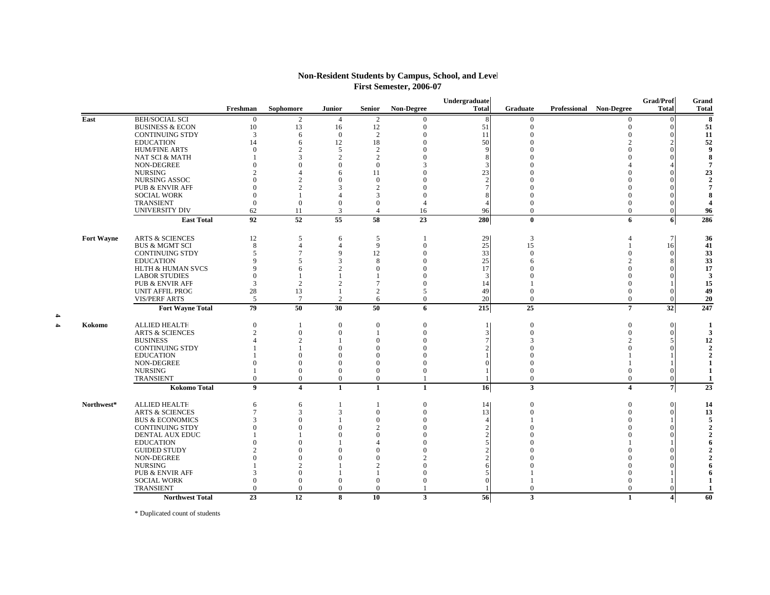| <b>Non-Resident Students by Campus, School, and Level</b> |  |
|-----------------------------------------------------------|--|
| <b>First Semester, 2006-07</b>                            |  |

|                   |                                                  |                 |                         |                 |                |                   | Undergraduate |              |                                | <b>Grad/Prof</b> | Grand                   |
|-------------------|--------------------------------------------------|-----------------|-------------------------|-----------------|----------------|-------------------|---------------|--------------|--------------------------------|------------------|-------------------------|
|                   |                                                  | Freshman        | Sophomore               | <b>Junior</b>   | Senior         | <b>Non-Degree</b> | <b>Total</b>  | Graduate     | <b>Professional Non-Degree</b> | <b>Total</b>     | <b>Total</b>            |
| East              | <b>BEH/SOCIAL SCI</b>                            | 0               | 2                       | 4               | 2              | $\mathbf{0}$      | 8             | $\bf{0}$     | $\mathbf{0}$                   |                  | 8                       |
|                   | <b>BUSINESS &amp; ECON</b>                       | 10              | 13                      | 16              | 12             | $\mathbf{0}$      | 51            | $\Omega$     | $\Omega$                       |                  | 51                      |
|                   | <b>CONTINUING STDY</b>                           | 3               | 6                       | $\bf{0}$        | 2              | $\Omega$          | 11            | $\Omega$     | $\Omega$                       |                  | 11                      |
|                   | <b>EDUCATION</b>                                 | 14              | 6                       | 12              | 18             | $\Omega$          | 50            |              |                                |                  | 52                      |
|                   | <b>HUM/FINE ARTS</b>                             | $\Omega$        |                         | 5               | 2              | $\Omega$          |               |              |                                |                  | 9                       |
|                   | <b>NAT SCI &amp; MATH</b>                        |                 |                         | $\overline{c}$  | $\overline{2}$ |                   |               |              |                                |                  | 8                       |
|                   | NON-DEGREE                                       | $\Omega$        |                         | $\Omega$        | $\Omega$       |                   |               |              |                                |                  | $\overline{7}$          |
|                   | <b>NURSING</b>                                   | っ               |                         | 6               | 11             |                   | 23            |              |                                |                  | 23                      |
|                   | NURSING ASSOC                                    |                 |                         | $\Omega$        | $\Omega$       |                   |               |              |                                |                  | $\mathbf{2}$            |
|                   | <b>PUB &amp; ENVIR AFF</b>                       |                 |                         | 3               | $\mathfrak{D}$ |                   |               |              |                                |                  | 7                       |
|                   | <b>SOCIAL WORK</b>                               | $\Omega$        |                         | Δ               | 3              | $\Omega$          |               |              |                                |                  | 8                       |
|                   | TRANSIENT                                        | $\Omega$        | $\mathbf{0}$            | $\overline{0}$  | $\Omega$       |                   |               |              | $\Omega$                       |                  | $\overline{\mathbf{4}}$ |
|                   | <b>UNIVERSITY DIV</b>                            | 62              | 11                      | 3               | $\overline{4}$ | 16                | 96            | $\Omega$     | $\Omega$                       |                  | 96                      |
|                   | <b>East Total</b>                                | 92              | $\overline{52}$         | $\overline{55}$ | 58             | 23                | 280           | $\mathbf{0}$ | 6                              | 6                | 286                     |
|                   | <b>ARTS &amp; SCIENCES</b>                       |                 | 5                       |                 | 5              |                   |               | 3            |                                | 7 <sup>1</sup>   |                         |
| <b>Fort Wayne</b> | <b>BUS &amp; MGMT SCI</b>                        | 12<br>$\,8\,$   |                         | 6<br>4          | 9              | $\overline{0}$    | 29<br>25      | 15           |                                |                  | 36<br>41                |
|                   | <b>CONTINUING STDY</b>                           | 5               |                         | 9               | 12             | $\Omega$          | 33            | $\Omega$     | $\Omega$                       | 16<br>$\Omega$   | 33                      |
|                   |                                                  | Q               |                         | 3               | 8              |                   |               |              |                                |                  | 33                      |
|                   | <b>EDUCATION</b><br><b>HLTH &amp; HUMAN SVCS</b> | 9               | 6                       | $\overline{c}$  | $\Omega$       | $\Omega$          | 25<br>17      |              |                                |                  | 17                      |
|                   | <b>LABOR STUDIES</b>                             | $\mathbf{0}$    |                         |                 |                |                   | $\mathcal{R}$ |              |                                |                  | $\overline{\mathbf{3}}$ |
|                   | <b>PUB &amp; ENVIR AFF</b>                       | 3               | $\overline{2}$          | 2               |                | $\theta$          |               |              |                                |                  | 15                      |
|                   | <b>UNIT AFFIL PROG</b>                           | 28              | 13                      | $\mathbf{1}$    | $\overline{2}$ | 5                 | 14<br>49      | $\Omega$     | $\Omega$                       |                  | 49                      |
|                   | <b>VIS/PERF ARTS</b>                             | 5               | $\tau$                  | 2               | 6              | $\overline{0}$    | 20            | $\mathbf{0}$ | $\overline{0}$                 |                  | 20                      |
|                   |                                                  |                 |                         |                 |                |                   |               |              |                                |                  |                         |
|                   | <b>Fort Wayne Total</b>                          | 79              | 50                      | 30              | 50             | 6                 | 215           | 25           | $\overline{7}$                 | 32               | 247                     |
| Kokomo            | <b>ALLIED HEALTH</b>                             | $\mathbf{0}$    |                         | $\overline{0}$  | $\mathbf{0}$   | $\Omega$          |               | $\Omega$     | $\Omega$                       | $\Omega$         | $\blacksquare$          |
|                   | <b>ARTS &amp; SCIENCES</b>                       | 2               | $\Omega$                | 0               |                | $\theta$          |               | $\Omega$     | $\Omega$                       | $\Omega$         | 3                       |
|                   | <b>BUSINESS</b>                                  |                 |                         |                 | $\Omega$       | $\Omega$          |               |              |                                |                  | 12                      |
|                   | <b>CONTINUING STDY</b>                           |                 |                         | $\Omega$        | $\Omega$       |                   |               |              |                                |                  | $\gamma$                |
|                   | <b>EDUCATION</b>                                 |                 | $\Omega$                | $\Omega$        | $\Omega$       | $\Omega$          |               |              |                                |                  | $\mathcal{D}$           |
|                   | NON-DEGREE                                       | $\Omega$        | $\Omega$                | $\Omega$        | $\Omega$       |                   |               |              |                                |                  | $\mathbf{1}$            |
|                   | <b>NURSING</b>                                   |                 | $\Omega$                | $\overline{0}$  | $\Omega$       | $\Omega$          |               |              | $\Omega$                       |                  | 1                       |
|                   | <b>TRANSIENT</b>                                 | $\mathbf{0}$    | $\mathbf{0}$            | $\overline{0}$  | $\overline{0}$ |                   |               | $\mathbf{0}$ | $\overline{0}$                 | $\Omega$         | 1                       |
|                   | <b>Kokomo Total</b>                              | 9               | $\overline{\mathbf{4}}$ | $\mathbf{1}$    | $\mathbf{1}$   | $\mathbf{1}$      | 16            | $\mathbf{3}$ | $\overline{\mathbf{4}}$        | $\overline{7}$   | $\overline{23}$         |
| Northwest*        | <b>ALLIED HEALTH</b>                             | 6               | 6                       | 1               |                | $\overline{0}$    | 14            | $\Omega$     | $\Omega$                       | $\Omega$         | 14                      |
|                   | <b>ARTS &amp; SCIENCES</b>                       | $\overline{7}$  | 3                       | 3               | $\mathbf{0}$   | $\Omega$          | 13            | $\Omega$     | $\Omega$                       | $\Omega$         | 13                      |
|                   | <b>BUS &amp; ECONOMICS</b>                       | 3               | $\Omega$                |                 | $\mathbf{0}$   | $\Omega$          | Δ             |              |                                |                  | 5                       |
|                   | <b>CONTINUING STDY</b>                           |                 |                         | $\Omega$        | $\mathfrak{D}$ |                   |               |              |                                |                  |                         |
|                   | <b>DENTAL AUX EDUC</b>                           |                 |                         | $\Omega$        |                |                   |               |              |                                |                  |                         |
|                   | <b>EDUCATION</b>                                 |                 |                         |                 |                |                   |               |              |                                |                  |                         |
|                   | <b>GUIDED STUDY</b>                              | C               |                         |                 |                |                   |               |              |                                |                  |                         |
|                   | NON-DEGREE                                       | $\Omega$        |                         |                 |                |                   |               |              |                                |                  |                         |
|                   | <b>NURSING</b>                                   |                 |                         |                 |                |                   |               |              |                                |                  |                         |
|                   | <b>PUB &amp; ENVIR AFF</b>                       | 3               |                         |                 |                | $\Omega$          |               |              |                                |                  |                         |
|                   | <b>SOCIAL WORK</b>                               | $\theta$        | $\Omega$                | $\mathbf{0}$    | $\Omega$       | $\Omega$          |               |              |                                |                  | -1                      |
|                   | <b>TRANSIENT</b>                                 | $\Omega$        | $\Omega$                | $\Omega$        | $\Omega$       |                   |               | $\Omega$     | $\Omega$                       |                  | $\mathbf{1}$            |
|                   | <b>Northwest Total</b>                           | $\overline{23}$ | $\overline{12}$         | 8               | 10             | $\mathbf{3}$      | 56            | 3            | 1                              | $\frac{4}{ }$    | 60                      |
|                   |                                                  |                 |                         |                 |                |                   |               |              |                                |                  |                         |

\* Duplicated count of students

**4 4Kokomo**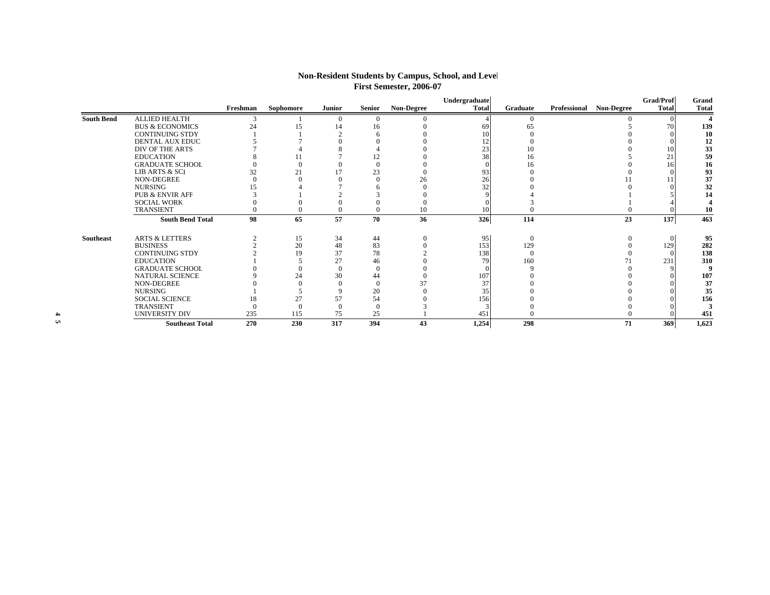|                   |                            | Freshman | Sophomore | Junior       | Senior   | <b>Non-Degree</b> | Undergraduate<br>Total | Graduate       | Professional Non-Degree | <b>Grad/Prof</b><br><b>Total</b> | Grand<br><b>Total</b> |
|-------------------|----------------------------|----------|-----------|--------------|----------|-------------------|------------------------|----------------|-------------------------|----------------------------------|-----------------------|
| <b>South Bend</b> | <b>ALLIED HEALTH</b>       | 3        |           | $\theta$     | $\Omega$ |                   |                        | $\Omega$       |                         |                                  |                       |
|                   | <b>BUS &amp; ECONOMICS</b> | 24       | 15        | 14           | 16       |                   | 69                     | 65             |                         | 70                               | 139                   |
|                   | <b>CONTINUING STDY</b>     |          |           |              |          |                   | 10                     |                |                         |                                  | 10                    |
|                   | DENTAL AUX EDUC            |          |           |              |          |                   | 12                     |                |                         |                                  | 12                    |
|                   | DIV OF THE ARTS            |          |           |              |          |                   | 23                     | 10             |                         | 10                               | 33                    |
|                   | <b>EDUCATION</b>           |          |           |              | 12       |                   | 38                     | 16             |                         | 21                               | 59                    |
|                   | <b>GRADUATE SCHOOL</b>     |          |           |              |          |                   |                        | 16             |                         |                                  | 16                    |
|                   | LIB ARTS & SCI             | 32       | 21        | 17           | 23       |                   | 93                     |                |                         |                                  | 93                    |
|                   | NON-DEGREE                 |          |           |              |          | 26                | 26                     |                |                         |                                  | 37                    |
|                   | <b>NURSING</b>             | 15       |           |              |          |                   | 32                     |                |                         |                                  | 32                    |
|                   | <b>PUB &amp; ENVIR AFF</b> |          |           |              |          |                   |                        |                |                         |                                  | 14                    |
|                   | <b>SOCIAL WORK</b>         |          |           |              |          |                   |                        |                |                         |                                  |                       |
|                   | <b>TRANSIENT</b>           |          |           |              |          | 10                | 10                     |                |                         |                                  | 10                    |
|                   | <b>South Bend Total</b>    | 98       | 65        | 57           | 70       | 36                | 326                    | 114            | 23                      | 137                              | 463                   |
| <b>Southeast</b>  | <b>ARTS &amp; LETTERS</b>  |          | 15        | 34           | 44       |                   | 95                     | $\overline{0}$ |                         |                                  | 95                    |
|                   | <b>BUSINESS</b>            |          | 20        | 48           | 83       |                   | 153                    | 129            |                         | 129                              | 282                   |
|                   | <b>CONTINUING STDY</b>     |          | 19        | 37           | 78       |                   | 138                    | $\Omega$       |                         |                                  | 138                   |
|                   | <b>EDUCATION</b>           |          |           | 27           | 46       |                   | 79                     | 160            |                         | 231                              | 310                   |
|                   | <b>GRADUATE SCHOOL</b>     |          |           | $\Omega$     |          |                   |                        |                |                         |                                  |                       |
|                   | NATURAL SCIENCE            |          | 24        | 30           | 44       |                   | 107                    |                |                         |                                  | 107                   |
|                   | NON-DEGREE                 |          |           |              |          | 37                | 37                     |                |                         |                                  | 37                    |
|                   | <b>NURSING</b>             |          |           |              | 20       |                   | 35                     |                |                         |                                  | 35                    |
|                   | <b>SOCIAL SCIENCE</b>      | 18       | 27        | 57           | 54       |                   | 156                    |                |                         |                                  | 156                   |
|                   | TRANSIENT                  |          |           | $\mathbf{0}$ | $\Omega$ |                   |                        |                |                         |                                  |                       |
|                   | UNIVERSITY DIV             | 235      | 115       | 75           | 25       |                   | 451                    |                |                         |                                  | 451                   |
|                   | <b>Southeast Total</b>     | 270      | 230       | 317          | 394      | 43                | 1,254                  | 298            | 71                      | 369                              | 1,623                 |

## **Non-Resident Students by Campus, School, and Level First Semester, 2006-07**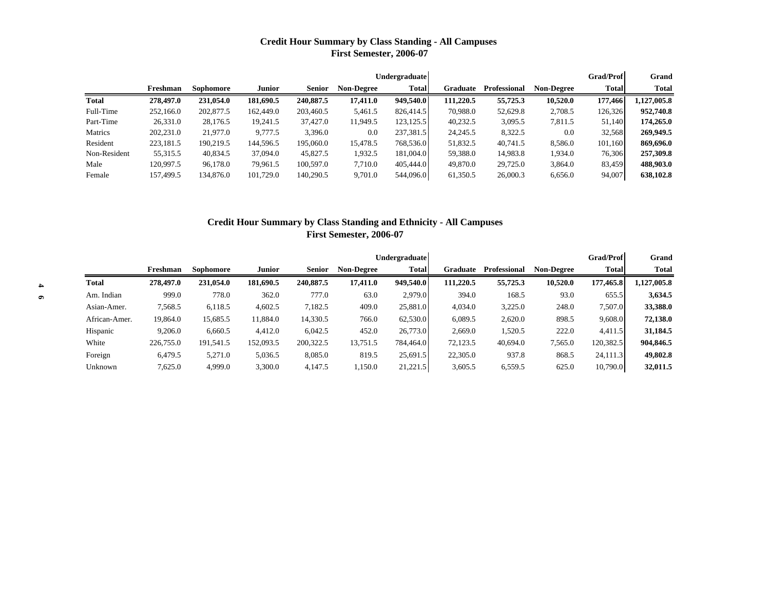# **Credit Hour Summary by Class Standing - All Campuses First Semester, 2006-07**

|              |           |           |               |               |                   | Undergraduate |           |                     |                   | <b>Grad/Prof</b> | Grand        |
|--------------|-----------|-----------|---------------|---------------|-------------------|---------------|-----------|---------------------|-------------------|------------------|--------------|
|              | Freshman  | Sophomore | <b>Junior</b> | <b>Senior</b> | <b>Non-Degree</b> | Total         | Graduate  | <b>Professional</b> | <b>Non-Degree</b> | <b>Total</b>     | <b>Total</b> |
| Total        | 278,497.0 | 231,054.0 | 181,690.5     | 240,887.5     | 17,411.0          | 949,540.0     | 111.220.5 | 55,725.3            | 10,520.0          | 177,466          | 1,127,005.8  |
| Full-Time    | 252,166.0 | 202,877.5 | 162,449.0     | 203,460.5     | 5,461.5           | 826,414.5     | 70,988.0  | 52,629.8            | 2,708.5           | 126,326          | 952,740.8    |
| Part-Time    | 26,331.0  | 28,176.5  | 19,241.5      | 37,427.0      | 11,949.5          | 123, 125.5    | 40,232.5  | 3,095.5             | 7,811.5           | 51.140           | 174,265.0    |
| Matrics      | 202,231.0 | 21,977.0  | 9,777.5       | 3,396.0       | 0.0               | 237,381.5     | 24, 245.5 | 8,322.5             | 0.0               | 32,568           | 269,949.5    |
| Resident     | 223,181.5 | 190.219.5 | 144.596.5     | 195,060.0     | 15.478.5          | 768,536.0     | 51.832.5  | 40.741.5            | 8.586.0           | 101.160          | 869,696.0    |
| Non-Resident | 55,315.5  | 40,834.5  | 37,094.0      | 45,827.5      | 1,932.5           | 181,004.0     | 59,388.0  | 14,983.8            | 1,934.0           | 76,306           | 257,309.8    |
| Male         | 120.997.5 | 96,178.0  | 79,961.5      | 100,597.0     | 7.710.0           | 405,444.0     | 49,870.0  | 29,725.0            | 3,864.0           | 83,459           | 488,903.0    |
| Female       | 157,499.5 | 134,876.0 | 101,729.0     | 140,290.5     | 9,701.0           | 544,096.0     | 61,350.5  | 26,000.3            | 6,656.0           | 94,007           | 638,102.8    |

# **Credit Hour Summary by Class Standing and Ethnicity - All Campuses First Semester, 2006-07**

|                  |               |           |           |               |               |                   | <b>Undergraduate</b> |           |              |                   | <b>Grad/Prof</b> | Grand       |
|------------------|---------------|-----------|-----------|---------------|---------------|-------------------|----------------------|-----------|--------------|-------------------|------------------|-------------|
|                  |               | Freshman  | Sophomore | <b>Junior</b> | <b>Senior</b> | <b>Non-Degree</b> | Total                | Graduate  | Professional | <b>Non-Degree</b> | <b>Total</b>     | Total       |
| $\blacktriangle$ | <b>Total</b>  | 278,497.0 | 231,054.0 | 181,690.5     | 240,887.5     | 17,411.0          | 949,540.0            | 111,220.5 | 55,725.3     | 10,520.0          | 177,465.8        | 1,127,005.8 |
| $\bullet$        | Am. Indian    | 999.0     | 778.0     | 362.0         | 777.0         | 63.0              | 2,979.0              | 394.0     | 168.5        | 93.0              | 655.5            | 3,634.5     |
|                  | Asian-Amer.   | 7,568.5   | 6,118.5   | 4,602.5       | 7,182.5       | 409.0             | 25,881.0             | 4.034.0   | 3,225.0      | 248.0             | 7.507.0          | 33,388.0    |
|                  | African-Amer. | 19,864.0  | 15,685.5  | 11,884.0      | 14,330.5      | 766.0             | 62,530.0             | 6,089.5   | 2,620.0      | 898.5             | 9,608.0          | 72,138.0    |
|                  | Hispanic      | 9.206.0   | 6,660.5   | 4,412.0       | 6,042.5       | 452.0             | 26,773.0             | 2,669.0   | 1,520.5      | 222.0             | 4.411.5          | 31,184.5    |
|                  | White         | 226,755.0 | 191,541.5 | 152,093.5     | 200,322.5     | 13,751.5          | 784,464.0            | 72,123.5  | 40,694.0     | 7,565.0           | 120,382.5        | 904,846.5   |
|                  | Foreign       | 6,479.5   | 5,271.0   | 5,036.5       | 8,085.0       | 819.5             | 25,691.5             | 22,305.0  | 937.8        | 868.5             | 24,111.3         | 49,802.8    |
|                  | Unknown       | 7.625.0   | 4.999.0   | 3,300.0       | 4.147.5       | 1,150.0           | 21,221.5             | 3,605.5   | 6,559.5      | 625.0             | 10,790.0         | 32,011.5    |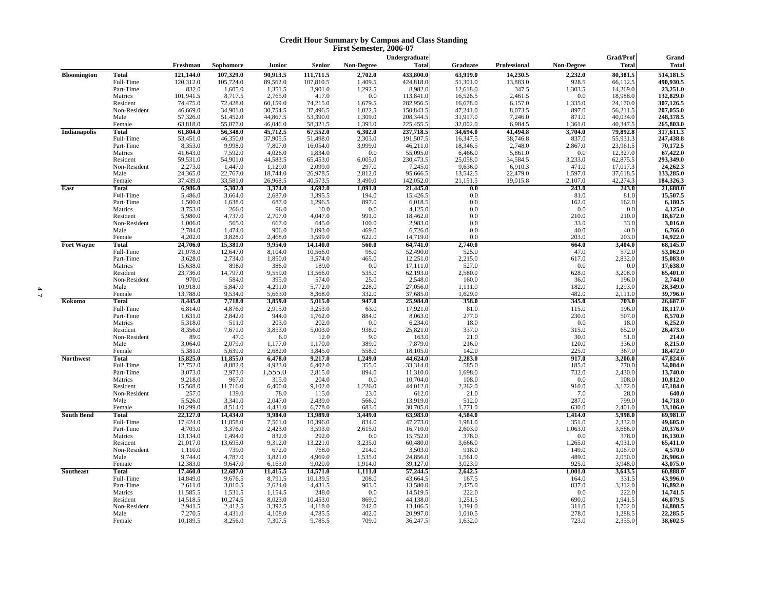#### **Credit Hour Summary by Campus and Class Standing First Semester, 2006-07**

|                     |              |           |           |          |           |                   | Undergraduate        |                      |                     |                    | Grad/Prof    | Grand                                        |
|---------------------|--------------|-----------|-----------|----------|-----------|-------------------|----------------------|----------------------|---------------------|--------------------|--------------|----------------------------------------------|
|                     |              | Freshman  | Sophomore | Junior   | Senior    | <b>Non-Degree</b> | <b>Total</b>         | Graduate             | Professional        | <b>Non-Degree</b>  | <b>Total</b> | <b>Total</b>                                 |
| <b>Bloomington</b>  | <b>Total</b> | 121,144.0 | 107,329.0 | 90,913.5 | 111,711.5 | 2,702.0           | 433,800.0            | 63,919.0             | 14,230.5            | 2,232.0            | 80,381.5     | 514,181.5                                    |
|                     | Full-Time    | 120,312.0 | 105,724.0 | 89,562.0 | 107,810.5 | 1,409.5           | 424,818.0            | 51,301.0             | 13,883.0            | 928.5              | 66,112.5     | 490,930.5                                    |
|                     | Part-Time    | 832.0     | 1,605.0   | 1,351.5  | 3,901.0   | 1,292.5           | 8,982.0              | 12,618.0             | 347.5               | 1,303.5            | 14,269.0     | 23,251.0                                     |
|                     | Matrics      | 101,941.5 | 8,717.5   | 2,765.0  | 417.0     | $0.0\,$           | 113,841.0            | 16,526.5             | 2,461.5             | 0.0                | 18,988.0     | 132,829.0                                    |
|                     | Resident     | 74,475.0  | 72,428.0  | 60,159.0 | 74,215.0  | 1,679.5           | 282,956.5            | 16,678.0             | 6,157.0             | 1,335.0            | 24,170.0     | 307,126.5                                    |
|                     | Non-Resident | 46,669.0  | 34,901.0  | 30,754.5 | 37,496.5  | 1,022.5           | 150,843.5            | 47,241.0             | 8,073.5             | 897.0              | 56,211.5     | 207,055.0                                    |
|                     | Male         | 57,326.0  | 51,452.0  | 44,867.5 | 53,390.0  | 1,309.0           | 208,344.5            | 31,917.0             | 7,246.0             | 871.0              | 40,034.0     | 248,378.5                                    |
|                     | Female       | 63,818.0  | 55,877.0  | 46,046.0 | 58,321.5  | 1,393.0           | 225,455.5            | 32,002.0             | 6,984.5             | 1,361.0            | 40,347.5     | 265,803.0                                    |
| <b>Indianapolis</b> | Total        | 61,804.0  | 56,348.0  | 45,712.5 | 67,552.0  | 6,302.0           | 237,718.5            | 34,694.0             | 41,494.8            | 3,704.0            | 79,892.8     | 317,611.3                                    |
|                     | Full-Time    | 53,451.0  | 46,350.0  | 37,905.5 | 51,498.0  | 2,303.0           | 191,507.5            |                      |                     | 837.0              | 55,931.3     |                                              |
|                     | Part-Time    | 8,353.0   | 9,998.0   | 7,807.0  | 16,054.0  | 3,999.0           | 46,211.0             | 16,347.5<br>18,346.5 | 38,746.8<br>2,748.0 | 2,867.0            | 23,961.5     | 247, 438.8<br>70, 172.5                      |
|                     | Matrics      | 41,643.0  | 7,592.0   | 4,026.0  | 1,834.0   | 0.0               | 55,095.0             | 6,466.0              | 5,861.0             | 0.0                | 12,327.0     | 67,422.0                                     |
|                     | Resident     | 59,531.0  | 54,901.0  | 44,583.5 | 65,453.0  | 6,005.0           | 230,473.5            | 25,058.0             | 34,584.5            | 3,233.0            | 62,875.5     | 293,349.0                                    |
|                     | Non-Resident | 2,273.0   | 1,447.0   | 1,129.0  | 2,099.0   | 297.0             | 7,245.0              | 9,636.0              | 6,910.3             | 471.0              | 17,017.3     | 24,262.3                                     |
|                     | Male         | 24,365.0  | 22,767.0  | 18,744.0 | 26,978.5  | 2,812.0           | 95,666.5             | 13,542.5             | 22,479.0            |                    | 37,618.5     |                                              |
|                     |              |           |           | 26,968.5 |           | 3,490.0           | 142,052.0            | 21,151.5             | 19,015.8            | 1,597.0<br>2,107.0 | 42,274.3     | 133,285.0<br>184,326.3                       |
|                     | Female       | 37,439.0  | 33,581.0  |          | 40,573.5  |                   |                      |                      |                     |                    |              |                                              |
| <b>East</b>         | <b>Total</b> | 6,986.0   | 5,302.0   | 3,374.0  | 4,692.0   | 1,091.0           | 21,445.0             | 0.0                  |                     | 243.0              | 243.0        | 21,688.0                                     |
|                     | Full-Time    | 5,486.0   | 3,664.0   | 2,687.0  | 3,395.5   | 194.0             | 15,426.5             | 0.0                  |                     | 81.0               | 81.0         | 15,507.5                                     |
|                     | Part-Time    | 1,500.0   | 1,638.0   | 687.0    | 1,296.5   | 897.0             | 6,018.5              | 0.0                  |                     | 162.0              | 162.0        | $6,180.5$<br>4,125.0                         |
|                     | Matrics      | 3,753.0   | 266.0     | 96.0     | 10.0      | 0.0               | 4,125.0              | 0.0                  |                     | 0.0                | 0.0          |                                              |
|                     | Resident     | 5,980.0   | 4,737.0   | 2,707.0  | 4,047.0   | 991.0             | 18,462.0             | 0.0                  |                     | 210.0              | 210.0        | 18,672.0                                     |
|                     | Non-Resident | 1,006.0   | 565.0     | 667.0    | 645.0     | $100.0\,$         | 2,983.0              | $0.0\,$              |                     | 33.0               | 33.0         | 3,016.0                                      |
|                     | Male         | 2,784.0   | 1,474.0   | 906.0    | 1,093.0   | 469.0             | 6,726.0              | $0.0\,$              |                     | 40.0               | 40.0         | 6,766.0                                      |
|                     | Female       | 4,202.0   | 3,828.0   | 2,468.0  | 3,599.0   | 622.0             | 14,719.0             | 0.0                  |                     | 203.0              | 203.0        | 14,922.0                                     |
| <b>Fort Wayne</b>   | <b>Total</b> | 24,706.0  | 15,381.0  | 9,954.0  | 14,140.0  | 560.0             | 64,741.0             | 2,740.0              |                     | 664.0              | 3,404.0      | 68,145.0                                     |
|                     | Full-Time    | 21,078.0  | 12,647.0  | 8,104.0  | 10,566.0  | 95.0              | 52,490.0             | 525.0                |                     | 47.0               | 572.0        | 53,062.0                                     |
|                     | Part-Time    | 3,628.0   | 2,734.0   | 1,850.0  | 3,574.0   | 465.0             | 12,251.0             | 2,215.0              |                     | 617.0              | 2,832.0      | 15,083.0                                     |
|                     | Matrics      | 15,638.0  | 898.0     | 386.0    | 189.0     | 0.0               | 17,111.0             | 527.0                |                     | 0.0                | 0.0          | 17,638.0                                     |
|                     | Resident     | 23,736.0  | 14,797.0  | 9,559.0  | 13,566.0  | 535.0             | 62,193.0             | 2,580.0              |                     | 628.0              | 3,208.0      | 65,401.0                                     |
|                     | Non-Resident | 970.0     | 584.0     | 395.0    | 574.0     | 25.0              | 2,548.0              | 160.0                |                     | 36.0               | 196.0        |                                              |
|                     | Male         | 10,918.0  | 5,847.0   | 4,291.0  | 5,772.0   | 228.0             | 27,056.0             | 1,111.0              |                     | 182.0              | 1,293.0      | 2,744.0<br>28,349.0                          |
|                     | Female       | 13,788.0  | 9,534.0   | 5,663.0  | 8,368.0   | 332.0             | 37,685.0             | 1,629.0              |                     | 482.0              | 2,111.0      | 39,796.0                                     |
| Kokomo              | Total        | 8,445.0   | 7,718.0   | 3,859.0  | 5,015.0   | 947.0             | 25,984.0             | 358.0                |                     | 345.0              | 703.0        | 26,687.0                                     |
|                     | Full-Time    | 6,814.0   | 4,876.0   | 2,915.0  | 3,253.0   | 63.0              | 17,921.0             | 81.0                 |                     | 115.0              | 196.0        | 18,117.0                                     |
|                     | Part-Time    | 1,631.0   | 2,842.0   | 944.0    | 1,762.0   | 884.0             | 8,063.0              | 277.0                |                     | 230.0              | 507.0        | 8,570.0                                      |
|                     | Matrics      | 5,318.0   | 511.0     | 203.0    | 202.0     | $0.0\,$           | 6,234.0              | 18.0                 |                     | 0.0                | 18.0         | 6,252.0                                      |
|                     | Resident     | 8,356.0   | 7,671.0   | 3,853.0  | 5,003.0   | 938.0             | 25,821.0             | 337.0                |                     | 315.0              | 652.0        | 26,473.0                                     |
|                     | Non-Resident | 89.0      | 47.0      | 6.0      | 12.0      | 9.0               | 163.0                | 21.0                 |                     | 30.0               | 51.0         | 214.0                                        |
|                     | Male         | 3,064.0   | 2,079.0   | 1,177.0  | 1,170.0   | 389.0             | 7,879.0              | 216.0                |                     | 120.0              | 336.0        | 8,215.0                                      |
|                     | Female       | 5,381.0   | 5,639.0   | 2,682.0  | 3,845.0   | 558.0             | 18,105.0             | 142.0                |                     | 225.0              | 367.0        | 18,472.0                                     |
| <b>Northwest</b>    | <b>Total</b> | 15,825.0  | 11,855.0  | 6,478.0  | 9,217.0   | 1,249.0           | 44,624.0             | 2,283.0              |                     | 917.0              | 3,200.0      | 47,824.0                                     |
|                     | Full-Time    | 12,752.0  | 8,882.0   | 4,923.0  | 6,402.0   | 355.0             | 33,314.0             | 585.0                |                     | 185.0              | 770.0        | 34,084.0                                     |
|                     | Part-Time    | 3,073.0   | 2,973.0   | 1,335.0  | 2,815.0   | 894.0             | 11,310.0             | 1,698.0              |                     | 732.0              | 2,430.0      | 13,740.0                                     |
|                     | Matrics      | 9,218.0   | 967.0     | 315.0    | 204.0     | $0.0\,$           | 10,704.0             | 108.0                |                     | 0.0                | 108.0        | 10,812.0                                     |
|                     | Resident     | 15,568.0  | 11,716.0  | 6,400.0  | 9,102.0   | 1,226.0           | 44,012.0             | 2,262.0              |                     | 910.0              | 3,172.0      | 47,184.0                                     |
|                     | Non-Resident | 257.0     | 139.0     | 78.0     | 115.0     | 23.0              | 612.0                | 21.0                 |                     | 7.0                | 28.0         | 640.0                                        |
|                     | Male         | 5,526.0   | 3,341.0   | 2,047.0  | 2,439.0   | 566.0             | 13,919.0             | 512.0                |                     | 287.0              | 799.0        | 14,718.0                                     |
|                     | Female       | 10,299.0  | 8,514.0   | 4,431.0  | 6,778.0   | 683.0             | 30,705.0             | 1,771.0              |                     | 630.0              | 2,401.0      | 33,106.0                                     |
| <b>South Bend</b>   | Total        | 22,127.0  | 14,434.0  | 9,984.0  | 13,989.0  | 3,449.0           | 63,983.0             | 4,584.0              |                     | 1,414.0            | 5,998.0      | 69,981.0                                     |
|                     | Full-Time    | 17,424.0  | 11,058.0  | 7,561.0  | 10,396.0  | 834.0             | 47,273.0             | 1,981.0              |                     | 351.0              | 2,332.0      | 49,605.0                                     |
|                     | Part-Time    | 4,703.0   | 3,376.0   | 2,423.0  | 3,593.0   | 2,615.0           | 16,710.0             | 2,603.0              |                     | 1,063.0            | 3,666.0      | 20,376.0                                     |
|                     | Matrics      | 13,134.0  | 1,494.0   | 832.0    | 292.0     | $0.0\,$           | 15,752.0             | 378.0                |                     | 0.0                | 378.0        | 16,130.0                                     |
|                     | Resident     | 21,017.0  | 13,695.0  | 9,312.0  | 13,221.0  | 3,235.0           | 60,480.0             | 3,666.0              |                     | 1,265.0            | 4,931.0      | 65,411.0                                     |
|                     | Non-Resident | 1,110.0   | 739.0     | 672.0    | 768.0     | 214.0             | 3,503.0              | 918.0                |                     | 149.0              | 1,067.0      | 4,570.0                                      |
|                     | Male         | 9,744.0   | 4,787.0   | 3,821.0  | 4,969.0   | 1,535.0           | 24,856.0             | 1,561.0              |                     | 489.0              | 2,050.0      | 26,906.0                                     |
|                     |              | 12,383.0  |           |          | 9,020.0   |                   | 39,127.0             | 3,023.0              |                     | 925.0              | 3,948.0      | 43,075.0                                     |
|                     | Female       |           | 9,647.0   | 6,163.0  |           | 1,914.0           |                      | 2,642.5              |                     |                    |              | 60,888.0                                     |
| <b>Southeast</b>    | Total        | 17,460.0  | 12,687.0  | 11,415.5 | 14,571.0  | 1,111.0           | 57,244.5             |                      |                     | 1,001.0            | 3,643.5      |                                              |
|                     | Full-Time    | 14,849.0  | 9,676.5   | 8,791.5  | 10,139.5  | 208.0             | 43,664.5             | 167.5                |                     | 164.0              | 331.5        | 43,996.0<br>16,892.0<br>14,741.5<br>46,079.5 |
|                     | Part-Time    | 2,611.0   | 3,010.5   | 2,624.0  | 4,431.5   | 903.0             | 13,580.0             | 2,475.0              |                     | 837.0              | 3,312.0      |                                              |
|                     | Matrics      | 11,585.5  | 1,531.5   | 1,154.5  | 248.0     | 0.0               | 14,519.5<br>44,138.0 | 222.0                |                     | 0.0                | 222.0        |                                              |
|                     | Resident     | 14,518.5  | 10,274.5  | 8,023.0  | 10,453.0  | 869.0             |                      | 1,251.5              |                     | 690.0              | 1,941.5      |                                              |
|                     | Non-Resident | 2,941.5   | 2,412.5   | 3,392.5  | 4,118.0   | 242.0             | 13,106.5             | 1,391.0              |                     | 311.0              | 1,702.0      | 14,808.5                                     |
|                     | Male         | 7,270.5   | 4,431.0   | 4,108.0  | 4,785.5   | 402.0             | 20,997.0             | 1,010.5              |                     | 278.0              | 1,288.5      | 22,285.5                                     |
|                     | Female       | 10,189.5  | 8,256.0   | 7,307.5  | 9,785.5   | 709.0             | 36,247.5             | 1,632.0              |                     | 723.0              | 2,355.0      | 38,602.5                                     |
|                     |              |           |           |          |           |                   |                      |                      |                     |                    |              |                                              |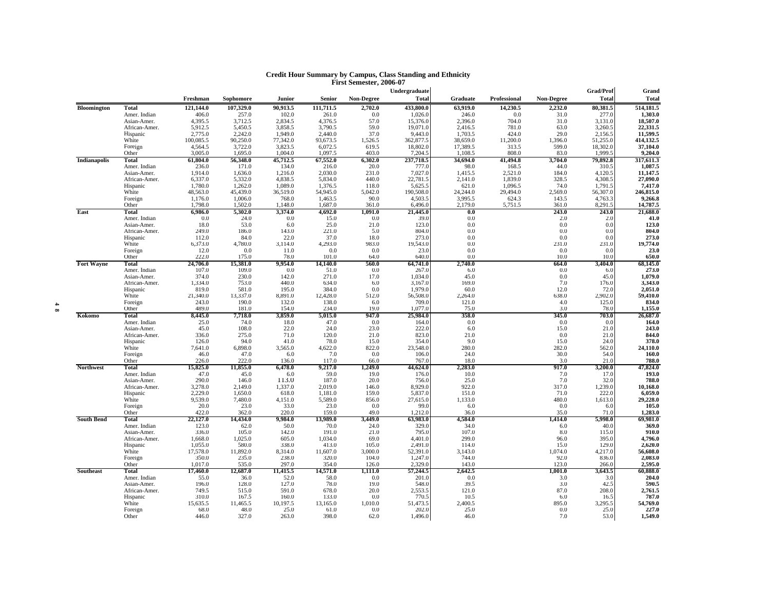|                     |                           |                   |                   |                  |                   |                   | Undergraduate       |                  |              |                   | <b>Grad/Prof</b> | Grand               |
|---------------------|---------------------------|-------------------|-------------------|------------------|-------------------|-------------------|---------------------|------------------|--------------|-------------------|------------------|---------------------|
|                     |                           | Freshman          | Sophomore         | Junior           | <b>Senior</b>     | <b>Non-Degree</b> | <b>Total</b>        | Graduate         | Professional | <b>Non-Degree</b> | <b>Total</b>     | <b>Total</b>        |
| <b>Bloomington</b>  | <b>Total</b>              | 121,144.0         | 107,329.0         | 90,913.5         | 111,711.5         | 2,702.0           | 433,800.0           | 63,919.0         | 14,230.5     | 2,232.0           | 80,381.5         | 514,181.5           |
|                     | Amer. Indian              | 406.0             | 257.0             | 102.0            | 261.0             | 0.0               | 1,026.0             | 246.0            | 0.0          | 31.0              | 277.0            | 1,303.0             |
|                     | Asian-Amer.               | 4,395.5           | 3,712.5           | 2,834.5          | 4,376.5           | 57.0              | 15,376.0            | 2,396.0          | 704.0        | 31.0              | 3,131.0          | 18,507.0            |
|                     | African-Amer.             | 5,912.5           | 5,450.5           | 3,858.5          | 3,790.5           | 59.0              | 19,071.0            | 2,416.5          | 781.0        | 63.0              | 3,260.5          | 22,331.5            |
|                     | Hispanic                  | 2,775.0           | 2,242.0           | 1,949.0          | 2,440.0           | 37.0              | 9,443.0             | 1,703.5          | 424.0        | 29.0              | 2,156.5          | 11,599.5            |
|                     | White                     | 100,085.5         | 90,250.0          | 77,342.0         | 93,673.5          | 1,526.5           | 362,877.5           | 38,659.0         | 11,200.0     | 1,396.0           | 51,255.0         | 414,132.5           |
|                     | Foreign                   | 4,564.5           | 3,722.0           | 3,823.5          | 6,072.5           | 619.5             | 18,802.0            | 17,389.5         | 313.5        | 599.0             | 18,302.0         | 37,104.0            |
|                     | Other                     | 3.005.0           | 1,695.0           | 1.004.0          | 1.097.5           | 403.0             | 7.204.              | 1,108.5          | 808.0        | 83.0              | 1.999.5          | 9,204.0             |
| <b>Indianapolis</b> | Total                     | 61,804.0          | 56,348.0          | 45,712.5         | 67,552.0          | 6,302.0           | 237,718.5           | 34,694.0         | 41,494.8     | 3,704.0           | 79,892.8         | 317,611.3           |
|                     | Amer. Indian              | 236.0             | 171.0             | 134.0            | 216.0             | 20.0              | 777.0               | 98.0             | 168.5        | 44.0              | 310.5            | 1,087.5             |
|                     | Asian-Amer.               | 1,914.0           | 1,636.0           | 1,216.0          | 2,030.0           | 231.0             | 7,027.0             | 1,415.5          | 2,521.0      | 184.0             | 4,120.5          | 11,147.5            |
|                     | African-Amer.             | 6,337.0           | 5,332.0           | 4,838.5          | 5,834.0           | 440.0             | 22,781.5            | 2,141.0          | 1,839.0      | 328.5             | 4,308.5          | 27,090.0            |
|                     | Hispanic                  | 1,780.0           | 1,262.0           | 1,089.0          | 1,376.5           | 118.0             | 5,625.5             | 621.0            | 1,096.5      | 74.0              | 1,791.5          | 7,417.0             |
|                     | White                     | 48,563.0          | 45,439.0          | 36,519.0         | 54,945.0          | 5,042.0           | 190,508.0           | 24,244.0         | 29,494.0     | 2,569.0           | 56,307.0         | 246,815.0           |
|                     | Foreign                   | 1,176.0           | 1,006.0           | 768.0            | 1,463.5           | 90.0              | 4,503.5             | 3,995.5          | 624.3        | 143.5             | 4,763.3          | 9,266.8             |
|                     | Other                     | 1.798.0           | 1,502.0           | 1.148.0          | 1.687.0           | 361.0             | 6,496.0             | 2,179.0          | 5,751.5      | 361.0             | 8,291.5          | 14,787.5            |
| East                | Total                     | 6.986.0           | 5,302.0           | 3,374.0          | 4,692.0           | 1,091.0           | 21,445.0            | 0.0              |              | 243.0             | 243.0            | 21,688.0            |
|                     | Amer. Indian              | 0.0               | 24.0              | 0.0              | 15.0              | 0.0               | 39.0                | 0.0              |              | 2.0               | 2.0              | 41.0                |
|                     | Asian-Amer.               | 18.0              | 53.0              | 6.0              | 25.0              | 21.0              | 123.0               | 0.0              |              | 0.0               | 0.0              | 123.0               |
|                     | African-Amer.             | 249.0<br>112.0    | 186.0<br>84.0     | 143.0<br>22.0    | 221.0<br>37.0     | 5.0<br>18.0       | 804.0<br>273.0      | 0.0<br>0.0       |              | 0.0<br>0.0        | 0.0<br>0.0       | 804.0<br>273.0      |
|                     | Hispanic<br>White         | 6,373.0           | 4,780.0           | 3,114.0          | 4,293.0           | 983.0             | 19,543.0            | 0.0              |              | 231.0             |                  | 19,774.0            |
|                     | Foreign                   | 12.0              | 0.0               | 11.0             | 0.0               | 0.0               | 23.0                | 0.0              |              | 0.0               | 231.0<br>0.0     | 23.0                |
|                     | Other                     | 222.0             | 175.0             | 78.0             | 101.0             | 64.0              | 640.                | 0.0              |              | 10.0              | 10.0             | 650.0               |
| <b>Fort Wayne</b>   | Total                     | 24,706.0          | 15,381.0          | 9.954.0          | 14,140.0          | 560.0             | 64,741.0            | 2,740.0          |              | 664.0             | 3,404.0          | 68,145.0            |
|                     | Amer. Indian              | 107.0             | 109.0             | 0.0              | 51.0              | 0.0               | 267.0               | 6.0              |              | 0.0               | 6.0              | 273.0               |
|                     | Asian-Amer.               | 374.0             | 230.0             | 142.0            | 271.0             | 17.0              | 1,034.0             | 45.0             |              | 0.0               | 45.0             | 1,079.0             |
|                     | African-Amer.             | 1,334.0           | 753.0             | 440.0            | 634.0             | 6.0               | 3,167.0             | 169.0            |              | 7.0               | 176.0            | 3,343.0             |
|                     | Hispanic                  | 819.0             | 581.0             | 195.0            | 384.0             | 0.0               | 1,979.0             | 60.0             |              | 12.0              | 72.0             | 2,051.0             |
|                     | White                     | 21,340.0          | 13,337.0          | 8,891.0          | 12,428.0          | 512.0             | 56,508.0            | 2,264.0          |              | 638.0             | 2,902.0          | 59,410.0            |
|                     | Foreign                   | 243.0             | 190.0             | 132.0            | 138.0             | 6.0               | 709.0               | 121.0            |              | 4.0               | 125.0            | 834.0               |
|                     | Other                     | 489.0             | 181.0             | 154.0            | 234.0             | 19.0              | 1,077.0             | 75.0             |              | 3.0               | 78.0             | 1,155.0             |
| Kokomo              | <b>Total</b>              | 8,445.0           | 7,718.0           | 3,859.0          | 5,015.0           | 947.0             | 25,984.0            | 358.0            |              | 345.0             | 703.0            | 26,687.0            |
|                     | Amer. Indian              | 25.0              | 74.0              | 18.0             | 47.0              | 0.0               | 164.0<br>222.0      | 0.0              |              | 0.0               | 0.0              | 164.0               |
|                     | Asian-Amer.               | 45.0<br>336.0     | 108.0<br>275.0    | 22.0<br>71.0     | 24.0<br>120.0     | 23.0<br>21.0      | 823.0               | 6.0<br>21.0      |              | 15.0<br>0.0       | 21.0             | 243.0<br>844.0      |
|                     | African-Amer.<br>Hispanic | 126.0             | 94.0              | 41.0             | 78.0              | 15.0              | 354.0               | 9.0              |              | 15.0              | 21.0<br>24.0     | 378.0               |
|                     | White                     | 7,641.0           | 6,898.0           | 3,565.0          | 4,622.0           | 822.0             | 23,548.0            | 280.0            |              | 282.0             | 562.0            | 24,110.0            |
|                     | Foreign                   | 46.0              | 47.0              | 6.0              | 7.0               | 0.0               | 106.0               | 24.0             |              | 30.0              | 54.0             | 160.0               |
|                     | Other                     | 226.0             | 222.0             | 136.0            | 117.0             | 66.0              | 767.0               | 18.0             |              | 3.0               | 21.0             | 788.0               |
| <b>Northwest</b>    | Total                     | 15,825.0          | 11,855.0          | 6,478.0          | 9,217.0           | 1,249.0           | 44,624.0            | 2,283.0          |              | 917.0             | 3,200.0          | 47,824.0            |
|                     | Amer. Indian              | 47.0              | 45.0              | 6.0              | 59.0              | 19.0              | 176.0               | 10.0             |              | 7.0               | 17.0             | 193.0               |
|                     | Asian-Amer.               | 290.0             | 146.0             | 113.0            | 187.0             | 20.0              | 756.0               | 25.0             |              | 7.0               | 32.0             | 788.0               |
|                     | African-Amer.             | 3,278.0           | 2,149.0           | 1,337.0          | 2,019.0           | 146.0             | 8,929.0             | 922.0            |              | 317.0             | 1,239.0          | 10,168.0            |
|                     | Hispanic                  | 2,229.0           | 1,650.0           | 618.0            | 1,181.0           | 159.0             | 5,837.0             | 151.0            |              | 71.0              | 222.0            | 6,059.0             |
|                     | White                     | 9,539.0           | 7,480.0           | 4,151.0          | 5,589.0           | 856.0             | 27,615.0            | 1,133.0          |              | 480.0             | 1,613.0          | 29,228.0            |
|                     | Foreign                   | 20.0              | 23.0              | 33.0             | 23.0              | 0.0               | 99.0                | 6.0              |              | 0.0               | 6.0              | 105.0               |
|                     | Other                     | 422.0             | 362.0             | 220.0            | 159.0             | 49.0              | 1,212.0             | 36.0             |              | 35.0              | 71.0             | 1,283.0             |
| <b>South Bend</b>   | Total                     | 22,127.0          | 14,434.0          | 9,984.0          | 13,989.0          | 3,449.0           | 63,983.0            | 4,584.0          |              | 1,414.0           | 5,998.0          | 69,981.0            |
|                     | Amer. Indian              | 123.0             | 62.0              | 50.0             | 70.0              | 24.0              | 329.0               | 34.0             |              | 6.0               | 40.0             | 369.0               |
|                     | Asian-Amer.               | 336.0             | 105.0             | 142.0            | 191.0             | 21.0              | 795.0               | 107.0            |              | 8.0               | 115.0            | 910.0               |
|                     | African-Amer.             | 1,668.0           | 1,025.0           | 605.0            | 1,034.0           | 69.0              | 4,401.0             | 299.0            |              | 96.0              | 395.0            | 4,796.0             |
|                     | Hispanic                  | 1,055.0           | 580.0             | 338.0            | 413.0             | 105.0             | 2.491.0             | 114.0            |              | 15.0              | 129.0            | 2,620.0             |
|                     | White                     | 17,578.0<br>350.0 | 11,892.0<br>235.0 | 8,314.0<br>238.0 | 11,607.0<br>320.0 | 3,000.0<br>104.0  | 52,391.0<br>1,247.0 | 3,143.0<br>744.0 |              | 1,074.0<br>92.0   | 4,217.0<br>836.0 | 56,608.0<br>2,083.0 |
|                     | Foreign<br>Other          | 1,017.0           | 535.0             | 297.0            | 354.0             | 126.0             | 2.329.0             | 143.0            |              | 123.0             | 266.0            | 2,595.0             |
| <b>Southeast</b>    | Total                     | 17,460.0          | 12,687.0          | 11,415.5         | 14,571.0          | 1,111.0           | 57,244.5            | 2,642.5          |              | 1,001.0           | 3,643.5          | 60,888.0            |
|                     | Amer. Indian              | 55.0              | 36.0              | 52.0             | 58.0              | 0.0               | 201.0               | 0.0              |              | 3.0               | 3.0              | 204.0               |
|                     | Asian-Amer.               | 196.0             | 128.0             | 127.0            | 78.0              | 19.0              | 548.0               | 39.5             |              | 3.0               | 42.5             | 590.5               |
|                     | African-Amer.             | 749.5             | 515.0             | 591.0            | 678.0             | 20.0              | 2,553.5             | 121.0            |              | 87.0              | 208.0            | 2,761.5             |
|                     | Hispanic                  | 310.0             | 167.5             | 160.0            | 133.0             | 0.0               | 770.5               | 10.5             |              | 6.0               | 16.5             | 787.0               |
|                     | White                     | 15,635.5          | 11,465.5          | 10,197.5         | 13,165.0          | 1,010.0           | 51,473.5            | 2,400.5          |              | 895.0             | 3,295.5          | 54,769.0            |
|                     | Foreign                   | 68.0              | 48.0              | 25.0             | 61.0              | 0.0               | 202.0               | 25.0             |              | 0.0               | 25.0             | 227.0               |
|                     | Other                     | 446.0             | 327.0             | 263.0            | 398.0             | 62.0              | 1,496.0             | 46.0             |              | 7.0               | 53.0             | 1,549.0             |
|                     |                           |                   |                   |                  |                   |                   |                     |                  |              |                   |                  |                     |

# **Credit Hour Summary by Campus, Class Standing and Ethnicity First Semester, 2006-07**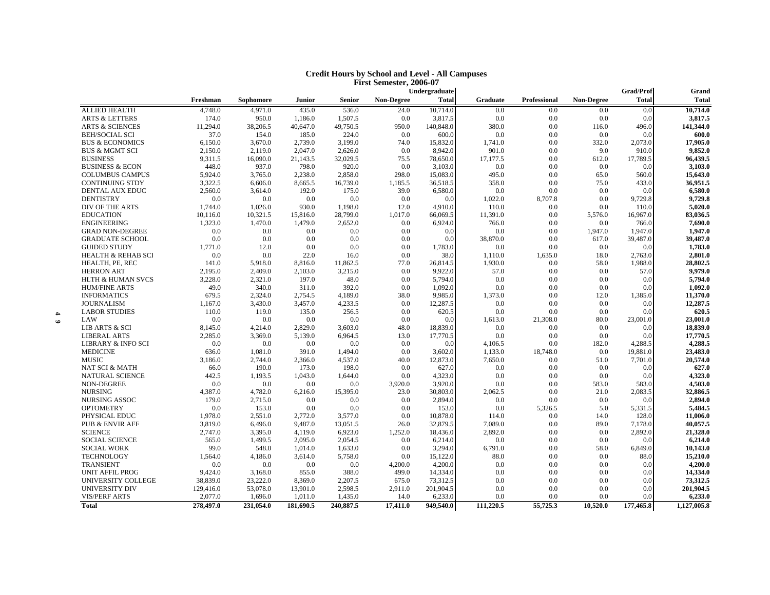| <b>Credit Hours by School and Level - All Campuses</b> |
|--------------------------------------------------------|
| First Semester, 2006-07                                |

|                                       |           |                |                |                |                   | Undergraduate       |                 |              |                   | <b>Grad/Prof</b> | Grand               |
|---------------------------------------|-----------|----------------|----------------|----------------|-------------------|---------------------|-----------------|--------------|-------------------|------------------|---------------------|
|                                       | Freshman  | Sophomore      | <b>Junior</b>  | <b>Senior</b>  | <b>Non-Degree</b> | <b>Total</b>        | <b>Graduate</b> | Professional | <b>Non-Degree</b> | <b>Total</b>     | <b>Total</b>        |
| <b>ALLIED HEALTH</b>                  | 4,748.0   | 4,971.0        | 435.0          | 536.0          | 24.0              | 10,714.0            | 0.0             | 0.0          | 0.0               | 0.0              | 10,714.0            |
| <b>ARTS &amp; LETTERS</b>             | 174.0     | 950.0          | 1,186.0        | 1,507.5        | 0.0               | 3,817.5             | 0.0             | 0.0          | 0.0               | 0.0              | 3,817.5             |
| <b>ARTS &amp; SCIENCES</b>            | 11,294.0  | 38,206.5       | 40,647.0       | 49,750.5       | 950.0             | 140,848.0           | 380.0           | 0.0          | 116.0             | 496.0            | 141,344.0           |
| <b>BEH/SOCIAL SCI</b>                 | 37.0      | 154.0          | 185.0          | 224.0          | 0.0               | 600.0               | 0.0             | 0.0          | 0.0               | 0.0              | 600.0               |
| <b>BUS &amp; ECONOMICS</b>            | 6,150.0   | 3,670.0        | 2,739.0        | 3,199.0        | 74.0              | 15,832.0            | 1,741.0         | 0.0          | 332.0             | 2,073.0          | 17,905.0            |
| <b>BUS &amp; MGMT SCI</b>             | 2,150.0   | 2,119.0        | 2,047.0        | 2,626.0        | 0.0               | 8,942.0             | 901.0           | 0.0          | 9.0               | 910.0            | 9,852.0             |
| <b>BUSINESS</b>                       | 9,311.5   | 16,090.0       | 21,143.5       | 32,029.5       | 75.5              | 78,650.0            | 17,177.5        | 0.0          | 612.0             | 17,789.5         | 96,439.5            |
| <b>BUSINESS &amp; ECON</b>            | 448.0     | 937.0          | 798.0          | 920.0          | 0.0               | 3,103.0             | 0.0             | 0.0          | 0.0               | 0.0              | 3,103.0             |
| <b>COLUMBUS CAMPUS</b>                | 5,924.0   | 3,765.0        | 2.238.0        | 2,858.0        | 298.0             | 15,083.0            | 495.0           | 0.0          | 65.0              | 560.0            | 15,643.0            |
| <b>CONTINUING STDY</b>                | 3,322.5   | 6,606.0        | 8,665.5        | 16,739.0       | 1,185.5           | 36,518.5            | 358.0           | 0.0          | 75.0              | 433.0            | 36,951.5            |
| DENTAL AUX EDUC                       | 2,560.0   | 3,614.0        | 192.0          | 175.0          | 39.0              | 6,580.0             | 0.0             | 0.0          | 0.0               | 0.0              | 6,580.0             |
| <b>DENTISTRY</b>                      | 0.0       | 0.0            | 0.0            | 0.0            | 0.0               | 0.0                 | 1,022.0         | 8,707.8      | 0.0               | 9,729.8          | 9,729.8             |
| DIV OF THE ARTS                       | 1,744.0   | 1,026.0        | 930.0          | 1,198.0        | 12.0              | 4,910.0             | 110.0           | 0.0          | 0.0               | 110.0            | 5,020.0             |
| <b>EDUCATION</b>                      | 10,116.0  | 10,321.5       | 15,816.0       | 28,799.0       | 1,017.0           | 66,069.5            | 11,391.0        | 0.0          | 5,576.0           | 16,967.0         | 83,036.5            |
| <b>ENGINEERING</b>                    | 1,323.0   | 1,470.0        | 1.479.0        | 2,652.0        | 0.0               | 6.924.0             | 766.0           | 0.0          | 0.0               | 766.0            | 7.690.0             |
| <b>GRAD NON-DEGREE</b>                | 0.0       | 0.0            | 0.0            | 0.0            | 0.0               | 0.0                 | 0.0             | 0.0          | 1,947.0           | 1,947.0          | 1,947.0             |
| <b>GRADUATE SCHOOL</b>                | 0.0       | 0.0            | 0.0            | 0.0            | 0.0               | 0.0                 | 38,870.0        | 0.0          | 617.0             | 39,487.0         | 39,487.0            |
| <b>GUIDED STUDY</b>                   | 1,771.0   | 12.0           | 0.0            | 0.0            | 0.0               | 1,783.0             | 0.0             | 0.0          | 0.0               | 0.0              | 1,783.0             |
| <b>HEALTH &amp; REHAB SCI</b>         | 0.0       | 0.0            | 22.0           | 16.0           | 0.0               | 38.0                | 1,110.0         | 1,635.0      | 18.0              | 2,763.0          | 2,801.0             |
| HEALTH, PE, REC                       | 141.0     | 5,918.0        | 8,816.0        | 11,862.5       | 77.0              | 26.814.5            | 1,930.0         | 0.0          | 58.0              | 1.988.0          | 28.802.5            |
| <b>HERRON ART</b>                     | 2,195.0   | 2,409.0        | 2,103.0        | 3,215.0        | 0.0               | 9,922.0             | 57.0            | 0.0          | 0.0               | 57.0             | 9,979.0             |
| <b>HLTH &amp; HUMAN SVCS</b>          | 3,228.0   | 2,321.0        | 197.0          | 48.0           | 0.0               | 5,794.0             | 0.0             | 0.0          | 0.0               | 0.0              | 5,794.0             |
| <b>HUM/FINE ARTS</b>                  | 49.0      | 340.0          | 311.0          | 392.0          | 0.0               | 1,092.0             | 0.0             | 0.0          | 0.0               | 0.0              | 1,092.0             |
| <b>INFORMATICS</b>                    | 679.5     | 2,324.0        | 2,754.5        | 4,189.0        | 38.0              | 9,985.0             | 1,373.0         | 0.0          | 12.0              | 1,385.0          | 11,370.0            |
| <b>JOURNALISM</b>                     | 1,167.0   | 3,430.0        | 3,457.0        | 4,233.5        | 0.0               | 12,287.5            | 0.0             | 0.0          | 0.0               | 0.0              | 12,287.5            |
| <b>LABOR STUDIES</b>                  | 110.0     | 119.0          | 135.0          | 256.5          | 0.0               | 620.5               | 0.0             | 0.0          | 0.0               | 0.0              | 620.5               |
| LAW                                   | 0.0       | 0.0            | 0.0            | 0.0            | 0.0               | 0.0                 | 1,613.0         | 21,308.0     | 80.0              | 23,001.0         | 23,001.0            |
| <b>LIB ARTS &amp; SCI</b>             | 8,145.0   | 4,214.0        | 2,829.0        | 3,603.0        | 48.0              | 18,839.0            | 0.0             | 0.0          | 0.0               | 0.0              | 18,839.0            |
| <b>LIBERAL ARTS</b>                   | 2,285.0   | 3,369.0        | 5,139.0        | 6,964.5        | 13.0              | 17,770.5            | 0.0             | 0.0          | 0.0               | 0.0              | 17,770.5            |
| <b>LIBRARY &amp; INFO SCI</b>         | 0.0       | 0.0            | 0.0            | 0.0            | 0.0               | 0.0                 | 4,106.5         | 0.0          | 182.0             | 4,288.5          | 4,288.5             |
| <b>MEDICINE</b>                       | 636.0     | 1,081.0        | 391.0          | 1,494.0        | 0.0               | 3.602.0             | 1,133.0         | 18,748.0     | 0.0               | 19,881.0         | 23,483.0            |
| <b>MUSIC</b>                          | 3,186.0   | 2,744.0        | 2,366.0        | 4,537.0        | 40.0              | 12,873.0            | 7,650.0         | 0.0          | 51.0              | 7,701.0          | 20,574.0            |
| NAT SCI & MATH                        | 66.0      | 190.0          | 173.0          | 198.0          | 0.0               | 627.0               | 0.0             | 0.0          | 0.0               | 0.0              | 627.0               |
| <b>NATURAL SCIENCE</b>                | 442.5     | 1,193.5        | 1,043.0        | 1,644.0        | 0.0               | 4,323.0             | 0.0             | 0.0          | 0.0               | 0.0              | 4,323.0             |
| <b>NON-DEGREE</b>                     | 0.0       | 0.0            | 0.0            | 0.0            | 3,920.0           | 3,920.0             | 0.0             | 0.0          | 583.0             | 583.0            | 4,503.0             |
| <b>NURSING</b>                        | 4,387.0   | 4,782.0        | 6,216.0        | 15,395.0       | 23.0              | 30,803.0            | 2,062.5         | 0.0          | 21.0              | 2,083.5          | 32,886.5            |
| <b>NURSING ASSOC</b>                  | 179.0     | 2,715.0        | 0.0            | 0.0            | 0.0               | 2,894.0             | 0.0             | 0.0          | 0.0               | 0.0              | 2,894.0             |
| <b>OPTOMETRY</b>                      | 0.0       | 153.0          | 0.0            | 0.0            | 0.0               | 153.0               | 0.0             | 5,326.5      | 5.0               | 5,331.5          | 5,484.5             |
| PHYSICAL EDUC                         | 1,978.0   | 2,551.0        | 2,772.0        | 3,577.0        | 0.0               | 10,878.0            | 114.0           | 0.0          | 14.0              | 128.0            | 11,006.0            |
| PUB & ENVIR AFF                       | 3,819.0   | 6,496.0        | 9.487.0        | 13,051.5       | 26.0              | 32,879.5            | 7,089.0         | 0.0          | 89.0              | 7,178.0          | 40,057.5            |
| <b>SCIENCE</b>                        | 2,747.0   | 3,395.0        | 4,119.0        | 6,923.0        | 1,252.0           | 18,436.0            | 2,892.0         | 0.0          | 0.0               | 2,892.0          | 21,328.0            |
| <b>SOCIAL SCIENCE</b>                 | 565.0     | 1,499.5        | 2.095.0        | 2.054.5        | 0.0               | 6,214.0             | 0.0             | 0.0          | 0.0               | 0.0              | 6,214.0             |
| <b>SOCIAL WORK</b>                    | 99.0      | 548.0          | 1,014.0        | 1,633.0        | 0.0               | 3,294.0             | 6,791.0         | 0.0          | 58.0              | 6,849.0          | 10,143.0            |
|                                       | 1.564.0   |                |                |                | 0.0               |                     | 88.0            | 0.0          | 0.0               | 88.0             |                     |
| <b>TECHNOLOGY</b><br><b>TRANSIENT</b> | 0.0       | 4,186.0<br>0.0 | 3.614.0<br>0.0 | 5,758.0<br>0.0 | 4,200.0           | 15,122.0<br>4,200.0 | 0.0             | 0.0          | 0.0               | 0.0              | 15,210.0<br>4,200.0 |
|                                       |           |                | 855.0          | 388.0          |                   |                     | 0.0             | 0.0          | 0.0               | 0.0              | 14,334.0            |
| <b>UNIT AFFIL PROG</b>                | 9,424.0   | 3,168.0        |                | 2,207.5        | 499.0<br>675.0    | 14,334.0            | 0.0             | 0.0          |                   |                  |                     |
| UNIVERSITY COLLEGE                    | 38,839.0  | 23,222.0       | 8,369.0        |                |                   | 73,312.5            |                 |              | 0.0               | 0.0              | 73,312.5            |
| <b>UNIVERSITY DIV</b>                 | 129,416.0 | 53,078.0       | 13,901.0       | 2,598.5        | 2,911.0           | 201,904.5           | 0.0             | 0.0          | 0.0               | 0.0              | 201,904.5           |
| <b>VIS/PERF ARTS</b>                  | 2,077.0   | 1,696.0        | 1,011.0        | 1,435.0        | 14.0              | 6,233.0             | 0.0             | 0.0          | 0.0               | 0.0              | 6,233.0             |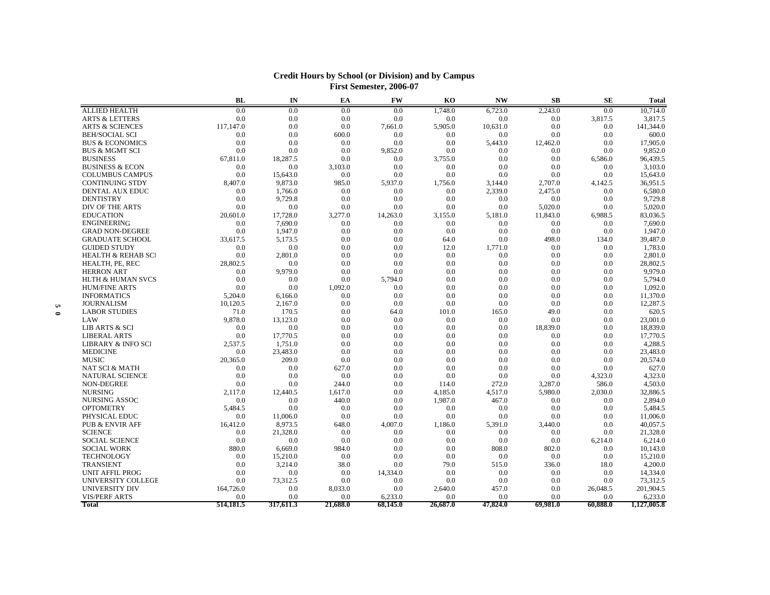|           |                               | <b>BL</b> | IN        | EA       | <b>FW</b> | K <sub>O</sub> | <b>NW</b> | SB       | <b>SE</b> | <b>Total</b> |
|-----------|-------------------------------|-----------|-----------|----------|-----------|----------------|-----------|----------|-----------|--------------|
|           | <b>ALLIED HEALTH</b>          | 0.0       | 0.0       | 0.0      | 0.0       | 1,748.0        | 6,723.0   | 2,243.0  | 0.0       | 10,714.0     |
|           | <b>ARTS &amp; LETTERS</b>     | 0.0       | 0.0       | 0.0      | 0.0       | 0.0            | 0.0       | 0.0      | 3,817.5   | 3,817.5      |
|           | <b>ARTS &amp; SCIENCES</b>    | 117,147.0 | 0.0       | 0.0      | 7,661.0   | 5,905.0        | 10.631.0  | 0.0      | 0.0       | 141,344.0    |
|           | <b>BEH/SOCIAL SCI</b>         | 0.0       | 0.0       | 600.0    | 0.0       | 0.0            | 0.0       | 0.0      | 0.0       | 600.0        |
|           | <b>BUS &amp; ECONOMICS</b>    | 0.0       | 0.0       | 0.0      | 0.0       | 0.0            | 5,443.0   | 12,462.0 | 0.0       | 17,905.0     |
|           | <b>BUS &amp; MGMT SCI</b>     | 0.0       | 0.0       | 0.0      | 9,852.0   | 0.0            | 0.0       | 0.0      | 0.0       | 9,852.0      |
|           | <b>BUSINESS</b>               | 67.811.0  | 18.287.5  | 0.0      | 0.0       | 3.755.0        | 0.0       | 0.0      | 6.586.0   | 96,439.5     |
|           | <b>BUSINESS &amp; ECON</b>    | 0.0       | 0.0       | 3,103.0  | 0.0       | 0.0            | 0.0       | 0.0      | 0.0       | 3,103.0      |
|           | <b>COLUMBUS CAMPUS</b>        | 0.0       | 15.643.0  | 0.0      | 0.0       | 0.0            | 0.0       | 0.0      | 0.0       | 15,643.0     |
|           | <b>CONTINUING STDY</b>        | 8,407.0   | 9,873.0   | 985.0    | 5,937.0   | 1,756.0        | 3,144.0   | 2,707.0  | 4,142.5   | 36,951.5     |
|           | DENTAL AUX EDUC               | 0.0       | 1,766.0   | 0.0      | 0.0       | 0.0            | 2,339.0   | 2,475.0  | 0.0       | 6,580.0      |
|           | <b>DENTISTRY</b>              | 0.0       | 9,729.8   | 0.0      | 0.0       | 0.0            | 0.0       | 0.0      | 0.0       | 9,729.8      |
|           | DIV OF THE ARTS               | 0.0       | 0.0       | 0.0      | 0.0       | 0.0            | 0.0       | 5.020.0  | 0.0       | 5,020.0      |
|           | <b>EDUCATION</b>              | 20,601.0  | 17,728.0  | 3,277.0  | 14,263.0  | 3,155.0        | 5,181.0   | 11,843.0 | 6,988.5   | 83,036.5     |
|           | <b>ENGINEERING</b>            | 0.0       | 7,690.0   | 0.0      | 0.0       | 0.0            | 0.0       | 0.0      | 0.0       | 7,690.0      |
|           | <b>GRAD NON-DEGREE</b>        | 0.0       | 1,947.0   | 0.0      | 0.0       | 0.0            | 0.0       | 0.0      | 0.0       | 1,947.0      |
|           | <b>GRADUATE SCHOOL</b>        | 33,617.5  | 5,173.5   | 0.0      | 0.0       | 64.0           | 0.0       | 498.0    | 134.0     | 39,487.0     |
|           | <b>GUIDED STUDY</b>           | 0.0       | 0.0       | 0.0      | 0.0       | 12.0           | 1.771.0   | 0.0      | 0.0       | 1,783.0      |
|           | <b>HEALTH &amp; REHAB SCI</b> | 0.0       | 2.801.0   | 0.0      | 0.0       | 0.0            | 0.0       | 0.0      | 0.0       | 2,801.0      |
|           | HEALTH, PE, REC               | 28,802.5  | 0.0       | 0.0      | 0.0       | 0.0            | 0.0       | 0.0      | 0.0       | 28,802.5     |
|           | <b>HERRON ART</b>             | 0.0       | 9.979.0   | 0.0      | 0.0       | 0.0            | 0.0       | 0.0      | 0.0       | 9,979.0      |
|           | <b>HLTH &amp; HUMAN SVCS</b>  | 0.0       | 0.0       | 0.0      | 5,794.0   | 0.0            | 0.0       | 0.0      | 0.0       | 5,794.0      |
|           | <b>HUM/FINE ARTS</b>          | 0.0       | 0.0       | 1,092.0  | 0.0       | 0.0            | 0.0       | 0.0      | 0.0       | 1,092.0      |
|           | <b>INFORMATICS</b>            | 5,204.0   | 6.166.0   | 0.0      | 0.0       | 0.0            | 0.0       | 0.0      | 0.0       | 11,370.0     |
| n,        | <b>JOURNALISM</b>             | 10,120.5  | 2.167.0   | 0.0      | 0.0       | 0.0            | 0.0       | 0.0      | 0.0       | 12,287.5     |
| $\bullet$ | <b>LABOR STUDIES</b>          | 71.0      | 170.5     | 0.0      | 64.0      | 101.0          | 165.0     | 49.0     | 0.0       | 620.5        |
|           | LAW                           | 9,878.0   | 13,123.0  | 0.0      | 0.0       | 0.0            | 0.0       | 0.0      | 0.0       | 23,001.0     |
|           | LIB ARTS & SCI                | 0.0       | 0.0       | 0.0      | 0.0       | 0.0            | 0.0       | 18,839.0 | 0.0       | 18,839.0     |
|           | <b>LIBERAL ARTS</b>           | 0.0       | 17,770.5  | 0.0      | 0.0       | 0.0            | 0.0       | 0.0      | 0.0       | 17,770.5     |
|           | LIBRARY & INFO SCI            | 2,537.5   | 1,751.0   | 0.0      | 0.0       | 0.0            | 0.0       | 0.0      | 0.0       | 4,288.5      |
|           | <b>MEDICINE</b>               | 0.0       | 23,483.0  | 0.0      | 0.0       | 0.0            | 0.0       | 0.0      | 0.0       | 23,483.0     |
|           | <b>MUSIC</b>                  | 20,365.0  | 209.0     | 0.0      | 0.0       | 0.0            | 0.0       | 0.0      | 0.0       | 20,574.0     |
|           | <b>NAT SCI &amp; MATH</b>     | 0.0       | 0.0       | 627.0    | 0.0       | 0.0            | 0.0       | 0.0      | 0.0       | 627.0        |
|           | <b>NATURAL SCIENCE</b>        | 0.0       | 0.0       | 0.0      | 0.0       | 0.0            | 0.0       | 0.0      | 4,323.0   | 4,323.0      |
|           | NON-DEGREE                    | 0.0       | 0.0       | 244.0    | 0.0       | 114.0          | 272.0     | 3,287.0  | 586.0     | 4,503.0      |
|           | <b>NURSING</b>                | 2,117.0   | 12,440.5  | 1,617.0  | 0.0       | 4,185.0        | 4,517.0   | 5,980.0  | 2,030.0   | 32,886.5     |
|           | <b>NURSING ASSOC</b>          | 0.0       | 0.0       | 440.0    | 0.0       | 1.987.0        | 467.0     | 0.0      | 0.0       | 2,894.0      |
|           | <b>OPTOMETRY</b>              | 5,484.5   | 0.0       | 0.0      | 0.0       | 0.0            | 0.0       | 0.0      | 0.0       | 5,484.5      |
|           | PHYSICAL EDUC                 | 0.0       | 11,006.0  | 0.0      | 0.0       | 0.0            | 0.0       | 0.0      | 0.0       | 11,006.0     |
|           | <b>PUB &amp; ENVIR AFF</b>    | 16.412.0  | 8.973.5   | 648.0    | 4.007.0   | 1,186.0        | 5.391.0   | 3.440.0  | 0.0       | 40.057.5     |
|           | <b>SCIENCE</b>                | 0.0       | 21,328.0  | 0.0      | 0.0       | 0.0            | 0.0       | 0.0      | 0.0       | 21,328.0     |
|           | <b>SOCIAL SCIENCE</b>         | 0.0       | 0.0       | 0.0      | 0.0       | 0.0            | 0.0       | 0.0      | 6,214.0   | 6,214.0      |
|           | <b>SOCIAL WORK</b>            | 880.0     | 6.669.0   | 984.0    | 0.0       | 0.0            | 808.0     | 802.0    | 0.0       | 10,143.0     |
|           | <b>TECHNOLOGY</b>             | 0.0       | 15,210.0  | 0.0      | 0.0       | 0.0            | 0.0       | 0.0      | 0.0       | 15,210.0     |
|           | TRANSIENT                     | 0.0       | 3,214.0   | 38.0     | 0.0       | 79.0           | 515.0     | 336.0    | 18.0      | 4,200.0      |
|           | <b>UNIT AFFIL PROG</b>        | 0.0       | 0.0       | 0.0      | 14,334.0  | 0.0            | 0.0       | 0.0      | 0.0       | 14,334.0     |
|           | UNIVERSITY COLLEGE            | 0.0       | 73,312.5  | 0.0      | 0.0       | 0.0            | 0.0       | 0.0      | 0.0       | 73,312.5     |
|           | <b>UNIVERSITY DIV</b>         | 164,726.0 | 0.0       | 8,033.0  | 0.0       | 2,640.0        | 457.0     | 0.0      | 26,048.5  | 201,904.5    |
|           | <b>VIS/PERF ARTS</b>          | 0.0       | 0.0       | 0.0      | 6,233.0   | 0.0            | 0.0       | 0.0      | 0.0       | 6,233.0      |
|           | Total                         | 514,181.5 | 317,611.3 | 21,688.0 | 68,145.0  | 26,687.0       | 47,824.0  | 69,981.0 | 60,888.0  | 1,127,005.8  |

## **Credit Hours by School (or Division) and by Campus First Semester, 2006-07**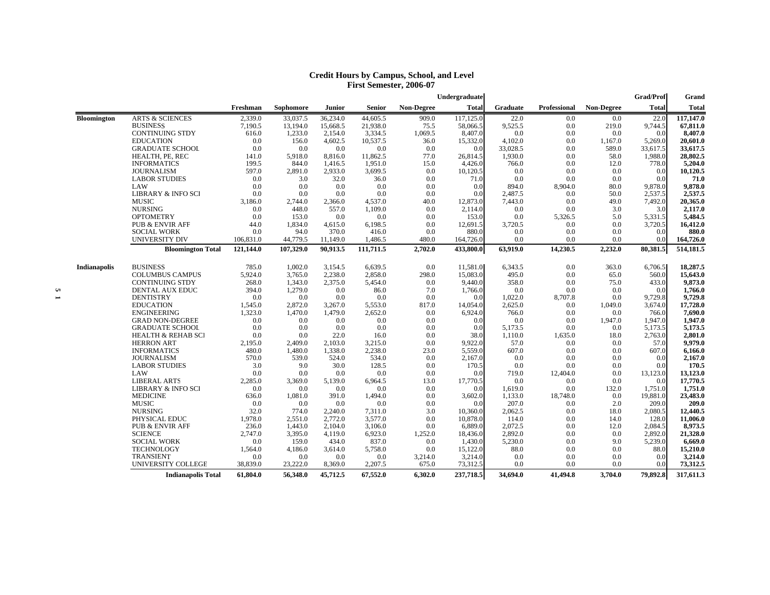|                     |                               |           |           |          |           |                   | Undergraduate |                 |                     |                   | <b>Grad/Prof</b> | Grand        |
|---------------------|-------------------------------|-----------|-----------|----------|-----------|-------------------|---------------|-----------------|---------------------|-------------------|------------------|--------------|
|                     |                               | Freshman  | Sophomore | Junior   | Senior    | <b>Non-Degree</b> | Total         | <b>Graduate</b> | <b>Professional</b> | <b>Non-Degree</b> | <b>Total</b>     | <b>Total</b> |
| <b>Bloomington</b>  | <b>ARTS &amp; SCIENCES</b>    | 2,339.0   | 33,037.5  | 36,234.0 | 44,605.5  | 909.0             | 117,125.0     | 22.0            | 0.0                 | 0.0               | 22.0             | 117,147.0    |
|                     | <b>BUSINESS</b>               | 7.190.5   | 13.194.0  | 15.668.5 | 21.938.0  | 75.5              | 58,066.5      | 9,525.5         | 0.0                 | 219.0             | 9,744.5          | 67,811.0     |
|                     | <b>CONTINUING STDY</b>        | 616.0     | 1,233.0   | 2,154.0  | 3,334.5   | 1,069.5           | 8,407.0       | 0.0             | 0.0                 | 0.0               | 0.0              | 8,407.0      |
|                     | <b>EDUCATION</b>              | 0.0       | 156.0     | 4,602.5  | 10,537.5  | 36.0              | 15,332.0      | 4,102.0         | 0.0                 | 1,167.0           | 5,269.0          | 20,601.0     |
|                     | <b>GRADUATE SCHOOL</b>        | 0.0       | 0.0       | 0.0      | 0.0       | 0.0               | 0.0           | 33,028.5        | 0.0                 | 589.0             | 33,617.5         | 33,617.5     |
|                     | HEALTH, PE, REC               | 141.0     | 5,918.0   | 8,816.0  | 11,862.5  | 77.0              | 26,814.5      | 1,930.0         | 0.0                 | 58.0              | 1,988.0          | 28,802.5     |
|                     | <b>INFORMATICS</b>            | 199.5     | 844.0     | 1,416.5  | 1,951.0   | 15.0              | 4,426.0       | 766.0           | 0.0                 | 12.0              | 778.0            | 5,204.0      |
|                     | <b>JOURNALISM</b>             | 597.0     | 2,891.0   | 2,933.0  | 3,699.5   | 0.0               | 10,120.5      | 0.0             | 0.0                 | 0.0               | 0.0              | 10,120.5     |
|                     | <b>LABOR STUDIES</b>          | 0.0       | 3.0       | 32.0     | 36.0      | 0.0               | 71.0          | 0.0             | 0.0                 | 0.0               | 0.0              | 71.0         |
|                     | LAW                           | 0.0       | 0.0       | 0.0      | 0.0       | 0.0               | 0.0           | 894.0           | 8,904.0             | 80.0              | 9,878.0          | 9,878.0      |
|                     | <b>LIBRARY &amp; INFO SCI</b> | 0.0       | 0.0       | 0.0      | 0.0       | 0.0               | 0.0           | 2,487.5         | 0.0                 | 50.0              | 2,537.5          | 2,537.5      |
|                     | <b>MUSIC</b>                  | 3,186.0   | 2,744.0   | 2,366.0  | 4,537.0   | 40.0              | 12,873.0      | 7,443.0         | 0.0                 | 49.0              | 7,492.0          | 20,365.0     |
|                     | <b>NURSING</b>                | 0.0       | 448.0     | 557.0    | 1,109.0   | 0.0               | 2,114.0       | 0.0             | 0.0                 | 3.0               | 3.0              | 2,117.0      |
|                     | <b>OPTOMETRY</b>              | 0.0       | 153.0     | 0.0      | 0.0       | 0.0               | 153.0         | 0.0             | 5,326.5             | 5.0               | 5,331.5          | 5,484.5      |
|                     | <b>PUB &amp; ENVIR AFF</b>    | 44.0      | 1,834.0   | 4,615.0  | 6,198.5   | 0.0               | 12,691.5      | 3,720.5         | 0.0                 | 0.0               | 3,720.5          | 16,412.0     |
|                     | <b>SOCIAL WORK</b>            | 0.0       | 94.0      | 370.0    | 416.0     | 0.0               | 880.0         | 0.0             | 0.0                 | 0.0               | 0.0              | 880.0        |
|                     | UNIVERSITY DIV                | 106,831.0 | 44,779.5  | 11,149.0 | 1,486.5   | 480.0             | 164,726.0     | 0.0             | 0.0                 | 0.0               | 0.0              | 164,726.0    |
|                     | <b>Bloomington Total</b>      | 121,144.0 | 107,329.0 | 90.913.5 | 111,711.5 | 2,702.0           | 433,800.0     | 63,919.0        | 14,230.5            | 2,232.0           | 80,381.5         | 514,181.5    |
| <b>Indianapolis</b> | <b>BUSINESS</b>               | 785.0     | 1,002.0   | 3,154.5  | 6,639.5   | 0.0               | 11,581.0      | 6,343.5         | 0.0                 | 363.0             | 6,706.5          | 18,287.5     |
|                     | <b>COLUMBUS CAMPUS</b>        | 5,924.0   | 3,765.0   | 2,238.0  | 2,858.0   | 298.0             | 15,083.0      | 495.0           | 0.0                 | 65.0              | 560.0            | 15,643.0     |
|                     | <b>CONTINUING STDY</b>        | 268.0     | 1,343.0   | 2,375.0  | 5,454.0   | 0.0               | 9,440.0       | 358.0           | 0.0                 | 75.0              | 433.0            | 9,873.0      |
|                     | DENTAL AUX EDUC               | 394.0     | 1,279.0   | 0.0      | 86.0      | 7.0               | 1,766.0       | 0.0             | 0.0                 | 0.0               | 0.0              | 1,766.0      |
|                     | <b>DENTISTRY</b>              | 0.0       | 0.0       | 0.0      | 0.0       | 0.0               | 0.0           | 1,022.0         | 8,707.8             | 0.0               | 9,729.8          | 9,729.8      |
|                     | <b>EDUCATION</b>              | 1,545.0   | 2,872.0   | 3,267.0  | 5,553.0   | 817.0             | 14,054.0      | 2,625.0         | 0.0                 | 1,049.0           | 3,674.0          | 17,728.0     |
|                     | <b>ENGINEERING</b>            | 1,323.0   | 1,470.0   | 1,479.0  | 2,652.0   | 0.0               | 6,924.0       | 766.0           | 0.0                 | 0.0               | 766.0            | 7,690.0      |
|                     | <b>GRAD NON-DEGREE</b>        | 0.0       | 0.0       | 0.0      | 0.0       | 0.0               | 0.0           | 0.0             | 0.0                 | 1,947.0           | 1,947.0          | 1,947.0      |
|                     | <b>GRADUATE SCHOOL</b>        | 0.0       | 0.0       | 0.0      | 0.0       | 0.0               | 0.0           | 5,173.5         | 0.0                 | 0.0               | 5,173.5          | 5,173.5      |
|                     | <b>HEALTH &amp; REHAB SCI</b> | 0.0       | 0.0       | 22.0     | 16.0      | 0.0               | 38.0          | 1,110.0         | 1,635.0             | 18.0              | 2,763.0          | 2,801.0      |
|                     | <b>HERRON ART</b>             | 2,195.0   | 2,409.0   | 2,103.0  | 3,215.0   | 0.0               | 9.922.0       | 57.0            | 0.0                 | 0.0               | 57.0             | 9.979.0      |
|                     | <b>INFORMATICS</b>            | 480.0     | 1,480.0   | 1,338.0  | 2,238.0   | 23.0              | 5,559.0       | 607.0           | 0.0                 | 0.0               | 607.0            | 6,166.0      |
|                     | <b>JOURNALISM</b>             | 570.0     | 539.0     | 524.0    | 534.0     | 0.0               | 2.167.0       | 0.0             | 0.0                 | 0.0               | 0.0              | 2,167.0      |
|                     | <b>LABOR STUDIES</b>          | 3.0       | 9.0       | 30.0     | 128.5     | 0.0               | 170.5         | 0.0             | 0.0                 | 0.0               | 0.0              | 170.5        |
|                     | LAW                           | 0.0       | 0.0       | 0.0      | 0.0       | 0.0               | 0.0           | 719.0           | 12,404.0            | 0.0               | 13,123.0         | 13,123.0     |
|                     | <b>LIBERAL ARTS</b>           | 2,285.0   | 3,369.0   | 5,139.0  | 6,964.5   | 13.0              | 17,770.5      | 0.0             | 0.0                 | 0.0               | 0.0              | 17,770.5     |
|                     | <b>LIBRARY &amp; INFO SCI</b> | 0.0       | 0.0       | 0.0      | 0.0       | 0.0               | 0.0           | 1,619.0         | 0.0                 | 132.0             | 1,751.0          | 1,751.0      |
|                     | <b>MEDICINE</b>               | 636.0     | 1,081.0   | 391.0    | 1,494.0   | 0.0               | 3,602.0       | 1,133.0         | 18,748.0            | 0.0               | 19,881.0         | 23,483.0     |
|                     | <b>MUSIC</b>                  | 0.0       | 0.0       | 0.0      | 0.0       | 0.0               | 0.0           | 207.0           | 0.0                 | 2.0               | 209.0            | 209.0        |
|                     | <b>NURSING</b>                | 32.0      | 774.0     | 2,240.0  | 7,311.0   | 3.0               | 10,360.0      | 2,062.5         | 0.0                 | 18.0              | 2,080.5          | 12,440.5     |
|                     | PHYSICAL EDUC                 | 1,978.0   | 2,551.0   | 2,772.0  | 3,577.0   | 0.0               | 10,878.0      | 114.0           | 0.0                 | 14.0              | 128.0            | 11,006.0     |
|                     | <b>PUB &amp; ENVIR AFF</b>    | 236.0     | 1.443.0   | 2,104.0  | 3,106.0   | 0.0               | 6.889.0       | 2,072.5         | 0.0                 | 12.0              | 2,084.5          | 8,973.5      |
|                     | <b>SCIENCE</b>                | 2,747.0   | 3.395.0   | 4,119.0  | 6,923.0   | 1,252.0           | 18.436.0      | 2,892.0         | 0.0                 | 0.0               | 2,892.0          | 21,328.0     |
|                     | <b>SOCIAL WORK</b>            | 0.0       | 159.0     | 434.0    | 837.0     | 0.0               | 1,430.0       | 5,230.0         | 0.0                 | 9.0               | 5,239.0          | 6,669.0      |
|                     | <b>TECHNOLOGY</b>             | 1,564.0   | 4,186.0   | 3,614.0  | 5,758.0   | 0.0               | 15,122.0      | 88.0            | 0.0                 | 0.0               | 88.0             | 15,210.0     |
|                     | <b>TRANSIENT</b>              | 0.0       | 0.0       | 0.0      | 0.0       | 3,214.0           | 3,214.0       | 0.0             | 0.0                 | 0.0               | 0.0              | 3,214.0      |
|                     | UNIVERSITY COLLEGE            | 38,839.0  | 23,222.0  | 8,369.0  | 2,207.5   | 675.0             | 73,312.5      | 0.0             | 0.0                 | 0.0               | 0.0              | 73,312.5     |
|                     | <b>Indianapolis Total</b>     | 61,804.0  | 56.348.0  | 45,712.5 | 67,552.0  | 6.302.0           | 237,718.5     | 34,694.0        | 41.494.8            | 3,704.0           | 79,892.8         | 317,611.3    |

#### **Credit Hours by Campus, School, and Level First Semester, 2006-07**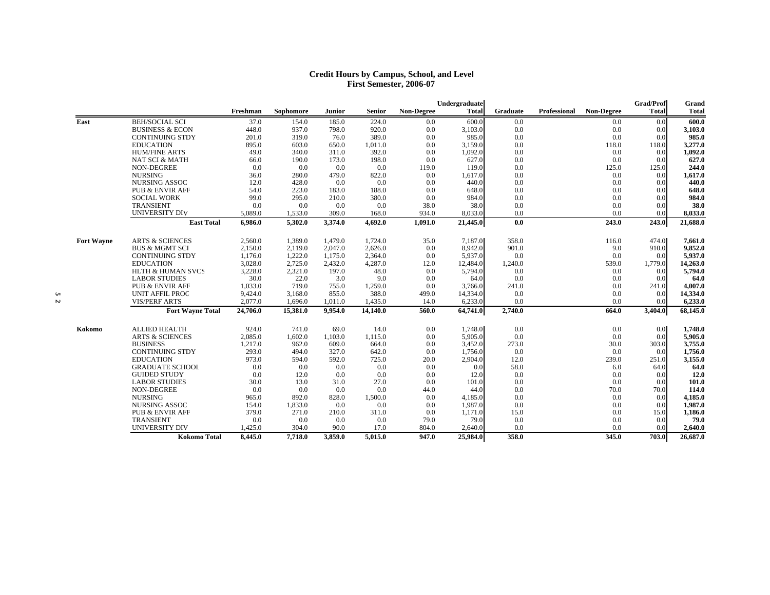#### **Credit Hours by Campus, School, and Level First Semester, 2006-07**

|                   |                              |          |           |         |          |                   | Undergraduate |          |              |                   | <b>Grad/Prof</b> | Grand        |
|-------------------|------------------------------|----------|-----------|---------|----------|-------------------|---------------|----------|--------------|-------------------|------------------|--------------|
|                   |                              | Freshman | Sophomore | Junior  | Senior   | <b>Non-Degree</b> | <b>Total</b>  | Graduate | Professional | <b>Non-Degree</b> | <b>Total</b>     | <b>Total</b> |
| East              | <b>BEH/SOCIAL SCI</b>        | 37.0     | 154.0     | 185.0   | 224.0    | 0.0               | 600.0         | 0.0      |              | 0.0               | 0.0              | 600.0        |
|                   | <b>BUSINESS &amp; ECON</b>   | 448.0    | 937.0     | 798.0   | 920.0    | 0.0               | 3,103.0       | 0.0      |              | 0.0               | 0.0              | 3,103.0      |
|                   | <b>CONTINUING STDY</b>       | 201.0    | 319.0     | 76.0    | 389.0    | 0.0               | 985.0         | 0.0      |              | 0.0               | 0.0              | 985.0        |
|                   | <b>EDUCATION</b>             | 895.0    | 603.0     | 650.0   | 1,011.0  | 0.0               | 3,159.0       | 0.0      |              | 118.0             | 118.0            | 3,277.0      |
|                   | <b>HUM/FINE ARTS</b>         | 49.0     | 340.0     | 311.0   | 392.0    | 0.0               | 1,092.0       | 0.0      |              | 0.0               | 0.0              | 1,092.0      |
|                   | <b>NAT SCI &amp; MATH</b>    | 66.0     | 190.0     | 173.0   | 198.0    | 0.0               | 627.0         | 0.0      |              | 0.0               | 0.0              | 627.0        |
|                   | <b>NON-DEGREE</b>            | 0.0      | 0.0       | 0.0     | 0.0      | 119.0             | 119.0         | 0.0      |              | 125.0             | 125.0            | 244.0        |
|                   | <b>NURSING</b>               | 36.0     | 280.0     | 479.0   | 822.0    | 0.0               | 1,617.0       | 0.0      |              | 0.0               | 0.0              | 1,617.0      |
|                   | <b>NURSING ASSOC</b>         | 12.0     | 428.0     | 0.0     | 0.0      | 0.0               | 440.0         | 0.0      |              | 0.0               | 0.0              | 440.0        |
|                   | <b>PUB &amp; ENVIR AFF</b>   | 54.0     | 223.0     | 183.0   | 188.0    | 0.0               | 648.0         | 0.0      |              | 0.0               | 0.0              | 648.0        |
|                   | <b>SOCIAL WORK</b>           | 99.0     | 295.0     | 210.0   | 380.0    | 0.0               | 984.0         | 0.0      |              | 0.0               | 0.0              | 984.0        |
|                   | TRANSIENT                    | 0.0      | 0.0       | 0.0     | 0.0      | 38.0              | 38.0          | 0.0      |              | 0.0               | 0.0              | 38.0         |
|                   | UNIVERSITY DIV               | 5.089.0  | 1,533.0   | 309.0   | 168.0    | 934.0             | 8,033.0       | 0.0      |              | 0.0               | 0.0              | 8.033.0      |
|                   | <b>East Total</b>            | 6,986.0  | 5.302.0   | 3,374.0 | 4.692.0  | 1,091.0           | 21,445.0      | 0.0      |              | 243.0             | 243.0            | 21,688.0     |
| <b>Fort Wayne</b> | <b>ARTS &amp; SCIENCES</b>   | 2.560.0  | 1.389.0   | 1.479.0 | 1.724.0  | 35.0              | 7.187.0       | 358.0    |              | 116.0             | 474.0            | 7,661.0      |
|                   | <b>BUS &amp; MGMT SCI</b>    | 2,150.0  | 2,119.0   | 2,047.0 | 2,626.0  | 0.0               | 8,942.0       | 901.0    |              | 9.0               | 910.0            | 9,852.0      |
|                   | <b>CONTINUING STDY</b>       | 1,176.0  | 1,222.0   | 1,175.0 | 2,364.0  | 0.0               | 5,937.0       | 0.0      |              | 0.0               | 0.0              | 5,937.0      |
|                   | <b>EDUCATION</b>             | 3,028.0  | 2,725.0   | 2,432.0 | 4,287.0  | 12.0              | 12,484.0      | 1,240.0  |              | 539.0             | 1,779.0          | 14,263.0     |
|                   | <b>HLTH &amp; HUMAN SVCS</b> | 3,228.0  | 2,321.0   | 197.0   | 48.0     | 0.0               | 5,794.0       | 0.0      |              | 0.0               | 0.0              | 5,794.0      |
|                   | <b>LABOR STUDIES</b>         | 30.0     | 22.0      | 3.0     | 9.0      | 0.0               | 64.0          | 0.0      |              | 0.0               | 0.0              | 64.0         |
|                   | <b>PUB &amp; ENVIR AFF</b>   | 1,033.0  | 719.0     | 755.0   | 1,259.0  | 0.0               | 3,766.0       | 241.0    |              | 0.0               | 241.0            | 4,007.0      |
|                   | <b>UNIT AFFIL PROC</b>       | 9,424.0  | 3.168.0   | 855.0   | 388.0    | 499.0             | 14,334.0      | 0.0      |              | 0.0               | 0.0              | 14,334.0     |
|                   | <b>VIS/PERF ARTS</b>         | 2,077.0  | 1,696.0   | 1,011.0 | 1,435.0  | 14.0              | 6,233.0       | 0.0      |              | 0.0               | 0.0              | 6,233.0      |
|                   | <b>Fort Wayne Total</b>      | 24,706.0 | 15,381.0  | 9.954.0 | 14,140.0 | 560.0             | 64,741.0      | 2,740.0  |              | 664.0             | 3,404.0          | 68,145.0     |
| Kokomo            | <b>ALLIED HEALTH</b>         | 924.0    | 741.0     | 69.0    | 14.0     | 0.0               | 1,748.0       | 0.0      |              | 0.0               | 0.0              | 1,748.0      |
|                   | <b>ARTS &amp; SCIENCES</b>   | 2,085.0  | 1,602.0   | 1,103.0 | 1,115.0  | 0.0               | 5,905.0       | 0.0      |              | 0.0               | 0.0              | 5,905.0      |
|                   | <b>BUSINESS</b>              | 1,217.0  | 962.0     | 609.0   | 664.0    | 0.0               | 3,452.0       | 273.0    |              | 30.0              | 303.0            | 3,755.0      |
|                   | <b>CONTINUING STDY</b>       | 293.0    | 494.0     | 327.0   | 642.0    | 0.0               | 1,756.0       | 0.0      |              | 0.0               | 0.0              | 1,756.0      |
|                   | <b>EDUCATION</b>             | 973.0    | 594.0     | 592.0   | 725.0    | 20.0              | 2,904.0       | 12.0     |              | 239.0             | 251.0            | 3,155.0      |
|                   | <b>GRADUATE SCHOOL</b>       | 0.0      | 0.0       | 0.0     | 0.0      | 0.0               | 0.0           | 58.0     |              | 6.0               | 64.0             | 64.0         |
|                   | <b>GUIDED STUDY</b>          | 0.0      | 12.0      | 0.0     | 0.0      | 0.0               | 12.0          | 0.0      |              | 0.0               | 0.0              | 12.0         |
|                   | <b>LABOR STUDIES</b>         | 30.0     | 13.0      | 31.0    | 27.0     | 0.0               | 101.0         | 0.0      |              | 0.0               | 0.0              | 101.0        |
|                   | <b>NON-DEGREE</b>            | 0.0      | 0.0       | 0.0     | 0.0      | 44.0              | 44.0          | 0.0      |              | 70.0              | 70.0             | 114.0        |
|                   | <b>NURSING</b>               | 965.0    | 892.0     | 828.0   | 1,500.0  | 0.0               | 4,185.0       | 0.0      |              | 0.0               | 0.0              | 4,185.0      |
|                   | <b>NURSING ASSOC</b>         | 154.0    | 1,833.0   | 0.0     | 0.0      | 0.0               | 1,987.0       | 0.0      |              | 0.0               | 0.0              | 1,987.0      |
|                   | <b>PUB &amp; ENVIR AFF</b>   | 379.0    | 271.0     | 210.0   | 311.0    | 0.0               | 1,171.0       | 15.0     |              | 0.0               | 15.0             | 1,186.0      |
|                   | <b>TRANSIENT</b>             | 0.0      | 0.0       | 0.0     | 0.0      | 79.0              | 79.0          | 0.0      |              | 0.0               | 0.0              | 79.0         |
|                   | <b>UNIVERSITY DIV</b>        | 1,425.0  | 304.0     | 90.0    | 17.0     | 804.0             | 2,640.0       | 0.0      |              | 0.0               | 0.0              | 2,640.0      |
|                   | <b>Kokomo Total</b>          | 8,445.0  | 7.718.0   | 3.859.0 | 5.015.0  | 947.0             | 25,984.0      | 358.0    |              | 345.0             | 703.0            | 26,687.0     |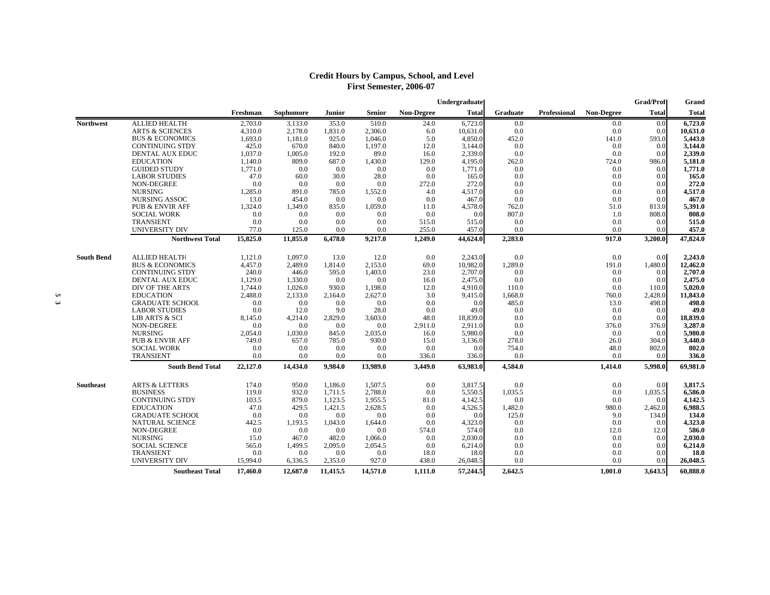## **Credit Hours by Campus, School, and Level First Semester, 2006-07**

|                   |                                 |            |             |                |            |                   | Undergraduate |              |              |                   | <b>Grad/Prof</b> | Grand             |
|-------------------|---------------------------------|------------|-------------|----------------|------------|-------------------|---------------|--------------|--------------|-------------------|------------------|-------------------|
|                   |                                 | Freshman   | Sophomore   | Junior         | Senior     | <b>Non-Degree</b> | <b>Total</b>  | Graduate     | Professional | <b>Non-Degree</b> | <b>Total</b>     | Total             |
| <b>Northwest</b>  | <b>ALLIED HEALTH</b>            | 2,703.0    | 3,133.0     | 353.0          | 510.0      | 24.0              | 6,723.0       | 0.0          |              | 0.0               | 0.0              | 6,723.0           |
|                   | <b>ARTS &amp; SCIENCES</b>      | 4,310.0    | 2,178.0     | 1,831.0        | 2,306.0    | 6.0               | 10,631.0      | 0.0          |              | 0.0               | 0.0              | 10,631.0          |
|                   | <b>BUS &amp; ECONOMICS</b>      | 1,693.0    | 1,181.0     | 925.0          | 1,046.0    | 5.0               | 4,850.0       | 452.0        |              | 141.0             | 593.0            | 5,443.0           |
|                   | <b>CONTINUING STDY</b>          | 425.0      | 670.0       | 840.0          | 1,197.0    | 12.0              | 3,144.0       | 0.0          |              | 0.0               | 0.0              | 3,144.0           |
|                   | DENTAL AUX EDUC                 | 1,037.0    | 1,005.0     | 192.0          | 89.0       | 16.0              | 2,339.0       | 0.0          |              | 0.0               | 0.0              | 2,339.0           |
|                   | <b>EDUCATION</b>                | 1,140.0    | 809.0       | 687.0          | 1,430.0    | 129.0             | 4,195.0       | 262.0        |              | 724.0             | 986.0            | 5,181.0           |
|                   | <b>GUIDED STUDY</b>             | 1,771.0    | 0.0         | 0.0            | 0.0        | 0.0               | 1,771.0       | 0.0          |              | 0.0               | 0.0              | 1,771.0           |
|                   | <b>LABOR STUDIES</b>            | 47.0       | 60.0        | 30.0           | 28.0       | 0.0               | 165.0         | 0.0          |              | 0.0               | 0.0              | 165.0             |
|                   | <b>NON-DEGREE</b>               | 0.0        | 0.0         | 0.0            | 0.0        | 272.0             | 272.0         | 0.0          |              | 0.0               | 0.0              | 272.0             |
|                   | <b>NURSING</b>                  | 1,285.0    | 891.0       | 785.0          | 1,552.0    | 4.0               | 4,517.0       | 0.0          |              | 0.0               | 0.0              | 4,517.0           |
|                   | <b>NURSING ASSOC</b>            | 13.0       | 454.0       | 0.0            | 0.0        | 0.0               | 467.0         | 0.0          |              | 0.0               | 0.0              | 467.0             |
|                   | PUB & ENVIR AFF                 | 1,324.0    | 1,349.0     | 835.0          | 1,059.0    | 11.0              | 4,578.0       | 762.0        |              | 51.0              | 813.0            | 5,391.0           |
|                   | <b>SOCIAL WORK</b>              | 0.0        | 0.0         | 0.0            | 0.0        | 0.0               | 0.0           | 807.0        |              | 1.0               | 808.0            | 808.0             |
|                   | TRANSIENT                       | 0.0        | 0.0         | 0.0            | 0.0        | 515.0             | 515.0         | 0.0          |              | 0.0               | 0.0              | 515.0             |
|                   | UNIVERSITY DIV                  | 77.0       | 125.0       | 0.0            | 0.0        | 255.0             | 457.0         | 0.0          |              | 0.0               | 0.0              | 457.0             |
|                   | <b>Northwest Total</b>          | 15,825.0   | 11,855.0    | 6,478.0        | 9,217.0    | 1,249.0           | 44,624.0      | 2,283.0      |              | 917.0             | 3,200.0          | 47,824.0          |
| <b>South Bend</b> | <b>ALLIED HEALTH</b>            | 1,121.0    | 1.097.0     | 13.0           | 12.0       | 0.0               | 2,243.0       | 0.0          |              | 0.0               | 0.0              | 2,243.0           |
|                   | <b>BUS &amp; ECONOMICS</b>      | 4,457.0    | 2,489.0     | 1,814.0        | 2,153.0    | 69.0              | 10,982.0      | 1,289.0      |              | 191.0             | 1,480.0          | 12,462.0          |
|                   | <b>CONTINUING STDY</b>          | 240.0      | 446.0       | 595.0          | 1,403.0    | 23.0              | 2,707.0       | 0.0          |              | 0.0               | 0.0              | 2,707.0           |
|                   | DENTAL AUX EDUC                 | 1,129.0    | 1,330.0     | 0.0            | 0.0        | 16.0              | 2,475.0       | 0.0          |              | 0.0               | 0.0              | 2,475.0           |
|                   | <b>DIV OF THE ARTS</b>          | 1,744.0    | 1.026.0     | 930.0          | 1,198.0    | 12.0              | 4,910.0       | 110.0        |              | 0.0               | 110.0            | 5,020.0           |
|                   | <b>EDUCATION</b>                | 2,488.0    | 2,133.0     | 2,164.0        | 2,627.0    | 3.0               | 9,415.0       | 1,668.0      |              | 760.0             | 2,428.0          | 11,843.0          |
|                   | <b>GRADUATE SCHOOL</b>          |            |             |                | 0.0        | 0.0               |               | 485.0        |              | 13.0              | 498.0            | 498.0             |
|                   | <b>LABOR STUDIES</b>            | 0.0<br>0.0 | 0.0<br>12.0 | 0.0            | 28.0       | 0.0               | 0.0<br>49.0   |              |              | 0.0               | 0.0              | 49.0              |
|                   | LIB ARTS & SCI                  | 8,145.0    | 4,214.0     | 9.0<br>2,829.0 | 3,603.0    | 48.0              | 18.839.0      | 0.0<br>0.0   |              | 0.0               | 0.0              | 18,839.0          |
|                   | <b>NON-DEGREE</b>               | 0.0        | 0.0         | 0.0            | 0.0        | 2,911.0           | 2,911.0       | 0.0          |              | 376.0             | 376.0            | 3,287.0           |
|                   | <b>NURSING</b>                  |            |             |                |            |                   |               | 0.0          |              |                   |                  | 5,980.0           |
|                   |                                 | 2,054.0    | 1,030.0     | 845.0          | 2,035.0    | 16.0              | 5,980.0       |              |              | 0.0               | 0.0<br>304.0     |                   |
|                   | <b>PUB &amp; ENVIR AFF</b>      | 749.0      | 657.0       | 785.0          | 930.0      | 15.0              | 3,136.0       | 278.0        |              | 26.0              | 802.0            | 3,440.0           |
|                   | <b>SOCIAL WORK</b><br>TRANSIENT | 0.0<br>0.0 | 0.0<br>0.0  | 0.0            | 0.0<br>0.0 | 0.0               | 0.0           | 754.0<br>0.0 |              | 48.0<br>0.0       | 0.0              | 802.0             |
|                   |                                 |            |             | 0.0<br>9,984.0 |            | 336.0             | 336.0         |              |              |                   | 5,998.0          | 336.0<br>69,981.0 |
|                   | <b>South Bend Total</b>         | 22,127.0   | 14,434.0    |                | 13,989.0   | 3,449.0           | 63,983.0      | 4,584.0      |              | 1,414.0           |                  |                   |
| <b>Southeast</b>  | <b>ARTS &amp; LETTERS</b>       | 174.0      | 950.0       | 1,186.0        | 1,507.5    | 0.0               | 3,817.5       | 0.0          |              | 0.0               | 0.0              | 3,817.5           |
|                   | <b>BUSINESS</b>                 | 119.0      | 932.0       | 1,711.5        | 2,788.0    | 0.0               | 5,550.5       | 1,035.5      |              | 0.0               | 1,035.5          | 6,586.0           |
|                   | <b>CONTINUING STDY</b>          | 103.5      | 879.0       | 1.123.5        | 1.955.5    | 81.0              | 4.142.5       | 0.0          |              | 0.0               | 0.0              | 4.142.5           |
|                   | <b>EDUCATION</b>                | 47.0       | 429.5       | 1,421.5        | 2,628.5    | 0.0               | 4,526.5       | 1,482.0      |              | 980.0             | 2,462.0          | 6,988.5           |
|                   | <b>GRADUATE SCHOOL</b>          | 0.0        | 0.0         | 0.0            | 0.0        | 0.0               | 0.0           | 125.0        |              | 9.0               | 134.0            | 134.0             |
|                   | <b>NATURAL SCIENCE</b>          | 442.5      | 1,193.5     | 1,043.0        | 1,644.0    | 0.0               | 4,323.0       | 0.0          |              | 0.0               | 0.0              | 4,323.0           |
|                   | <b>NON-DEGREE</b>               | 0.0        | 0.0         | 0.0            | 0.0        | 574.0             | 574.0         | 0.0          |              | 12.0              | 12.0             | 586.0             |
|                   | <b>NURSING</b>                  | 15.0       | 467.0       | 482.0          | 1.066.0    | 0.0               | 2,030.0       | 0.0          |              | 0.0               | 0.0              | 2.030.0           |
|                   | <b>SOCIAL SCIENCE</b>           | 565.0      | 1,499.5     | 2,095.0        | 2,054.5    | 0.0               | 6,214.0       | 0.0          |              | 0.0               | 0.0              | 6,214.0           |
|                   | TRANSIENT                       | 0.0        | 0.0         | 0.0            | 0.0        | 18.0              | 18.0          | 0.0          |              | 0.0               | 0.0              | 18.0              |
|                   | UNIVERSITY DIV                  | 15,994.0   | 6,336.5     | 2,353.0        | 927.0      | 438.0             | 26,048.5      | 0.0          |              | 0.0               | 0.0              | 26,048.5          |
|                   | <b>Southeast Total</b>          | 17,460.0   | 12,687.0    | 11,415.5       | 14,571.0   | 1,111.0           | 57,244.5      | 2,642.5      |              | 1,001.0           | 3,643.5          | 60,888.0          |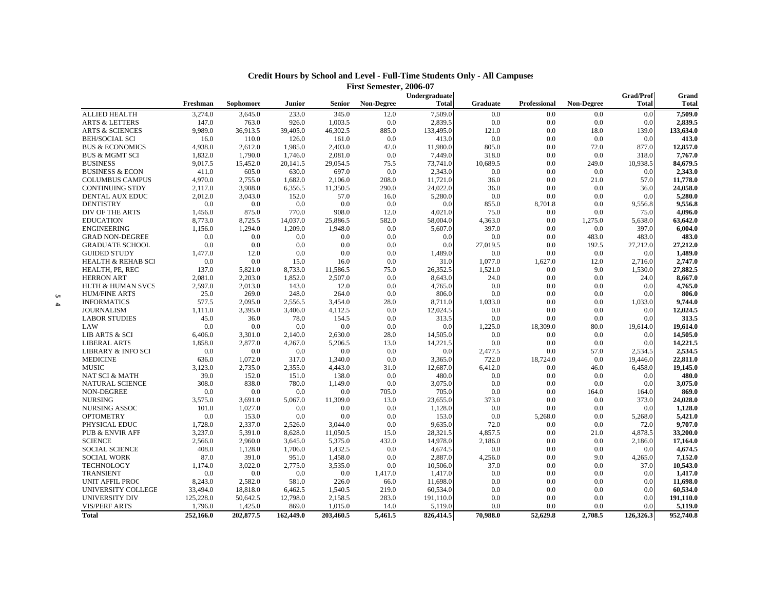|          |                               |           |           |           |                    |            | Undergraduate |            |              |            | <b>Grad/Prof</b> | Grand                |
|----------|-------------------------------|-----------|-----------|-----------|--------------------|------------|---------------|------------|--------------|------------|------------------|----------------------|
|          |                               | Freshman  | Sophomore | Junior    | <b>Senior</b>      | Non-Degree | <b>Total</b>  | Graduate   | Professional | Non-Degree | <b>Total</b>     | <b>Total</b>         |
|          | <b>ALLIED HEALTH</b>          | 3,274.0   | 3.645.0   | 233.0     | 345.0              | 12.0       | 7,509.0       | 0.0        | 0.0          | 0.0        | 0.0              | 7,509.0              |
|          | <b>ARTS &amp; LETTERS</b>     | 147.0     | 763.0     | 926.0     | 1,003.5            | 0.0        | 2,839.5       | 0.0        | 0.0          | 0.0        | 0.0              | 2,839.5              |
|          | <b>ARTS &amp; SCIENCES</b>    | 9,989.0   | 36,913.5  | 39,405.0  | 46,302.5           | 885.0      | 133,495.0     | 121.0      | 0.0          | 18.0       | 139.0            | 133,634.0            |
|          | <b>BEH/SOCIAL SCI</b>         | 16.0      | 110.0     | 126.0     | 161.0              | 0.0        | 413.0         | 0.0        | 0.0          | 0.0        | 0.0              | 413.0                |
|          | <b>BUS &amp; ECONOMICS</b>    | 4,938.0   | 2,612.0   | 1,985.0   | 2,403.0            | 42.0       | 11,980.0      | 805.0      | 0.0          | 72.0       | 877.0            | 12,857.0             |
|          | <b>BUS &amp; MGMT SCI</b>     | 1,832.0   | 1,790.0   | 1,746.0   | 2,081.0            | 0.0        | 7,449.0       | 318.0      | 0.0          | 0.0        | 318.0            | 7,767.0              |
|          | <b>BUSINESS</b>               | 9,017.5   | 15,452.0  | 20.141.5  | 29.054.5           | 75.5       | 73,741.0      | 10.689.5   | 0.0          | 249.0      | 10.938.5         | 84,679.5             |
|          | <b>BUSINESS &amp; ECON</b>    | 411.0     | 605.0     | 630.0     | 697.0              | 0.0        | 2,343.0       | 0.0        | 0.0          | 0.0        | 0.0              | 2,343.0              |
|          | <b>COLUMBUS CAMPUS</b>        | 4,970.0   | 2,755.0   | 1,682.0   | 2,106.0            | 208.0      | 11,721.0      | 36.0       | 0.0          | 21.0       | 57.0             | 11,778.0             |
|          | <b>CONTINUING STDY</b>        | 2,117.0   | 3.908.0   | 6.356.5   | 11,350.5           | 290.0      | 24,022.0      | 36.0       | 0.0          | 0.0        | 36.0             | 24.058.0             |
|          | DENTAL AUX EDUC               | 2,012.0   | 3,043.0   | 152.0     | 57.0               | 16.0       | 5,280.0       | 0.0        | 0.0          | 0.0        | 0.0              | 5,280.0              |
|          | <b>DENTISTRY</b>              | 0.0       | 0.0       | 0.0       | 0.0                | 0.0        | 0.0           | 855.0      | 8,701.8      | 0.0        | 9,556.8          | 9,556.8              |
|          | DIV OF THE ARTS               | 1,456.0   | 875.0     | 770.0     | 908.0              | 12.0       | 4,021.0       | 75.0       | 0.0          | 0.0        | 75.0             | 4,096.0              |
|          | <b>EDUCATION</b>              | 8,773.0   | 8,725.5   | 14,037.0  | 25,886.5           | 582.0      | 58,004.0      | 4,363.0    | 0.0          | 1,275.0    | 5,638.0          | 63,642.0             |
|          | <b>ENGINEERING</b>            | 1,156.0   | 1,294.0   | 1,209.0   | 1,948.0            | 0.0        | 5,607.0       | 397.0      | 0.0          | 0.0        | 397.0            | 6,004.0              |
|          | <b>GRAD NON-DEGREE</b>        | 0.0       | 0.0       | 0.0       | 0.0                | 0.0        | 0.0           | 0.0        | 0.0          | 483.0      | 483.0            | 483.0                |
|          | <b>GRADUATE SCHOOL</b>        | 0.0       | 0.0       | 0.0       | 0.0                | 0.0        | 0.0           | 27.019.5   | 0.0          | 192.5      | 27,212.0         | 27,212.0             |
|          | <b>GUIDED STUDY</b>           | 1,477.0   | 12.0      | 0.0       | 0.0                | 0.0        | 1,489.0       | 0.0        | 0.0          | 0.0        | 0.0              | 1,489.0              |
|          | <b>HEALTH &amp; REHAB SCI</b> | 0.0       | 0.0       | 15.0      | 16.0               | 0.0        | 31.0          | 1,077.0    | 1,627.0      | 12.0       | 2,716.0          | 2,747.0              |
|          | HEALTH, PE, REC               | 137.0     | 5,821.0   | 8,733.0   | 11,586.5           | 75.0       | 26,352.5      | 1,521.0    | 0.0          | 9.0        | 1,530.0          | 27,882.5             |
|          | <b>HERRON ART</b>             | 2,081.0   | 2,203.0   | 1,852.0   | 2,507.0            | 0.0        | 8,643.0       | 24.0       | 0.0          | 0.0        | 24.0             | 8,667.0              |
|          | <b>HLTH &amp; HUMAN SVCS</b>  | 2,597.0   | 2,013.0   | 143.0     | 12.0               | 0.0        | 4,765.0       | 0.0        | 0.0          | 0.0        | 0.0              | 4,765.0              |
| <b>u</b> | <b>HUM/FINE ARTS</b>          | 25.0      | 269.0     | 248.0     | 264.0              | 0.0        | 806.0         | 0.0        | 0.0          | 0.0        | 0.0              | 806.0                |
| 4        | <b>INFORMATICS</b>            | 577.5     | 2,095.0   | 2,556.5   | 3,454.0            | 28.0       | 8,711.0       | 1,033.0    | 0.0          | 0.0        | 1,033.0          | 9,744.0              |
|          | <b>JOURNALISM</b>             | 1,111.0   | 3,395.0   | 3,406.0   | 4,112.5            | 0.0        | 12,024.5      | 0.0        | 0.0          | 0.0        | 0.0              | 12,024.5             |
|          | <b>LABOR STUDIES</b>          | 45.0      | 36.0      | 78.0      | 154.5              | 0.0        | 313.5         | 0.0        | 0.0          | 0.0        | 0.0              | 313.5                |
|          | LAW                           | 0.0       | 0.0       | 0.0       | 0.0                | 0.0        | 0.0           | 1,225.0    | 18,309.0     | 80.0       | 19,614.0         | 19,614.0             |
|          | LIB ARTS & SCI                | 6,406.0   | 3,301.0   | 2,140.0   | 2,630.0            | 28.0       | 14,505.0      | 0.0        | 0.0          | 0.0        | 0.0              | 14,505.0             |
|          | <b>LIBERAL ARTS</b>           | 1,858.0   | 2,877.0   | 4,267.0   | 5.206.5            | 13.0       | 14,221.5      | 0.0        | 0.0          | 0.0        | 0.0              | 14,221.5             |
|          | <b>LIBRARY &amp; INFO SCI</b> | 0.0       | 0.0       | 0.0       | 0.0                | 0.0        | 0.0           | 2,477.5    | 0.0          | 57.0       | 2,534.5          | 2,534.5              |
|          | <b>MEDICINE</b>               | 636.0     | 1,072.0   | 317.0     | 1,340.0            | 0.0        | 3,365.0       | 722.0      | 18,724.0     | 0.0        | 19,446.0         | 22,811.0             |
|          | <b>MUSIC</b>                  | 3,123.0   | 2,735.0   | 2,355.0   | 4,443.0            | 31.0       | 12,687.0      | 6,412.0    | 0.0          | 46.0       | 6,458.0          | 19,145.0             |
|          | <b>NAT SCI &amp; MATH</b>     | 39.0      | 152.0     | 151.0     | 138.0              | 0.0        | 480.0         | 0.0        | 0.0          | 0.0        | 0.0              | 480.0                |
|          | NATURAL SCIENCE               | 308.0     | 838.0     | 780.0     | 1,149.0            | 0.0        | 3,075.0       | 0.0        | 0.0          | 0.0        | 0.0              | 3,075.0              |
|          | <b>NON-DEGREE</b>             | 0.0       | 0.0       | 0.0       | 0.0                | 705.0      | 705.0         | 0.0        | 0.0          | 164.0      | 164.0            | 869.0                |
|          | <b>NURSING</b>                | 3,575.0   | 3,691.0   | 5,067.0   | 11,309.0           | 13.0       | 23,655.0      | 373.0      | 0.0          | 0.0        | 373.0            | 24,028.0             |
|          | <b>NURSING ASSOC</b>          | 101.0     | 1,027.0   | 0.0       | 0.0                | 0.0        | 1,128.0       | 0.0        | 0.0          | 0.0        | 0.0              | 1,128.0              |
|          | <b>OPTOMETRY</b>              | 0.0       | 153.0     | 0.0       | 0.0                | 0.0        | 153.0         | 0.0        | 5,268.0      | 0.0        | 5,268.0          | 5.421.0              |
|          | PHYSICAL EDUC                 | 1,728.0   | 2,337.0   | 2,526.0   | 3,044.0            | 0.0        | 9,635.0       | 72.0       | 0.0          | 0.0        | 72.0             | 9,707.0              |
|          | <b>PUB &amp; ENVIR AFF</b>    | 3,237.0   | 5,391.0   | 8,628.0   | 11,050.5           | 15.0       | 28,321.5      | 4,857.5    | 0.0          | 21.0       | 4,878.5          | 33,200.0             |
|          | <b>SCIENCE</b>                | 2,566.0   | 2,960.0   | 3,645.0   | 5,375.0            | 432.0      | 14,978.0      | 2,186.0    | 0.0          | 0.0        | 2,186.0          | 17,164.0             |
|          | <b>SOCIAL SCIENCE</b>         | 408.0     | 1,128.0   | 1,706.0   | 1,432.5            | 0.0        | 4,674.5       | 0.0        | 0.0          | 0.0        | 0.0              | 4,674.5              |
|          | <b>SOCIAL WORK</b>            | 87.0      | 391.0     | 951.0     | 1,458.0            | 0.0        | 2,887.0       | 4,256.0    | 0.0          | 9.0        | 4,265.0          | 7,152.0              |
|          | <b>TECHNOLOGY</b>             | 1,174.0   | 3,022.0   | 2,775.0   | 3,535.0            | 0.0        | 10,506.0      | 37.0       | 0.0          | 0.0        | 37.0             | 10,543.0             |
|          | <b>TRANSIENT</b>              | 0.0       | 0.0       | 0.0       | 0.0                | 1.417.0    | 1.417.0       | 0.0        | 0.0          | 0.0        | 0.0              | 1.417.0              |
|          | <b>UNIT AFFIL PROG</b>        | 8,243.0   | 2,582.0   | 581.0     | 226.0              | 66.0       | 11,698.0      | 0.0        | 0.0          | 0.0        | 0.0              | 11,698.0             |
|          | UNIVERSITY COLLEGE            | 33,494.0  | 18,818.0  | 6,462.5   | 1,540.5            | 219.0      | 60,534.0      | 0.0        | 0.0          | 0.0        | 0.0              | 60,534.0             |
|          | <b>UNIVERSITY DIV</b>         | 125,228.0 | 50,642.5  | 12,798.0  | 2,158.5<br>1,015.0 | 283.0      | 191,110.0     | 0.0<br>0.0 | 0.0<br>0.0   | 0.0<br>0.0 | 0.0<br>0.0       | 191,110.0<br>5,119.0 |
|          | <b>VIS/PERF ARTS</b>          | 1,796.0   | 1,425.0   | 869.0     |                    | 14.0       | 5,119.0       |            |              |            |                  |                      |
|          | <b>Total</b>                  | 252,166.0 | 202,877.5 | 162,449.0 | 203,460.5          | 5,461.5    | 826,414.5     | 70,988.0   | 52,629.8     | 2,708.5    | 126,326.3        | 952,740.8            |

# **Credit Hours by School and Level - Full-Time Students Only - All Campuses**

**First Semester, 2006-07**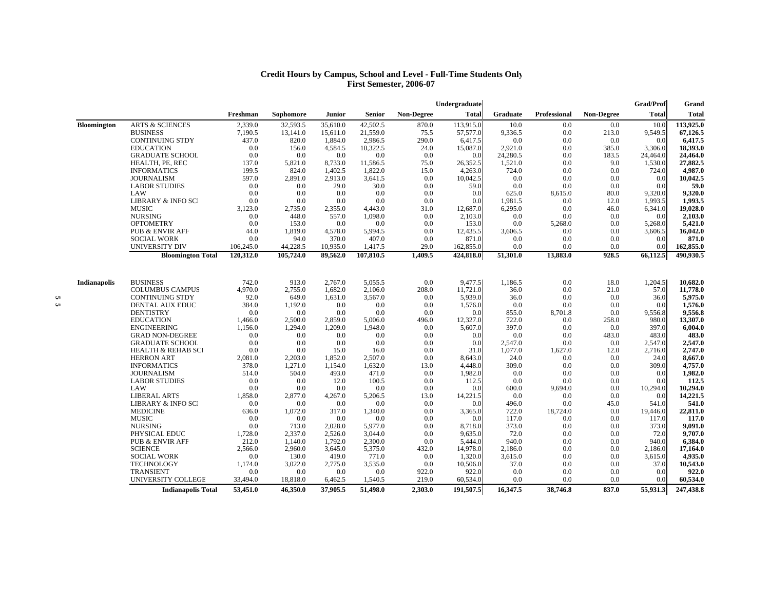#### **Credit Hours by Campus, School and Level - Full-Time Students Only First Semester, 2006-07**

|                     |                               |           |                  |          |           |                   | Undergraduate |          |              |                   | <b>Grad/Prof</b> | Grand        |
|---------------------|-------------------------------|-----------|------------------|----------|-----------|-------------------|---------------|----------|--------------|-------------------|------------------|--------------|
|                     |                               | Freshman  | <b>Sophomore</b> | Junior   | Senior    | <b>Non-Degree</b> | <b>Total</b>  | Graduate | Professional | <b>Non-Degree</b> | <b>Total</b>     | <b>Total</b> |
| <b>Bloomington</b>  | <b>ARTS &amp; SCIENCES</b>    | 2,339.0   | 32,593.5         | 35,610.0 | 42,502.5  | 870.0             | 113,915.0     | 10.0     | 0.0          | 0.0               | 10.0             | 113,925.0    |
|                     | <b>BUSINESS</b>               | 7,190.5   | 13,141.0         | 15,611.0 | 21,559.0  | 75.5              | 57,577.0      | 9,336.5  | 0.0          | 213.0             | 9,549.5          | 67,126.5     |
|                     | <b>CONTINUING STDY</b>        | 437.0     | 820.0            | 1,884.0  | 2,986.5   | 290.0             | 6,417.5       | 0.0      | 0.0          | 0.0               | 0.0              | 6,417.5      |
|                     | <b>EDUCATION</b>              | 0.0       | 156.0            | 4,584.5  | 10,322.5  | 24.0              | 15,087.0      | 2,921.0  | 0.0          | 385.0             | 3,306.0          | 18,393.0     |
|                     | <b>GRADUATE SCHOOL</b>        | 0.0       | 0.0              | 0.0      | 0.0       | 0.0               | 0.0           | 24,280.5 | 0.0          | 183.5             | 24,464.0         | 24,464.0     |
|                     | HEALTH, PE, REC               | 137.0     | 5,821.0          | 8,733.0  | 11,586.5  | 75.0              | 26,352.5      | 1,521.0  | 0.0          | 9.0               | 1,530.0          | 27,882.5     |
|                     | <b>INFORMATICS</b>            | 199.5     | 824.0            | 1,402.5  | 1,822.0   | 15.0              | 4,263.0       | 724.0    | 0.0          | 0.0               | 724.0            | 4,987.0      |
|                     | <b>JOURNALISM</b>             | 597.0     | 2,891.0          | 2,913.0  | 3,641.5   | 0.0               | 10,042.5      | 0.0      | 0.0          | 0.0               | 0.0              | 10,042.5     |
|                     | <b>LABOR STUDIES</b>          | 0.0       | 0.0              | 29.0     | 30.0      | 0.0               | 59.0          | 0.0      | 0.0          | 0.0               | 0.0              | 59.0         |
|                     | LAW                           | 0.0       | 0.0              | 0.0      | 0.0       | 0.0               | 0.0           | 625.0    | 8,615.0      | 80.0              | 9,320.0          | 9,320.0      |
|                     | <b>LIBRARY &amp; INFO SCI</b> | 0.0       | 0.0              | 0.0      | 0.0       | 0.0               | 0.0           | 1,981.5  | 0.0          | 12.0              | 1,993.5          | 1,993.5      |
|                     | <b>MUSIC</b>                  | 3,123.0   | 2,735.0          | 2,355.0  | 4,443.0   | 31.0              | 12,687.0      | 6,295.0  | 0.0          | 46.0              | 6,341.0          | 19,028.0     |
|                     | <b>NURSING</b>                | 0.0       | 448.0            | 557.0    | 1,098.0   | 0.0               | 2,103.0       | 0.0      | 0.0          | 0.0               | 0.0              | 2,103.0      |
|                     | <b>OPTOMETRY</b>              | 0.0       | 153.0            | 0.0      | 0.0       | 0.0               | 153.0         | 0.0      | 5,268.0      | 0.0               | 5,268.0          | 5,421.0      |
|                     | <b>PUB &amp; ENVIR AFF</b>    | 44.0      | 1,819.0          | 4,578.0  | 5,994.5   | 0.0               | 12,435.5      | 3,606.5  | 0.0          | 0.0               | 3,606.5          | 16,042.0     |
|                     | <b>SOCIAL WORK</b>            | 0.0       | 94.0             | 370.0    | 407.0     | 0.0               | 871.0         | 0.0      | 0.0          | 0.0               | 0.0              | 871.0        |
|                     | UNIVERSITY DIV                | 106,245.0 | 44,228.5         | 10,935.0 | 1,417.5   | 29.0              | 162,855.0     | 0.0      | 0.0          | 0.0               | 0.0              | 162,855.0    |
|                     | <b>Bloomington Total</b>      | 120,312.0 | 105,724.0        | 89,562.0 | 107,810.5 | 1,409.5           | 424,818.0     | 51,301.0 | 13,883.0     | 928.5             | 66,112.5         | 490,930.5    |
|                     |                               |           |                  |          |           |                   |               |          |              |                   |                  |              |
| <b>Indianapolis</b> | <b>BUSINESS</b>               | 742.0     | 913.0            | 2,767.0  | 5,055.5   | 0.0               | 9,477.5       | 1,186.5  | 0.0          | 18.0              | 1,204.5          | 10,682.0     |
|                     | <b>COLUMBUS CAMPUS</b>        | 4,970.0   | 2,755.0          | 1,682.0  | 2,106.0   | 208.0             | 11,721.0      | 36.0     | 0.0          | 21.0              | 57.0             | 11,778.0     |
|                     | <b>CONTINUING STDY</b>        | 92.0      | 649.0            | 1,631.0  | 3,567.0   | 0.0               | 5,939.0       | 36.0     | 0.0          | 0.0               | 36.0             | 5,975.0      |
|                     | DENTAL AUX EDUC               | 384.0     | 1.192.0          | 0.0      | 0.0       | 0.0               | 1.576.0       | 0.0      | 0.0          | 0.0               | 0.0              | 1,576.0      |
|                     | <b>DENTISTRY</b>              | 0.0       | 0.0              | 0.0      | 0.0       | 0.0               | 0.0           | 855.0    | 8,701.8      | 0.0               | 9,556.8          | 9,556.8      |
|                     | <b>EDUCATION</b>              | 1,466.0   | 2,500.0          | 2,859.0  | 5,006.0   | 496.0             | 12,327.0      | 722.0    | 0.0          | 258.0             | 980.0            | 13,307.0     |
|                     | <b>ENGINEERING</b>            | 1,156.0   | 1,294.0          | 1,209.0  | 1,948.0   | 0.0               | 5,607.0       | 397.0    | 0.0          | 0.0               | 397.0            | 6,004.0      |
|                     | <b>GRAD NON-DEGREE</b>        | 0.0       | 0.0              | 0.0      | 0.0       | 0.0               | 0.0           | 0.0      | 0.0          | 483.0             | 483.0            | 483.0        |
|                     | <b>GRADUATE SCHOOL</b>        | 0.0       | 0.0              | 0.0      | 0.0       | 0.0               | 0.0           | 2,547.0  | 0.0          | 0.0               | 2,547.0          | 2,547.0      |
|                     | <b>HEALTH &amp; REHAB SCI</b> | 0.0       | 0.0              | 15.0     | 16.0      | 0.0               | 31.0          | 1,077.0  | 1,627.0      | 12.0              | 2,716.0          | 2,747.0      |
|                     | <b>HERRON ART</b>             | 2,081.0   | 2,203.0          | 1,852.0  | 2,507.0   | 0.0               | 8.643.0       | 24.0     | 0.0          | 0.0               | 24.0             | 8,667.0      |
|                     | <b>INFORMATICS</b>            | 378.0     | 1,271.0          | 1,154.0  | 1,632.0   | 13.0              | 4,448.0       | 309.0    | 0.0          | 0.0               | 309.0            | 4,757.0      |
|                     | <b>JOURNALISM</b>             | 514.0     | 504.0            | 493.0    | 471.0     | 0.0               | 1,982.0       | 0.0      | 0.0          | 0.0               | 0.0              | 1,982.0      |
|                     | <b>LABOR STUDIES</b>          | 0.0       | 0.0              | 12.0     | 100.5     | 0.0               | 112.5         | 0.0      | 0.0          | 0.0               | 0.0              | 112.5        |
|                     | LAW                           | 0.0       | 0.0              | 0.0      | 0.0       | 0.0               | 0.0           | 600.0    | 9,694.0      | 0.0               | 10,294.0         | 10,294.0     |
|                     | <b>LIBERAL ARTS</b>           | 1,858.0   | 2,877.0          | 4,267.0  | 5,206.5   | 13.0              | 14,221.5      | 0.0      | 0.0          | 0.0               | 0.0              | 14,221.5     |
|                     | <b>LIBRARY &amp; INFO SCI</b> | 0.0       | 0.0              | 0.0      | 0.0       | 0.0               | 0.0           | 496.0    | 0.0          | 45.0              | 541.0            | 541.0        |
|                     | <b>MEDICINE</b>               | 636.0     | 1,072.0          | 317.0    | 1,340.0   | 0.0               | 3,365.0       | 722.0    | 18,724.0     | 0.0               | 19,446.0         | 22,811.0     |
|                     | <b>MUSIC</b>                  | 0.0       | 0.0              | 0.0      | 0.0       | 0.0               | 0.0           | 117.0    | 0.0          | 0.0               | 117.0            | 117.0        |
|                     | <b>NURSING</b>                | 0.0       | 713.0            | 2,028.0  | 5,977.0   | 0.0               | 8,718.0       | 373.0    | 0.0          | 0.0               | 373.0            | 9,091.0      |
|                     | PHYSICAL EDUC                 | 1,728.0   | 2,337.0          | 2,526.0  | 3,044.0   | 0.0               | 9,635.0       | 72.0     | 0.0          | 0.0               | 72.0             | 9,707.0      |
|                     | <b>PUB &amp; ENVIR AFF</b>    | 212.0     | 1,140.0          | 1,792.0  | 2,300.0   | 0.0               | 5,444.0       | 940.0    | 0.0          | 0.0               | 940.0            | 6,384.0      |
|                     | <b>SCIENCE</b>                | 2,566.0   | 2,960.0          | 3,645.0  | 5,375.0   | 432.0             | 14,978.0      | 2,186.0  | 0.0          | 0.0               | 2,186.0          | 17,164.0     |
|                     | <b>SOCIAL WORK</b>            | 0.0       | 130.0            | 419.0    | 771.0     | 0.0               | 1,320.0       | 3,615.0  | 0.0          | 0.0               | 3,615.0          | 4,935.0      |
|                     | <b>TECHNOLOGY</b>             | 1,174.0   | 3,022.0          | 2,775.0  | 3,535.0   | 0.0               | 10,506.0      | 37.0     | 0.0          | 0.0               | 37.0             | 10,543.0     |
|                     | <b>TRANSIENT</b>              | 0.0       | 0.0              | 0.0      | 0.0       | 922.0             | 922.0         | 0.0      | 0.0          | 0.0               | 0.0              | 922.0        |
|                     | UNIVERSITY COLLEGE            | 33,494.0  | 18,818.0         | 6,462.5  | 1,540.5   | 219.0             | 60,534.0      | 0.0      | 0.0          | 0.0               | 0.0              | 60,534.0     |
|                     | <b>Indianapolis Total</b>     | 53,451.0  | 46,350.0         | 37.905.5 | 51,498.0  | 2.303.0           | 191,507.5     | 16,347.5 | 38,746.8     | 837.0             | 55,931.3         | 247,438.8    |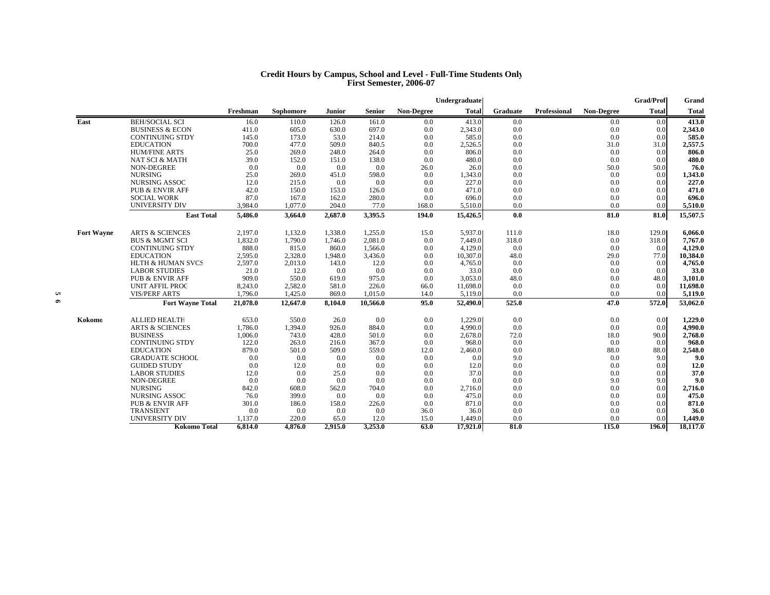#### **Credit Hours by Campus, School and Level - Full-Time Students Only First Semester, 2006-07**

|                   |                              |          |           |               |               |                   | Undergraduate |                 |              |                   | Grad/Prof    | Grand        |
|-------------------|------------------------------|----------|-----------|---------------|---------------|-------------------|---------------|-----------------|--------------|-------------------|--------------|--------------|
|                   |                              | Freshman | Sophomore | <b>Junior</b> | <b>Senior</b> | <b>Non-Degree</b> | Total         | <b>Graduate</b> | Professional | <b>Non-Degree</b> | <b>Total</b> | <b>Total</b> |
| East              | <b>BEH/SOCIAL SCI</b>        | 16.0     | 110.0     | 126.0         | 161.0         | 0.0               | 413.0         | 0.0             |              | 0.0               | 0.0          | 413.0        |
|                   | <b>BUSINESS &amp; ECON</b>   | 411.0    | 605.0     | 630.0         | 697.0         | 0.0               | 2,343.0       | 0.0             |              | 0.0               | 0.0          | 2,343.0      |
|                   | <b>CONTINUING STDY</b>       | 145.0    | 173.0     | 53.0          | 214.0         | 0.0               | 585.0         | 0.0             |              | 0.0               | 0.0          | 585.0        |
|                   | <b>EDUCATION</b>             | 700.0    | 477.0     | 509.0         | 840.5         | 0.0               | 2,526.5       | 0.0             |              | 31.0              | 31.0         | 2,557.5      |
|                   | <b>HUM/FINE ARTS</b>         | 25.0     | 269.0     | 248.0         | 264.0         | 0.0               | 806.0         | 0.0             |              | 0.0               | 0.0          | 806.0        |
|                   | NAT SCI & MATH               | 39.0     | 152.0     | 151.0         | 138.0         | 0.0               | 480.0         | 0.0             |              | 0.0               | 0.0          | 480.0        |
|                   | NON-DEGREE                   | 0.0      | 0.0       | 0.0           | 0.0           | 26.0              | 26.0          | 0.0             |              | 50.0              | 50.0         | 76.0         |
|                   | <b>NURSING</b>               | 25.0     | 269.0     | 451.0         | 598.0         | 0.0               | 1,343.0       | 0.0             |              | 0.0               | 0.0          | 1,343.0      |
|                   | <b>NURSING ASSOC</b>         | 12.0     | 215.0     | 0.0           | 0.0           | 0.0               | 227.0         | 0.0             |              | 0.0               | 0.0          | 227.0        |
|                   | <b>PUB &amp; ENVIR AFF</b>   | 42.0     | 150.0     | 153.0         | 126.0         | 0.0               | 471.0         | 0.0             |              | 0.0               | 0.0          | 471.0        |
|                   | <b>SOCIAL WORK</b>           | 87.0     | 167.0     | 162.0         | 280.0         | 0.0               | 696.0         | 0.0             |              | 0.0               | 0.0          | 696.0        |
|                   | <b>UNIVERSITY DIV</b>        | 3,984.0  | 1,077.0   | 204.0         | 77.0          | 168.0             | 5,510.0       | 0.0             |              | 0.0               | 0.0          | 5,510.0      |
|                   | <b>East Total</b>            | 5,486.0  | 3,664.0   | 2,687.0       | 3,395.5       | 194.0             | 15,426.5      | 0.0             |              | 81.0              | 81.0         | 15,507.5     |
| <b>Fort Wayne</b> | <b>ARTS &amp; SCIENCES</b>   | 2,197.0  | 1,132.0   | 1,338.0       | 1,255.0       | 15.0              | 5,937.0       | 111.0           |              | 18.0              | 129.0        | 6,066.0      |
|                   | <b>BUS &amp; MGMT SCI</b>    | 1,832.0  | 1,790.0   | 1,746.0       | 2,081.0       | 0.0               | 7.449.0       | 318.0           |              | 0.0               | 318.0        | 7,767.0      |
|                   | <b>CONTINUING STDY</b>       | 888.0    | 815.0     | 860.0         | 1.566.0       | 0.0               | 4,129.0       | 0.0             |              | 0.0               | 0.0          | 4,129.0      |
|                   | <b>EDUCATION</b>             | 2,595.0  | 2,328.0   | 1,948.0       | 3,436.0       | 0.0               | 10,307.0      | 48.0            |              | 29.0              | 77.0         | 10,384.0     |
|                   | <b>HLTH &amp; HUMAN SVCS</b> | 2,597.0  | 2,013.0   | 143.0         | 12.0          | 0.0               | 4,765.0       | 0.0             |              | 0.0               | 0.0          | 4,765.0      |
|                   | <b>LABOR STUDIES</b>         | 21.0     | 12.0      | 0.0           | 0.0           | 0.0               | 33.0          | 0.0             |              | 0.0               | 0.0          | 33.0         |
|                   | <b>PUB &amp; ENVIR AFF</b>   | 909.0    | 550.0     | 619.0         | 975.0         | 0.0               | 3.053.0       | 48.0            |              | 0.0               | 48.0         | 3,101.0      |
|                   | <b>UNIT AFFIL PROC</b>       | 8,243.0  | 2,582.0   | 581.0         | 226.0         | 66.0              | 11,698.0      | 0.0             |              | 0.0               | 0.0          | 11,698.0     |
|                   | <b>VIS/PERF ARTS</b>         | 1,796.0  | 1,425.0   | 869.0         | 1,015.0       | 14.0              | 5,119.0       | 0.0             |              | 0.0               | 0.0          | 5,119.0      |
|                   | <b>Fort Wayne Total</b>      | 21,078.0 | 12,647.0  | 8,104.0       | 10,566.0      | 95.0              | 52,490.0      | 525.0           |              | 47.0              | 572.0        | 53,062.0     |
| Kokomo            | <b>ALLIED HEALTH</b>         | 653.0    | 550.0     | 26.0          | 0.0           | 0.0               | 1,229.0       | 0.0             |              | 0.0               | 0.0          | 1,229.0      |
|                   | <b>ARTS &amp; SCIENCES</b>   | 1,786.0  | 1.394.0   | 926.0         | 884.0         | 0.0               | 4.990.0       | 0.0             |              | 0.0               | 0.0          | 4,990.0      |
|                   | <b>BUSINESS</b>              | 1,006.0  | 743.0     | 428.0         | 501.0         | 0.0               | 2,678.0       | 72.0            |              | 18.0              | 90.0         | 2,768.0      |
|                   | <b>CONTINUING STDY</b>       | 122.0    | 263.0     | 216.0         | 367.0         | 0.0               | 968.0         | 0.0             |              | 0.0               | 0.0          | 968.0        |
|                   | <b>EDUCATION</b>             | 879.0    | 501.0     | 509.0         | 559.0         | 12.0              | 2,460.0       | 0.0             |              | 88.0              | 88.0         | 2,548.0      |
|                   | <b>GRADUATE SCHOOL</b>       | 0.0      | 0.0       | 0.0           | 0.0           | 0.0               | 0.0           | 9.0             |              | 0.0               | 9.0          | 9.0          |
|                   | <b>GUIDED STUDY</b>          | 0.0      | 12.0      | 0.0           | 0.0           | 0.0               | 12.0          | 0.0             |              | 0.0               | 0.0          | 12.0         |
|                   | <b>LABOR STUDIES</b>         | 12.0     | 0.0       | 25.0          | 0.0           | 0.0               | 37.0          | 0.0             |              | 0.0               | 0.0          | 37.0         |
|                   | <b>NON-DEGREE</b>            | 0.0      | 0.0       | 0.0           | 0.0           | 0.0               | 0.0           | 0.0             |              | 9.0               | 9.0          | 9.0          |
|                   | <b>NURSING</b>               | 842.0    | 608.0     | 562.0         | 704.0         | 0.0               | 2,716.0       | 0.0             |              | 0.0               | 0.0          | 2,716.0      |
|                   | <b>NURSING ASSOC</b>         | 76.0     | 399.0     | 0.0           | 0.0           | 0.0               | 475.0         | 0.0             |              | 0.0               | 0.0          | 475.0        |
|                   | <b>PUB &amp; ENVIR AFF</b>   | 301.0    | 186.0     | 158.0         | 226.0         | 0.0               | 871.0         | 0.0             |              | 0.0               | 0.0          | 871.0        |
|                   | <b>TRANSIENT</b>             | 0.0      | 0.0       | 0.0           | 0.0           | 36.0              | 36.0          | 0.0             |              | 0.0               | 0.0          | 36.0         |
|                   | <b>UNIVERSITY DIV</b>        | 1,137.0  | 220.0     | 65.0          | 12.0          | 15.0              | 1,449.0       | 0.0             |              | 0.0               | 0.0          | 1,449.0      |
|                   | Kokomo Total                 | 6,814.0  | 4,876.0   | 2,915.0       | 3,253.0       | 63.0              | 17,921.0      | 81.0            |              | 115.0             | 196.0        | 18,117.0     |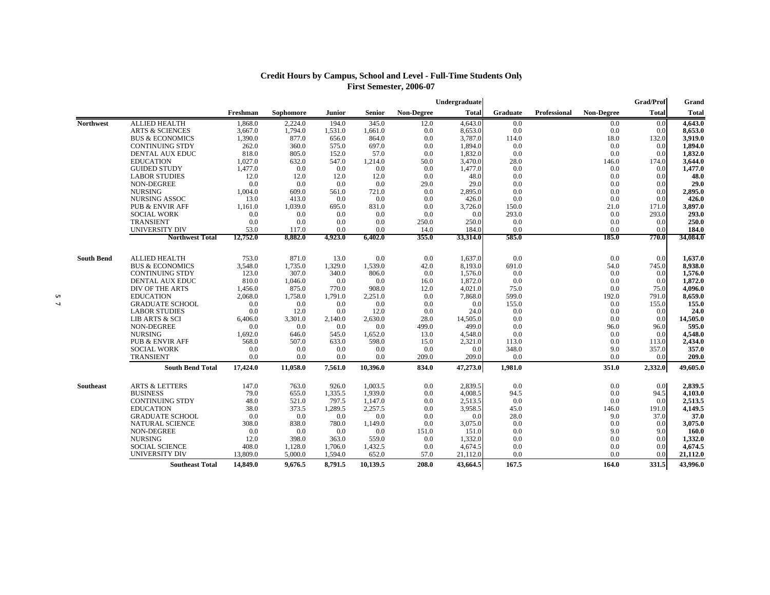## **Credit Hours by Campus, School and Level - Full-Time Students Only First Semester, 2006-07**

|                   |                            |          |           |         |          |                   | Undergraduate |          |              |                   | Grad/Prof    | Grand        |
|-------------------|----------------------------|----------|-----------|---------|----------|-------------------|---------------|----------|--------------|-------------------|--------------|--------------|
|                   |                            | Freshman | Sophomore | Junior  | Senior   | <b>Non-Degree</b> | <b>Total</b>  | Graduate | Professional | <b>Non-Degree</b> | <b>Total</b> | <b>Total</b> |
| <b>Northwest</b>  | <b>ALLIED HEALTH</b>       | 1,868.0  | 2,224.0   | 194.0   | 345.0    | 12.0              | 4,643.0       | 0.0      |              | 0.0               | 0.0          | 4,643.0      |
|                   | <b>ARTS &amp; SCIENCES</b> | 3,667.0  | 1,794.0   | 1,531.0 | 1,661.0  | 0.0               | 8,653.0       | 0.0      |              | 0.0               | 0.0          | 8,653.0      |
|                   | <b>BUS &amp; ECONOMICS</b> | 1,390.0  | 877.0     | 656.0   | 864.0    | 0.0               | 3,787.0       | 114.0    |              | 18.0              | 132.0        | 3,919.0      |
|                   | <b>CONTINUING STDY</b>     | 262.0    | 360.0     | 575.0   | 697.0    | 0.0               | 1.894.0       | 0.0      |              | 0.0               | 0.0          | 1.894.0      |
|                   | DENTAL AUX EDUC            | 818.0    | 805.0     | 152.0   | 57.0     | 0.0               | 1,832.0       | 0.0      |              | 0.0               | 0.0          | 1,832.0      |
|                   | <b>EDUCATION</b>           | 1,027.0  | 632.0     | 547.0   | 1,214.0  | 50.0              | 3,470.0       | 28.0     |              | 146.0             | 174.0        | 3,644.0      |
|                   | <b>GUIDED STUDY</b>        | 1,477.0  | 0.0       | 0.0     | 0.0      | 0.0               | 1.477.0       | 0.0      |              | 0.0               | 0.0          | 1,477.0      |
|                   | <b>LABOR STUDIES</b>       | 12.0     | 12.0      | 12.0    | 12.0     | 0.0               | 48.0          | 0.0      |              | 0.0               | 0.0          | 48.0         |
|                   | NON-DEGREE                 | 0.0      | 0.0       | 0.0     | 0.0      | 29.0              | 29.0          | 0.0      |              | 0.0               | 0.0          | 29.0         |
|                   | <b>NURSING</b>             | 1,004.0  | 609.0     | 561.0   | 721.0    | 0.0               | 2,895.0       | 0.0      |              | 0.0               | 0.0          | 2,895.0      |
|                   | NURSING ASSOC              | 13.0     | 413.0     | 0.0     | 0.0      | 0.0               | 426.0         | 0.0      |              | 0.0               | 0.0          | 426.0        |
|                   | <b>PUB &amp; ENVIR AFF</b> | 1,161.0  | 1.039.0   | 695.0   | 831.0    | 0.0               | 3,726.0       | 150.0    |              | 21.0              | 171.0        | 3,897.0      |
|                   | <b>SOCIAL WORK</b>         | 0.0      | 0.0       | 0.0     | 0.0      | 0.0               | 0.0           | 293.0    |              | 0.0               | 293.0        | 293.0        |
|                   | <b>TRANSIENT</b>           | 0.0      | 0.0       | 0.0     | 0.0      | 250.0             | 250.0         | 0.0      |              | 0.0               | 0.0          | 250.0        |
|                   | UNIVERSITY DIV             | 53.0     | 117.0     | 0.0     | 0.0      | 14.0              | 184.0         | 0.0      |              | 0.0               | 0.0          | 184.0        |
|                   | <b>Northwest Total</b>     | 12,752.0 | 8,882.0   | 4,923.0 | 6,402.0  | 355.0             | 33,314.0      | 585.0    |              | 185.0             | 770.0        | 34,084.0     |
| <b>South Bend</b> | <b>ALLIED HEALTH</b>       | 753.0    | 871.0     | 13.0    | 0.0      | 0.0               | 1,637.0       | 0.0      |              | 0.0               | 0.0          | 1,637.0      |
|                   | <b>BUS &amp; ECONOMICS</b> | 3,548.0  | 1,735.0   | 1,329.0 | 1,539.0  | 42.0              | 8,193.0       | 691.0    |              | 54.0              | 745.0        | 8,938.0      |
|                   | <b>CONTINUING STDY</b>     | 123.0    | 307.0     | 340.0   | 806.0    | 0.0               | 1,576.0       | 0.0      |              | 0.0               | 0.0          | 1,576.0      |
|                   | DENTAL AUX EDUC            | 810.0    | 1,046.0   | 0.0     | 0.0      | 16.0              | 1,872.0       | 0.0      |              | 0.0               | 0.0          | 1,872.0      |
|                   | DIV OF THE ARTS            | 1,456.0  | 875.0     | 770.0   | 908.0    | 12.0              | 4.021.0       | 75.0     |              | 0.0               | 75.0         | 4,096.0      |
|                   | <b>EDUCATION</b>           | 2,068.0  | 1,758.0   | 1,791.0 | 2,251.0  | 0.0               | 7,868.0       | 599.0    |              | 192.0             | 791.0        | 8,659.0      |
|                   | <b>GRADUATE SCHOOL</b>     | 0.0      | 0.0       | 0.0     | 0.0      | 0.0               | 0.0           | 155.0    |              | 0.0               | 155.0        | 155.0        |
|                   | <b>LABOR STUDIES</b>       | 0.0      | 12.0      | 0.0     | 12.0     | 0.0               | 24.0          | 0.0      |              | 0.0               | 0.0          | 24.0         |
|                   | LIB ARTS & SCI             | 6,406.0  | 3,301.0   | 2,140.0 | 2,630.0  | 28.0              | 14,505.0      | 0.0      |              | 0.0               | 0.0          | 14,505.0     |
|                   | NON-DEGREE                 | 0.0      | 0.0       | 0.0     | 0.0      | 499.0             | 499.0         | 0.0      |              | 96.0              | 96.0         | 595.0        |
|                   | <b>NURSING</b>             | 1,692.0  | 646.0     | 545.0   | 1.652.0  | 13.0              | 4,548.0       | 0.0      |              | 0.0               | 0.0          | 4,548.0      |
|                   | <b>PUB &amp; ENVIR AFF</b> | 568.0    | 507.0     | 633.0   | 598.0    | 15.0              | 2,321.0       | 113.0    |              | 0.0               | 113.0        | 2,434.0      |
|                   | <b>SOCIAL WORK</b>         | 0.0      | 0.0       | 0.0     | 0.0      | 0.0               | 0.0           | 348.0    |              | 9.0               | 357.0        | 357.0        |
|                   | <b>TRANSIENT</b>           | 0.0      | 0.0       | 0.0     | 0.0      | 209.0             | 209.0         | 0.0      |              | 0.0               | 0.0          | 209.0        |
|                   | <b>South Bend Total</b>    | 17,424.0 | 11,058.0  | 7,561.0 | 10,396.0 | 834.0             | 47,273.0      | 1,981.0  |              | 351.0             | 2,332.0      | 49,605.0     |
| Southeast         | <b>ARTS &amp; LETTERS</b>  | 147.0    | 763.0     | 926.0   | 1,003.5  | 0.0               | 2,839.5       | 0.0      |              | 0.0               | 0.0          | 2,839.5      |
|                   | <b>BUSINESS</b>            | 79.0     | 655.0     | 1,335.5 | 1.939.0  | 0.0               | 4,008.5       | 94.5     |              | 0.0               | 94.5         | 4,103.0      |
|                   | <b>CONTINUING STDY</b>     | 48.0     | 521.0     | 797.5   | 1.147.0  | 0.0               | 2,513.5       | 0.0      |              | 0.0               | 0.0          | 2,513.5      |
|                   | <b>EDUCATION</b>           | 38.0     | 373.5     | 1,289.5 | 2,257.5  | 0.0               | 3,958.5       | 45.0     |              | 146.0             | 191.0        | 4,149.5      |
|                   | <b>GRADUATE SCHOOL</b>     | 0.0      | 0.0       | 0.0     | 0.0      | 0.0               | 0.0           | 28.0     |              | 9.0               | 37.0         | 37.0         |
|                   | <b>NATURAL SCIENCE</b>     | 308.0    | 838.0     | 780.0   | 1,149.0  | 0.0               | 3,075.0       | 0.0      |              | 0.0               | 0.0          | 3,075.0      |
|                   | <b>NON-DEGREE</b>          | 0.0      | 0.0       | 0.0     | 0.0      | 151.0             | 151.0         | 0.0      |              | 9.0               | 9.0          | 160.0        |
|                   | <b>NURSING</b>             | 12.0     | 398.0     | 363.0   | 559.0    | 0.0               | 1,332.0       | 0.0      |              | 0.0               | 0.0          | 1,332.0      |
|                   | <b>SOCIAL SCIENCE</b>      | 408.0    | 1,128.0   | 1,706.0 | 1,432.5  | 0.0               | 4,674.5       | 0.0      |              | 0.0               | 0.0          | 4,674.5      |
|                   | <b>UNIVERSITY DIV</b>      | 13,809.0 | 5.000.0   | 1.594.0 | 652.0    | 57.0              | 21,112.0      | 0.0      |              | 0.0               | 0.0          | 21,112.0     |
|                   | <b>Southeast Total</b>     | 14,849.0 | 9,676.5   | 8,791.5 | 10,139.5 | 208.0             | 43,664.5      | 167.5    |              | 164.0             | 331.5        | 43,996.0     |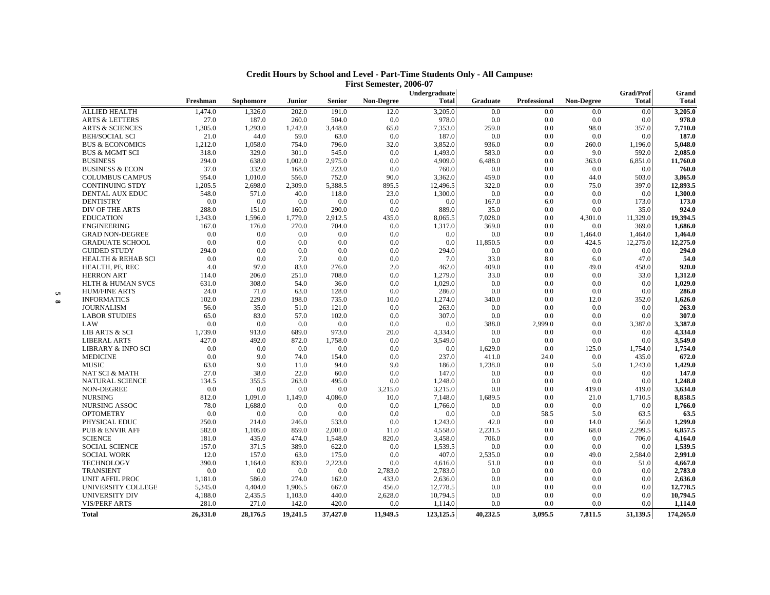|          |                                             |                |                |                |                  |                   | Undergraduate    |                 |              |                   | <b>Grad/Prof</b> | Grand              |
|----------|---------------------------------------------|----------------|----------------|----------------|------------------|-------------------|------------------|-----------------|--------------|-------------------|------------------|--------------------|
|          |                                             | Freshman       | Sophomore      | <b>Junior</b>  | Senior           | <b>Non-Degree</b> | <b>Total</b>     | <b>Graduate</b> | Professional | <b>Non-Degree</b> | <b>Total</b>     | <b>Total</b>       |
|          | <b>ALLIED HEALTH</b>                        | 1,474.0        | 1,326.0        | 202.0          | 191.0            | 12.0              | 3,205.0          | 0.0             | 0.0          | 0.0               | 0.0              | 3,205.0            |
|          | <b>ARTS &amp; LETTERS</b>                   | 27.0           | 187.0          | 260.0          | 504.0            | 0.0               | 978.0            | 0.0             | 0.0          | 0.0               | 0.0              | 978.0              |
|          | <b>ARTS &amp; SCIENCES</b>                  | 1.305.0        | 1,293.0        | 1,242.0        | 3,448.0          | 65.0              | 7,353.0          | 259.0           | 0.0          | 98.0              | 357.0            | 7,710.0            |
|          | <b>BEH/SOCIAL SCI</b>                       | 21.0           | 44.0           | 59.0           | 63.0             | 0.0               | 187.0            | 0.0             | 0.0          | 0.0               | 0.0              | 187.0              |
|          | <b>BUS &amp; ECONOMICS</b>                  | 1,212.0        | 1,058.0        | 754.0          | 796.0            | 32.0              | 3,852.0          | 936.0           | 0.0          | 260.0             | 1,196.0          | 5,048.0            |
|          | <b>BUS &amp; MGMT SCI</b>                   | 318.0          | 329.0          | 301.0          | 545.0            | 0.0               | 1,493.0          | 583.0           | 0.0          | 9.0               | 592.0            | 2,085.0            |
|          | <b>BUSINESS</b>                             | 294.0          | 638.0          | 1.002.0        | 2.975.0          | 0.0               | 4,909.0          | 6.488.0         | 0.0          | 363.0             | 6,851.0          | 11.760.0           |
|          | <b>BUSINESS &amp; ECON</b>                  | 37.0           | 332.0          | 168.0          | 223.0            | 0.0               | 760.0            | 0.0             | 0.0          | 0.0               | 0.0              | 760.0              |
|          | <b>COLUMBUS CAMPUS</b>                      | 954.0          | 1,010.0        | 556.0          | 752.0            | 90.0              | 3,362.0          | 459.0           | 0.0          | 44.0              | 503.0            | 3,865.0            |
|          | <b>CONTINUING STDY</b>                      | 1,205.5        | 2,698.0        | 2,309.0        | 5,388.5          | 895.5             | 12,496.5         | 322.0           | 0.0          | 75.0              | 397.0            | 12,893.5           |
|          | DENTAL AUX EDUC                             | 548.0          | 571.0          | 40.0           | 118.0            | 23.0              | 1,300.0          | 0.0             | 0.0          | 0.0               | 0.0              | 1.300.0            |
|          | <b>DENTISTRY</b>                            | 0.0            | 0.0            | 0.0            | 0.0              | 0.0               | 0.0              | 167.0           | 6.0          | 0.0               | 173.0            | 173.0              |
|          | <b>DIV OF THE ARTS</b>                      | 288.0          | 151.0          | 160.0          | 290.0            | 0.0               | 889.0            | 35.0            | 0.0          | 0.0               | 35.0             | 924.0              |
|          | <b>EDUCATION</b>                            | 1,343.0        | 1,596.0        | 1,779.0        | 2,912.5          | 435.0             | 8,065.5          | 7,028.0         | 0.0          | 4,301.0           | 11,329.0         | 19,394.5           |
|          | <b>ENGINEERING</b>                          | 167.0          | 176.0          | 270.0          | 704.0            | 0.0               | 1,317.0          | 369.0           | 0.0          | 0.0               | 369.0            | 1,686.0            |
|          | <b>GRAD NON-DEGREE</b>                      | 0.0            | 0.0            | 0.0            | 0.0              | 0.0               | 0.0              | 0.0             | 0.0          | 1,464.0           | 1,464.0          | 1,464.0            |
|          | <b>GRADUATE SCHOOL</b>                      | 0.0            | 0.0            | 0.0            | 0.0              | 0.0               | 0.0              | 11,850.5        | 0.0          | 424.5             | 12,275.0         | 12,275.0           |
|          | <b>GUIDED STUDY</b>                         | 294.0          | 0.0            | 0.0            | 0.0              | 0.0               | 294.0            | 0.0             | 0.0          | 0.0               | 0.0              | 294.0              |
|          | <b>HEALTH &amp; REHAB SCI</b>               | 0.0            | 0.0            | 7.0            | 0.0              | 0.0               | 7.0              | 33.0            | 8.0          | 6.0               | 47.0             | 54.0               |
|          | HEALTH. PE. REC                             | 4.0            | 97.0           | 83.0           | 276.0            | 2.0               | 462.0            | 409.0           | 0.0          | 49.0              | 458.0            | 920.0              |
|          | <b>HERRON ART</b>                           | 114.0          | 206.0          | 251.0          | 708.0            | 0.0               | 1,279.0          | 33.0            | 0.0          | 0.0               | 33.0             | 1,312.0            |
|          | <b>HLTH &amp; HUMAN SVCS</b>                | 631.0          | 308.0          | 54.0           | 36.0             | 0.0               | 1,029.0          | 0.0             | 0.0          | 0.0               | 0.0              | 1,029.0            |
|          | <b>HUM/FINE ARTS</b>                        | 24.0           | 71.0           | 63.0           | 128.0            | 0.0               | 286.0            | 0.0             | 0.0          | 0.0               | 0.0              | 286.0              |
| <b>u</b> | <b>INFORMATICS</b>                          | 102.0          | 229.0          | 198.0          | 735.0            | 10.0              | 1,274.0          | 340.0           | 0.0          | 12.0              | 352.0            | 1,626.0            |
| $\infty$ | <b>JOURNALISM</b>                           | 56.0           | 35.0           | 51.0           | 121.0            | 0.0               | 263.0            | 0.0             | 0.0          | 0.0               | 0.0              | 263.0              |
|          | <b>LABOR STUDIES</b>                        | 65.0           | 83.0           | 57.0           | 102.0            | 0.0               | 307.0            | 0.0             | 0.0          | 0.0               | 0.0              | 307.0              |
|          | LAW                                         | 0.0            | 0.0            | 0.0            | 0.0              | 0.0               | 0.0              | 388.0           | 2,999.0      | 0.0               | 3,387.0          | 3,387.0            |
|          | <b>LIB ARTS &amp; SCI</b>                   | 1,739.0        | 913.0          | 689.0          | 973.0            | 20.0              | 4,334.0          | 0.0             | 0.0          | 0.0               | 0.0              | 4,334.0            |
|          | LIBERAL ARTS                                | 427.0          | 492.0          | 872.0          | 1.758.0          | 0.0               | 3,549.0          | 0.0             | 0.0          | 0.0               | 0.0              | 3,549.0            |
|          | <b>LIBRARY &amp; INFO SCI</b>               | 0.0            | 0.0            | 0.0            | 0.0              | 0.0               | 0.0              | 1,629.0         | 0.0          | 125.0             | 1,754.0          | 1,754.0            |
|          | <b>MEDICINE</b>                             | 0.0            | 9.0            | 74.0           | 154.0            | 0.0               | 237.0            | 411.0           | 24.0         | 0.0               | 435.0            | 672.0              |
|          | <b>MUSIC</b>                                | 63.0           | 9.0            | 11.0           | 94.0             | 9.0               | 186.0            | 1,238.0         | 0.0          | 5.0               | 1,243.0          | 1,429.0            |
|          | <b>NAT SCI &amp; MATH</b>                   | 27.0           | 38.0           | 22.0           | 60.0             | 0.0               | 147.0            | 0.0             | 0.0          | 0.0               | 0.0              | 147.0              |
|          | <b>NATURAL SCIENCE</b>                      | 134.5          | 355.5          | 263.0          | 495.0            | 0.0               | 1,248.0          | 0.0             | 0.0          | 0.0               | 0.0              | 1,248.0            |
|          | NON-DEGREE                                  | 0.0            | 0.0            | 0.0            | 0.0              | 3,215.0           | 3,215.0          | 0.0             | 0.0          | 419.0             | 419.0            | 3,634.0            |
|          | <b>NURSING</b>                              | 812.0          | 1,091.0        | 1,149.0        | 4,086.0          | 10.0              | 7,148.0          | 1,689.5         | 0.0          | 21.0              | 1,710.5          | 8,858.5            |
|          | <b>NURSING ASSOC</b>                        | 78.0           | 1,688.0        | 0.0            | 0.0              | 0.0               | 1,766.0          | 0.0             | 0.0          | 0.0               | 0.0              | 1,766.0            |
|          | <b>OPTOMETRY</b>                            | 0.0            | 0.0            | 0.0            | 0.0              | 0.0               | 0.0              | 0.0             | 58.5         | 5.0               |                  |                    |
|          | PHYSICAL EDUC                               | 250.0          | 214.0          | 246.0          | 533.0            | 0.0               | 1,243.0          | 42.0            | 0.0          | 14.0              | 63.5<br>56.0     | 63.5<br>1,299.0    |
|          |                                             | 582.0          |                |                | 2.001.0          |                   |                  |                 | 0.0          |                   |                  |                    |
|          | <b>PUB &amp; ENVIR AFF</b>                  |                | 1,105.0        | 859.0          |                  | 11.0              | 4,558.0          | 2,231.5         |              | 68.0              | 2,299.5          | 6,857.5            |
|          | <b>SCIENCE</b>                              | 181.0<br>157.0 | 435.0<br>371.5 | 474.0<br>389.0 | 1,548.0<br>622.0 | 820.0<br>0.0      | 3,458.0          | 706.0<br>0.0    | 0.0<br>0.0   | 0.0<br>0.0        | 706.0            | 4,164.0<br>1,539.5 |
|          | <b>SOCIAL SCIENCE</b><br><b>SOCIAL WORK</b> | 12.0           | 157.0          | 63.0           | 175.0            | 0.0               | 1,539.5<br>407.0 |                 | 0.0          | 49.0              | 0.0              | 2.991.0            |
|          |                                             |                |                |                |                  |                   |                  | 2,535.0         |              |                   | 2,584.0          |                    |
|          | <b>TECHNOLOGY</b>                           | 390.0          | 1,164.0        | 839.0          | 2,223.0          | 0.0               | 4,616.0          | 51.0            | 0.0          | 0.0               | 51.0             | 4,667.0            |
|          | TRANSIENT                                   | 0.0            | 0.0            | 0.0            | 0.0              | 2,783.0           | 2,783.0          | 0.0             | 0.0          | 0.0               | 0.0              | 2,783.0            |
|          | <b>UNIT AFFIL PROG</b>                      | 1,181.0        | 586.0          | 274.0          | 162.0            | 433.0             | 2,636.0          | 0.0             | 0.0          | 0.0               | 0.0              | 2,636.0            |
|          | UNIVERSITY COLLEGE                          | 5,345.0        | 4,404.0        | 1,906.5        | 667.0            | 456.0             | 12,778.5         | 0.0             | 0.0          | 0.0               | 0.0              | 12,778.5           |
|          | <b>UNIVERSITY DIV</b>                       | 4,188.0        | 2,435.5        | 1,103.0        | 440.0            | 2,628.0           | 10,794.5         | 0.0             | 0.0          | 0.0               | 0.0              | 10.794.5           |
|          | <b>VIS/PERF ARTS</b>                        | 281.0          | 271.0          | 142.0          | 420.0            | 0.0               | 1,114.0          | 0.0             | 0.0          | 0.0               | 0.0              | 1,114.0            |
|          | <b>Total</b>                                | 26,331.0       | 28,176.5       | 19,241.5       | 37,427.0         | 11,949.5          | 123,125.5        | 40,232.5        | 3,095.5      | 7,811.5           | 51,139.5         | 174,265.0          |

#### **Credit Hours by School and Level - Part-Time Students Only - All Campuses First Semester, 2006-07**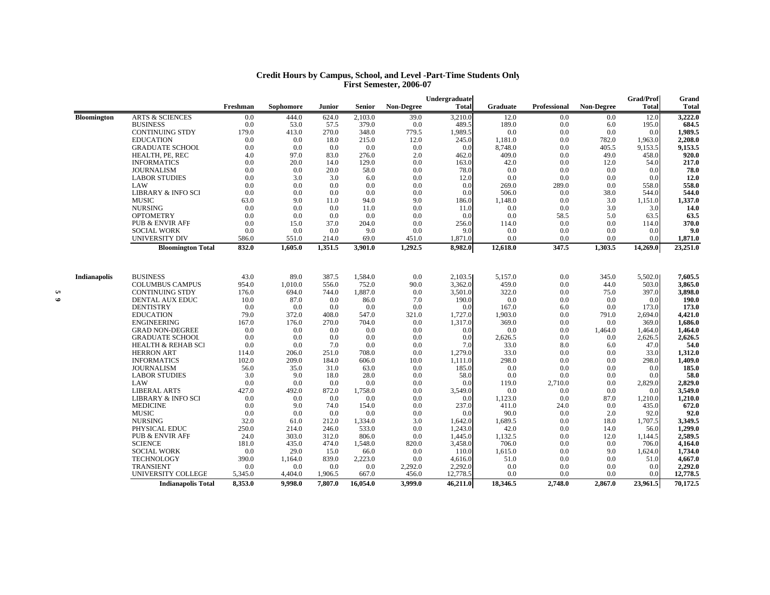|                     |                               |          |           |         |               |            | Undergraduate |          |                     |                   | <b>Grad/Prof</b> | Grand        |
|---------------------|-------------------------------|----------|-----------|---------|---------------|------------|---------------|----------|---------------------|-------------------|------------------|--------------|
|                     |                               | Freshman | Sophomore | Junior  | <b>Senior</b> | Non-Degree | <b>Total</b>  | Graduate | <b>Professional</b> | <b>Non-Degree</b> | <b>Total</b>     | <b>Total</b> |
| Bloomington         | <b>ARTS &amp; SCIENCES</b>    | 0.0      | 444.0     | 624.0   | 2,103.0       | 39.0       | 3,210.0       | 12.0     | 0.0                 | 0.0               | 12.0             | 3,222.0      |
|                     | <b>BUSINESS</b>               | 0.0      | 53.0      | 57.5    | 379.0         | 0.0        | 489.5         | 189.0    | 0.0                 | 6.0               | 195.0            | 684.5        |
|                     | <b>CONTINUING STDY</b>        | 179.0    | 413.0     | 270.0   | 348.0         | 779.5      | 1,989.5       | 0.0      | 0.0                 | 0.0               | 0.0              | 1,989.5      |
|                     | <b>EDUCATION</b>              | 0.0      | 0.0       | 18.0    | 215.0         | 12.0       | 245.0         | 1,181.0  | 0.0                 | 782.0             | 1,963.0          | 2,208.0      |
|                     | <b>GRADUATE SCHOOL</b>        | 0.0      | 0.0       | 0.0     | 0.0           | 0.0        | 0.0           | 8,748.0  | 0.0                 | 405.5             | 9,153.5          | 9,153.5      |
|                     | HEALTH, PE, REC               | 4.0      | 97.0      | 83.0    | 276.0         | 2.0        | 462.0         | 409.0    | 0.0                 | 49.0              | 458.0            | 920.0        |
|                     | <b>INFORMATICS</b>            | 0.0      | 20.0      | 14.0    | 129.0         | 0.0        | 163.0         | 42.0     | 0.0                 | 12.0              | 54.0             | 217.0        |
|                     | <b>JOURNALISM</b>             | 0.0      | 0.0       | 20.0    | 58.0          | 0.0        | 78.0          | 0.0      | 0.0                 | 0.0               | 0.0              | 78.0         |
|                     | <b>LABOR STUDIES</b>          | 0.0      | 3.0       | 3.0     | 6.0           | 0.0        | 12.0          | 0.0      | 0.0                 | 0.0               | 0.0              | 12.0         |
|                     | LAW                           | 0.0      | 0.0       | 0.0     | 0.0           | 0.0        | 0.0           | 269.0    | 289.0               | 0.0               | 558.0            | 558.0        |
|                     | <b>LIBRARY &amp; INFO SCI</b> | 0.0      | 0.0       | 0.0     | 0.0           | 0.0        | 0.0           | 506.0    | 0.0                 | 38.0              | 544.0            | 544.0        |
|                     | <b>MUSIC</b>                  | 63.0     | 9.0       | 11.0    | 94.0          | 9.0        | 186.0         | 1,148.0  | 0.0                 | 3.0               | 1,151.0          | 1,337.0      |
|                     | <b>NURSING</b>                | 0.0      | 0.0       | 0.0     | 11.0          | 0.0        | 11.0          | 0.0      | 0.0                 | 3.0               | 3.0              | 14.0         |
|                     | <b>OPTOMETRY</b>              | 0.0      | 0.0       | 0.0     | 0.0           | 0.0        | 0.0           | 0.0      | 58.5                | 5.0               | 63.5             | 63.5         |
|                     | <b>PUB &amp; ENVIR AFF</b>    | 0.0      | 15.0      | 37.0    | 204.0         | 0.0        | 256.0         | 114.0    | 0.0                 | 0.0               | 114.0            | 370.0        |
|                     | <b>SOCIAL WORK</b>            | 0.0      | 0.0       | 0.0     | 9.0           | 0.0        | 9.0           | 0.0      | 0.0                 | 0.0               | 0.0              | 9.0          |
|                     | <b>UNIVERSITY DIV</b>         | 586.0    | 551.0     | 214.0   | 69.0          | 451.0      | 1,871.0       | 0.0      | 0.0                 | 0.0               | 0.0              | 1,871.0      |
|                     | <b>Bloomington Total</b>      | 832.0    | 1.605.0   | 1,351.5 | 3,901.0       | 1,292.5    | 8,982.0       | 12,618.0 | 347.5               | 1,303.5           | 14,269.0         | 23,251.0     |
| <b>Indianapolis</b> | <b>BUSINESS</b>               | 43.0     | 89.0      | 387.5   | 1.584.0       | 0.0        | 2,103.5       | 5,157.0  | 0.0                 | 345.0             | 5,502.0          | 7.605.5      |
|                     | <b>COLUMBUS CAMPUS</b>        | 954.0    | 1,010.0   | 556.0   | 752.0         | 90.0       | 3,362.0       | 459.0    | 0.0                 | 44.0              | 503.0            | 3,865.0      |
|                     | <b>CONTINUING STDY</b>        | 176.0    | 694.0     | 744.0   | 1,887.0       | 0.0        | 3,501.0       | 322.0    | 0.0                 | 75.0              | 397.0            | 3,898.0      |
|                     | <b>DENTAL AUX EDUC</b>        | 10.0     | 87.0      | 0.0     | 86.0          | 7.0        | 190.0         | 0.0      | 0.0                 | 0.0               | 0.0              | 190.0        |
|                     | <b>DENTISTRY</b>              | 0.0      | 0.0       | 0.0     | 0.0           | 0.0        | 0.0           | 167.0    | 6.0                 | 0.0               | 173.0            | 173.0        |
|                     | <b>EDUCATION</b>              | 79.0     | 372.0     | 408.0   | 547.0         | 321.0      | 1,727.0       | 1,903.0  | 0.0                 | 791.0             | 2,694.0          | 4,421.0      |
|                     | <b>ENGINEERING</b>            | 167.0    | 176.0     | 270.0   | 704.0         | 0.0        | 1,317.0       | 369.0    | 0.0                 | 0.0               | 369.0            | 1,686.0      |
|                     | <b>GRAD NON-DEGREE</b>        | 0.0      | 0.0       | 0.0     | 0.0           | 0.0        | 0.0           | 0.0      | 0.0                 | 1,464.0           | 1,464.0          | 1,464.0      |
|                     | <b>GRADUATE SCHOOL</b>        | 0.0      | 0.0       | 0.0     | 0.0           | 0.0        | 0.0           | 2,626.5  | 0.0                 | 0.0               | 2,626.5          | 2,626.5      |
|                     | <b>HEALTH &amp; REHAB SCI</b> | 0.0      | 0.0       | 7.0     | 0.0           | 0.0        | 7.0           | 33.0     | 8.0                 | 6.0               | 47.0             | 54.0         |
|                     | <b>HERRON ART</b>             | 114.0    | 206.0     | 251.0   | 708.0         | 0.0        | 1,279.0       | 33.0     | 0.0                 | 0.0               | 33.0             | 1,312.0      |
|                     | <b>INFORMATICS</b>            | 102.0    | 209.0     | 184.0   | 606.0         | 10.0       | 1,111.0       | 298.0    | 0.0                 | 0.0               | 298.0            | 1,409.0      |
|                     | <b>JOURNALISM</b>             | 56.0     | 35.0      | 31.0    | 63.0          | 0.0        | 185.0         | 0.0      | 0.0                 | 0.0               | 0.0              | 185.0        |
|                     | <b>LABOR STUDIES</b>          | 3.0      | 9.0       | 18.0    | 28.0          | 0.0        | 58.0          | 0.0      | 0.0                 | 0.0               | 0.0              | 58.0         |
|                     | <b>LAW</b>                    | 0.0      | 0.0       | 0.0     | 0.0           | 0.0        | 0.0           | 119.0    | 2,710.0             | 0.0               | 2,829.0          | 2,829.0      |
|                     | <b>LIBERAL ARTS</b>           | 427.0    | 492.0     | 872.0   | 1,758.0       | 0.0        | 3,549.0       | 0.0      | 0.0                 | 0.0               | 0.0              | 3,549.0      |
|                     | <b>LIBRARY &amp; INFO SCI</b> | 0.0      | 0.0       | 0.0     | 0.0           | 0.0        | 0.0           | 1,123.0  | 0.0                 | 87.0              | 1,210.0          | 1,210.0      |
|                     | <b>MEDICINE</b>               | 0.0      | 9.0       | 74.0    | 154.0         | 0.0        | 237.0         | 411.0    | 24.0                | 0.0               | 435.0            | 672.0        |
|                     | <b>MUSIC</b>                  | 0.0      | 0.0       | 0.0     | 0.0           | 0.0        | 0.0           | 90.0     | 0.0                 | 2.0               | 92.0             | 92.0         |
|                     | <b>NURSING</b>                | 32.0     | 61.0      | 212.0   | 1,334.0       | 3.0        | 1,642.0       | 1,689.5  | 0.0                 | 18.0              | 1,707.5          | 3,349.5      |
|                     | PHYSICAL EDUC                 | 250.0    | 214.0     | 246.0   | 533.0         | 0.0        | 1,243.0       | 42.0     | 0.0                 | 14.0              | 56.0             | 1,299.0      |
|                     | <b>PUB &amp; ENVIR AFF</b>    | 24.0     | 303.0     | 312.0   | 806.0         | 0.0        | 1,445.0       | 1,132.5  | 0.0                 | 12.0              | 1,144.5          | 2,589.5      |
|                     | <b>SCIENCE</b>                | 181.0    | 435.0     | 474.0   | 1,548.0       | 820.0      | 3,458.0       | 706.0    | 0.0                 | 0.0               | 706.0            | 4,164.0      |
|                     | <b>SOCIAL WORK</b>            | 0.0      | 29.0      | 15.0    | 66.0          | 0.0        | 110.0         | 1,615.0  | 0.0                 | 9.0               | 1,624.0          | 1,734.0      |
|                     | <b>TECHNOLOGY</b>             | 390.0    | 1,164.0   | 839.0   | 2,223.0       | 0.0        | 4,616.0       | 51.0     | 0.0                 | 0.0               | 51.0             | 4,667.0      |
|                     | <b>TRANSIENT</b>              | 0.0      | 0.0       | 0.0     | 0.0           | 2,292.0    | 2,292.0       | 0.0      | 0.0                 | 0.0               | 0.0              | 2,292.0      |
|                     | UNIVERSITY COLLEGE            | 5,345.0  | 4,404.0   | 1,906.5 | 667.0         | 456.0      | 12,778.5      | 0.0      | 0.0                 | 0.0               | 0.0              | 12,778.5     |
|                     | <b>Indianapolis Total</b>     | 8.353.0  | 9,998.0   | 7,807.0 | 16,054.0      | 3.999.0    | 46,211.0      | 18,346.5 | 2.748.0             | 2,867.0           | 23,961.5         | 70,172.5     |

#### **Credit Hours by Campus, School, and Level -Part-Time Students Only First Semester, 2006-07**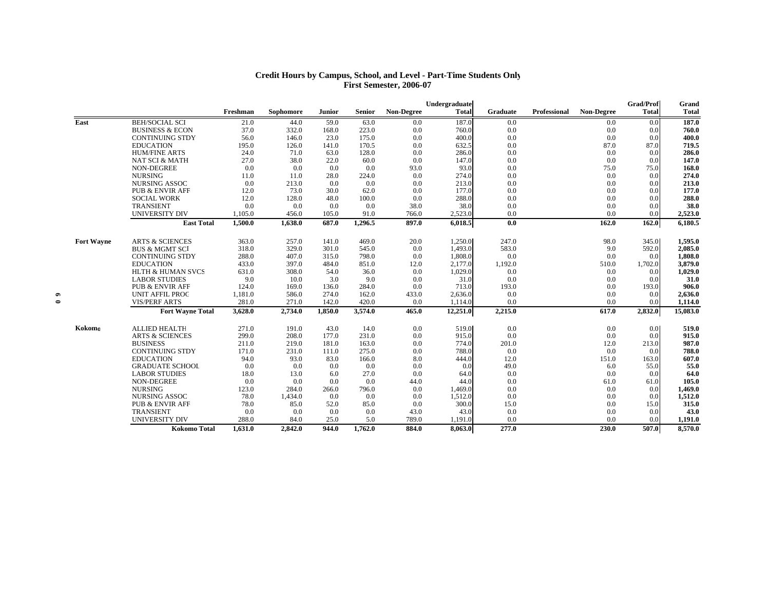#### **Credit Hours by Campus, School, and Level - Part-Time Students Only First Semester, 2006-07**

|                   |                                            |               |           |               |                |            | Undergraduate |            |              |                   | <b>Grad/Prof</b> | Grand          |
|-------------------|--------------------------------------------|---------------|-----------|---------------|----------------|------------|---------------|------------|--------------|-------------------|------------------|----------------|
|                   |                                            | Freshman      | Sophomore | Junior        | Senior         | Non-Degree | <b>Total</b>  | Graduate   | Professional | <b>Non-Degree</b> | <b>Total</b>     | <b>Total</b>   |
| East              | <b>BEH/SOCIAL SCI</b>                      | 21.0          | 44.0      | 59.0          | 63.0           | 0.0        | 187.0         | 0.0        |              | 0.0               | 0.0              | 187.0          |
|                   | <b>BUSINESS &amp; ECON</b>                 | 37.0          | 332.0     | 168.0         | 223.0          | 0.0        | 760.0         | 0.0        |              | 0.0               | 0.0              | 760.0          |
|                   | <b>CONTINUING STDY</b>                     | 56.0          | 146.0     | 23.0          | 175.0          | 0.0        | 400.0         | 0.0        |              | 0.0               | 0.0              | 400.0          |
|                   | <b>EDUCATION</b>                           | 195.0         | 126.0     | 141.0         | 170.5          | 0.0        | 632.5         | 0.0        |              | 87.0              | 87.0             | 719.5          |
|                   | <b>HUM/FINE ARTS</b>                       | 24.0          | 71.0      | 63.0          | 128.0          | 0.0        | 286.0         | 0.0        |              | 0.0               | 0.0              | 286.0          |
|                   | <b>NAT SCI &amp; MATH</b>                  | 27.0          | 38.0      | 22.0          | 60.0           | 0.0        | 147.0         | 0.0        |              | 0.0               | 0.0              | 147.0          |
|                   | NON-DEGREE                                 | 0.0           | 0.0       | 0.0           | 0.0            | 93.0       | 93.0          | 0.0        |              | 75.0              | 75.0             | 168.0          |
|                   | <b>NURSING</b>                             | 11.0          | 11.0      | 28.0          | 224.0          | 0.0        | 274.0         | 0.0        |              | 0.0               | 0.0              | 274.0          |
|                   | NURSING ASSOC                              | 0.0           | 213.0     | 0.0           | 0.0            | 0.0        | 213.0         | 0.0        |              | 0.0               | 0.0              | 213.0          |
|                   | <b>PUB &amp; ENVIR AFF</b>                 | 12.0          | 73.0      | 30.0          | 62.0           | 0.0        | 177.0         | 0.0        |              | 0.0               | 0.0              | 177.0          |
|                   | <b>SOCIAL WORK</b>                         | 12.0          | 128.0     | 48.0          | 100.0          | 0.0        | 288.0         | 0.0        |              | 0.0               | 0.0              | 288.0          |
|                   | TRANSIENT                                  | 0.0           | 0.0       | 0.0           | 0.0            | 38.0       | 38.0          | 0.0        |              | 0.0               | 0.0              | 38.0           |
|                   | <b>UNIVERSITY DIV</b>                      | 1,105.0       | 456.0     | 105.0         | 91.0           | 766.0      | 2,523.0       | 0.0        |              | 0.0               | 0.0              | 2,523.0        |
|                   | <b>East Total</b>                          | 1,500.0       | 1,638.0   | 687.0         | 1,296.5        | 897.0      | 6,018.5       | 0.0        |              | 162.0             | 162.0            | 6,180.5        |
| <b>Fort Wayne</b> | <b>ARTS &amp; SCIENCES</b>                 | 363.0         | 257.0     | 141.0         | 469.0          | 20.0       | 1,250.0       | 247.0      |              | 98.0              | 345.0            | 1,595.0        |
|                   | <b>BUS &amp; MGMT SCI</b>                  | 318.0         | 329.0     | 301.0         | 545.0          | 0.0        | 1,493.0       | 583.0      |              | 9.0               | 592.0            | 2,085.0        |
|                   | <b>CONTINUING STDY</b>                     | 288.0         | 407.0     | 315.0         | 798.0          | 0.0        | 1,808.0       | 0.0        |              | 0.0               | 0.0              | 1,808.0        |
|                   | <b>EDUCATION</b>                           | 433.0         | 397.0     | 484.0         | 851.0          | 12.0       | 2,177.0       | 1,192.0    |              | 510.0             | 1,702.0          | 3,879.0        |
|                   | <b>HLTH &amp; HUMAN SVCS</b>               | 631.0         | 308.0     | 54.0          | 36.0           | 0.0        | 1,029.0       | 0.0        |              | 0.0               | 0.0              | 1,029.0        |
|                   | <b>LABOR STUDIES</b>                       | 9.0           | 10.0      | 3.0           | 9.0            | 0.0        | 31.0          | 0.0        |              | 0.0               | 0.0              | 31.0           |
|                   | <b>PUB &amp; ENVIR AFF</b>                 | 124.0         | 169.0     | 136.0         | 284.0          | 0.0        | 713.0         | 193.0      |              | 0.0               | 193.0            | 906.0          |
|                   | <b>UNIT AFFIL PROC</b>                     | 1,181.0       | 586.0     | 274.0         | 162.0          | 433.0      | 2,636.0       | 0.0        |              | 0.0               | 0.0              | 2,636.0        |
|                   | <b>VIS/PERF ARTS</b>                       | 281.0         | 271.0     | 142.0         | 420.0          | 0.0        | 1,114.0       | 0.0        |              | 0.0               | 0.0              | 1,114.0        |
|                   | <b>Fort Wayne Total</b>                    | 3,628.0       | 2,734.0   | 1.850.0       | 3,574.0        | 465.0      | 12,251.0      | 2,215.0    |              | 617.0             | 2,832.0          | 15,083.0       |
|                   |                                            |               |           |               |                |            |               |            |              |                   |                  |                |
| Kokomo            | <b>ALLIED HEALTH</b>                       | 271.0         | 191.0     | 43.0          | 14.0           | 0.0        | 519.0         | 0.0        |              | 0.0               | 0.0<br>0.0       | 519.0          |
|                   | <b>ARTS &amp; SCIENCES</b>                 | 299.0         | 208.0     | 177.0         | 231.0          | 0.0        | 915.0         | 0.0        |              | 0.0               |                  | 915.0          |
|                   | <b>BUSINESS</b>                            | 211.0         | 219.0     | 181.0         | 163.0          | 0.0        | 774.0         | 201.0      |              | 12.0              | 213.0            | 987.0          |
|                   | <b>CONTINUING STDY</b><br><b>EDUCATION</b> | 171.0         | 231.0     | 111.0<br>83.0 | 275.0<br>166.0 | 0.0        | 788.0         | 0.0        |              | 0.0               | 0.0<br>163.0     | 788.0<br>607.0 |
|                   |                                            | 94.0          | 93.0      |               |                | 8.0        | 444.0         | 12.0       |              | 151.0             |                  |                |
|                   | <b>GRADUATE SCHOOL</b>                     | 0.0           | 0.0       | 0.0           | 0.0            | 0.0        | 0.0           | 49.0       |              | 6.0               | 55.0             | 55.0           |
|                   | <b>LABOR STUDIES</b>                       | 18.0          | 13.0      | 6.0           | 27.0           | 0.0        | 64.0          | 0.0        |              | 0.0               | 0.0              | 64.0           |
|                   | NON-DEGREE                                 | 0.0           | 0.0       | 0.0           | 0.0            | 44.0       | 44.0          | 0.0        |              | 61.0              | 61.0             | 105.0          |
|                   | <b>NURSING</b><br><b>NURSING ASSOC</b>     | 123.0<br>78.0 | 284.0     | 266.0         | 796.0<br>0.0   | 0.0<br>0.0 | 1,469.0       | 0.0<br>0.0 |              | 0.0               | 0.0              | 1,469.0        |
|                   |                                            |               | 1,434.0   | 0.0           |                |            | 1,512.0       |            |              | 0.0               | 0.0              | 1,512.0        |
|                   | <b>PUB &amp; ENVIR AFF</b>                 | 78.0          | 85.0      | 52.0          | 85.0           | 0.0        | 300.0         | 15.0       |              | 0.0               | 15.0<br>0.0      | 315.0          |
|                   | <b>TRANSIENT</b>                           | 0.0           | 0.0       | 0.0           | 0.0            | 43.0       | 43.0          | 0.0        |              | 0.0               |                  | 43.0           |
|                   | <b>UNIVERSITY DIV</b>                      | 288.0         | 84.0      | 25.0          | 5.0            | 789.0      | 1,191.0       | 0.0        |              | 0.0               | 0.0              | 1,191.0        |
|                   | Kokomo Total                               | 1,631.0       | 2,842.0   | 944.0         | 1,762.0        | 884.0      | 8,063.0       | 277.0      |              | 230.0             | 507.0            | 8,570.0        |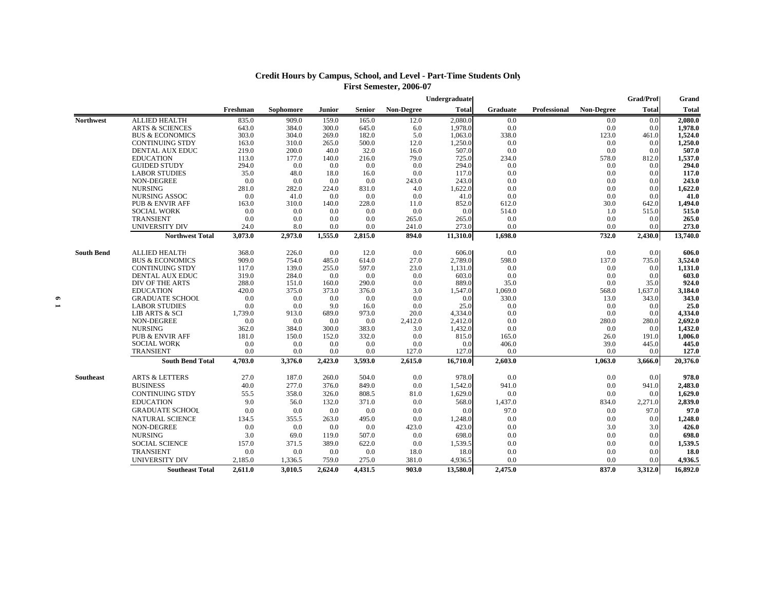| <b>Credit Hours by Campus, School, and Level - Part-Time Students Only</b> |
|----------------------------------------------------------------------------|
| First Semester, 2006-07                                                    |
|                                                                            |

|                   |                            |          |           |         |               |                   | Undergraduate |                 |                     |                   | <b>Grad/Prof</b> | Grand        |
|-------------------|----------------------------|----------|-----------|---------|---------------|-------------------|---------------|-----------------|---------------------|-------------------|------------------|--------------|
|                   |                            | Freshman | Sophomore | Junior  | <b>Senior</b> | <b>Non-Degree</b> | <b>Total</b>  | <b>Graduate</b> | <b>Professional</b> | <b>Non-Degree</b> | <b>Total</b>     | <b>Total</b> |
| <b>Northwest</b>  | <b>ALLIED HEALTH</b>       | 835.0    | 909.0     | 159.0   | 165.0         | 12.0              | 2,080.0       | 0.0             |                     | 0.0               | 0.0              | 2,080.0      |
|                   | <b>ARTS &amp; SCIENCES</b> | 643.0    | 384.0     | 300.0   | 645.0         | 6.0               | 1,978.0       | 0.0             |                     | 0.0               | 0.0              | 1,978.0      |
|                   | <b>BUS &amp; ECONOMICS</b> | 303.0    | 304.0     | 269.0   | 182.0         | 5.0               | 1,063.0       | 338.0           |                     | 123.0             | 461.0            | 1,524.0      |
|                   | <b>CONTINUING STDY</b>     | 163.0    | 310.0     | 265.0   | 500.0         | 12.0              | 1,250.0       | 0.0             |                     | 0.0               | 0.0              | 1,250.0      |
|                   | <b>DENTAL AUX EDUC</b>     | 219.0    | 200.0     | 40.0    | 32.0          | 16.0              | 507.0         | 0.0             |                     | 0.0               | 0.0              | 507.0        |
|                   | <b>EDUCATION</b>           | 113.0    | 177.0     | 140.0   | 216.0         | 79.0              | 725.0         | 234.0           |                     | 578.0             | 812.0            | 1,537.0      |
|                   | <b>GUIDED STUDY</b>        | 294.0    | 0.0       | 0.0     | 0.0           | 0.0               | 294.0         | 0.0             |                     | 0.0               | 0.0              | 294.0        |
|                   | <b>LABOR STUDIES</b>       | 35.0     | 48.0      | 18.0    | 16.0          | 0.0               | 117.0         | 0.0             |                     | 0.0               | 0.0              | 117.0        |
|                   | NON-DEGREE                 | 0.0      | 0.0       | 0.0     | 0.0           | 243.0             | 243.0         | 0.0             |                     | 0.0               | 0.0              | 243.0        |
|                   | <b>NURSING</b>             | 281.0    | 282.0     | 224.0   | 831.0         | 4.0               | 1,622.0       | 0.0             |                     | 0.0               | 0.0              | 1,622.0      |
|                   | <b>NURSING ASSOC</b>       | 0.0      | 41.0      | 0.0     | 0.0           | 0.0               | 41.0          | 0.0             |                     | 0.0               | 0.0              | 41.0         |
|                   | <b>PUB &amp; ENVIR AFF</b> | 163.0    | 310.0     | 140.0   | 228.0         | 11.0              | 852.0         | 612.0           |                     | 30.0              | 642.0            | 1,494.0      |
|                   | <b>SOCIAL WORK</b>         | 0.0      | 0.0       | 0.0     | 0.0           | 0.0               | 0.0           | 514.0           |                     | 1.0               | 515.0            | 515.0        |
|                   | <b>TRANSIENT</b>           | 0.0      | 0.0       | 0.0     | 0.0           | 265.0             | 265.0         | 0.0             |                     | 0.0               | 0.0              | 265.0        |
|                   | <b>UNIVERSITY DIV</b>      | 24.0     | 8.0       | 0.0     | 0.0           | 241.0             | 273.0         | 0.0             |                     | 0.0               | 0.0              | 273.0        |
|                   | <b>Northwest Total</b>     | 3,073.0  | 2,973.0   | 1,555.0 | 2,815.0       | 894.0             | 11,310.0      | 1,698.0         |                     | 732.0             | 2,430.0          | 13,740.0     |
| <b>South Bend</b> | <b>ALLIED HEALTH</b>       | 368.0    | 226.0     | 0.0     | 12.0          | 0.0               | 606.0         | 0.0             |                     | 0.0               | 0.0              | 606.0        |
|                   | <b>BUS &amp; ECONOMICS</b> | 909.0    | 754.0     | 485.0   | 614.0         | 27.0              | 2,789.0       | 598.0           |                     | 137.0             | 735.0            | 3,524.0      |
|                   | <b>CONTINUING STDY</b>     | 117.0    | 139.0     | 255.0   | 597.0         | 23.0              | 1,131.0       | 0.0             |                     | 0.0               | 0.0              | 1,131.0      |
|                   | DENTAL AUX EDUC            | 319.0    | 284.0     | 0.0     | 0.0           | 0.0               | 603.0         | 0.0             |                     | 0.0               | 0.0              | 603.0        |
|                   | DIV OF THE ARTS            | 288.0    | 151.0     | 160.0   | 290.0         | 0.0               | 889.0         | 35.0            |                     | 0.0               | 35.0             | 924.0        |
|                   | <b>EDUCATION</b>           | 420.0    | 375.0     | 373.0   | 376.0         | 3.0               | 1,547.0       | 1,069.0         |                     | 568.0             | 1,637.0          | 3,184.0      |
|                   | <b>GRADUATE SCHOOL</b>     | 0.0      | 0.0       | 0.0     | 0.0           | 0.0               | 0.0           | 330.0           |                     | 13.0              | 343.0            | 343.0        |
|                   | <b>LABOR STUDIES</b>       | 0.0      | 0.0       | 9.0     | 16.0          | 0.0               | 25.0          | 0.0             |                     | 0.0               | 0.0              | 25.0         |
|                   | LIB ARTS & SCI             | 1,739.0  | 913.0     | 689.0   | 973.0         | 20.0              | 4,334.0       | 0.0             |                     | 0.0               | 0.0              | 4,334.0      |
|                   | NON-DEGREE                 | 0.0      | 0.0       | 0.0     | 0.0           | 2,412.0           | 2,412.0       | 0.0             |                     | 280.0             | 280.0            | 2,692.0      |
|                   | <b>NURSING</b>             | 362.0    | 384.0     | 300.0   | 383.0         | 3.0               | 1,432.0       | 0.0             |                     | 0.0               | 0.0              | 1,432.0      |
|                   | <b>PUB &amp; ENVIR AFF</b> | 181.0    | 150.0     | 152.0   | 332.0         | 0.0               | 815.0         | 165.0           |                     | 26.0              | 191.0            | 1,006.0      |
|                   | <b>SOCIAL WORK</b>         | 0.0      | 0.0       | 0.0     | 0.0           | 0.0               | 0.0           | 406.0           |                     | 39.0              | 445.0            | 445.0        |
|                   | TRANSIENT                  | 0.0      | 0.0       | 0.0     | 0.0           | 127.0             | 127.0         | 0.0             |                     | 0.0               | 0.0              | 127.0        |
|                   | <b>South Bend Total</b>    | 4,703.0  | 3,376.0   | 2,423.0 | 3,593.0       | 2,615.0           | 16,710.0      | 2,603.0         |                     | 1,063.0           | 3,666.0          | 20,376.0     |
| <b>Southeast</b>  | <b>ARTS &amp; LETTERS</b>  | 27.0     | 187.0     | 260.0   | 504.0         | 0.0               | 978.0         | 0.0             |                     | 0.0               | 0.0              | 978.0        |
|                   | <b>BUSINESS</b>            | 40.0     | 277.0     | 376.0   | 849.0         | 0.0               | 1,542.0       | 941.0           |                     | 0.0               | 941.0            | 2,483.0      |
|                   | <b>CONTINUING STDY</b>     | 55.5     | 358.0     | 326.0   | 808.5         | 81.0              | 1,629.0       | 0.0             |                     | 0.0               | 0.0              | 1,629.0      |
|                   | <b>EDUCATION</b>           | 9.0      | 56.0      | 132.0   | 371.0         | 0.0               | 568.0         | 1,437.0         |                     | 834.0             | 2,271.0          | 2,839.0      |
|                   | <b>GRADUATE SCHOOL</b>     | 0.0      | 0.0       | 0.0     | 0.0           | 0.0               | 0.0           | 97.0            |                     | 0.0               | 97.0             | 97.0         |
|                   | NATURAL SCIENCE            | 134.5    | 355.5     | 263.0   | 495.0         | 0.0               | 1,248.0       | 0.0             |                     | 0.0               | 0.0              | 1,248.0      |
|                   | NON-DEGREE                 | 0.0      | 0.0       | 0.0     | 0.0           | 423.0             | 423.0         | 0.0             |                     | 3.0               | 3.0              | 426.0        |
|                   | <b>NURSING</b>             | 3.0      | 69.0      | 119.0   | 507.0         | 0.0               | 698.0         | 0.0             |                     | 0.0               | 0.0              | 698.0        |
|                   | <b>SOCIAL SCIENCE</b>      | 157.0    | 371.5     | 389.0   | 622.0         | 0.0               | 1,539.5       | 0.0             |                     | 0.0               | 0.0              | 1,539.5      |
|                   | <b>TRANSIENT</b>           | 0.0      | 0.0       | 0.0     | 0.0           | 18.0              | 18.0          | 0.0             |                     | 0.0               | 0.0              | 18.0         |
|                   | <b>UNIVERSITY DIV</b>      | 2,185.0  | 1,336.5   | 759.0   | 275.0         | 381.0             | 4,936.5       | 0.0             |                     | 0.0               | 0.0              | 4,936.5      |
|                   | <b>Southeast Total</b>     | 2,611.0  | 3.010.5   | 2,624.0 | 4,431.5       | 903.0             | 13,580.0      | 2,475.0         |                     | 837.0             | 3,312.0          | 16,892.0     |
|                   |                            |          |           |         |               |                   |               |                 |                     |                   |                  |              |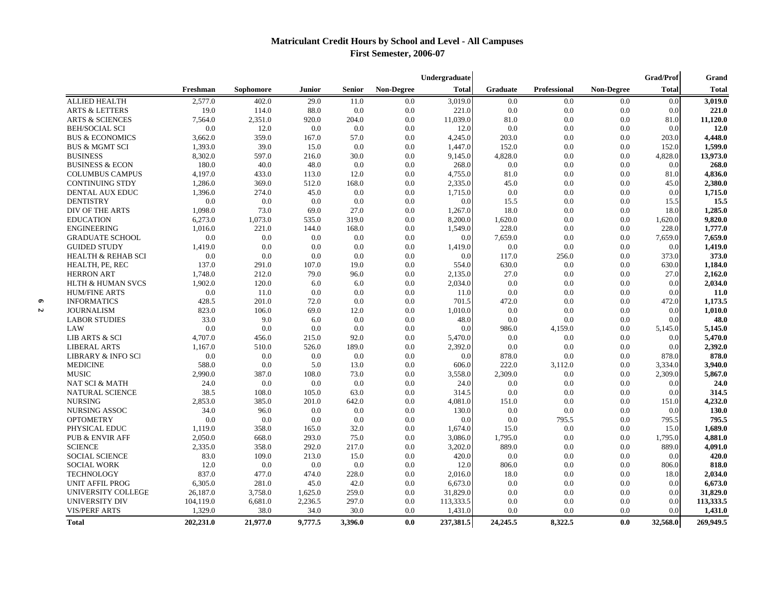# **Matriculant Credit Hours by School and Level - All Campuses First Semester, 2006-07**

|                               | <b>Grad/Prof</b><br>Undergraduate |           |         |         |                   |              |                 | Grand               |                   |              |              |
|-------------------------------|-----------------------------------|-----------|---------|---------|-------------------|--------------|-----------------|---------------------|-------------------|--------------|--------------|
|                               | Freshman                          | Sophomore | Junior  | Senior  | <b>Non-Degree</b> | <b>Total</b> | <b>Graduate</b> | <b>Professional</b> | <b>Non-Degree</b> | <b>Total</b> | <b>Total</b> |
| <b>ALLIED HEALTH</b>          | 2,577.0                           | 402.0     | 29.0    | 11.0    | 0.0               | 3,019.0      | 0.0             | 0.0                 | 0.0               | 0.0          | 3,019.0      |
| <b>ARTS &amp; LETTERS</b>     | 19.0                              | 114.0     | 88.0    | 0.0     | 0.0               | 221.0        | 0.0             | 0.0                 | 0.0               | 0.0          | 221.0        |
| <b>ARTS &amp; SCIENCES</b>    | 7,564.0                           | 2,351.0   | 920.0   | 204.0   | 0.0               | 11,039.0     | 81.0            | 0.0                 | 0.0               | 81.0         | 11,120.0     |
| <b>BEH/SOCIAL SCI</b>         | 0.0                               | 12.0      | 0.0     | 0.0     | 0.0               | 12.0         | 0.0             | 0.0                 | 0.0               | 0.0          | 12.0         |
| <b>BUS &amp; ECONOMICS</b>    | 3,662.0                           | 359.0     | 167.0   | 57.0    | 0.0               | 4,245.0      | 203.0           | 0.0                 | 0.0               | 203.0        | 4,448.0      |
| <b>BUS &amp; MGMT SCI</b>     | 1,393.0                           | 39.0      | 15.0    | 0.0     | 0.0               | 1,447.0      | 152.0           | 0.0                 | 0.0               | 152.0        | 1,599.0      |
| <b>BUSINESS</b>               | 8,302.0                           | 597.0     | 216.0   | 30.0    | 0.0               | 9,145.0      | 4,828.0         | 0.0                 | 0.0               | 4,828.0      | 13,973.0     |
| <b>BUSINESS &amp; ECON</b>    | 180.0                             | 40.0      | 48.0    | 0.0     | 0.0               | 268.0        | 0.0             | 0.0                 | 0.0               | 0.0          | 268.0        |
| <b>COLUMBUS CAMPUS</b>        | 4,197.0                           | 433.0     | 113.0   | 12.0    | 0.0               | 4,755.0      | 81.0            | 0.0                 | 0.0               | 81.0         | 4,836.0      |
| <b>CONTINUING STDY</b>        | 1,286.0                           | 369.0     | 512.0   | 168.0   | 0.0               | 2,335.0      | 45.0            | 0.0                 | 0.0               | 45.0         | 2,380.0      |
| DENTAL AUX EDUC               | 1,396.0                           | 274.0     | 45.0    | 0.0     | 0.0               | 1,715.0      | 0.0             | 0.0                 | 0.0               | 0.0          | 1,715.0      |
| <b>DENTISTRY</b>              | 0.0                               | 0.0       | 0.0     | 0.0     | 0.0               | 0.0          | 15.5            | 0.0                 | 0.0               | 15.5         | 15.5         |
| DIV OF THE ARTS               | 1,098.0                           | 73.0      | 69.0    | 27.0    | 0.0               | 1,267.0      | 18.0            | 0.0                 | 0.0               | 18.0         | 1,285.0      |
| <b>EDUCATION</b>              | 6,273.0                           | 1,073.0   | 535.0   | 319.0   | 0.0               | 8,200.0      | 1,620.0         | 0.0                 | 0.0               | 1,620.0      | 9,820.0      |
| <b>ENGINEERING</b>            | 1,016.0                           | 221.0     | 144.0   | 168.0   | 0.0               | 1,549.0      | 228.0           | 0.0                 | 0.0               | 228.0        | 1,777.0      |
| <b>GRADUATE SCHOOL</b>        | 0.0                               | 0.0       | 0.0     | 0.0     | 0.0               | 0.0          | 7,659.0         | 0.0                 | 0.0               | 7,659.0      | 7,659.0      |
| <b>GUIDED STUDY</b>           | 1,419.0                           | 0.0       | 0.0     | 0.0     | 0.0               | 1,419.0      | 0.0             | 0.0                 | 0.0               | 0.0          | 1,419.0      |
| <b>HEALTH &amp; REHAB SCI</b> | 0.0                               | 0.0       | 0.0     | 0.0     | 0.0               | 0.0          | 117.0           | 256.0               | 0.0               | 373.0        | 373.0        |
| HEALTH, PE, REC               | 137.0                             | 291.0     | 107.0   | 19.0    | 0.0               | 554.0        | 630.0           | 0.0                 | 0.0               | 630.0        | 1,184.0      |
| <b>HERRON ART</b>             | 1,748.0                           | 212.0     | 79.0    | 96.0    | 0.0               | 2,135.0      | 27.0            | 0.0                 | 0.0               | 27.0         | 2,162.0      |
| <b>HLTH &amp; HUMAN SVCS</b>  | 1,902.0                           | 120.0     | 6.0     | 6.0     | 0.0               | 2,034.0      | 0.0             | 0.0                 | 0.0               | 0.0          | 2,034.0      |
| <b>HUM/FINE ARTS</b>          | 0.0                               | 11.0      | 0.0     | 0.0     | 0.0               | 11.0         | 0.0             | 0.0                 | 0.0               | 0.0          | 11.0         |
| <b>INFORMATICS</b>            | 428.5                             | 201.0     | 72.0    | 0.0     | 0.0               | 701.5        | 472.0           | 0.0                 | 0.0               | 472.0        | 1,173.5      |
| <b>JOURNALISM</b>             | 823.0                             | 106.0     | 69.0    | 12.0    | 0.0               | 1,010.0      | 0.0             | 0.0                 | 0.0               | 0.0          | 1,010.0      |
| <b>LABOR STUDIES</b>          | 33.0                              | 9.0       | 6.0     | 0.0     | 0.0               | 48.0         | 0.0             | 0.0                 | 0.0               | 0.0          | 48.0         |
| LAW                           | 0.0                               | 0.0       | 0.0     | 0.0     | 0.0               | 0.0          | 986.0           | 4,159.0             | 0.0               | 5,145.0      | 5,145.0      |
| <b>LIB ARTS &amp; SCI</b>     | 4,707.0                           | 456.0     | 215.0   | 92.0    | 0.0               | 5,470.0      | 0.0             | 0.0                 | 0.0               | 0.0          | 5,470.0      |
| <b>LIBERAL ARTS</b>           | 1,167.0                           | 510.0     | 526.0   | 189.0   | 0.0               | 2,392.0      | 0.0             | 0.0                 | 0.0               | 0.0          | 2,392.0      |
| <b>LIBRARY &amp; INFO SCI</b> | 0.0                               | 0.0       | 0.0     | 0.0     | 0.0               | 0.0          | 878.0           | 0.0                 | 0.0               | 878.0        | 878.0        |
| <b>MEDICINE</b>               | 588.0                             | 0.0       | 5.0     | 13.0    | 0.0               | 606.0        | 222.0           | 3,112.0             | 0.0               | 3,334.0      | 3,940.0      |
| <b>MUSIC</b>                  | 2,990.0                           | 387.0     | 108.0   | 73.0    | 0.0               | 3,558.0      | 2,309.0         | 0.0                 | 0.0               | 2,309.0      | 5,867.0      |
| NAT SCI & MATH                | 24.0                              | 0.0       | 0.0     | 0.0     | 0.0               | 24.0         | 0.0             | 0.0                 | 0.0               | 0.0          | 24.0         |
| <b>NATURAL SCIENCE</b>        | 38.5                              | 108.0     | 105.0   | 63.0    | 0.0               | 314.5        | 0.0             | 0.0                 | 0.0               | 0.0          | 314.5        |
| <b>NURSING</b>                | 2,853.0                           | 385.0     | 201.0   | 642.0   | 0.0               | 4,081.0      | 151.0           | 0.0                 | 0.0               | 151.0        | 4,232.0      |
| <b>NURSING ASSOC</b>          | 34.0                              | 96.0      | 0.0     | 0.0     | 0.0               | 130.0        | 0.0             | 0.0                 | 0.0               | 0.0          | 130.0        |
| <b>OPTOMETRY</b>              | 0.0                               | 0.0       | 0.0     | 0.0     | 0.0               | 0.0          | 0.0             | 795.5               | 0.0               | 795.5        | 795.5        |
| PHYSICAL EDUC                 | 1,119.0                           | 358.0     | 165.0   | 32.0    | 0.0               | 1,674.0      | 15.0            | 0.0                 | 0.0               | 15.0         | 1,689.0      |
| <b>PUB &amp; ENVIR AFF</b>    | 2,050.0                           | 668.0     | 293.0   | 75.0    | 0.0               | 3,086.0      | 1,795.0         | 0.0                 | 0.0               | 1,795.0      | 4,881.0      |
| <b>SCIENCE</b>                | 2,335.0                           | 358.0     | 292.0   | 217.0   | 0.0               | 3,202.0      | 889.0           | 0.0                 | 0.0               | 889.0        | 4,091.0      |
| <b>SOCIAL SCIENCE</b>         | 83.0                              | 109.0     | 213.0   | 15.0    | 0.0               | 420.0        | 0.0             | 0.0                 | 0.0               | 0.0          | 420.0        |
| <b>SOCIAL WORK</b>            | 12.0                              | 0.0       | 0.0     | 0.0     | 0.0               | 12.0         | 806.0           | 0.0                 | 0.0               | 806.0        | 818.0        |
| <b>TECHNOLOGY</b>             | 837.0                             | 477.0     | 474.0   | 228.0   | 0.0               | 2,016.0      | 18.0            | 0.0                 | 0.0               | 18.0         | 2,034.0      |
| <b>UNIT AFFIL PROG</b>        | 6,305.0                           | 281.0     | 45.0    | 42.0    | 0.0               | 6,673.0      | 0.0             | 0.0                 | 0.0               | 0.0          | 6,673.0      |
| UNIVERSITY COLLEGE            | 26,187.0                          | 3,758.0   | 1,625.0 | 259.0   | 0.0               | 31,829.0     | 0.0             | 0.0                 | 0.0               | 0.0          | 31,829.0     |
| UNIVERSITY DIV                | 104,119.0                         | 6,681.0   | 2,236.5 | 297.0   | 0.0               | 113,333.5    | 0.0             | 0.0                 | 0.0               | 0.0          | 113,333.5    |
| <b>VIS/PERF ARTS</b>          | 1,329.0                           | 38.0      | 34.0    | 30.0    | 0.0               | 1,431.0      | 0.0             | 0.0                 | 0.0               | 0.0          | 1,431.0      |
| <b>Total</b>                  | 202,231.0                         | 21,977.0  | 9,777.5 | 3,396.0 | 0.0               | 237,381.5    | 24,245.5        | 8,322.5             | 0.0               | 32,568.0     | 269,949.5    |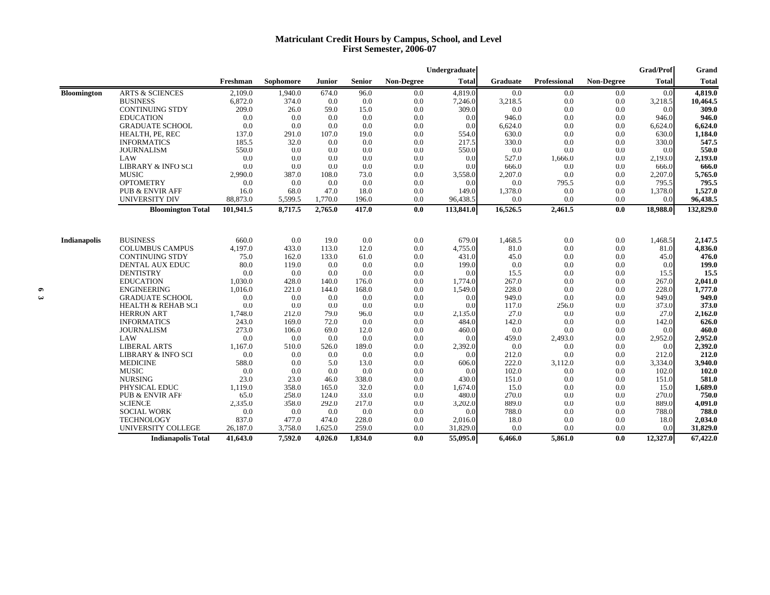## **Matriculant Credit Hours by Campus, School, and Level First Semester, 2006-07**

|                    |                               |           |           |         |               |            | Undergraduate |          |              |            | <b>Grad/Prof</b> | Grand        |
|--------------------|-------------------------------|-----------|-----------|---------|---------------|------------|---------------|----------|--------------|------------|------------------|--------------|
|                    |                               | Freshman  | Sophomore | Junior  | <b>Senior</b> | Non-Degree | <b>Total</b>  | Graduate | Professional | Non-Degree | <b>Total</b>     | <b>Total</b> |
| <b>Bloomington</b> | <b>ARTS &amp; SCIENCES</b>    | 2,109.0   | 1,940.0   | 674.0   | 96.0          | 0.0        | 4,819.0       | 0.0      | 0.0          | 0.0        | 0.0              | 4,819.0      |
|                    | <b>BUSINESS</b>               | 6,872.0   | 374.0     | 0.0     | 0.0           | 0.0        | 7,246.0       | 3,218.5  | 0.0          | 0.0        | 3,218.5          | 10,464.5     |
|                    | <b>CONTINUING STDY</b>        | 209.0     | 26.0      | 59.0    | 15.0          | 0.0        | 309.0         | 0.0      | 0.0          | 0.0        | 0.0              | 309.0        |
|                    | <b>EDUCATION</b>              | 0.0       | 0.0       | 0.0     | 0.0           | 0.0        | 0.0           | 946.0    | 0.0          | 0.0        | 946.0            | 946.0        |
|                    | <b>GRADUATE SCHOOL</b>        | 0.0       | 0.0       | 0.0     | 0.0           | 0.0        | 0.0           | 6,624.0  | 0.0          | 0.0        | 6,624.0          | 6,624.0      |
|                    | HEALTH, PE, REC               | 137.0     | 291.0     | 107.0   | 19.0          | 0.0        | 554.0         | 630.0    | 0.0          | 0.0        | 630.0            | 1,184.0      |
|                    | <b>INFORMATICS</b>            | 185.5     | 32.0      | 0.0     | 0.0           | 0.0        | 217.5         | 330.0    | 0.0          | 0.0        | 330.0            | 547.5        |
|                    | <b>JOURNALISM</b>             | 550.0     | 0.0       | 0.0     | 0.0           | 0.0        | 550.0         | 0.0      | 0.0          | 0.0        | 0.0              | 550.0        |
|                    | LAW                           | 0.0       | 0.0       | 0.0     | 0.0           | 0.0        | 0.0           | 527.0    | 1,666.0      | 0.0        | 2,193.0          | 2,193.0      |
|                    | <b>LIBRARY &amp; INFO SCI</b> | 0.0       | 0.0       | 0.0     | 0.0           | 0.0        | 0.0           | 666.0    | 0.0          | 0.0        | 666.0            | 666.0        |
|                    | <b>MUSIC</b>                  | 2,990.0   | 387.0     | 108.0   | 73.0          | 0.0        | 3,558.0       | 2,207.0  | 0.0          | 0.0        | 2,207.0          | 5,765.0      |
|                    | <b>OPTOMETRY</b>              | 0.0       | 0.0       | 0.0     | 0.0           | 0.0        | 0.0           | 0.0      | 795.5        | 0.0        | 795.5            | 795.5        |
|                    | <b>PUB &amp; ENVIR AFF</b>    | 16.0      | 68.0      | 47.0    | 18.0          | 0.0        | 149.0         | 1,378.0  | 0.0          | 0.0        | 1,378.0          | 1,527.0      |
|                    | UNIVERSITY DIV                | 88,873.0  | 5,599.5   | 1,770.0 | 196.0         | 0.0        | 96,438.5      | 0.0      | 0.0          | 0.0        | 0.0              | 96,438.5     |
|                    | <b>Bloomington Total</b>      | 101.941.5 | 8.717.5   | 2.765.0 | 417.0         | 0.0        | 113,841.0     | 16,526.5 | 2,461.5      | 0.0        | 18,988.0         | 132,829.0    |
| Indianapolis       | <b>BUSINESS</b>               | 660.0     | 0.0       | 19.0    | 0.0           | 0.0        | 679.0         | 1,468.5  | 0.0          | 0.0        | 1,468.5          | 2,147.5      |
|                    | <b>COLUMBUS CAMPUS</b>        | 4,197.0   | 433.0     | 113.0   | 12.0          | 0.0        | 4,755.0       | 81.0     | 0.0          | 0.0        | 81.0             | 4,836.0      |
|                    | <b>CONTINUING STDY</b>        | 75.0      | 162.0     | 133.0   | 61.0          | 0.0        | 431.0         | 45.0     | 0.0          | 0.0        | 45.0             | 476.0        |
|                    | <b>DENTAL AUX EDUC</b>        | 80.0      | 119.0     | 0.0     | 0.0           | 0.0        | 199.0         | 0.0      | 0.0          | 0.0        | 0.0              | 199.0        |
|                    | <b>DENTISTRY</b>              | 0.0       | 0.0       | 0.0     | 0.0           | 0.0        | 0.0           | 15.5     | 0.0          | 0.0        | 15.5             | 15.5         |
|                    | <b>EDUCATION</b>              | 1,030.0   | 428.0     | 140.0   | 176.0         | 0.0        | 1,774.0       | 267.0    | 0.0          | 0.0        | 267.0            | 2,041.0      |
|                    | <b>ENGINEERING</b>            | 1,016.0   | 221.0     | 144.0   | 168.0         | 0.0        | 1,549.0       | 228.0    | 0.0          | 0.0        | 228.0            | 1,777.0      |
|                    | <b>GRADUATE SCHOOL</b>        | 0.0       | 0.0       | 0.0     | 0.0           | 0.0        | 0.0           | 949.0    | 0.0          | 0.0        | 949.0            | 949.0        |
|                    | <b>HEALTH &amp; REHAB SCI</b> | 0.0       | 0.0       | 0.0     | 0.0           | 0.0        | 0.0           | 117.0    | 256.0        | 0.0        | 373.0            | 373.0        |
|                    | <b>HERRON ART</b>             | 1,748.0   | 212.0     | 79.0    | 96.0          | 0.0        | 2,135.0       | 27.0     | 0.0          | 0.0        | 27.0             | 2,162.0      |
|                    | <b>INFORMATICS</b>            | 243.0     | 169.0     | 72.0    | 0.0           | 0.0        | 484.0         | 142.0    | 0.0          | 0.0        | 142.0            | 626.0        |
|                    | <b>JOURNALISM</b>             | 273.0     | 106.0     | 69.0    | 12.0          | 0.0        | 460.0         | 0.0      | 0.0          | 0.0        | 0.0              | 460.0        |
|                    | LAW                           | 0.0       | 0.0       | 0.0     | 0.0           | 0.0        | 0.0           | 459.0    | 2,493.0      | 0.0        | 2,952.0          | 2,952.0      |
|                    | <b>LIBERAL ARTS</b>           | 1,167.0   | 510.0     | 526.0   | 189.0         | 0.0        | 2,392.0       | 0.0      | 0.0          | 0.0        | 0.0              | 2,392.0      |
|                    | <b>LIBRARY &amp; INFO SCI</b> | 0.0       | 0.0       | 0.0     | 0.0           | 0.0        | 0.0           | 212.0    | 0.0          | 0.0        | 212.0            | 212.0        |
|                    | <b>MEDICINE</b>               | 588.0     | 0.0       | 5.0     | 13.0          | 0.0        | 606.0         | 222.0    | 3,112.0      | 0.0        | 3,334.0          | 3,940.0      |
|                    | <b>MUSIC</b>                  | 0.0       | 0.0       | 0.0     | 0.0           | 0.0        | 0.0           | 102.0    | 0.0          | 0.0        | 102.0            | 102.0        |
|                    | <b>NURSING</b>                | 23.0      | 23.0      | 46.0    | 338.0         | 0.0        | 430.0         | 151.0    | 0.0          | 0.0        | 151.0            | 581.0        |
|                    | PHYSICAL EDUC                 | 1,119.0   | 358.0     | 165.0   | 32.0          | 0.0        | 1,674.0       | 15.0     | 0.0          | 0.0        | 15.0             | 1,689.0      |
|                    | <b>PUB &amp; ENVIR AFF</b>    | 65.0      | 258.0     | 124.0   | 33.0          | 0.0        | 480.0         | 270.0    | 0.0          | 0.0        | 270.0            | 750.0        |
|                    | <b>SCIENCE</b>                | 2,335.0   | 358.0     | 292.0   | 217.0         | 0.0        | 3,202.0       | 889.0    | 0.0          | 0.0        | 889.0            | 4,091.0      |
|                    | <b>SOCIAL WORK</b>            | 0.0       | 0.0       | 0.0     | 0.0           | 0.0        | 0.0           | 788.0    | 0.0          | 0.0        | 788.0            | 788.0        |
|                    | <b>TECHNOLOGY</b>             | 837.0     | 477.0     | 474.0   | 228.0         | 0.0        | 2,016.0       | 18.0     | 0.0          | 0.0        | 18.0             | 2,034.0      |
|                    | UNIVERSITY COLLEGE            | 26,187.0  | 3,758.0   | 1,625.0 | 259.0         | 0.0        | 31,829.0      | 0.0      | 0.0          | 0.0        | 0.0              | 31,829.0     |
|                    | <b>Indianapolis Total</b>     | 41,643.0  | 7.592.0   | 4.026.0 | 1.834.0       | 0.0        | 55,095.0      | 6,466.0  | 5,861.0      | 0.0        | 12,327.0         | 67,422.0     |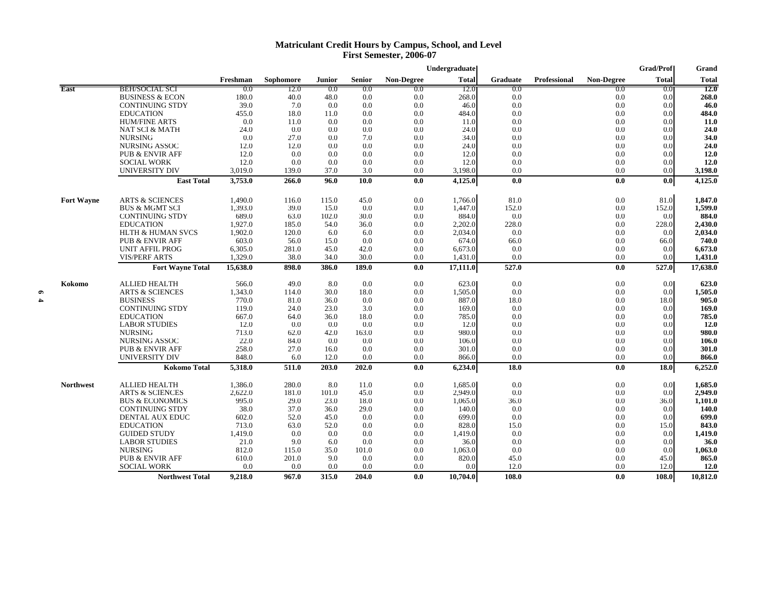## **Matriculant Credit Hours by Campus, School, and Level First Semester, 2006-07**

|                   |                                     |                    |                |               |               |            | Undergraduate      |                 |                     |            | <b>Grad/Prof</b> | Grand              |
|-------------------|-------------------------------------|--------------------|----------------|---------------|---------------|------------|--------------------|-----------------|---------------------|------------|------------------|--------------------|
|                   |                                     | Freshman           | Sophomore      | <b>Junior</b> | <b>Senior</b> | Non-Degree | <b>Total</b>       | <b>Graduate</b> | <b>Professional</b> | Non-Degree | <b>Total</b>     | <b>Total</b>       |
| <b>East</b>       | <b>BEH/SOCIAL SCI</b>               | 0.0                | 12.0           | 0.0           | $_{0.0}$      | 0.0        | 12.0               | 0.0             |                     | 0.0        | 0.0              | I2.0               |
|                   | <b>BUSINESS &amp; ECON</b>          | 180.0              | 40.0           | 48.0          | 0.0           | 0.0        | 268.0              | 0.0             |                     | 0.0        | 0.0              | 268.0              |
|                   | <b>CONTINUING STDY</b>              | 39.0               | 7.0            | 0.0           | 0.0           | 0.0        | 46.0               | 0.0             |                     | 0.0        | 0.0              | 46.0               |
|                   | <b>EDUCATION</b>                    | 455.0              | 18.0           | 11.0          | 0.0           | 0.0        | 484.0              | 0.0             |                     | 0.0        | 0.0              | 484.0              |
|                   | <b>HUM/FINE ARTS</b>                | 0.0                | 11.0           | 0.0           | 0.0           | 0.0        | 11.0               | 0.0             |                     | 0.0        | 0.0              | 11.0               |
|                   | <b>NAT SCI &amp; MATH</b>           | 24.0               | 0.0            | 0.0           | 0.0           | 0.0        | 24.0               | 0.0             |                     | 0.0        | 0.0              | 24.0               |
|                   | <b>NURSING</b>                      | 0.0                | 27.0           | 0.0           | 7.0           | 0.0        | 34.0               | 0.0             |                     | 0.0        | 0.0              | 34.0               |
|                   | <b>NURSING ASSOC</b>                | 12.0               | 12.0           | 0.0           | 0.0           | 0.0        | 24.0               | 0.0             |                     | 0.0        | 0.0              | 24.0               |
|                   | <b>PUB &amp; ENVIR AFF</b>          | 12.0               | 0.0            | 0.0           | 0.0           | 0.0        | 12.0               | 0.0             |                     | 0.0        | 0.0              | 12.0               |
|                   | <b>SOCIAL WORK</b>                  | 12.0               | 0.0            | 0.0           | 0.0           | 0.0        | 12.0               | 0.0             |                     | 0.0        | 0.0              | 12.0               |
|                   | UNIVERSITY DIV<br><b>East Total</b> | 3,019.0<br>3,753.0 | 139.0<br>266.0 | 37.0<br>96.0  | 3.0<br>10.0   | 0.0<br>0.0 | 3,198.0<br>4,125.0 | 0.0<br>0.0      |                     | 0.0<br>0.0 | 0.0<br>0.0       | 3,198.0<br>4,125.0 |
|                   |                                     |                    |                |               |               |            |                    |                 |                     |            |                  |                    |
| <b>Fort Wayne</b> | <b>ARTS &amp; SCIENCES</b>          | 1,490.0            | 116.0          | 115.0         | 45.0          | 0.0        | 1,766.0            | 81.0            |                     | 0.0        | 81.0             | 1,847.0            |
|                   | <b>BUS &amp; MGMT SCI</b>           | 1,393.0            | 39.0           | 15.0          | 0.0           | 0.0        | 1.447.0            | 152.0           |                     | 0.0        | 152.0            | 1,599.0            |
|                   | <b>CONTINUING STDY</b>              | 689.0              | 63.0           | 102.0         | 30.0          | 0.0        | 884.0              | 0.0             |                     | 0.0        | 0.0              | 884.0              |
|                   | <b>EDUCATION</b>                    | 1,927.0            | 185.0          | 54.0          | 36.0          | 0.0        | 2,202.0            | 228.0           |                     | 0.0        | 228.0            | 2,430.0            |
|                   | <b>HLTH &amp; HUMAN SVCS</b>        | 1,902.0            | 120.0          | 6.0           | 6.0           | 0.0        | 2,034.0            | 0.0             |                     | 0.0        | 0.0              | 2,034.0            |
|                   | <b>PUB &amp; ENVIR AFF</b>          | 603.0              | 56.0           | 15.0          | 0.0           | 0.0        | 674.0              | 66.0            |                     | 0.0        | 66.0             | 740.0              |
|                   | <b>UNIT AFFIL PROG</b>              | 6,305.0            | 281.0          | 45.0          | 42.0          | 0.0        | 6,673.0            | 0.0             |                     | 0.0        | 0.0              | 6,673.0            |
|                   | <b>VIS/PERF ARTS</b>                | 1,329.0            | 38.0           | 34.0          | 30.0          | 0.0        | 1,431.0            | 0.0             |                     | 0.0        | 0.0              | 1,431.0            |
|                   | <b>Fort Wayne Total</b>             | 15,638.0           | 898.0          | 386.0         | 189.0         | 0.0        | 17,111.0           | 527.0           |                     | 0.0        | 527.0            | 17,638.0           |
| Kokomo            | <b>ALLIED HEALTH</b>                | 566.0              | 49.0           | 8.0           | 0.0           | 0.0        | 623.0              | 0.0             |                     | 0.0        | 0.0              | 623.0              |
|                   | <b>ARTS &amp; SCIENCES</b>          | 1,343.0            | 114.0          | 30.0          | 18.0          | 0.0        | 1,505.0            | 0.0             |                     | 0.0        | 0.0              | 1,505.0            |
|                   | <b>BUSINESS</b>                     | 770.0              | 81.0           | 36.0          | 0.0           | 0.0        | 887.0              | 18.0            |                     | 0.0        | 18.0             | 905.0              |
|                   | <b>CONTINUING STDY</b>              | 119.0              | 24.0           | 23.0          | 3.0           | 0.0        | 169.0              | 0.0             |                     | 0.0        | 0.0              | 169.0              |
|                   | <b>EDUCATION</b>                    | 667.0              | 64.0           | 36.0          | 18.0          | 0.0        | 785.0              | 0.0             |                     | 0.0        | 0.0              | 785.0              |
|                   | <b>LABOR STUDIES</b>                | 12.0               | 0.0            | 0.0           | 0.0           | 0.0        | 12.0               | 0.0             |                     | 0.0        | 0.0              | 12.0               |
|                   | <b>NURSING</b>                      | 713.0              | 62.0           | 42.0          | 163.0         | 0.0        | 980.0              | 0.0             |                     | 0.0        | 0.0              | 980.0              |
|                   | <b>NURSING ASSOC</b>                | 22.0               | 84.0           | 0.0           | 0.0           | 0.0        | 106.0              | 0.0             |                     | 0.0        | 0.0              | 106.0              |
|                   | <b>PUB &amp; ENVIR AFF</b>          | 258.0              | 27.0           | 16.0          | 0.0           | 0.0        | 301.0              | 0.0             |                     | 0.0        | 0.0              | 301.0              |
|                   | UNIVERSITY DIV                      | 848.0              | 6.0            | 12.0          | 0.0           | 0.0        | 866.0              | 0.0             |                     | 0.0        | 0.0              | 866.0              |
|                   | <b>Kokomo Total</b>                 | 5,318.0            | 511.0          | 203.0         | 202.0         | 0.0        | 6,234.0            | 18.0            |                     | 0.0        | 18.0             | 6,252.0            |
| <b>Northwest</b>  | <b>ALLIED HEALTH</b>                | 1,386.0            | 280.0          | 8.0           | 11.0          | 0.0        | 1,685.0            | 0.0             |                     | 0.0        | 0.0              | 1,685.0            |
|                   | <b>ARTS &amp; SCIENCES</b>          | 2,622.0            | 181.0          | 101.0         | 45.0          | 0.0        | 2,949.0            | 0.0             |                     | 0.0        | 0.0              | 2,949.0            |
|                   | <b>BUS &amp; ECONOMICS</b>          | 995.0              | 29.0           | 23.0          | 18.0          | 0.0        | 1,065.0            | 36.0            |                     | 0.0        | 36.0             | 1,101.0            |
|                   | <b>CONTINUING STDY</b>              | 38.0               | 37.0           | 36.0          | 29.0          | 0.0        | 140.0              | 0.0             |                     | 0.0        | 0.0              | 140.0              |
|                   | <b>DENTAL AUX EDUC</b>              | 602.0              | 52.0           | 45.0          | 0.0           | 0.0        | 699.0              | 0.0             |                     | 0.0        | 0.0              | 699.0              |
|                   | <b>EDUCATION</b>                    | 713.0              | 63.0           | 52.0          | 0.0           | 0.0        | 828.0              | 15.0            |                     | 0.0        | 15.0             | 843.0              |
|                   | <b>GUIDED STUDY</b>                 | 1,419.0            | 0.0            | 0.0           | 0.0           | 0.0        | 1,419.0            | 0.0             |                     | 0.0        | 0.0              | 1,419.0            |
|                   | <b>LABOR STUDIES</b>                | 21.0               | 9.0            | 6.0           | 0.0           | 0.0        | 36.0               | 0.0             |                     | 0.0        | 0.0              | 36.0               |
|                   | <b>NURSING</b>                      | 812.0              | 115.0          | 35.0          | 101.0         | 0.0        | 1,063.0            | 0.0             |                     | 0.0        | 0.0              | 1,063.0            |
|                   | <b>PUB &amp; ENVIR AFF</b>          | 610.0              | 201.0          | 9.0           | 0.0           | 0.0        | 820.0              | 45.0            |                     | 0.0        | 45.0             | 865.0              |
|                   | <b>SOCIAL WORK</b>                  | 0.0                | 0.0            | 0.0           | 0.0           | 0.0        | 0.0                | 12.0            |                     | 0.0        | 12.0             | <b>12.0</b>        |
|                   | <b>Northwest Total</b>              | 9,218.0            | 967.0          | 315.0         | 204.0         | 0.0        | 10,704.0           | 108.0           |                     | 0.0        | 108.0            | 10,812.0           |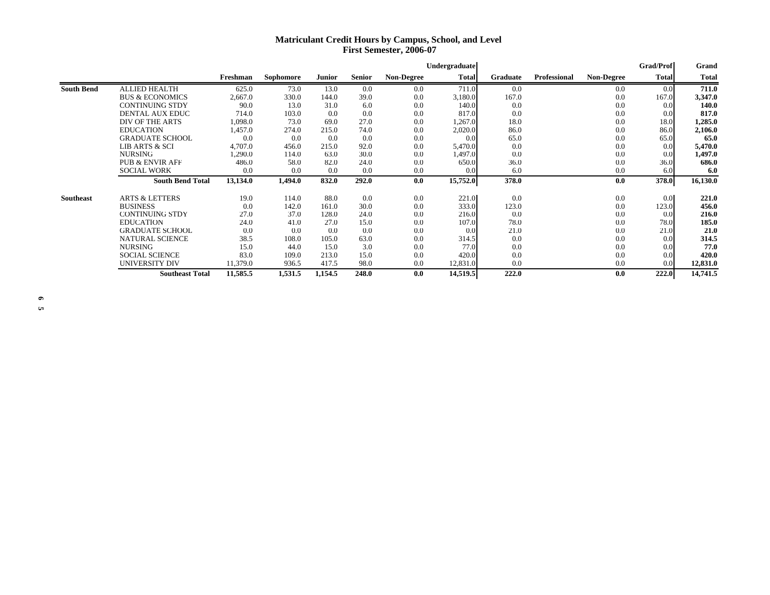## **Matriculant Credit Hours by Campus, School, and Level First Semester, 2006-07**

|                   |                            |          |           |         |               |                   | Undergraduate |                 |                     |                   | <b>Grad/Prof</b> | Grand        |
|-------------------|----------------------------|----------|-----------|---------|---------------|-------------------|---------------|-----------------|---------------------|-------------------|------------------|--------------|
|                   |                            | Freshman | Sophomore | Junior  | <b>Senior</b> | <b>Non-Degree</b> | <b>Total</b>  | <b>Graduate</b> | <b>Professional</b> | <b>Non-Degree</b> | <b>Total</b>     | <b>Total</b> |
| <b>South Bend</b> | <b>ALLIED HEALTH</b>       | 625.0    | 73.0      | 13.0    | 0.0           | 0.0               | 711.0         | 0.0             |                     | 0.0               | 0.0              | 711.0        |
|                   | <b>BUS &amp; ECONOMICS</b> | 2,667.0  | 330.0     | 144.0   | 39.0          | 0.0               | 3,180.0       | 167.0           |                     | 0.0               | 167.0            | 3,347.0      |
|                   | <b>CONTINUING STDY</b>     | 90.0     | 13.0      | 31.0    | 6.0           | 0.0               | 140.0         | 0.0             |                     | 0.0               | 0.0              | 140.0        |
|                   | <b>DENTAL AUX EDUC</b>     | 714.0    | 103.0     | 0.0     | 0.0           | 0.0               | 817.0         | 0.0             |                     | 0.0               | 0.0              | 817.0        |
|                   | DIV OF THE ARTS            | 1,098.0  | 73.0      | 69.0    | 27.0          | 0.0               | 1,267.0       | 18.0            |                     | 0.0               | 18.0             | 1,285.0      |
|                   | <b>EDUCATION</b>           | 1,457.0  | 274.0     | 215.0   | 74.0          | 0.0               | 2,020.0       | 86.0            |                     | 0.0               | 86.0             | 2,106.0      |
|                   | <b>GRADUATE SCHOOL</b>     | 0.0      | 0.0       | 0.0     | 0.0           | 0.0               | 0.0           | 65.0            |                     | 0.0               | 65.0             | 65.0         |
|                   | <b>LIB ARTS &amp; SCI</b>  | 4,707.0  | 456.0     | 215.0   | 92.0          | 0.0               | 5,470.0       | 0.0             |                     | 0.0               | 0.0              | 5,470.0      |
|                   | <b>NURSING</b>             | 1,290.0  | 114.0     | 63.0    | 30.0          | 0.0               | 1,497.0       | 0.0             |                     | 0.0               | 0.0              | 1,497.0      |
|                   | <b>PUB &amp; ENVIR AFF</b> | 486.0    | 58.0      | 82.0    | 24.0          | 0.0               | 650.0         | 36.0            |                     | 0.0               | 36.0             | 686.0        |
|                   | <b>SOCIAL WORK</b>         | 0.0      | 0.0       | 0.0     | 0.0           | 0.0               | 0.0           | 6.0             |                     | 0.0               | 6.0              | 6.0          |
|                   | <b>South Bend Total</b>    | 13,134.0 | 1,494.0   | 832.0   | 292.0         | 0.0               | 15,752.0      | 378.0           |                     | 0.0               | 378.0            | 16,130.0     |
| <b>Southeast</b>  | <b>ARTS &amp; LETTERS</b>  | 19.0     | 114.0     | 88.0    | 0.0           | 0.0               | 221.0         | 0.0             |                     | 0.0               | 0.0              | 221.0        |
|                   | <b>BUSINESS</b>            | 0.0      | 142.0     | 161.0   | 30.0          | 0.0               | 333.0         | 123.0           |                     | 0.0               | 123.0            | 456.0        |
|                   | <b>CONTINUING STDY</b>     | 27.0     | 37.0      | 128.0   | 24.0          | 0.0               | 216.0         | 0.0             |                     | 0.0               | 0.0              | 216.0        |
|                   | <b>EDUCATION</b>           | 24.0     | 41.0      | 27.0    | 15.0          | 0.0               | 107.0         | 78.0            |                     | 0.0               | 78.0             | 185.0        |
|                   | <b>GRADUATE SCHOOL</b>     | 0.0      | 0.0       | 0.0     | 0.0           | 0.0               | 0.0           | 21.0            |                     | 0.0               | 21.0             | 21.0         |
|                   | <b>NATURAL SCIENCE</b>     | 38.5     | 108.0     | 105.0   | 63.0          | 0.0               | 314.5         | 0.0             |                     | 0.0               | 0.0              | 314.5        |
|                   | <b>NURSING</b>             | 15.0     | 44.0      | 15.0    | 3.0           | 0.0               | 77.0          | 0.0             |                     | 0.0               | 0.0              | 77.0         |
|                   | <b>SOCIAL SCIENCE</b>      | 83.0     | 109.0     | 213.0   | 15.0          | 0.0               | 420.0         | 0.0             |                     | 0.0               | 0.0              | 420.0        |
|                   | UNIVERSITY DIV             | 11,379.0 | 936.5     | 417.5   | 98.0          | 0.0               | 12,831.0      | 0.0             |                     | 0.0               | 0.0              | 12,831.0     |
|                   | <b>Southeast Total</b>     | 11,585.5 | 1,531.5   | 1,154.5 | 248.0         | 0.0               | 14,519.5      | 222.0           |                     | 0.0               | 222.0            | 14,741.5     |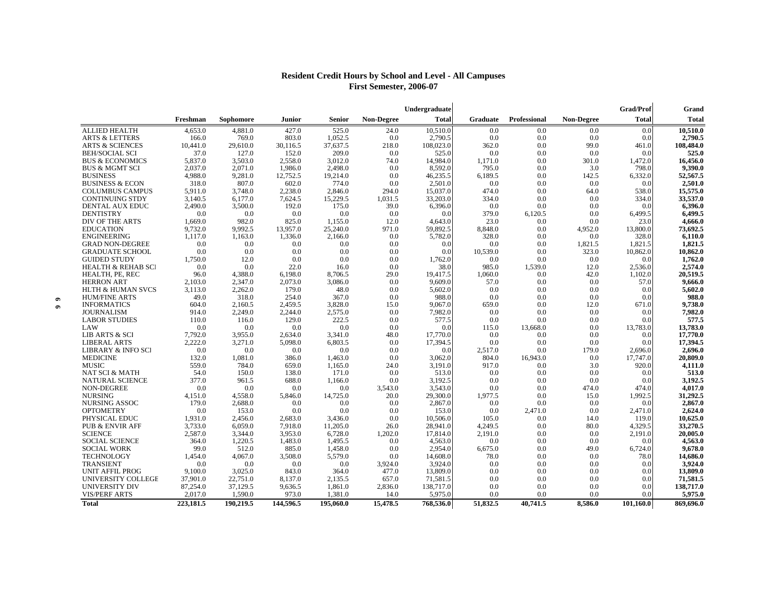## **Resident Credit Hours by School and Level - All Campuses First Semester, 2006-07**

|           |                               |           |           |               |               |                   |              | Grad/Prof | Grand        |            |              |              |
|-----------|-------------------------------|-----------|-----------|---------------|---------------|-------------------|--------------|-----------|--------------|------------|--------------|--------------|
|           |                               | Freshman  | Sophomore | <b>Junior</b> | <b>Senior</b> | <b>Non-Degree</b> | <b>Total</b> | Graduate  | Professional | Non-Degree | <b>Total</b> | <b>Total</b> |
|           | <b>ALLIED HEALTH</b>          | 4,653.0   | 4.881.0   | 427.0         | 525.0         | 24.0              | 10,510.0     | 0.0       | 0.0          | 0.0        | 0.0          | 10,510.0     |
|           | <b>ARTS &amp; LETTERS</b>     | 166.0     | 769.0     | 803.0         | 1,052.5       | 0.0               | 2,790.5      | 0.0       | 0.0          | 0.0        | 0.0          | 2,790.5      |
|           | <b>ARTS &amp; SCIENCES</b>    | 10.441.0  | 29,610.0  | 30.116.5      | 37.637.5      | 218.0             | 108,023.0    | 362.0     | 0.0          | 99.0       | 461.0        | 108,484.0    |
|           | <b>BEH/SOCIAL SCI</b>         | 37.0      | 127.0     | 152.0         | 209.0         | 0.0               | 525.0        | 0.0       | 0.0          | 0.0        | 0.0          | 525.0        |
|           | <b>BUS &amp; ECONOMICS</b>    | 5,837.0   | 3,503.0   | 2,558.0       | 3,012.0       | 74.0              | 14,984.0     | 1,171.0   | 0.0          | 301.0      | 1,472.0      | 16,456.0     |
|           | <b>BUS &amp; MGMT SCI</b>     | 2,037.0   | 2,071.0   | 1,986.0       | 2,498.0       | 0.0               | 8,592.0      | 795.0     | 0.0          | 3.0        | 798.0        | 9,390.0      |
|           | <b>BUSINESS</b>               | 4,988.0   | 9,281.0   | 12,752.5      | 19,214.0      | 0.0               | 46,235.5     | 6,189.5   | 0.0          | 142.5      | 6,332.0      | 52,567.5     |
|           | <b>BUSINESS &amp; ECON</b>    | 318.0     | 807.0     | 602.0         | 774.0         | 0.0               | 2,501.0      | 0.0       | 0.0          | 0.0        | 0.0          | 2,501.0      |
|           | <b>COLUMBUS CAMPUS</b>        | 5,911.0   | 3,748.0   | 2,238.0       | 2,846.0       | 294.0             | 15,037.0     | 474.0     | 0.0          | 64.0       | 538.0        | 15,575.0     |
|           | <b>CONTINUING STDY</b>        | 3,140.5   | 6,177.0   | 7,624.5       | 15,229.5      | 1,031.5           | 33,203.0     | 334.0     | 0.0          | 0.0        | 334.0        | 33,537.0     |
|           | DENTAL AUX EDUC               | 2,490.0   | 3.500.0   | 192.0         | 175.0         | 39.0              | 6,396.0      | 0.0       | 0.0          | 0.0        | 0.0          | 6,396.0      |
|           | <b>DENTISTRY</b>              | 0.0       | 0.0       | 0.0           | 0.0           | 0.0               | 0.0          | 379.0     | 6,120.5      | 0.0        | 6,499.5      | 6,499.5      |
|           | DIV OF THE ARTS               | 1,669.0   | 982.0     | 825.0         | 1,155.0       | 12.0              | 4,643.0      | 23.0      | 0.0          | 0.0        | 23.0         | 4,666.0      |
|           | <b>EDUCATION</b>              | 9.732.0   | 9.992.5   | 13.957.0      | 25,240.0      | 971.0             | 59.892.5     | 8,848.0   | 0.0          | 4.952.0    | 13,800.0     | 73,692.5     |
|           | <b>ENGINEERING</b>            | 1,117.0   | 1,163.0   | 1,336.0       | 2,166.0       | 0.0               | 5,782.0      | 328.0     | 0.0          | 0.0        | 328.0        | 6,110.0      |
|           | <b>GRAD NON-DEGREE</b>        | 0.0       | 0.0       | 0.0           | 0.0           | 0.0               | 0.0          | 0.0       | 0.0          | 1,821.5    | 1.821.5      | 1,821.5      |
|           | <b>GRADUATE SCHOOL</b>        | 0.0       | 0.0       | 0.0           | 0.0           | 0.0               | 0.0          | 10,539.0  | 0.0          | 323.0      | 10,862.0     | 10,862.0     |
|           | <b>GUIDED STUDY</b>           | 1,750.0   | 12.0      | 0.0           | 0.0           | 0.0               | 1,762.0      | 0.0       | 0.0          | 0.0        | 0.0          | 1,762.0      |
|           | <b>HEALTH &amp; REHAB SCI</b> | 0.0       | 0.0       | 22.0          | 16.0          | 0.0               | 38.0         | 985.0     | 1,539.0      | 12.0       | 2,536.0      | 2,574.0      |
|           | HEALTH, PE, REC               | 96.0      | 4,388.0   | 6,198.0       | 8,706.5       | 29.0              | 19,417.5     | 1,060.0   | 0.0          | 42.0       | 1,102.0      | 20,519.5     |
|           | <b>HERRON ART</b>             | 2.103.0   | 2,347.0   | 2.073.0       | 3.086.0       | 0.0               | 9.609.0      | 57.0      | 0.0          | 0.0        | 57.0         | 9,666.0      |
|           | <b>HLTH &amp; HUMAN SVCS</b>  | 3,113.0   | 2,262.0   | 179.0         | 48.0          | 0.0               | 5,602.0      | 0.0       | 0.0          | 0.0        | 0.0          | 5,602.0      |
| $\bullet$ | <b>HUM/FINE ARTS</b>          | 49.0      | 318.0     | 254.0         | 367.0         | 0.0               | 988.0        | 0.0       | 0.0          | 0.0        | 0.0          | 988.0        |
|           | <b>INFORMATICS</b>            | 604.0     | 2,160.5   | 2,459.5       | 3,828.0       | 15.0              | 9,067.0      | 659.0     | 0.0          | 12.0       | 671.0        | 9,738.0      |
|           | <b>JOURNALISM</b>             | 914.0     | 2.249.0   | 2,244.0       | 2,575.0       | 0.0               | 7,982.0      | 0.0       | 0.0          | 0.0        | 0.0          | 7,982.0      |
|           | <b>LABOR STUDIES</b>          | 110.0     | 116.0     | 129.0         | 222.5         | 0.0               | 577.5        | 0.0       | 0.0          | 0.0        | 0.0          | 577.5        |
|           | LAW                           | 0.0       | 0.0       | 0.0           | 0.0           | 0.0               | 0.0          | 115.0     | 13,668.0     | 0.0        | 13,783.0     | 13,783.0     |
|           | LIB ARTS & SCI                | 7,792.0   | 3,955.0   | 2,634.0       | 3,341.0       | 48.0              | 17,770.0     | 0.0       | 0.0          | 0.0        | 0.0          | 17,770.0     |
|           | <b>LIBERAL ARTS</b>           | 2.222.0   | 3.271.0   | 5.098.0       | 6.803.5       | 0.0               | 17.394.5     | 0.0       | 0.0          | 0.0        | 0.0          | 17.394.5     |
|           | LIBRARY & INFO SCI            | 0.0       | 0.0       | 0.0           | 0.0           | 0.0               | 0.0          | 2,517.0   | 0.0          | 179.0      | 2,696.0      | 2,696.0      |
|           | <b>MEDICINE</b>               | 132.0     | 1,081.0   | 386.0         | 1,463.0       | 0.0               | 3,062.0      | 804.0     | 16,943.0     | 0.0        | 17,747.0     | 20,809.0     |
|           | <b>MUSIC</b>                  | 559.0     | 784.0     | 659.0         | 1.165.0       | 24.0              | 3.191.0      | 917.0     | 0.0          | 3.0        | 920.0        | 4,111.0      |
|           | <b>NAT SCI &amp; MATH</b>     | 54.0      | 150.0     | 138.0         | 171.0         | 0.0               | 513.0        | 0.0       | 0.0          | 0.0        | 0.0          | 513.0        |
|           | <b>NATURAL SCIENCE</b>        | 377.0     | 961.5     | 688.0         | 1.166.0       | 0.0               | 3.192.5      | 0.0       | 0.0          | 0.0        | 0.0          | 3.192.5      |
|           | NON-DEGREE                    | 0.0       | 0.0       | 0.0           | 0.0           | 3,543.0           | 3,543.0      | 0.0       | 0.0          | 474.0      | 474.0        | 4,017.0      |
|           | <b>NURSING</b>                | 4,151.0   | 4,558.0   | 5,846.0       | 14,725.0      | 20.0              | 29,300.0     | 1,977.5   | 0.0          | 15.0       | 1,992.5      | 31,292.5     |
|           | NURSING ASSOC                 | 179.0     | 2,688.0   | 0.0           | 0.0           | 0.0               | 2,867.0      | 0.0       | 0.0          | 0.0        | 0.0          | 2,867.0      |
|           | <b>OPTOMETRY</b>              | 0.0       | 153.0     | 0.0           | 0.0           | 0.0               | 153.0        | 0.0       | 2,471.0      | 0.0        | 2,471.0      | 2,624.0      |
|           | PHYSICAL EDUC                 | 1.931.0   | 2.456.0   | 2,683.0       | 3.436.0       | 0.0               | 10,506.0     | 105.0     | 0.0          | 14.0       | 119.0        | 10,625.0     |
|           | <b>PUB &amp; ENVIR AFF</b>    | 3,733.0   | 6,059.0   | 7,918.0       | 11,205.0      | 26.0              | 28.941.0     | 4,249.5   | 0.0          | 80.0       | 4,329.5      | 33,270.5     |
|           | <b>SCIENCE</b>                | 2,587.0   | 3,344.0   | 3,953.0       | 6,728.0       | 1,202.0           | 17,814.0     | 2,191.0   | 0.0          | 0.0        | 2,191.0      | 20,005.0     |
|           | <b>SOCIAL SCIENCE</b>         | 364.0     | 1,220.5   | 1,483.0       | 1.495.5       | 0.0               | 4,563.0      | 0.0       | 0.0          | 0.0        | 0.0          | 4,563.0      |
|           | <b>SOCIAL WORK</b>            | 99.0      | 512.0     | 885.0         | 1,458.0       | 0.0               | 2,954.0      | 6,675.0   | 0.0          | 49.0       | 6,724.0      | 9,678.0      |
|           | <b>TECHNOLOGY</b>             | 1,454.0   | 4,067.0   | 3,508.0       | 5,579.0       | 0.0               | 14,608.0     | 78.0      | 0.0          | 0.0        | 78.0         | 14,686.0     |
|           | <b>TRANSIENT</b>              | 0.0       | 0.0       | 0.0           | 0.0           | 3,924.0           | 3.924.0      | 0.0       | 0.0          | 0.0        | 0.0          | 3.924.0      |
|           | <b>UNIT AFFIL PROG</b>        | 9,100.0   | 3,025.0   | 843.0         | 364.0         | 477.0             | 13,809.0     | 0.0       | 0.0          | 0.0        | 0.0          | 13,809.0     |
|           | UNIVERSITY COLLEGE            | 37,901.0  | 22,751.0  | 8.137.0       | 2.135.5       | 657.0             | 71.581.5     | 0.0       | 0.0          | 0.0        | 0.0          | 71.581.5     |
|           | UNIVERSITY DIV                | 87,254.0  | 37,129.5  | 9,636.5       | 1,861.0       | 2,836.0           | 138,717.0    | 0.0       | 0.0          | 0.0        | 0.0          | 138,717.0    |
|           | <b>VIS/PERF ARTS</b>          | 2,017.0   | 1,590.0   | 973.0         | 1,381.0       | 14.0              | 5,975.0      | 0.0       | 0.0          | 0.0        | 0.0          | 5,975.0      |
|           | <b>Total</b>                  | 223.181.5 | 190,219.5 | 144.596.5     | 195,060.0     | 15,478.5          | 768.536.0    | 51,832.5  | 40,741.5     | 8,586.0    | 101.160.0    | 869,696.0    |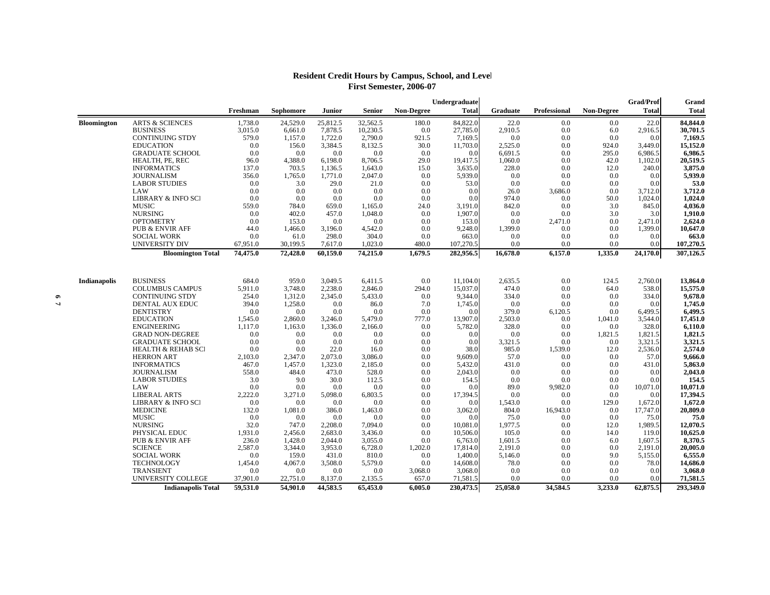## **Resident Credit Hours by Campus, School, and Level First Semester, 2006-07**

|                     |                                        |                    |                    |                    |                |                   | Undergraduate       |                  |                     |                   | Grad/Prof        | Grand               |
|---------------------|----------------------------------------|--------------------|--------------------|--------------------|----------------|-------------------|---------------------|------------------|---------------------|-------------------|------------------|---------------------|
|                     |                                        | Freshman           | Sophomore          | Junior             | Senior         | <b>Non-Degree</b> | <b>Total</b>        | Graduate         | <b>Professional</b> | <b>Non-Degree</b> | <b>Total</b>     | <b>Total</b>        |
| <b>Bloomington</b>  | <b>ARTS &amp; SCIENCES</b>             | 1,738.0            | 24,529.0           | 25,812.5           | 32,562.5       | 180.0             | 84,822.0            | 22.0             | 0.0                 | 0.0               | 22.0             | 84,844.0            |
|                     | <b>BUSINESS</b>                        | 3,015.0            | 6,661.0            | 7,878.5            | 10,230.5       | 0.0               | 27,785.0            | 2,910.5          | 0.0                 | 6.0               | 2,916.5          | 30,701.5            |
|                     | <b>CONTINUING STDY</b>                 | 579.0              | 1,157.0            | 1,722.0            | 2,790.0        | 921.5             | 7,169.5             | 0.0              | 0.0                 | 0.0               | 0.0              | 7,169.5             |
|                     | <b>EDUCATION</b>                       | 0.0                | 156.0              | 3,384.5            | 8,132.5        | 30.0              | 11,703.0            | 2,525.0          | 0.0                 | 924.0             | 3,449.0          | 15,152.0            |
|                     | <b>GRADUATE SCHOOL</b>                 | 0.0                | 0.0                | 0.0                | 0.0            | 0.0               | 0.0                 | 6,691.5          | 0.0                 | 295.0             | 6,986.5          | 6,986.5             |
|                     | HEALTH, PE, REC                        | 96.0               | 4,388.0            | 6,198.0            | 8,706.5        | 29.0              | 19,417.5            | 1,060.0          | 0.0                 | 42.0              | 1,102.0          | 20,519.5            |
|                     | <b>INFORMATICS</b>                     | 137.0              | 703.5              | 1,136.5            | 1,643.0        | 15.0              | 3,635.0             | 228.0            | 0.0                 | 12.0              | 240.0            | 3,875.0             |
|                     | <b>JOURNALISM</b>                      | 356.0              | 1,765.0            | 1.771.0            | 2,047.0        | 0.0               | 5,939.0             | 0.0              | 0.0                 | 0.0               | 0.0              | 5,939.0             |
|                     | <b>LABOR STUDIES</b>                   | 0.0                | 3.0                | 29.0               | 21.0           | 0.0               | 53.0                | 0.0              | 0.0                 | 0.0               | 0.0              | 53.0                |
|                     | LAW                                    | 0.0                | 0.0                | 0.0                | 0.0            | 0.0               | 0.0                 | 26.0             | 3,686.0             | 0.0               | 3,712.0          | 3,712.0             |
|                     | <b>LIBRARY &amp; INFO SCI</b>          | 0.0                | 0.0                | 0.0                | 0.0            | 0.0               | 0.0                 | 974.0            | 0.0                 | 50.0              | 1,024.0          | 1,024.0             |
|                     | <b>MUSIC</b>                           | 559.0              | 784.0              | 659.0              | 1,165.0        | 24.0              | 3,191.0             | 842.0            | 0.0                 | 3.0               | 845.0            | 4,036.0             |
|                     | <b>NURSING</b>                         | 0.0                | 402.0              | 457.0              | 1,048.0        | 0.0               | 1,907.0             | 0.0              | 0.0                 | 3.0               | 3.0              | 1,910.0             |
|                     | <b>OPTOMETRY</b>                       | 0.0                | 153.0              | 0.0                | 0.0            | 0.0               | 153.0               | 0.0              | 2,471.0             | 0.0               | 2,471.0          | 2,624.0             |
|                     | <b>PUB &amp; ENVIR AFF</b>             | 44.0               | 1,466.0            | 3,196.0            | 4,542.0        | 0.0               | 9,248.0             | 1,399.0          | 0.0                 | 0.0               | 1,399.0          | 10,647.0            |
|                     | <b>SOCIAL WORK</b>                     | 0.0                | 61.0               | 298.0              | 304.0          | 0.0               | 663.0               | 0.0              | 0.0                 | 0.0               | 0.0              | 663.0               |
|                     | UNIVERSITY DIV                         | 67,951.0           | 30,199.5           | 7,617.0            | 1,023.0        | 480.0             | 107,270.5           | 0.0              | 0.0                 | 0.0               | 0.0              | 107,270.5           |
|                     | <b>Bloomington Total</b>               | 74,475.0           | 72,428.0           | 60,159.0           | 74,215.0       | 1,679.5           | 282,956.5           | 16,678.0         | 6,157.0             | 1,335.0           | 24,170.0         | 307,126.5           |
|                     |                                        |                    |                    |                    |                |                   |                     |                  |                     |                   |                  |                     |
| <b>Indianapolis</b> | <b>BUSINESS</b>                        | 684.0              | 959.0              | 3,049.5            | 6,411.5        | 0.0               | 11,104.0            | 2,635.5          | 0.0                 | 124.5             | 2,760.0          | 13,864.0            |
|                     | <b>COLUMBUS CAMPUS</b>                 | 5,911.0            | 3,748.0            | 2,238.0            | 2,846.0        | 294.0             | 15,037.0            | 474.0            | 0.0                 | 64.0              | 538.0            | 15,575.0            |
|                     | <b>CONTINUING STDY</b>                 | 254.0              | 1,312.0            | 2,345.0            | 5,433.0        | 0.0               | 9,344.0             | 334.0            | 0.0                 | 0.0               | 334.0            | 9,678.0             |
|                     | <b>DENTAL AUX EDUC</b>                 | 394.0              | 1,258.0            | 0.0                | 86.0           | 7.0               | 1,745.0             | 0.0              | 0.0                 | 0.0               | 0.0              | 1,745.0             |
|                     | <b>DENTISTRY</b>                       | 0.0                | 0.0                | 0.0                | 0.0            | 0.0               | 0.0                 | 379.0            | 6,120.5             | 0.0               | 6,499.5          | 6,499.5             |
|                     | <b>EDUCATION</b><br><b>ENGINEERING</b> | 1,545.0<br>1,117.0 | 2,860.0<br>1,163.0 | 3,246.0<br>1,336.0 | 5,479.0        | 777.0<br>0.0      | 13,907.0<br>5,782.0 | 2,503.0<br>328.0 | 0.0<br>0.0          | 1,041.0<br>0.0    | 3,544.0<br>328.0 | 17,451.0<br>6,110.0 |
|                     | <b>GRAD NON-DEGREE</b>                 | 0.0                | 0.0                | 0.0                | 2,166.0<br>0.0 | 0.0               | 0.0                 | 0.0              | 0.0                 | 1,821.5           | 1,821.5          | 1,821.5             |
|                     | <b>GRADUATE SCHOOL</b>                 | 0.0                | 0.0                | 0.0                | 0.0            | 0.0               | 0.0                 | 3,321.5          | 0.0                 | 0.0               | 3,321.5          | 3,321.5             |
|                     | <b>HEALTH &amp; REHAB SCI</b>          | 0.0                | 0.0                | 22.0               | 16.0           | 0.0               | 38.0                | 985.0            | 1,539.0             | 12.0              | 2,536.0          | 2,574.0             |
|                     | <b>HERRON ART</b>                      | 2,103.0            | 2,347.0            | 2,073.0            | 3,086.0        | 0.0               | 9,609.0             | 57.0             | 0.0                 | 0.0               | 57.0             | 9,666.0             |
|                     | <b>INFORMATICS</b>                     | 467.0              | 1,457.0            | 1,323.0            | 2,185.0        | 0.0               | 5,432.0             | 431.0            | 0.0                 | 0.0               | 431.0            | 5,863.0             |
|                     | <b>JOURNALISM</b>                      | 558.0              | 484.0              | 473.0              | 528.0          | 0.0               | 2,043.0             | 0.0              | 0.0                 | 0.0               | 0.0              | 2,043.0             |
|                     | <b>LABOR STUDIES</b>                   | 3.0                | 9.0                | 30.0               | 112.5          | 0.0               | 154.5               | 0.0              | 0.0                 | 0.0               | 0.0              | 154.5               |
|                     | LAW                                    | 0.0                | 0.0                | 0.0                | 0.0            | 0.0               | 0.0                 | 89.0             | 9,982.0             | 0.0               | 10,071.0         | 10,071.0            |
|                     | <b>LIBERAL ARTS</b>                    | 2,222.0            | 3,271.0            | 5,098.0            | 6,803.5        | 0.0               | 17,394.5            | 0.0              | 0.0                 | 0.0               | 0.0              | 17,394.5            |
|                     | <b>LIBRARY &amp; INFO SCI</b>          | 0.0                | 0.0                | 0.0                | 0.0            | 0.0               | 0.0                 | 1,543.0          | 0.0                 | 129.0             | 1,672.0          | 1,672.0             |
|                     | <b>MEDICINE</b>                        | 132.0              | 1,081.0            | 386.0              | 1,463.0        | 0.0               | 3,062.0             | 804.0            | 16,943.0            | 0.0               | 17,747.0         | 20,809.0            |
|                     | <b>MUSIC</b>                           | 0.0                | 0.0                | 0.0                | 0.0            | 0.0               | 0.0                 | 75.0             | 0.0                 | 0.0               | 75.0             | 75.0                |
|                     | <b>NURSING</b>                         | 32.0               | 747.0              | 2,208.0            | 7,094.0        | 0.0               | 10,081.0            | 1,977.5          | 0.0                 | 12.0              | 1,989.5          | 12,070.5            |
|                     | PHYSICAL EDUC                          | 1,931.0            | 2,456.0            | 2,683.0            | 3,436.0        | 0.0               | 10,506.0            | 105.0            | 0.0                 | 14.0              | 119.0            | 10,625.0            |
|                     | <b>PUB &amp; ENVIR AFF</b>             | 236.0              | 1,428.0            | 2,044.0            | 3,055.0        | 0.0               | 6,763.0             | 1,601.5          | 0.0                 | 6.0               | 1,607.5          | 8,370.5             |
|                     | <b>SCIENCE</b>                         | 2,587.0            | 3,344.0            | 3,953.0            | 6,728.0        | 1,202.0           | 17,814.0            | 2,191.0          | 0.0                 | 0.0               | 2,191.0          | 20,005.0            |
|                     | <b>SOCIAL WORK</b>                     | 0.0                | 159.0              | 431.0              | 810.0          | 0.0               | 1,400.0             | 5,146.0          | 0.0                 | 9.0               | 5,155.0          | 6,555.0             |
|                     | <b>TECHNOLOGY</b>                      | 1,454.0            | 4,067.0            | 3,508.0            | 5,579.0        | 0.0               | 14,608.0            | 78.0             | 0.0                 | 0.0               | 78.0             | 14,686.0            |
|                     | <b>TRANSIENT</b>                       | 0.0                | 0.0                | 0.0                | 0.0            | 3,068.0           | 3,068.0             | 0.0              | 0.0                 | 0.0               | 0.0              | 3,068.0             |
|                     | UNIVERSITY COLLEGE                     | 37,901.0           | 22,751.0           | 8,137.0            | 2,135.5        | 657.0             | 71,581.5            | 0.0              | 0.0                 | 0.0               | 0.0              | 71,581.5            |
|                     | <b>Indianapolis Total</b>              | 59,531.0           | 54,901.0           | 44,583.5           | 65,453.0       | 6,005.0           | 230,473.5           | 25,058.0         | 34,584.5            | 3,233.0           | 62,875.5         | 293,349.0           |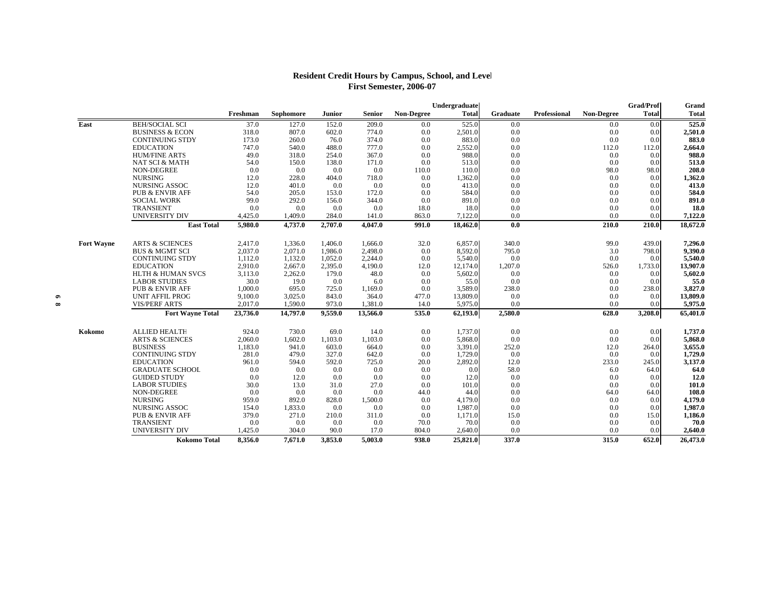## **Resident Credit Hours by Campus, School, and Level First Semester, 2006-07**

|                   |                              |          |           |         |          |                   | Undergraduate |                 |                     |            | Grad/Prof    | Grand        |
|-------------------|------------------------------|----------|-----------|---------|----------|-------------------|---------------|-----------------|---------------------|------------|--------------|--------------|
|                   |                              | Freshman | Sophomore | Junior  | Senior   | <b>Non-Degree</b> | <b>Total</b>  | <b>Graduate</b> | <b>Professional</b> | Non-Degree | <b>Total</b> | <b>Total</b> |
| East              | <b>BEH/SOCIAL SCI</b>        | 37.0     | 127.0     | 152.0   | 209.0    | 0.0               | 525.0         | 0.0             |                     | 0.0        | 0.0          | 525.0        |
|                   | <b>BUSINESS &amp; ECON</b>   | 318.0    | 807.0     | 602.0   | 774.0    | 0.0               | 2,501.0       | 0.0             |                     | 0.0        | 0.0          | 2,501.0      |
|                   | <b>CONTINUING STDY</b>       | 173.0    | 260.0     | 76.0    | 374.0    | 0.0               | 883.0         | 0.0             |                     | 0.0        | 0.0          | 883.0        |
|                   | <b>EDUCATION</b>             | 747.0    | 540.0     | 488.0   | 777.0    | 0.0               | 2,552.0       | 0.0             |                     | 112.0      | 112.0        | 2,664.0      |
|                   | <b>HUM/FINE ARTS</b>         | 49.0     | 318.0     | 254.0   | 367.0    | 0.0               | 988.0         | 0.0             |                     | 0.0        | 0.0          | 988.0        |
|                   | <b>NAT SCI &amp; MATH</b>    | 54.0     | 150.0     | 138.0   | 171.0    | 0.0               | 513.0         | 0.0             |                     | 0.0        | 0.0          | 513.0        |
|                   | <b>NON-DEGREE</b>            | 0.0      | 0.0       | 0.0     | 0.0      | 110.0             | 110.0         | 0.0             |                     | 98.0       | 98.0         | 208.0        |
|                   | <b>NURSING</b>               | 12.0     | 228.0     | 404.0   | 718.0    | 0.0               | 1,362.0       | 0.0             |                     | 0.0        | 0.0          | 1,362.0      |
|                   | <b>NURSING ASSOC</b>         | 12.0     | 401.0     | 0.0     | 0.0      | 0.0               | 413.0         | 0.0             |                     | 0.0        | 0.0          | 413.0        |
|                   | PUB & ENVIR AFF              | 54.0     | 205.0     | 153.0   | 172.0    | 0.0               | 584.0         | 0.0             |                     | 0.0        | 0.0          | 584.0        |
|                   | <b>SOCIAL WORK</b>           | 99.0     | 292.0     | 156.0   | 344.0    | 0.0               | 891.0         | 0.0             |                     | 0.0        | 0.0          | 891.0        |
|                   | <b>TRANSIENT</b>             | 0.0      | 0.0       | 0.0     | 0.0      | 18.0              | 18.0          | 0.0             |                     | 0.0        | 0.0          | 18.0         |
|                   | <b>UNIVERSITY DIV</b>        | 4,425.0  | 1,409.0   | 284.0   | 141.0    | 863.0             | 7,122.0       | 0.0             |                     | 0.0        | 0.0          | 7,122.0      |
|                   | <b>East Total</b>            | 5,980.0  | 4,737.0   | 2,707.0 | 4,047.0  | 991.0             | 18,462.0      | 0.0             |                     | 210.0      | 210.0        | 18,672.0     |
| <b>Fort Wayne</b> | <b>ARTS &amp; SCIENCES</b>   | 2.417.0  | 1.336.0   | 1.406.0 | 1.666.0  | 32.0              | 6,857.0       | 340.0           |                     | 99.0       | 439.0        | 7,296.0      |
|                   | <b>BUS &amp; MGMT SCI</b>    | 2,037.0  | 2,071.0   | 1,986.0 | 2,498.0  | 0.0               | 8,592.0       | 795.0           |                     | 3.0        | 798.0        | 9,390.0      |
|                   | <b>CONTINUING STDY</b>       | 1,112.0  | 1,132.0   | 1.052.0 | 2,244.0  | 0.0               | 5,540.0       | 0.0             |                     | 0.0        | 0.0          | 5,540.0      |
|                   | <b>EDUCATION</b>             | 2,910.0  | 2,667.0   | 2,395.0 | 4,190.0  | 12.0              | 12,174.0      | 1,207.0         |                     | 526.0      | 1,733.0      | 13,907.0     |
|                   | <b>HLTH &amp; HUMAN SVCS</b> | 3,113.0  | 2,262.0   | 179.0   | 48.0     | 0.0               | 5,602.0       | 0.0             |                     | 0.0        | 0.0          | 5,602.0      |
|                   | <b>LABOR STUDIES</b>         | 30.0     | 19.0      | 0.0     | 6.0      | 0.0               | 55.0          | 0.0             |                     | 0.0        | 0.0          | 55.0         |
|                   | <b>PUB &amp; ENVIR AFF</b>   | 1,000.0  | 695.0     | 725.0   | 1,169.0  | 0.0               | 3,589.0       | 238.0           |                     | 0.0        | 238.0        | 3,827.0      |
|                   | <b>UNIT AFFIL PROG</b>       | 9,100.0  | 3,025.0   | 843.0   | 364.0    | 477.0             | 13,809.0      | 0.0             |                     | 0.0        | 0.0          | 13,809.0     |
|                   | <b>VIS/PERF ARTS</b>         | 2,017.0  | 1,590.0   | 973.0   | 1,381.0  | 14.0              | 5,975.0       | 0.0             |                     | 0.0        | 0.0          | 5,975.0      |
|                   | <b>Fort Wayne Total</b>      | 23,736.0 | 14,797.0  | 9,559.0 | 13,566.0 | 535.0             | 62,193.0      | 2,580.0         |                     | 628.0      | 3,208.0      | 65,401.0     |
| Kokomo            | <b>ALLIED HEALTH</b>         | 924.0    | 730.0     | 69.0    | 14.0     | 0.0               | 1,737.0       | 0.0             |                     | 0.0        | 0.0          | 1,737.0      |
|                   | <b>ARTS &amp; SCIENCES</b>   | 2,060.0  | 1.602.0   | 1,103.0 | 1,103.0  | 0.0               | 5,868.0       | 0.0             |                     | 0.0        | 0.0          | 5,868.0      |
|                   | <b>BUSINESS</b>              | 1,183.0  | 941.0     | 603.0   | 664.0    | 0.0               | 3,391.0       | 252.0           |                     | 12.0       | 264.0        | 3,655.0      |
|                   | <b>CONTINUING STDY</b>       | 281.0    | 479.0     | 327.0   | 642.0    | 0.0               | 1,729.0       | 0.0             |                     | 0.0        | 0.0          | 1,729.0      |
|                   | <b>EDUCATION</b>             | 961.0    | 594.0     | 592.0   | 725.0    | 20.0              | 2,892.0       | 12.0            |                     | 233.0      | 245.0        | 3,137.0      |
|                   | <b>GRADUATE SCHOOL</b>       | 0.0      | 0.0       | 0.0     | 0.0      | 0.0               | 0.0           | 58.0            |                     | 6.0        | 64.0         | 64.0         |
|                   | <b>GUIDED STUDY</b>          | 0.0      | 12.0      | 0.0     | 0.0      | 0.0               | 12.0          | 0.0             |                     | 0.0        | 0.0          | 12.0         |
|                   | <b>LABOR STUDIES</b>         | 30.0     | 13.0      | 31.0    | 27.0     | 0.0               | 101.0         | 0.0             |                     | 0.0        | 0.0          | 101.0        |
|                   | NON-DEGREE                   | 0.0      | 0.0       | 0.0     | 0.0      | 44.0              | 44.0          | 0.0             |                     | 64.0       | 64.0         | 108.0        |
|                   | <b>NURSING</b>               | 959.0    | 892.0     | 828.0   | 1,500.0  | 0.0               | 4,179.0       | 0.0             |                     | 0.0        | 0.0          | 4,179.0      |
|                   | <b>NURSING ASSOC</b>         | 154.0    | 1,833.0   | 0.0     | 0.0      | 0.0               | 1,987.0       | 0.0             |                     | 0.0        | 0.0          | 1,987.0      |
|                   | PUB & ENVIR AFF              | 379.0    | 271.0     | 210.0   | 311.0    | 0.0               | 1,171.0       | 15.0            |                     | 0.0        | 15.0         | 1,186.0      |
|                   | <b>TRANSIENT</b>             | 0.0      | 0.0       | 0.0     | 0.0      | 70.0              | 70.0          | 0.0             |                     | 0.0        | 0.0          | 70.0         |
|                   | <b>UNIVERSITY DIV</b>        | 1,425.0  | 304.0     | 90.0    | 17.0     | 804.0             | 2,640.0       | 0.0             |                     | 0.0        | 0.0          | 2,640.0      |
|                   | Kokomo Total                 | 8,356.0  | 7,671.0   | 3,853.0 | 5,003.0  | 938.0             | 25,821.0      | 337.0           |                     | 315.0      | 652.0        | 26,473.0     |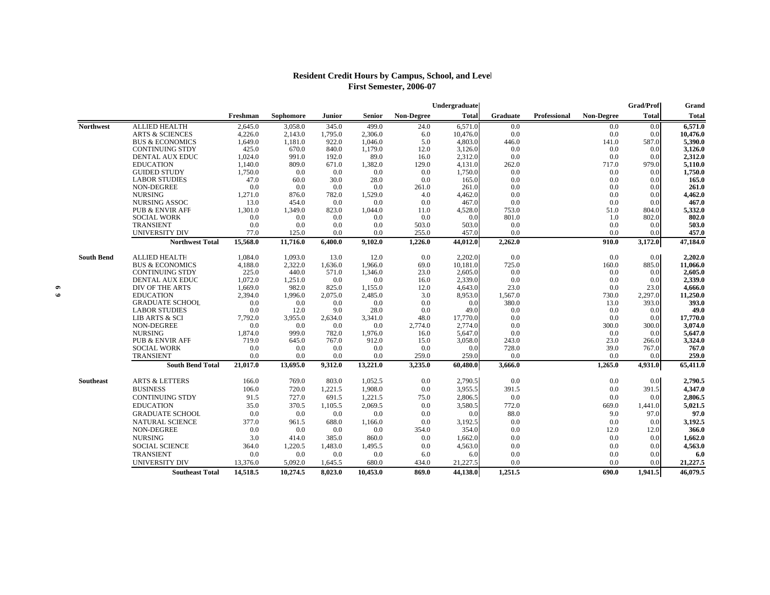## **Resident Credit Hours by Campus, School, and Level First Semester, 2006-07**

|                   |                              |             |                  |              |             |                   | Undergraduate  |                 |                     |                   | <b>Grad/Prof</b> | Grand          |
|-------------------|------------------------------|-------------|------------------|--------------|-------------|-------------------|----------------|-----------------|---------------------|-------------------|------------------|----------------|
|                   |                              | Freshman    | <b>Sophomore</b> | Junior       | Senior      | <b>Non-Degree</b> | <b>Total</b>   | <b>Graduate</b> | <b>Professional</b> | <b>Non-Degree</b> | <b>Total</b>     | <b>Total</b>   |
| <b>Northwest</b>  | <b>ALLIED HEALTH</b>         | 2,645.0     | 3,058.0          | 345.0        | 499.0       | 24.0              | 6,571.0        | 0.0             |                     | 0.0               | 0.0              | 6,571.0        |
|                   | <b>ARTS &amp; SCIENCES</b>   | 4,226.0     | 2,143.0          | 1,795.0      | 2,306.0     | 6.0               | 10,476.0       | 0.0             |                     | 0.0               | 0.0              | 10,476.0       |
|                   | <b>BUS &amp; ECONOMICS</b>   | 1,649.0     | 1,181.0          | 922.0        | 1,046.0     | 5.0               | 4,803.0        | 446.0           |                     | 141.0             | 587.0            | 5,390.0        |
|                   | <b>CONTINUING STDY</b>       | 425.0       | 670.0            | 840.0        | 1,179.0     | 12.0              | 3,126.0        | 0.0             |                     | 0.0               | 0.0              | 3,126.0        |
|                   | DENTAL AUX EDUC              | 1,024.0     | 991.0            | 192.0        | 89.0        | 16.0              | 2,312.0        | 0.0             |                     | 0.0               | 0.0              | 2,312.0        |
|                   | <b>EDUCATION</b>             | 1,140.0     | 809.0            | 671.0        | 1,382.0     | 129.0             | 4,131.0        | 262.0           |                     | 717.0             | 979.0            | 5,110.0        |
|                   | <b>GUIDED STUDY</b>          | 1,750.0     | 0.0              | 0.0          | 0.0         | 0.0               | 1,750.0        | 0.0             |                     | 0.0               | 0.0              | 1,750.0        |
|                   | <b>LABOR STUDIES</b>         | 47.0<br>0.0 | 60.0<br>0.0      | 30.0         | 28.0<br>0.0 | 0.0               | 165.0<br>261.0 | 0.0<br>0.0      |                     | 0.0               | 0.0              | 165.0<br>261.0 |
|                   | NON-DEGREE<br><b>NURSING</b> | 1,271.0     | 876.0            | 0.0<br>782.0 | 1,529.0     | 261.0<br>4.0      | 4,462.0        | 0.0             |                     | 0.0<br>0.0        | 0.0<br>0.0       | 4,462.0        |
|                   | <b>NURSING ASSOC</b>         | 13.0        | 454.0            | 0.0          | 0.0         | 0.0               | 467.0          | 0.0             |                     | 0.0               | 0.0              | 467.0          |
|                   | <b>PUB &amp; ENVIR AFF</b>   | 1.301.0     | 1.349.0          | 823.0        | 1.044.0     | 11.0              | 4,528.0        | 753.0           |                     | 51.0              | 804.0            | 5,332.0        |
|                   | <b>SOCIAL WORK</b>           | 0.0         | 0.0              | 0.0          | 0.0         | 0.0               | 0.0            | 801.0           |                     | 1.0               | 802.0            | 802.0          |
|                   | <b>TRANSIENT</b>             | 0.0         | 0.0              | 0.0          | 0.0         | 503.0             | 503.0          | 0.0             |                     | 0.0               | 0.0              | 503.0          |
|                   | UNIVERSITY DIV               | 77.0        | 125.0            | 0.0          | 0.0         | 255.0             | 457.0          | 0.0             |                     | 0.0               | 0.0              | 457.0          |
|                   | <b>Northwest Total</b>       | 15,568.0    | 11,716.0         | 6,400.0      | 9,102.0     | 1,226.0           | 44,012.0       | 2,262.0         |                     | 910.0             | 3,172.0          | 47,184.0       |
| <b>South Bend</b> | <b>ALLIED HEALTH</b>         | 1,084.0     | 1,093.0          | 13.0         | 12.0        | 0.0               | 2,202.0        | 0.0             |                     | 0.0               | 0.0              | 2,202.0        |
|                   | <b>BUS &amp; ECONOMICS</b>   | 4,188.0     | 2,322.0          | 1.636.0      | 1.966.0     | 69.0              | 10,181.0       | 725.0           |                     | 160.0             | 885.0            | 11,066.0       |
|                   | <b>CONTINUING STDY</b>       | 225.0       | 440.0            | 571.0        | 1,346.0     | 23.0              | 2,605.0        | 0.0             |                     | 0.0               | 0.0              | 2,605.0        |
|                   | <b>DENTAL AUX EDUC</b>       | 1,072.0     | 1,251.0          | 0.0          | 0.0         | 16.0              | 2,339.0        | 0.0             |                     | 0.0               | 0.0              | 2,339.0        |
|                   | DIV OF THE ARTS              | 1,669.0     | 982.0            | 825.0        | 1,155.0     | 12.0              | 4,643.0        | 23.0            |                     | 0.0               | 23.0             | 4,666.0        |
|                   | <b>EDUCATION</b>             | 2,394.0     | 1,996.0          | 2,075.0      | 2,485.0     | 3.0               | 8,953.0        | 1,567.0         |                     | 730.0             | 2,297.0          | 11,250.0       |
|                   | <b>GRADUATE SCHOOL</b>       | 0.0         | 0.0              | 0.0          | 0.0         | 0.0               | 0.0            | 380.0           |                     | 13.0              | 393.0            | 393.0          |
|                   | <b>LABOR STUDIES</b>         | 0.0         | 12.0             | 9.0          | 28.0        | 0.0               | 49.0           | 0.0             |                     | 0.0               | 0.0              | 49.0           |
|                   | LIB ARTS & SCI               | 7,792.0     | 3,955.0          | 2,634.0      | 3,341.0     | 48.0              | 17,770.0       | 0.0             |                     | 0.0               | 0.0              | 17,770.0       |
|                   | NON-DEGREE                   | 0.0         | 0.0              | 0.0          | 0.0         | 2,774.0           | 2,774.0        | 0.0             |                     | 300.0             | 300.0            | 3,074.0        |
|                   | <b>NURSING</b>               | 1,874.0     | 999.0            | 782.0        | 1,976.0     | 16.0              | 5,647.0        | 0.0             |                     | 0.0               | 0.0              | 5,647.0        |
|                   | <b>PUB &amp; ENVIR AFF</b>   | 719.0       | 645.0            | 767.0        | 912.0       | 15.0              | 3,058.0        | 243.0           |                     | 23.0              | 266.0            | 3,324.0        |
|                   | <b>SOCIAL WORK</b>           | 0.0         | 0.0              | 0.0          | 0.0         | 0.0               | 0.0            | 728.0           |                     | 39.0              | 767.0            | 767.0          |
|                   | <b>TRANSIENT</b>             | 0.0         | 0.0              | 0.0          | 0.0         | 259.0             | 259.0          | 0.0             |                     | 0.0               | 0.0              | 259.0          |
|                   | <b>South Bend Total</b>      | 21,017.0    | 13,695.0         | 9,312.0      | 13,221.0    | 3,235.0           | 60,480.0       | 3,666.0         |                     | 1,265.0           | 4,931.0          | 65,411.0       |
| <b>Southeast</b>  | <b>ARTS &amp; LETTERS</b>    | 166.0       | 769.0            | 803.0        | 1,052.5     | 0.0               | 2,790.5        | 0.0             |                     | 0.0               | 0.0              | 2,790.5        |
|                   | <b>BUSINESS</b>              | 106.0       | 720.0            | 1,221.5      | 1,908.0     | 0.0               | 3,955.5        | 391.5           |                     | 0.0               | 391.5            | 4,347.0        |
|                   | <b>CONTINUING STDY</b>       | 91.5        | 727.0            | 691.5        | 1,221.5     | 75.0              | 2,806.5        | 0.0             |                     | 0.0               | 0.0              | 2,806.5        |
|                   | <b>EDUCATION</b>             | 35.0        | 370.5            | 1,105.5      | 2,069.5     | 0.0               | 3,580.5        | 772.0           |                     | 669.0             | 1,441.0          | 5,021.5        |
|                   | <b>GRADUATE SCHOOL</b>       | 0.0         | 0.0              | 0.0          | 0.0         | 0.0               | 0.0            | 88.0            |                     | 9.0               | 97.0             | 97.0           |
|                   | NATURAL SCIENCE              | 377.0       | 961.5            | 688.0        | 1,166.0     | 0.0               | 3,192.5        | 0.0             |                     | 0.0               | 0.0              | 3,192.5        |
|                   | NON-DEGREE                   | 0.0         | 0.0              | 0.0          | 0.0         | 354.0             | 354.0          | 0.0             |                     | 12.0              | 12.0             | 366.0          |
|                   | <b>NURSING</b>               | 3.0         | 414.0            | 385.0        | 860.0       | 0.0               | 1,662.0        | 0.0             |                     | 0.0               | 0.0              | 1,662.0        |
|                   | <b>SOCIAL SCIENCE</b>        | 364.0       | 1,220.5          | 1,483.0      | 1,495.5     | 0.0               | 4,563.0        | 0.0             |                     | 0.0               | 0.0              | 4,563.0        |
|                   | <b>TRANSIENT</b>             | 0.0         | 0.0              | 0.0          | 0.0         | 6.0               | 6.0            | 0.0             |                     | 0.0               | 0.0              | 6.0            |
|                   | UNIVERSITY DIV               | 13.376.0    | 5.092.0          | 1.645.5      | 680.0       | 434.0             | 21,227.5       | 0.0             |                     | 0.0               | 0.0              | 21,227.5       |
|                   | <b>Southeast Total</b>       | 14,518.5    | 10.274.5         | 8.023.0      | 10.453.0    | 869.0             | 44.138.0       | 1.251.5         |                     | 690.0             | 1,941.5          | 46.079.5       |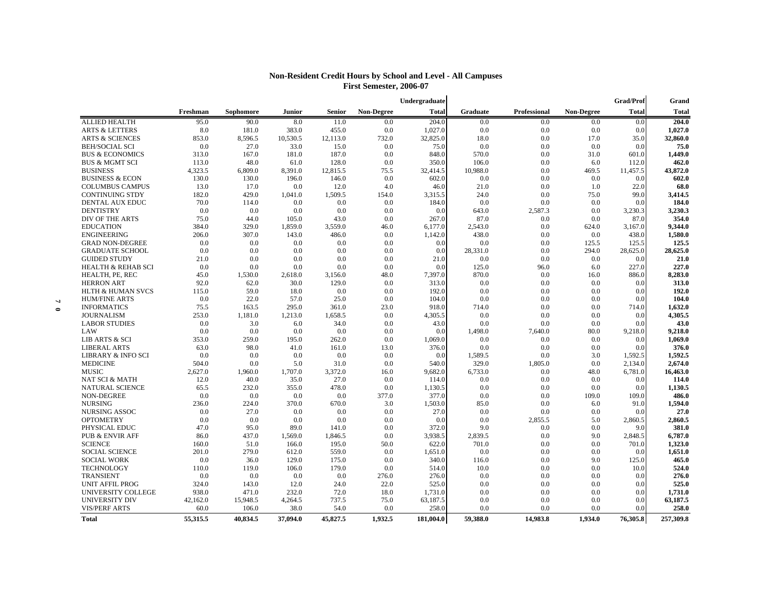|                               |          |           |               |                |                   | Undergraduate |          |              |                   | Grad/Prof    | Grand        |
|-------------------------------|----------|-----------|---------------|----------------|-------------------|---------------|----------|--------------|-------------------|--------------|--------------|
|                               | Freshman | Sophomore | <b>Junior</b> | Senior         | <b>Non-Degree</b> | <b>Total</b>  | Graduate | Professional | <b>Non-Degree</b> | <b>Total</b> | <b>Total</b> |
| <b>ALLIED HEALTH</b>          | 95.0     | 90.0      | 8.0           | 11.0           | 0.0               | 204.0         | 0.0      | 0.0          | 0.0               | 0.0          | 204.0        |
| <b>ARTS &amp; LETTERS</b>     | 8.0      | 181.0     | 383.0         | 455.0          | 0.0               | 1,027.0       | 0.0      | 0.0          | 0.0               | 0.0          | 1,027.0      |
| <b>ARTS &amp; SCIENCES</b>    | 853.0    | 8,596.5   | 10,530.5      | 12,113.0       | 732.0             | 32,825.0      | 18.0     | 0.0          | 17.0              | 35.0         | 32,860.0     |
| <b>BEH/SOCIAL SCI</b>         | 0.0      | 27.0      | 33.0          | 15.0           | 0.0               | 75.0          | 0.0      | 0.0          | 0.0               | 0.0          | 75.0         |
| <b>BUS &amp; ECONOMICS</b>    | 313.0    | 167.0     | 181.0         | 187.0          | 0.0               | 848.0         | 570.0    | 0.0          | 31.0              | 601.0        | 1,449.0      |
| <b>BUS &amp; MGMT SCI</b>     | 113.0    | 48.0      | 61.0          | 128.0          | 0.0               | 350.0         | 106.0    | 0.0          | 6.0               | 112.0        | 462.0        |
| <b>BUSINESS</b>               | 4,323.5  | 6,809.0   | 8,391.0       | 12,815.5       | 75.5              | 32,414.5      | 10,988.0 | 0.0          | 469.5             | 11,457.5     | 43,872.0     |
| <b>BUSINESS &amp; ECON</b>    | 130.0    | 130.0     | 196.0         | 146.0          | 0.0               | 602.0         | 0.0      | 0.0          | 0.0               | 0.0          | 602.0        |
| <b>COLUMBUS CAMPUS</b>        | 13.0     | 17.0      | 0.0           | 12.0           | 4.0               | 46.0          | 21.0     | 0.0          | 1.0               | 22.0         | 68.0         |
| <b>CONTINUING STDY</b>        | 182.0    | 429.0     | 1,041.0       | 1,509.5        | 154.0             | 3,315.5       | 24.0     | 0.0          | 75.0              | 99.0         | 3,414.5      |
| DENTAL AUX EDUC               | 70.0     | 114.0     | 0.0           | 0.0            | 0.0               | 184.0         | 0.0      | 0.0          | 0.0               | 0.0          | 184.0        |
| <b>DENTISTRY</b>              | 0.0      | 0.0       | 0.0           | 0.0            | 0.0               | 0.0           | 643.0    | 2,587.3      | 0.0               | 3,230.3      | 3,230.3      |
| DIV OF THE ARTS               | 75.0     | 44.0      | 105.0         | 43.0           | 0.0               | 267.0         | 87.0     | 0.0          | 0.0               | 87.0         | 354.0        |
| <b>EDUCATION</b>              | 384.0    | 329.0     | 1.859.0       | 3,559.0        | 46.0              | 6.177.0       | 2,543.0  | 0.0          | 624.0             | 3,167.0      | 9,344.0      |
| <b>ENGINEERING</b>            | 206.0    | 307.0     | 143.0         | 486.0          | 0.0               | 1,142.0       | 438.0    | 0.0          | 0.0               | 438.0        | 1,580.0      |
| <b>GRAD NON-DEGREE</b>        | 0.0      | 0.0       | 0.0           | 0.0            | 0.0               | 0.0           | 0.0      | 0.0          | 125.5             | 125.5        | 125.5        |
| <b>GRADUATE SCHOOL</b>        | 0.0      | 0.0       | 0.0           | 0.0            | 0.0               | 0.0           | 28,331.0 | 0.0          | 294.0             | 28,625.0     | 28,625.0     |
| <b>GUIDED STUDY</b>           | 21.0     | 0.0       | 0.0           | 0.0            | 0.0               | 21.0          | 0.0      | 0.0          | 0.0               | 0.0          | 21.0         |
| <b>HEALTH &amp; REHAB SCI</b> | 0.0      | 0.0       | 0.0           | 0.0            | 0.0               | 0.0           | 125.0    | 96.0         | 6.0               | 227.0        | 227.0        |
| HEALTH, PE, REC               | 45.0     | 1,530.0   | 2,618.0       | 3,156.0        | 48.0              | 7.397.0       | 870.0    | 0.0          | 16.0              | 886.0        | 8,283.0      |
| <b>HERRON ART</b>             | 92.0     | 62.0      | 30.0          | 129.0          | 0.0               | 313.0         | 0.0      | 0.0          | 0.0               | 0.0          | 313.0        |
| <b>HLTH &amp; HUMAN SVCS</b>  | 115.0    | 59.0      | 18.0          | 0.0            | 0.0               | 192.0         | 0.0      | 0.0          | 0.0               | 0.0          | 192.0        |
| <b>HUM/FINE ARTS</b>          | 0.0      | 22.0      | 57.0          | 25.0           | 0.0               | 104.0         | 0.0      | 0.0          | 0.0               | 0.0          | 104.0        |
| <b>INFORMATICS</b>            | 75.5     | 163.5     | 295.0         | 361.0          | 23.0              | 918.0         | 714.0    | 0.0          | 0.0               | 714.0        | 1,632.0      |
| <b>JOURNALISM</b>             | 253.0    | 1,181.0   | 1,213.0       | 1,658.5        | 0.0               | 4,305.5       | 0.0      | 0.0          | 0.0               | 0.0          | 4,305.5      |
| <b>LABOR STUDIES</b>          | 0.0      | 3.0       | 6.0           | 34.0           | 0.0               | 43.0          | 0.0      | 0.0          | 0.0               | 0.0          | 43.0         |
| LAW                           | 0.0      | 0.0       | 0.0           | 0.0            | 0.0               | 0.0           | 1,498.0  | 7,640.0      | 80.0              | 9,218.0      | 9,218.0      |
| LIB ARTS & SCI                | 353.0    | 259.0     | 195.0         | 262.0          | 0.0               | 1,069.0       | 0.0      | 0.0          | 0.0               | 0.0          | 1,069.0      |
| <b>LIBERAL ARTS</b>           | 63.0     | 98.0      | 41.0          | 161.0          | 13.0              | 376.0         | 0.0      | 0.0          | 0.0               | 0.0          | 376.0        |
| <b>LIBRARY &amp; INFO SCI</b> | 0.0      | 0.0       | 0.0           | 0.0            | 0.0               | 0.0           | 1,589.5  | 0.0          | 3.0               | 1,592.5      | 1,592.5      |
| <b>MEDICINE</b>               | 504.0    | 0.0       | 5.0           | 31.0           | 0.0               | 540.0         | 329.0    | 1,805.0      | 0.0               | 2,134.0      | 2,674.0      |
| <b>MUSIC</b>                  | 2,627.0  | 1.960.0   | 1,707.0       | 3,372.0        | 16.0              | 9,682.0       | 6,733.0  | 0.0          | 48.0              | 6,781.0      | 16,463.0     |
| NAT SCI & MATH                | 12.0     | 40.0      | 35.0          | 27.0           | 0.0               | 114.0         | 0.0      | 0.0          | 0.0               | 0.0          | 114.0        |
| NATURAL SCIENCE               | 65.5     | 232.0     | 355.0         | 478.0          | 0.0               | 1,130.5       | 0.0      | 0.0          | 0.0               | 0.0          | 1,130.5      |
| NON-DEGREE                    | 0.0      | 0.0       | 0.0           | 0.0            | 377.0             | 377.0         | 0.0      | 0.0          | 109.0             | 109.0        | 486.0        |
| <b>NURSING</b>                | 236.0    | 224.0     | 370.0         | 670.0          | 3.0               | 1.503.0       | 85.0     | 0.0          | 6.0               | 91.0         | 1,594.0      |
| NURSING ASSOC                 | 0.0      | 27.0      | 0.0           | 0.0            | 0.0               | 27.0          | 0.0      | 0.0          | 0.0               | 0.0          | 27.0         |
| <b>OPTOMETRY</b>              | 0.0      | 0.0       | 0.0           | 0.0            | 0.0               | 0.0           | 0.0      | 2,855.5      | 5.0               | 2,860.5      | 2,860.5      |
| PHYSICAL EDUC                 | 47.0     | 95.0      | 89.0          | 141.0          | 0.0               | 372.0         | 9.0      | 0.0          | 0.0               | 9.0          | 381.0        |
| <b>PUB &amp; ENVIR AFF</b>    | 86.0     | 437.0     | 1,569.0       | 1,846.5        | 0.0               | 3,938.5       | 2,839.5  | 0.0          | 9.0               | 2,848.5      | 6,787.0      |
| <b>SCIENCE</b>                | 160.0    | 51.0      | 166.0         | 195.0          | 50.0              | 622.0         | 701.0    | 0.0          | 0.0               | 701.0        | 1,323.0      |
|                               | 201.0    | 279.0     |               | 559.0          | 0.0               |               | 0.0      | 0.0          | 0.0               |              | 1,651.0      |
| <b>SOCIAL SCIENCE</b>         |          |           | 612.0         |                |                   | 1,651.0       |          |              |                   | 0.0          | 465.0        |
| <b>SOCIAL WORK</b>            | 0.0      | 36.0      | 129.0         | 175.0<br>179.0 | 0.0<br>0.0        | 340.0         | 116.0    | 0.0<br>0.0   | 9.0<br>0.0        | 125.0        |              |
| <b>TECHNOLOGY</b>             | 110.0    | 119.0     | 106.0         |                |                   | 514.0         | 10.0     |              |                   | 10.0         | 524.0        |
| <b>TRANSIENT</b>              | 0.0      | 0.0       | 0.0           | 0.0            | 276.0             | 276.0         | 0.0      | 0.0          | 0.0               | 0.0          | 276.0        |
| <b>UNIT AFFIL PROG</b>        | 324.0    | 143.0     | 12.0          | 24.0           | 22.0              | 525.0         | 0.0      | 0.0          | 0.0               | 0.0          | 525.0        |
| UNIVERSITY COLLEGE            | 938.0    | 471.0     | 232.0         | 72.0           | 18.0              | 1,731.0       | 0.0      | 0.0          | 0.0               | 0.0          | 1,731.0      |
| UNIVERSITY DIV                | 42,162.0 | 15,948.5  | 4,264.5       | 737.5          | 75.0              | 63,187.5      | 0.0      | 0.0          | 0.0               | 0.0          | 63,187.5     |
| <b>VIS/PERF ARTS</b>          | 60.0     | 106.0     | 38.0          | 54.0           | 0.0               | 258.0         | 0.0      | 0.0          | 0.0               | 0.0          | 258.0        |
| <b>Total</b>                  | 55,315.5 | 40.834.5  | 37,094.0      | 45,827.5       | 1,932.5           | 181.004.0     | 59,388.0 | 14,983.8     | 1,934.0           | 76,305.8     | 257,309.8    |

## **Non-Resident Credit Hours by School and Level - All Campuses First Semester, 2006-07**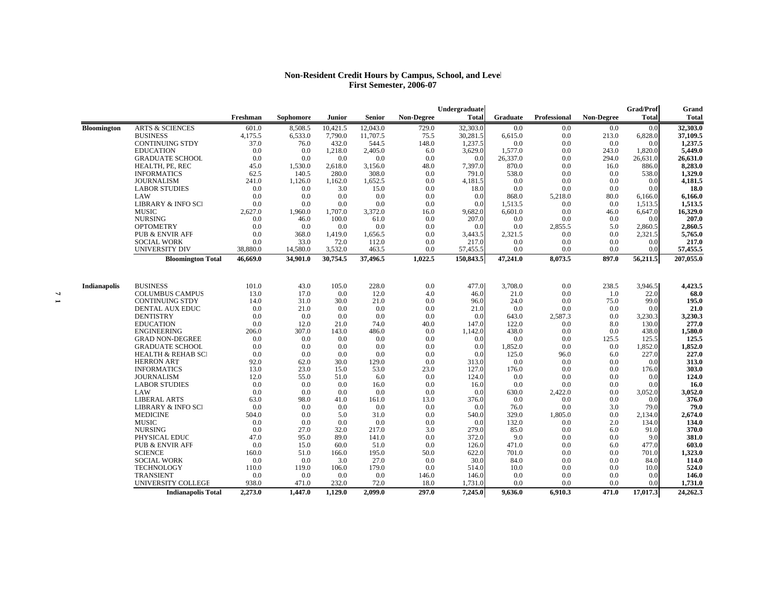## **Non-Resident Credit Hours by Campus, School, and Level First Semester, 2006-07**

|                     |                               |          |           |          |          |                   | Undergraduate |          |              |                   | Grad/Prof      | Grand     |
|---------------------|-------------------------------|----------|-----------|----------|----------|-------------------|---------------|----------|--------------|-------------------|----------------|-----------|
|                     |                               | Freshman | Sophomore | Junior   | Senior   | <b>Non-Degree</b> | <b>Total</b>  | Graduate | Professional | <b>Non-Degree</b> | <b>Total</b>   | Total     |
| <b>Bloomington</b>  | <b>ARTS &amp; SCIENCES</b>    | 601.0    | 8,508.5   | 10,421.5 | 12,043.0 | 729.0             | 32,303.0      | 0.0      | 0.0          | 0.0               | 0.0            | 32,303.0  |
|                     | <b>BUSINESS</b>               | 4,175.5  | 6,533.0   | 7,790.0  | 11,707.5 | 75.5              | 30,281.5      | 6,615.0  | 0.0          | 213.0             | 6,828.0        | 37,109.5  |
|                     | <b>CONTINUING STDY</b>        | 37.0     | 76.0      | 432.0    | 544.5    | 148.0             | 1,237.5       | 0.0      | 0.0          | 0.0               | 0.0            | 1,237.5   |
|                     | <b>EDUCATION</b>              | 0.0      | 0.0       | 1,218.0  | 2,405.0  | 6.0               | 3,629.0       | 1,577.0  | 0.0          | 243.0             | 1,820.0        | 5,449.0   |
|                     | <b>GRADUATE SCHOOL</b>        | 0.0      | 0.0       | 0.0      | 0.0      | 0.0               | 0.0           | 26,337.0 | 0.0          | 294.0             | 26,631.0       | 26,631.0  |
|                     | HEALTH, PE, REC               | 45.0     | 1,530.0   | 2,618.0  | 3,156.0  | 48.0              | 7,397.0       | 870.0    | 0.0          | 16.0              | 886.0          | 8,283.0   |
|                     | <b>INFORMATICS</b>            | 62.5     | 140.5     | 280.0    | 308.0    | 0.0               | 791.0         | 538.0    | 0.0          | 0.0               | 538.0          | 1,329.0   |
|                     | <b>JOURNALISM</b>             | 241.0    | 1,126.0   | 1,162.0  | 1,652.5  | 0.0               | 4,181.5       | 0.0      | 0.0          | 0.0               | 0.0            | 4,181.5   |
|                     | <b>LABOR STUDIES</b>          | 0.0      | 0.0       | 3.0      | 15.0     | 0.0               | 18.0          | 0.0      | 0.0          | 0.0               | 0 <sub>0</sub> | 18.0      |
|                     | LAW                           | 0.0      | 0.0       | 0.0      | 0.0      | 0.0               | 0.0           | 868.0    | 5,218.0      | 80.0              | 6,166.0        | 6,166.0   |
|                     | <b>LIBRARY &amp; INFO SCI</b> | 0.0      | 0.0       | 0.0      | 0.0      | 0.0               | 0.0           | 1,513.5  | 0.0          | 0.0               | 1,513.5        | 1,513.5   |
|                     | <b>MUSIC</b>                  | 2.627.0  | 1,960.0   | 1.707.0  | 3,372.0  | 16.0              | 9.682.0       | 6.601.0  | 0.0          | 46.0              | 6,647.0        | 16,329.0  |
|                     | <b>NURSING</b>                | 0.0      | 46.0      | 100.0    | 61.0     | 0.0               | 207.0         | 0.0      | 0.0          | 0.0               | 0.0            | 207.0     |
|                     | <b>OPTOMETRY</b>              | 0.0      | 0.0       | 0.0      | 0.0      | 0.0               | 0.0           | 0.0      | 2,855.5      | 5.0               | 2,860.5        | 2,860.5   |
|                     | <b>PUB &amp; ENVIR AFF</b>    | 0.0      | 368.0     | 1,419.0  | 1,656.5  | 0.0               | 3,443.5       | 2,321.5  | 0.0          | 0.0               | 2,321.5        | 5,765.0   |
|                     | <b>SOCIAL WORK</b>            | 0.0      | 33.0      | 72.0     | 112.0    | 0.0               | 217.0         | 0.0      | 0.0          | 0.0               | 0.0            | 217.0     |
|                     | UNIVERSITY DIV                | 38,880.0 | 14,580.0  | 3,532.0  | 463.5    | 0.0               | 57,455.5      | 0.0      | 0.0          | 0.0               | 0.0            | 57,455.5  |
|                     | <b>Bloomington Total</b>      | 46,669.0 | 34,901.0  | 30,754.5 | 37,496.5 | 1,022.5           | 150,843.5     | 47,241.0 | 8,073.5      | 897.0             | 56,211.5       | 207,055.0 |
|                     |                               |          |           |          |          |                   |               |          |              |                   |                |           |
| <b>Indianapolis</b> | <b>BUSINESS</b>               | 101.0    | 43.0      | 105.0    | 228.0    | 0.0               | 477.0         | 3,708.0  | 0.0          | 238.5             | 3,946.5        | 4,423.5   |
|                     | <b>COLUMBUS CAMPUS</b>        | 13.0     | 17.0      | 0.0      | 12.0     | 4.0               | 46.0          | 21.0     | 0.0          | 1.0               | 22.0           | 68.0      |
|                     | <b>CONTINUING STDY</b>        | 14.0     | 31.0      | 30.0     | 21.0     | 0.0               | 96.0          | 24.0     | 0.0          | 75.0              | 99.0           | 195.0     |
|                     | <b>DENTAL AUX EDUC</b>        | 0.0      | 21.0      | 0.0      | 0.0      | 0.0               | 21.0          | 0.0      | 0.0          | 0.0               | 0.0            | 21.0      |
|                     | <b>DENTISTRY</b>              | 0.0      | 0.0       | 0.0      | 0.0      | 0.0               | 0.0           | 643.0    | 2,587.3      | 0.0               | 3,230.3        | 3,230.3   |
|                     | <b>EDUCATION</b>              | 0.0      | 12.0      | 21.0     | 74.0     | 40.0              | 147.0         | 122.0    | 0.0          | 8.0               | 130.0          | 277.0     |
|                     | <b>ENGINEERING</b>            | 206.0    | 307.0     | 143.0    | 486.0    | 0.0               | 1,142.0       | 438.0    | 0.0          | 0.0               | 438.0          | 1,580.0   |
|                     | <b>GRAD NON-DEGREE</b>        | 0.0      | 0.0       | 0.0      | 0.0      | 0.0               | 0.0           | 0.0      | 0.0          | 125.5             | 125.5          | 125.5     |
|                     | <b>GRADUATE SCHOOL</b>        | 0.0      | 0.0       | 0.0      | 0.0      | 0.0               | 0.0           | 1,852.0  | 0.0          | 0.0               | 1,852.0        | 1,852.0   |
|                     | <b>HEALTH &amp; REHAB SCI</b> | 0.0      | 0.0       | 0.0      | 0.0      | 0.0               | 0.0           | 125.0    | 96.0         | 6.0               | 227.0          | 227.0     |
|                     | <b>HERRON ART</b>             | 92.0     | 62.0      | 30.0     | 129.0    | 0.0               | 313.0         | 0.0      | 0.0          | 0.0               | 0.0            | 313.0     |
|                     | <b>INFORMATICS</b>            | 13.0     | 23.0      | 15.0     | 53.0     | 23.0              | 127.0         | 176.0    | 0.0          | 0.0               | 176.0          | 303.0     |
|                     | <b>JOURNALISM</b>             | 12.0     | 55.0      | 51.0     | 6.0      | 0.0               | 124.0         | 0.0      | 0.0          | 0.0               | 0.0            | 124.0     |
|                     | <b>LABOR STUDIES</b>          | 0.0      | 0.0       | 0.0      | 16.0     | 0.0               | 16.0          | 0.0      | 0.0          | 0.0               | 0.0            | 16.0      |
|                     | LAW                           | 0.0      | 0.0       | 0.0      | 0.0      | 0.0               | 0.0           | 630.0    | 2,422.0      | 0.0               | 3,052.0        | 3,052.0   |
|                     | <b>LIBERAL ARTS</b>           | 63.0     | 98.0      | 41.0     | 161.0    | 13.0              | 376.0         | 0.0      | 0.0          | 0.0               | 0.0            | 376.0     |
|                     | LIBRARY & INFO SCI            | 0.0      | 0.0       | 0.0      | 0.0      | 0.0               | 0.0           | 76.0     | 0.0          | 3.0               | 79.0           | 79.0      |
|                     | <b>MEDICINE</b>               | 504.0    | 0.0       | 5.0      | 31.0     | 0.0               | 540.0         | 329.0    | 1,805.0      | 0.0               | 2,134.0        | 2,674.0   |
|                     | <b>MUSIC</b>                  | 0.0      | 0.0       | 0.0      | 0.0      | 0.0               | 0.0           | 132.0    | 0.0          | 2.0               | 134.0          | 134.0     |
|                     | <b>NURSING</b>                | 0.0      | 27.0      | 32.0     | 217.0    | 3.0               | 279.0         | 85.0     | 0.0          | 6.0               | 91.0           | 370.0     |
|                     | PHYSICAL EDUC                 | 47.0     | 95.0      | 89.0     | 141.0    | 0.0               | 372.0         | 9.0      | 0.0          | 0.0               | 9.0            | 381.0     |
|                     | <b>PUB &amp; ENVIR AFF</b>    | 0.0      | 15.0      | 60.0     | 51.0     | 0.0               | 126.0         | 471.0    | 0.0          | 6.0               | 477.0          | 603.0     |
|                     | <b>SCIENCE</b>                | 160.0    | 51.0      | 166.0    | 195.0    | 50.0              | 622.0         | 701.0    | 0.0          | 0.0               | 701.0          | 1,323.0   |
|                     | <b>SOCIAL WORK</b>            | 0.0      | 0.0       | 3.0      | 27.0     | 0.0               | 30.0          | 84.0     | 0.0          | 0.0               | 84.0           | 114.0     |
|                     | <b>TECHNOLOGY</b>             | 110.0    | 119.0     | 106.0    | 179.0    | 0.0               | 514.0         | 10.0     | 0.0          | 0.0               | 10.0           | 524.0     |
|                     | <b>TRANSIENT</b>              | 0.0      | 0.0       | 0.0      | 0.0      | 146.0             | 146.0         | 0.0      | 0.0          | 0.0               | 0.0            | 146.0     |
|                     | UNIVERSITY COLLEGE            | 938.0    | 471.0     | 232.0    | 72.0     | 18.0              | 1,731.0       | 0.0      | 0.0          | 0.0               | 0.0            | 1,731.0   |
|                     | <b>Indianapolis Total</b>     | 2,273.0  | 1,447.0   | 1.129.0  | 2.099.0  | 297.0             | 7.245.0       | 9,636.0  | 6,910.3      | 471.0             | 17,017.3       | 24,262.3  |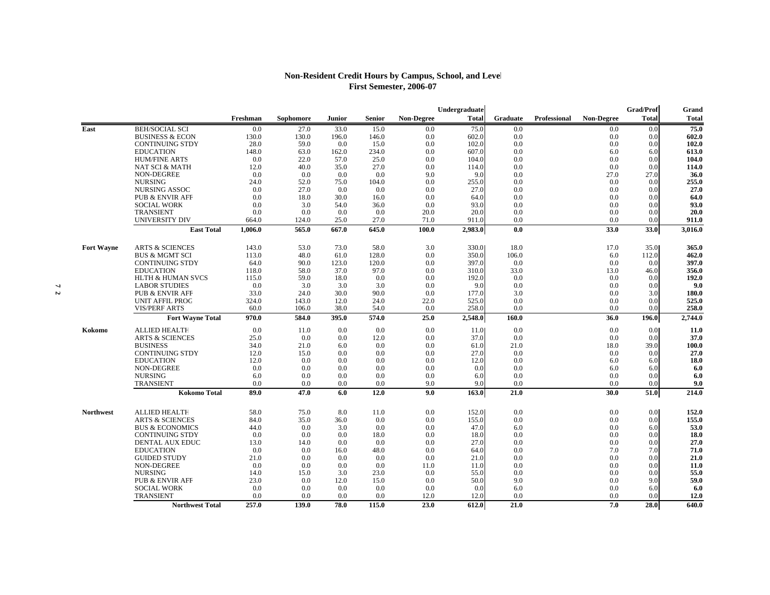## **Non-Resident Credit Hours by Campus, School, and Level First Semester, 2006-07**

|                   |                                         |                |              |              |               |                   | Undergraduate  |                 |                     |                   | Grad/Prof     | Grand          |
|-------------------|-----------------------------------------|----------------|--------------|--------------|---------------|-------------------|----------------|-----------------|---------------------|-------------------|---------------|----------------|
|                   |                                         | Freshman       | Sophomore    | Junior       | <b>Senior</b> | <b>Non-Degree</b> | <b>Total</b>   | <b>Graduate</b> | <b>Professional</b> | <b>Non-Degree</b> | <b>Total</b>  | <b>Total</b>   |
| East              | <b>BEH/SOCIAL SCI</b>                   | 0.0            | 27.0         | 33.0         | 15.0          | 0.0               | 75.0           | 0.0             |                     | 0.0               | 0.0           | 75.0           |
|                   | <b>BUSINESS &amp; ECON</b>              | 130.0          | 130.0        | 196.0        | 146.0         | 0.0               | 602.0          | 0.0             |                     | 0.0               | 0.0           | 602.0          |
|                   | <b>CONTINUING STDY</b>                  | 28.0           | 59.0         | 0.0          | 15.0          | 0.0               | 102.0          | 0.0             |                     | 0.0               | 0.0           | 102.0          |
|                   | <b>EDUCATION</b>                        | 148.0          | 63.0         | 162.0        | 234.0         | 0.0               | 607.0          | 0.0             |                     | 6.0               | 6.0           | 613.0          |
|                   | <b>HUM/FINE ARTS</b>                    | 0.0            | 22.0         | 57.0         | 25.0          | 0.0               | 104.0          | 0.0             |                     | 0.0               | 0.0           | 104.0          |
|                   | <b>NAT SCI &amp; MATH</b>               | 12.0           | 40.0         | 35.0         | 27.0          | 0.0               | 114.0          | 0.0             |                     | 0.0               | 0.0           | 114.0          |
|                   | NON-DEGREE                              | 0.0            | 0.0          | 0.0          | 0.0           | 9.0               | 9.0            | 0.0             |                     | 27.0              | 27.0          | 36.0           |
|                   | <b>NURSING</b>                          | 24.0           | 52.0         | 75.0         | 104.0         | 0.0               | 255.0          | 0.0             |                     | 0.0               | 0.0           | 255.0          |
|                   | NURSING ASSOC                           | 0.0            | 27.0         | 0.0          | 0.0           | 0.0               | 27.0           | 0.0             |                     | 0.0               | 0.0           | 27.0           |
|                   | <b>PUB &amp; ENVIR AFF</b>              | 0.0            | 18.0         | 30.0         | 16.0          | 0.0               | 64.0           | 0.0             |                     | 0.0               | 0.0           | 64.0           |
|                   | <b>SOCIAL WORK</b>                      | 0.0            | 3.0          | 54.0         | 36.0          | 0.0               | 93.0           | 0.0             |                     | 0.0               | 0.0           | 93.0           |
|                   | <b>TRANSIENT</b>                        | 0.0            | 0.0          | 0.0          | 0.0           | 20.0              | 20.0           | 0.0             |                     | 0.0               | 0.0           | 20.0           |
|                   | UNIVERSITY DIV                          | 664.0          | 124.0        | 25.0         | 27.0          | 71.0              | 911.0          | 0.0             |                     | 0.0               | 0.0           | 911.0          |
|                   | <b>East Total</b>                       | 1,006.0        | 565.0        | 667.0        | 645.0         | 100.0             | 2,983.0        | 0.0             |                     | 33.0              | 33.0          | 3,016.0        |
|                   | <b>ARTS &amp; SCIENCES</b>              |                |              |              | 58.0          |                   |                |                 |                     |                   |               |                |
| <b>Fort Wayne</b> | <b>BUS &amp; MGMT SCI</b>               | 143.0<br>113.0 | 53.0<br>48.0 | 73.0<br>61.0 | 128.0         | 3.0<br>0.0        | 330.0<br>350.0 | 18.0<br>106.0   |                     | 17.0<br>6.0       | 35.0<br>112.0 | 365.0<br>462.0 |
|                   | <b>CONTINUING STDY</b>                  | 64.0           | 90.0         | 123.0        | 120.0         | 0.0               | 397.0          | 0.0             |                     | 0.0               | 0.0           | 397.0          |
|                   | <b>EDUCATION</b>                        | 118.0          | 58.0         | 37.0         | 97.0          | 0.0               | 310.0          | 33.0            |                     | 13.0              | 46.0          | 356.0          |
|                   | <b>HLTH &amp; HUMAN SVCS</b>            | 115.0          | 59.0         | 18.0         | 0.0           | 0.0               | 192.0          | 0.0             |                     | 0.0               | 0.0           | 192.0          |
|                   | <b>LABOR STUDIES</b>                    | 0.0            | 3.0          | 3.0          | 3.0           | 0.0               | 9.0            | 0.0             |                     | 0.0               | 0.0           | 9.0            |
|                   | <b>PUB &amp; ENVIR AFF</b>              | 33.0           | 24.0         | 30.0         | 90.0          | 0.0               | 177.0          | 3.0             |                     | 0.0               | 3.0           | 180.0          |
|                   | <b>UNIT AFFIL PROG</b>                  | 324.0          | 143.0        | 12.0         | 24.0          | 22.0              | 525.0          | 0.0             |                     | 0.0               | 0.0           | 525.0          |
|                   | <b>VIS/PERF ARTS</b>                    | 60.0           | 106.0        | 38.0         | 54.0          | 0.0               | 258.0          | 0.0             |                     | 0.0               | 0.0           | 258.0          |
|                   | <b>Fort Wayne Total</b>                 | 970.0          | 584.0        | 395.0        | 574.0         | 25.0              | 2,548.0        | 160.0           |                     | 36.0              | 196.0         | 2,744.0        |
| Kokomo            | <b>ALLIED HEALTH</b>                    | 0.0            | 11.0         | 0.0          | 0.0           | 0.0               | 11.0           | 0.0             |                     | 0.0               | 0.0           | <b>11.0</b>    |
|                   | <b>ARTS &amp; SCIENCES</b>              | 25.0           | 0.0          | 0.0          | 12.0          | 0.0               | 37.0           | 0.0             |                     | 0.0               | 0.0           | 37.0           |
|                   | <b>BUSINESS</b>                         | 34.0           | 21.0         | 6.0          | 0.0           | 0.0               | 61.0           | 21.0            |                     | 18.0              | 39.0          | 100.0          |
|                   | <b>CONTINUING STDY</b>                  | 12.0           | 15.0         | 0.0          | 0.0           | 0.0               | 27.0           | 0.0             |                     | 0.0               | 0.0           | 27.0           |
|                   | <b>EDUCATION</b>                        | 12.0           | 0.0          | 0.0          | 0.0           | 0.0               | 12.0           | 0.0             |                     | 6.0               | 6.0           | 18.0           |
|                   | NON-DEGREE                              | 0.0            | 0.0          | 0.0          | 0.0           | 0.0               | 0.0            | 0.0             |                     | 6.0               | 6.0           | 6.0            |
|                   | <b>NURSING</b>                          | 6.0            | 0.0          | 0.0          | 0.0           | 0.0               | 6.0            | 0.0             |                     | 0.0               | 0.0           | 6.0            |
|                   | <b>TRANSIENT</b>                        | 0.0            | 0.0          | 0.0          | 0.0           | 9.0               | 9.0            | 0.0             |                     | 0.0               | 0.0           | 9.0            |
|                   | <b>Kokomo Total</b>                     | 89.0           | 47.0         | 6.0          | 12.0          | 9.0               | 163.0          | 21.0            |                     | 30.0              | 51.0          | 214.0          |
|                   |                                         |                |              |              |               |                   |                |                 |                     |                   |               |                |
| <b>Northwest</b>  | <b>ALLIED HEALTH</b>                    | 58.0           | 75.0         | 8.0          | 11.0          | 0.0               | 152.0          | 0.0             |                     | 0.0               | 0.0           | 152.0          |
|                   | <b>ARTS &amp; SCIENCES</b>              | 84.0           | 35.0         | 36.0         | 0.0           | 0.0               | 155.0          | 0.0             |                     | 0.0               | 0.0           | 155.0          |
|                   | <b>BUS &amp; ECONOMICS</b>              | 44.0           | 0.0          | 3.0          | 0.0           | 0.0               | 47.0           | 6.0             |                     | 0.0               | 6.0           | 53.0           |
|                   | <b>CONTINUING STDY</b>                  | 0.0            | 0.0          | 0.0          | 18.0          | 0.0               | 18.0           | 0.0             |                     | 0.0               | 0.0           | 18.0           |
|                   | <b>DENTAL AUX EDUC</b>                  | 13.0           | 14.0         | 0.0          | 0.0           | 0.0               | 27.0           | 0.0             |                     | 0.0               | 0.0           | 27.0           |
|                   | <b>EDUCATION</b><br><b>GUIDED STUDY</b> | 0.0<br>21.0    | 0.0<br>0.0   | 16.0<br>0.0  | 48.0<br>0.0   | 0.0<br>0.0        | 64.0           | 0.0<br>0.0      |                     | 7.0<br>0.0        | 7.0<br>0.0    | 71.0<br>21.0   |
|                   |                                         |                |              |              |               |                   | 21.0           |                 |                     |                   |               |                |
|                   | NON-DEGREE<br><b>NURSING</b>            | 0.0            | 0.0          | 0.0          | 0.0           | 11.0              | 11.0           | 0.0             |                     | 0.0               | 0.0           | <b>11.0</b>    |
|                   | <b>PUB &amp; ENVIR AFF</b>              | 14.0<br>23.0   | 15.0         | 3.0          | 23.0<br>15.0  | 0.0<br>0.0        | 55.0           | 0.0<br>9.0      |                     | 0.0               | 0.0<br>9.0    | 55.0<br>59.0   |
|                   |                                         |                | 0.0          | 12.0         |               |                   | 50.0           |                 |                     | 0.0               |               |                |
|                   | <b>SOCIAL WORK</b><br><b>TRANSIENT</b>  | 0.0<br>0.0     | 0.0<br>0.0   | 0.0<br>0.0   | 0.0<br>0.0    | 0.0<br>12.0       | 0.0<br>12.0    | 6.0<br>0.0      |                     | 0.0<br>0.0        | 6.0<br>0.0    | 6.0<br>12.0    |
|                   | <b>Northwest Total</b>                  | 257.0          | 139.0        | 78.0         | 115.0         | 23.0              | 612.0          | 21.0            |                     | 7.0               | 28.0          | 640.0          |
|                   |                                         |                |              |              |               |                   |                |                 |                     |                   |               |                |